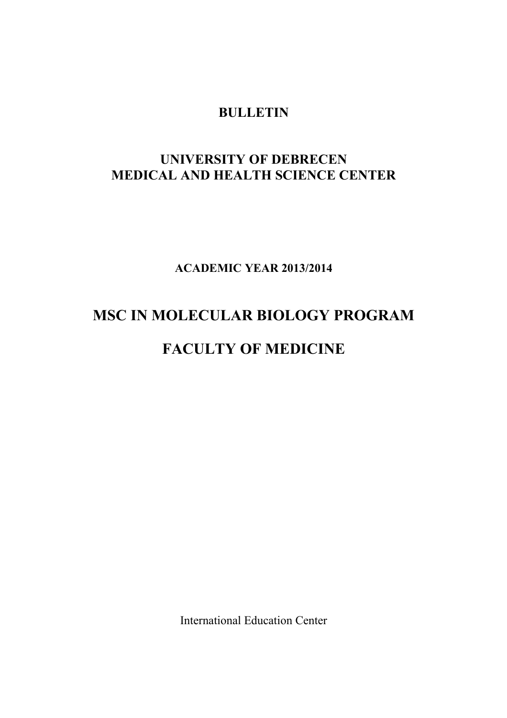## **BULLETIN**

# **UNIVERSITY OF DEBRECEN MEDICAL AND HEALTH SCIENCE CENTER**

**ACADEMIC YEAR 2013/2014**

# **MSC IN MOLECULAR BIOLOGY PROGRAM**

# **FACULTY OF MEDICINE**

International Education Center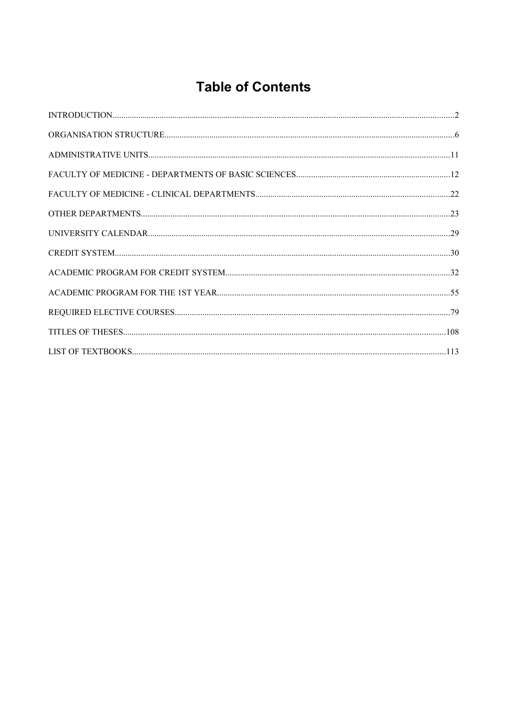# **Table of Contents**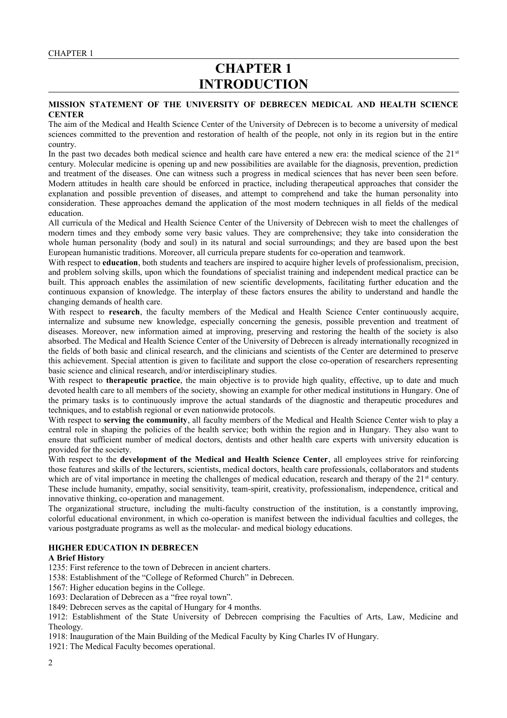# **CHAPTER 1 INTRODUCTION**

#### **MISSION STATEMENT OF THE UNIVERSITY OF DEBRECEN MEDICAL AND HEALTH SCIENCE CENTER**

The aim of the Medical and Health Science Center of the University of Debrecen is to become a university of medical sciences committed to the prevention and restoration of health of the people, not only in its region but in the entire country.

In the past two decades both medical science and health care have entered a new era: the medical science of the  $21<sup>st</sup>$ century. Molecular medicine is opening up and new possibilities are available for the diagnosis, prevention, prediction and treatment of the diseases. One can witness such a progress in medical sciences that has never been seen before. Modern attitudes in health care should be enforced in practice, including therapeutical approaches that consider the explanation and possible prevention of diseases, and attempt to comprehend and take the human personality into consideration. These approaches demand the application of the most modern techniques in all fields of the medical education.

All curricula of the Medical and Health Science Center of the University of Debrecen wish to meet the challenges of modern times and they embody some very basic values. They are comprehensive; they take into consideration the whole human personality (body and soul) in its natural and social surroundings; and they are based upon the best European humanistic traditions. Moreover, all curricula prepare students for co-operation and teamwork.

With respect to **education**, both students and teachers are inspired to acquire higher levels of professionalism, precision, and problem solving skills, upon which the foundations of specialist training and independent medical practice can be built. This approach enables the assimilation of new scientific developments, facilitating further education and the continuous expansion of knowledge. The interplay of these factors ensures the ability to understand and handle the changing demands of health care.

With respect to **research**, the faculty members of the Medical and Health Science Center continuously acquire, internalize and subsume new knowledge, especially concerning the genesis, possible prevention and treatment of diseases. Moreover, new information aimed at improving, preserving and restoring the health of the society is also absorbed. The Medical and Health Science Center of the University of Debrecen is already internationally recognized in the fields of both basic and clinical research, and the clinicians and scientists of the Center are determined to preserve this achievement. Special attention is given to facilitate and support the close co-operation of researchers representing basic science and clinical research, and/or interdisciplinary studies.

With respect to **therapeutic practice**, the main objective is to provide high quality, effective, up to date and much devoted health care to all members of the society, showing an example for other medical institutions in Hungary. One of the primary tasks is to continuously improve the actual standards of the diagnostic and therapeutic procedures and techniques, and to establish regional or even nationwide protocols.

With respect to **serving the community**, all faculty members of the Medical and Health Science Center wish to play a central role in shaping the policies of the health service; both within the region and in Hungary. They also want to ensure that sufficient number of medical doctors, dentists and other health care experts with university education is provided for the society.

With respect to the **development of the Medical and Health Science Center**, all employees strive for reinforcing those features and skills of the lecturers, scientists, medical doctors, health care professionals, collaborators and students which are of vital importance in meeting the challenges of medical education, research and therapy of the  $21<sup>st</sup>$  century. These include humanity, empathy, social sensitivity, team-spirit, creativity, professionalism, independence, critical and innovative thinking, co-operation and management.

The organizational structure, including the multi-faculty construction of the institution, is a constantly improving, colorful educational environment, in which co-operation is manifest between the individual faculties and colleges, the various postgraduate programs as well as the molecular- and medical biology educations.

## **HIGHER EDUCATION IN DEBRECEN**

#### **A Brief History**

1235: First reference to the town of Debrecen in ancient charters.

1538: Establishment of the "College of Reformed Church" in Debrecen.

1567: Higher education begins in the College.

1693: Declaration of Debrecen as a "free royal town".

1849: Debrecen serves as the capital of Hungary for 4 months.

1912: Establishment of the State University of Debrecen comprising the Faculties of Arts, Law, Medicine and Theology.

1918: Inauguration of the Main Building of the Medical Faculty by King Charles IV of Hungary.

1921: The Medical Faculty becomes operational.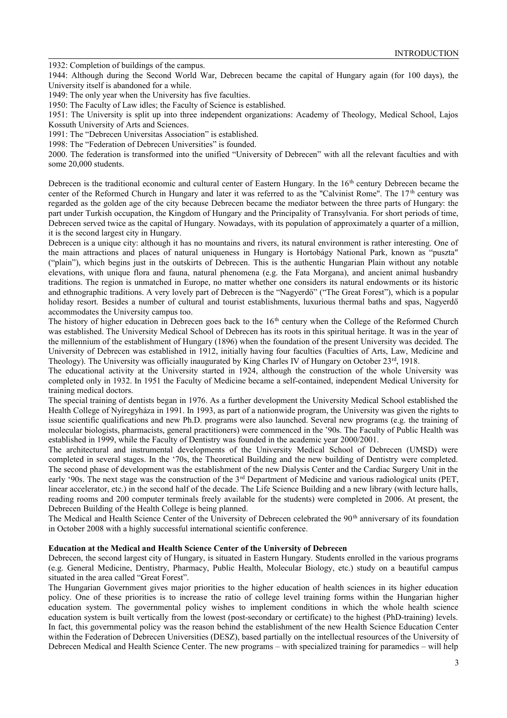1932: Completion of buildings of the campus.

1944: Although during the Second World War, Debrecen became the capital of Hungary again (for 100 days), the University itself is abandoned for a while.

1949: The only year when the University has five faculties.

1950: The Faculty of Law idles; the Faculty of Science is established.

1951: The University is split up into three independent organizations: Academy of Theology, Medical School, Lajos Kossuth University of Arts and Sciences.

1991: The "Debrecen Universitas Association" is established.

1998: The "Federation of Debrecen Universities" is founded.

2000. The federation is transformed into the unified "University of Debrecen" with all the relevant faculties and with some 20,000 students.

Debrecen is the traditional economic and cultural center of Eastern Hungary. In the 16<sup>th</sup> century Debrecen became the center of the Reformed Church in Hungary and later it was referred to as the "Calvinist Rome". The 17<sup>th</sup> century was regarded as the golden age of the city because Debrecen became the mediator between the three parts of Hungary: the part under Turkish occupation, the Kingdom of Hungary and the Principality of Transylvania. For short periods of time, Debrecen served twice as the capital of Hungary. Nowadays, with its population of approximately a quarter of a million, it is the second largest city in Hungary.

Debrecen is a unique city: although it has no mountains and rivers, its natural environment is rather interesting. One of the main attractions and places of natural uniqueness in Hungary is Hortobágy National Park, known as "puszta" ("plain"), which begins just in the outskirts of Debrecen. This is the authentic Hungarian Plain without any notable elevations, with unique flora and fauna, natural phenomena (e.g. the Fata Morgana), and ancient animal husbandry traditions. The region is unmatched in Europe, no matter whether one considers its natural endowments or its historic and ethnographic traditions. A very lovely part of Debrecen is the "Nagyerdő" ("The Great Forest"), which is a popular holiday resort. Besides a number of cultural and tourist establishments, luxurious thermal baths and spas, Nagyerdő accommodates the University campus too.

The history of higher education in Debrecen goes back to the 16<sup>th</sup> century when the College of the Reformed Church was established. The University Medical School of Debrecen has its roots in this spiritual heritage. It was in the year of the millennium of the establishment of Hungary (1896) when the foundation of the present University was decided. The University of Debrecen was established in 1912, initially having four faculties (Faculties of Arts, Law, Medicine and Theology). The University was officially inaugurated by King Charles IV of Hungary on October  $23<sup>rd</sup>$ , 1918.

The educational activity at the University started in 1924, although the construction of the whole University was completed only in 1932. In 1951 the Faculty of Medicine became a self-contained, independent Medical University for training medical doctors.

The special training of dentists began in 1976. As a further development the University Medical School established the Health College of Nyíregyháza in 1991. In 1993, as part of a nationwide program, the University was given the rights to issue scientific qualifications and new Ph.D. programs were also launched. Several new programs (e.g. the training of molecular biologists, pharmacists, general practitioners) were commenced in the '90s. The Faculty of Public Health was established in 1999, while the Faculty of Dentistry was founded in the academic year 2000/2001.

The architectural and instrumental developments of the University Medical School of Debrecen (UMSD) were completed in several stages. In the '70s, the Theoretical Building and the new building of Dentistry were completed. The second phase of development was the establishment of the new Dialysis Center and the Cardiac Surgery Unit in the early '90s. The next stage was the construction of the 3<sup>rd</sup> Department of Medicine and various radiological units (PET, linear accelerator, etc.) in the second half of the decade. The Life Science Building and a new library (with lecture halls, reading rooms and 200 computer terminals freely available for the students) were completed in 2006. At present, the Debrecen Building of the Health College is being planned.

The Medical and Health Science Center of the University of Debrecen celebrated the 90<sup>th</sup> anniversary of its foundation in October 2008 with a highly successful international scientific conference.

#### **Education at the Medical and Health Science Center of the University of Debrecen**

Debrecen, the second largest city of Hungary, is situated in Eastern Hungary. Students enrolled in the various programs (e.g. General Medicine, Dentistry, Pharmacy, Public Health, Molecular Biology, etc.) study on a beautiful campus situated in the area called "Great Forest".

The Hungarian Government gives major priorities to the higher education of health sciences in its higher education policy. One of these priorities is to increase the ratio of college level training forms within the Hungarian higher education system. The governmental policy wishes to implement conditions in which the whole health science education system is built vertically from the lowest (post-secondary or certificate) to the highest (PhD-training) levels. In fact, this governmental policy was the reason behind the establishment of the new Health Science Education Center within the Federation of Debrecen Universities (DESZ), based partially on the intellectual resources of the University of Debrecen Medical and Health Science Center. The new programs – with specialized training for paramedics – will help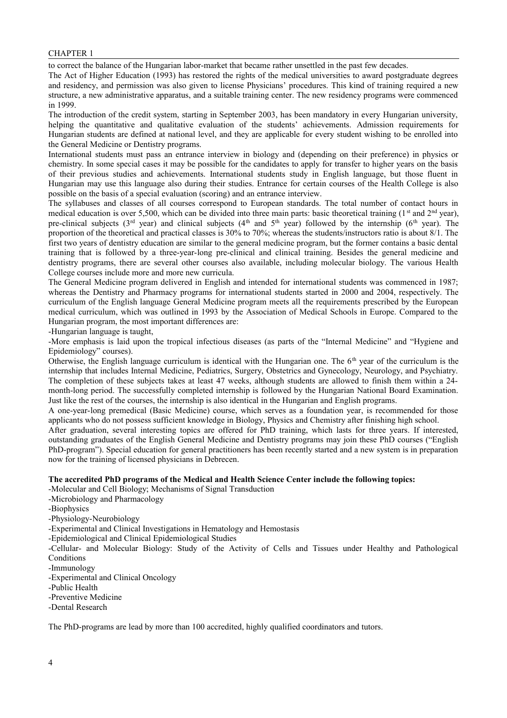#### CHAPTER 1

to correct the balance of the Hungarian labor-market that became rather unsettled in the past few decades.

The Act of Higher Education (1993) has restored the rights of the medical universities to award postgraduate degrees and residency, and permission was also given to license Physicians' procedures. This kind of training required a new structure, a new administrative apparatus, and a suitable training center. The new residency programs were commenced in 1999.

The introduction of the credit system, starting in September 2003, has been mandatory in every Hungarian university, helping the quantitative and qualitative evaluation of the students' achievements. Admission requirements for Hungarian students are defined at national level, and they are applicable for every student wishing to be enrolled into the General Medicine or Dentistry programs.

International students must pass an entrance interview in biology and (depending on their preference) in physics or chemistry. In some special cases it may be possible for the candidates to apply for transfer to higher years on the basis of their previous studies and achievements. International students study in English language, but those fluent in Hungarian may use this language also during their studies. Entrance for certain courses of the Health College is also possible on the basis of a special evaluation (scoring) and an entrance interview.

The syllabuses and classes of all courses correspond to European standards. The total number of contact hours in medical education is over 5,500, which can be divided into three main parts: basic theoretical training ( $1<sup>st</sup>$  and  $2<sup>nd</sup>$  year), pre-clinical subjects ( $3<sup>rd</sup>$  year) and clinical subjects ( $4<sup>th</sup>$  and  $5<sup>th</sup>$  year) followed by the internship ( $6<sup>th</sup>$  year). The proportion of the theoretical and practical classes is 30% to 70%; whereas the students/instructors ratio is about 8/1. The first two years of dentistry education are similar to the general medicine program, but the former contains a basic dental training that is followed by a three-year-long pre-clinical and clinical training. Besides the general medicine and dentistry programs, there are several other courses also available, including molecular biology. The various Health College courses include more and more new curricula.

The General Medicine program delivered in English and intended for international students was commenced in 1987; whereas the Dentistry and Pharmacy programs for international students started in 2000 and 2004, respectively. The curriculum of the English language General Medicine program meets all the requirements prescribed by the European medical curriculum, which was outlined in 1993 by the Association of Medical Schools in Europe. Compared to the Hungarian program, the most important differences are:

-Hungarian language is taught,

-More emphasis is laid upon the tropical infectious diseases (as parts of the "Internal Medicine" and "Hygiene and Epidemiology" courses).

Otherwise, the English language curriculum is identical with the Hungarian one. The  $6<sup>th</sup>$  year of the curriculum is the internship that includes Internal Medicine, Pediatrics, Surgery, Obstetrics and Gynecology, Neurology, and Psychiatry. The completion of these subjects takes at least 47 weeks, although students are allowed to finish them within a 24 month-long period. The successfully completed internship is followed by the Hungarian National Board Examination. Just like the rest of the courses, the internship is also identical in the Hungarian and English programs.

A one-year-long premedical (Basic Medicine) course, which serves as a foundation year, is recommended for those applicants who do not possess sufficient knowledge in Biology, Physics and Chemistry after finishing high school.

After graduation, several interesting topics are offered for PhD training, which lasts for three years. If interested, outstanding graduates of the English General Medicine and Dentistry programs may join these PhD courses ("English PhD-program"). Special education for general practitioners has been recently started and a new system is in preparation now for the training of licensed physicians in Debrecen.

#### **The accredited PhD programs of the Medical and Health Science Center include the following topics:**

- -Molecular and Cell Biology; Mechanisms of Signal Transduction
- -Microbiology and Pharmacology
- -Biophysics

-Physiology-Neurobiology

- -Experimental and Clinical Investigations in Hematology and Hemostasis
- -Epidemiological and Clinical Epidemiological Studies

-Cellular- and Molecular Biology: Study of the Activity of Cells and Tissues under Healthy and Pathological **Conditions** 

-Immunology

- -Experimental and Clinical Oncology
- -Public Health
- -Preventive Medicine
- -Dental Research

The PhD-programs are lead by more than 100 accredited, highly qualified coordinators and tutors.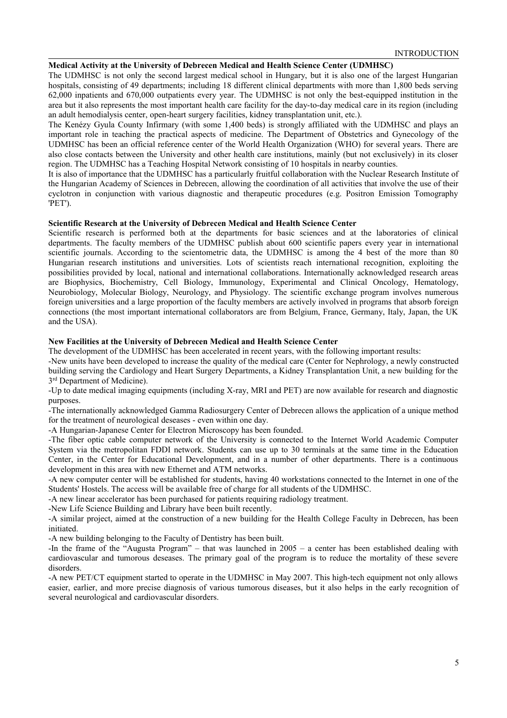#### **Medical Activity at the University of Debrecen Medical and Health Science Center (UDMHSC)**

The UDMHSC is not only the second largest medical school in Hungary, but it is also one of the largest Hungarian hospitals, consisting of 49 departments; including 18 different clinical departments with more than 1,800 beds serving 62,000 inpatients and 670,000 outpatients every year. The UDMHSC is not only the best-equipped institution in the area but it also represents the most important health care facility for the day-to-day medical care in its region (including an adult hemodialysis center, open-heart surgery facilities, kidney transplantation unit, etc.).

The Kenézy Gyula County Infirmary (with some 1,400 beds) is strongly affiliated with the UDMHSC and plays an important role in teaching the practical aspects of medicine. The Department of Obstetrics and Gynecology of the UDMHSC has been an official reference center of the World Health Organization (WHO) for several years. There are also close contacts between the University and other health care institutions, mainly (but not exclusively) in its closer region. The UDMHSC has a Teaching Hospital Network consisting of 10 hospitals in nearby counties.

It is also of importance that the UDMHSC has a particularly fruitful collaboration with the Nuclear Research Institute of the Hungarian Academy of Sciences in Debrecen, allowing the coordination of all activities that involve the use of their cyclotron in conjunction with various diagnostic and therapeutic procedures (e.g. Positron Emission Tomography 'PET').

#### **Scientific Research at the University of Debrecen Medical and Health Science Center**

Scientific research is performed both at the departments for basic sciences and at the laboratories of clinical departments. The faculty members of the UDMHSC publish about 600 scientific papers every year in international scientific journals. According to the scientometric data, the UDMHSC is among the 4 best of the more than 80 Hungarian research institutions and universities. Lots of scientists reach international recognition, exploiting the possibilities provided by local, national and international collaborations. Internationally acknowledged research areas are Biophysics, Biochemistry, Cell Biology, Immunology, Experimental and Clinical Oncology, Hematology, Neurobiology, Molecular Biology, Neurology, and Physiology. The scientific exchange program involves numerous foreign universities and a large proportion of the faculty members are actively involved in programs that absorb foreign connections (the most important international collaborators are from Belgium, France, Germany, Italy, Japan, the UK and the USA).

#### **New Facilities at the University of Debrecen Medical and Health Science Center**

The development of the UDMHSC has been accelerated in recent years, with the following important results:

-New units have been developed to increase the quality of the medical care (Center for Nephrology, a newly constructed building serving the Cardiology and Heart Surgery Departments, a Kidney Transplantation Unit, a new building for the 3<sup>rd</sup> Department of Medicine).

-Up to date medical imaging equipments (including X-ray, MRI and PET) are now available for research and diagnostic purposes.

-The internationally acknowledged Gamma Radiosurgery Center of Debrecen allows the application of a unique method for the treatment of neurological deseases - even within one day.

-A Hungarian-Japanese Center for Electron Microscopy has been founded.

-The fiber optic cable computer network of the University is connected to the Internet World Academic Computer System via the metropolitan FDDI network. Students can use up to 30 terminals at the same time in the Education Center, in the Center for Educational Development, and in a number of other departments. There is a continuous development in this area with new Ethernet and ATM networks.

-A new computer center will be established for students, having 40 workstations connected to the Internet in one of the Students' Hostels. The access will be available free of charge for all students of the UDMHSC.

-A new linear accelerator has been purchased for patients requiring radiology treatment.

-New Life Science Building and Library have been built recently.

-A similar project, aimed at the construction of a new building for the Health College Faculty in Debrecen, has been initiated.

-A new building belonging to the Faculty of Dentistry has been built.

-In the frame of the "Augusta Program" – that was launched in 2005 – a center has been established dealing with cardiovascular and tumorous deseases. The primary goal of the program is to reduce the mortality of these severe disorders.

-A new PET/CT equipment started to operate in the UDMHSC in May 2007. This high-tech equipment not only allows easier, earlier, and more precise diagnosis of various tumorous diseases, but it also helps in the early recognition of several neurological and cardiovascular disorders.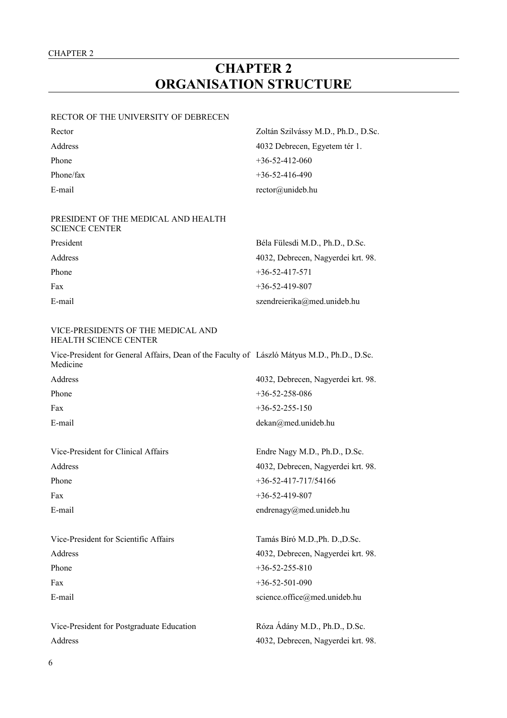# **CHAPTER 2 ORGANISATION STRUCTURE**

#### RECTOR OF THE UNIVERSITY OF DEBRECEN

| Rector    | Zoltán Szilvássy M.D., Ph.D., D.Sc. |
|-----------|-------------------------------------|
| Address   | 4032 Debrecen, Egyetem tér 1.       |
| Phone     | $+36 - 52 - 412 - 060$              |
| Phone/fax | $+36-52-416-490$                    |
| E-mail    | $rector@$ unideb.hu                 |
|           |                                     |

### PRESIDENT OF THE MEDICAL AND HEALTH SCIENCE CENTER

| President | Béla Fülesdi M.D., Ph.D., D.Sc.    |
|-----------|------------------------------------|
| Address   | 4032, Debrecen, Nagyerdei krt. 98. |
| Phone     | $+36 - 52 - 417 - 571$             |
| Fax       | $+36 - 52 - 419 - 807$             |
| E-mail    | szendreierika@med.unideb.hu        |

#### VICE-PRESIDENTS OF THE MEDICAL AND HEALTH SCIENCE CENTER

Vice-President for General Affairs, Dean of the Faculty of László Mátyus M.D., Ph.D., D.Sc. Medicine

| Address | 4032, Debrecen, Nagyerdei krt. 98. |
|---------|------------------------------------|
| Phone   | $+36 - 52 - 258 - 086$             |
| Fax     | $+36 - 52 - 255 - 150$             |
| E-mail  | $dekan@med.$ unideb.hu             |

Vice-President for Clinical Affairs Endre Nagy M.D., Ph.D., D.Sc. Address 4032, Debrecen, Nagyerdei krt. 98. Phone  $+36-52-417-717/54166$ Fax  $+36-52-419-807$ E-mail endrenagy@med.unideb.hu

| Vice-President for Scientific Affairs | Tamás Bíró M.D., Ph. D., D.Sc.     |
|---------------------------------------|------------------------------------|
| Address                               | 4032, Debrecen, Nagyerdei krt. 98. |
| Phone                                 | $+36 - 52 - 255 - 810$             |
| Fax                                   | $+36-52-501-090$                   |
| E-mail                                | science.office@med.unideb.hu       |
|                                       |                                    |

Vice-President for Postgraduate Education Róza Ádány M.D., Ph.D., D.Sc. Address 4032, Debrecen, Nagyerdei krt. 98.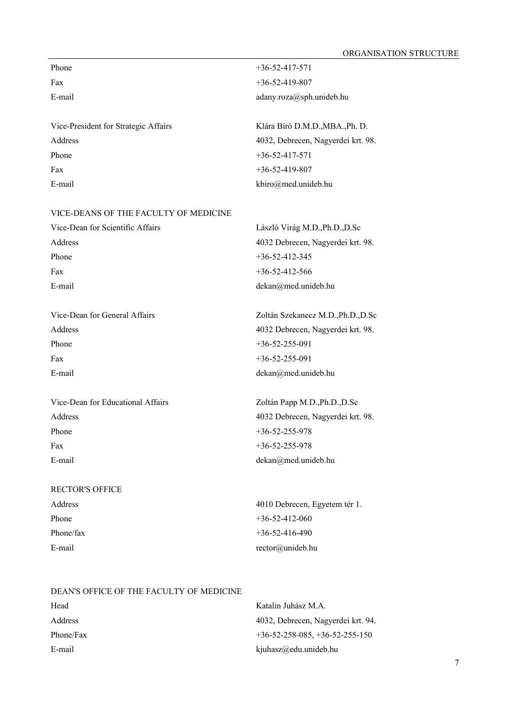| Phone                                | $+36 - 52 - 417 - 571$             |
|--------------------------------------|------------------------------------|
| Fax                                  | $+36 - 52 - 419 - 807$             |
| E-mail                               | adany.roza@sph.unideb.hu           |
|                                      |                                    |
| Vice-President for Strategic Affairs | Klára Bíró D.M.D., MBA., Ph. D.    |
| Address                              | 4032, Debrecen, Nagyerdei krt. 98. |
| Phone                                | $+36 - 52 - 417 - 571$             |
| Fax                                  | $+36 - 52 - 419 - 807$             |
| E-mail                               | kbiro@med.unideb.hu                |

#### VICE-DEANS OF THE FACULTY OF MEDICINE

| Vice-Dean for Scientific Affairs | László Virág M.D., Ph.D., D.Sc    |
|----------------------------------|-----------------------------------|
| Address                          | 4032 Debrecen, Nagyerdei krt. 98. |
| Phone                            | $+36 - 52 - 412 - 345$            |
| Fax                              | $+36 - 52 - 412 - 566$            |
| E-mail                           | $dekan@med.$ unideb.hu            |
|                                  |                                   |

Vice-Dean for General Affairs Zoltán Szekanecz M.D.,Ph.D.,D.Sc Address 4032 Debrecen, Nagyerdei krt. 98. Phone  $+36-52-255-091$ Fax +36-52-255-091 E-mail dekan@med.unideb.hu

Vice-Dean for Educational Affairs Zoltán Papp M.D.,Ph.D.,D.Sc Address 4032 Debrecen, Nagyerdei krt. 98. Phone  $+36-52-255-978$ Fax +36-52-255-978 E-mail dekan@med.unideb.hu

# RECTOR'S OFFICE

Address 4010 Debrecen, Egyetem tér 1. Phone  $+36-52-412-060$ Phone/fax  $+36-52-416-490$ E-mail rector@unideb.hu

#### DEAN'S OFFICE OF THE FACULTY OF MEDICINE

| Head      | Katalin Juhász M.A.                |
|-----------|------------------------------------|
| Address   | 4032, Debrecen, Nagyerdei krt. 94. |
| Phone/Fax | $+36-52-258-085, +36-52-255-150$   |
| E-mail    | kjuhasz@edu.unideb.hu              |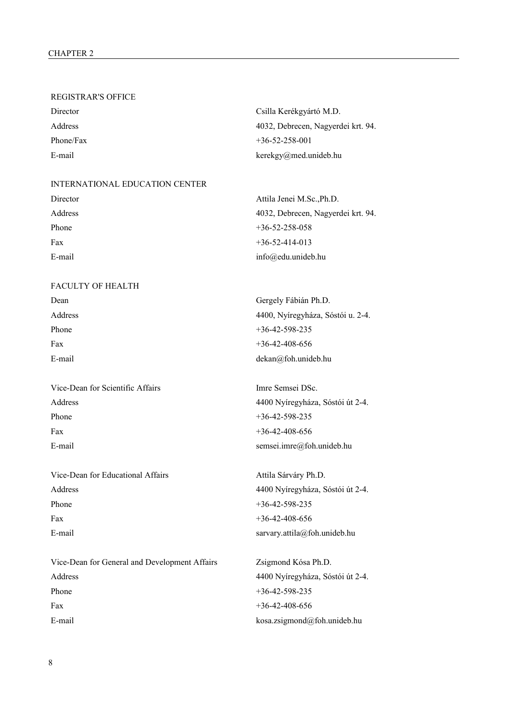#### REGISTRAR'S OFFICE

| Director  | Csilla Kerékgyártó M.D.            |
|-----------|------------------------------------|
| Address   | 4032, Debrecen, Nagyerdei krt. 94. |
| Phone/Fax | $+36 - 52 - 258 - 001$             |
| E-mail    | $kerekgy@med.$ unideb.hu           |

#### INTERNATIONAL EDUCATION CENTER

| Director | Attila Jenei M.Sc., Ph.D.          |
|----------|------------------------------------|
| Address  | 4032, Debrecen, Nagyerdei krt. 94. |
| Phone    | $+36 - 52 - 258 - 058$             |
| Fax      | $+36 - 52 - 414 - 013$             |
| E-mail   | $info@edu.$ unideb.hu              |
|          |                                    |

## FACULTY OF HEALTH

| Dean    | Gergely Fábián Ph.D.              |
|---------|-----------------------------------|
| Address | 4400, Nyíregyháza, Sóstói u. 2-4. |
| Phone   | $+36-42-598-235$                  |
| Fax     | $+36-42-408-656$                  |
| E-mail  | $dekan@foh.$ unideb.hu            |
|         |                                   |

| Vice-Dean for Scientific Affairs | Imre Semsei DSc. |
|----------------------------------|------------------|
| Address                          | 4400 Nyíregyháza |
| Phone                            | $+36-42-598-235$ |
| Fax                              | $+36-42-408-656$ |
| E-mail                           | semsei.imre@foh. |

| Vice-Dean for Educational Affairs |
|-----------------------------------|
| Address                           |
| Phone                             |
| Fax                               |
| E-mail                            |

Vice-Dean for General and Development Affairs Zsigmond Kósa Ph.D. Address 4400 Nyíregyháza, Sóstói út 2-4. Phone  $+36-42-598-235$ Fax  $+36-42-408-656$ E-mail kosa.zsigmond@foh.unideb.hu

4400 Nyíregyháza, Sóstói út 2-4.  $+36-42-598-235$  $+36-42-408-656$ semsei.imre@foh.unideb.hu

Attila Sárváry Ph.D. Address 4400 Nyíregyháza, Sóstói út 2-4.  $+36-42-598-235$  $+36-42-408-656$ sarvary.attila@foh.unideb.hu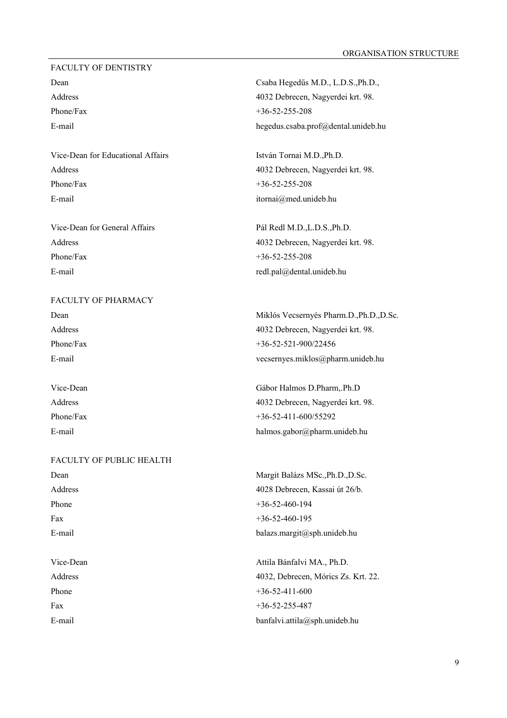#### FACULTY OF DENTISTRY

Vice-Dean for Educational Affairs István Tornai M.D.,Ph.D. Phone/Fax  $+36-52-255-208$ E-mail itornai@med.unideb.hu

Vice-Dean for General Affairs Pál Redl M.D.,L.D.S.,Ph.D. Phone/Fax  $+36-52-255-208$ E-mail redl.pal@dental.unideb.hu

FACULTY OF PHARMACY Phone/Fax +36-52-521-900/22456

# FACULTY OF PUBLIC HEALTH

Dean Csaba Hegedűs M.D., L.D.S.,Ph.D., Address 4032 Debrecen, Nagyerdei krt. 98. Phone/Fax  $+36-52-255-208$ E-mail hegedus.csaba.prof@dental.unideb.hu

Address 4032 Debrecen, Nagyerdei krt. 98.

Address 4032 Debrecen, Nagyerdei krt. 98.

Dean Miklós Vecsernyés Pharm.D.,Ph.D.,D.Sc. Address 4032 Debrecen, Nagyerdei krt. 98. E-mail vecsernyes.miklos@pharm.unideb.hu

Vice-Dean Gábor Halmos D.Pharm,.Ph.D Address 4032 Debrecen, Nagyerdei krt. 98. Phone/Fax  $+36-52-411-600/55292$ E-mail halmos.gabor@pharm.unideb.hu

Dean Margit Balázs MSc.,Ph.D.,D.Sc. Address 4028 Debrecen, Kassai út 26/b. Phone  $+36-52-460-194$ Fax  $+36-52-460-195$ E-mail balazs.margit@sph.unideb.hu

Vice-Dean Attila Bánfalvi MA., Ph.D. Address 4032, Debrecen, Mórics Zs. Krt. 22. Phone  $+36-52-411-600$ Fax +36-52-255-487 E-mail banfalvi.attila@sph.unideb.hu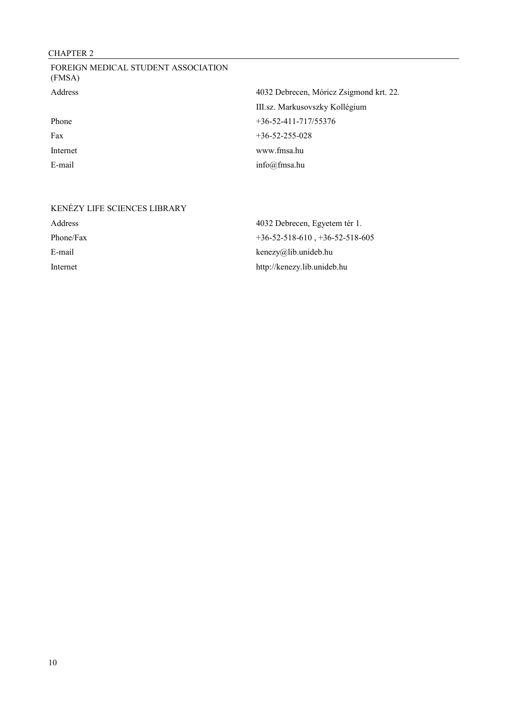## CHAPTER 2

| FOREIGN MEDICAL STUDENT ASSOCIATION<br>(FMSA) |                                         |
|-----------------------------------------------|-----------------------------------------|
| <b>Address</b>                                | 4032 Debrecen, Móricz Zsigmond krt. 22. |
|                                               | III.sz. Markusovszky Kollégium          |
| Phone                                         | $+36 - 52 - 411 - 717/55376$            |
| Fax                                           | $+36 - 52 - 255 - 028$                  |
| Internet                                      | www.fmsa.hu                             |
| E-mail                                        | info@fmsa.hu                            |

# KENÉZY LIFE SCIENCES LIBRARY Address 4032 Debrecen, Egyetem tér 1. Phone/Fax  $+36-52-518-610$ ,  $+36-52-518-605$ E-mail kenezy@lib.unideb.hu Internet http://kenezy.lib.unideb.hu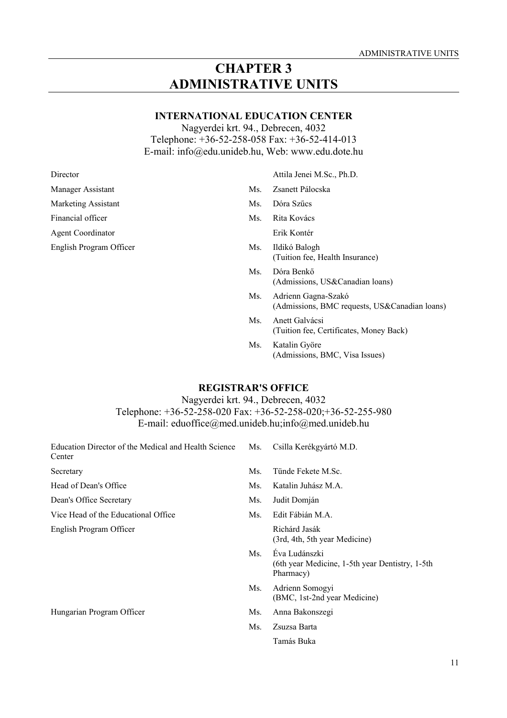## **CHAPTER 3 ADMINISTRATIVE UNITS**

## **INTERNATIONAL EDUCATION CENTER**

Nagyerdei krt. 94., Debrecen, 4032 Telephone: +36-52-258-058 Fax: +36-52-414-013 E-mail: info@edu.unideb.hu, Web: www.edu.dote.hu

Manager Assistant Ms. Zsanett Pálocska Marketing Assistant Ms. Dóra Szűcs Financial officer Ms. Rita Kovács Agent Coordinator Erik Kontér English Program Officer Ms. Ildikó Balogh

Director Attila Jenei M.Sc., Ph.D.

- 
- 
- 

(Tuition fee, Health Insurance)

- Ms. Dóra Benkő (Admissions, US&Canadian loans)
- Ms. Adrienn Gagna-Szakó (Admissions, BMC requests, US&Canadian loans)
- Ms. Anett Galvácsi (Tuition fee, Certificates, Money Back)
- Ms. Katalin Györe (Admissions, BMC, Visa Issues)

## **REGISTRAR'S OFFICE**

Nagyerdei krt. 94., Debrecen, 4032 Telephone: +36-52-258-020 Fax: +36-52-258-020;+36-52-255-980 E-mail: eduoffice@med.unideb.hu;info@med.unideb.hu

| Education Director of the Medical and Health Science<br>Center | Ms. | Csilla Kerékgyártó M.D.                                                       |
|----------------------------------------------------------------|-----|-------------------------------------------------------------------------------|
| Secretary                                                      | Ms. | Tünde Fekete M.Sc.                                                            |
| Head of Dean's Office                                          | Ms. | Katalin Juhász M.A.                                                           |
| Dean's Office Secretary                                        | Ms. | Judit Domján                                                                  |
| Vice Head of the Educational Office                            | Ms. | Edit Fábián M.A.                                                              |
| English Program Officer                                        |     | Richárd Jasák<br>(3rd, 4th, 5th year Medicine)                                |
|                                                                | Ms. | Éva Ludánszki<br>(6th year Medicine, 1-5th year Dentistry, 1-5th<br>Pharmacy) |
|                                                                | Ms. | Adrienn Somogyi<br>(BMC, 1st-2nd year Medicine)                               |
| Hungarian Program Officer                                      | Ms. | Anna Bakonszegi                                                               |
|                                                                | Ms. | Zsuzsa Barta                                                                  |
|                                                                |     | Tamás Buka                                                                    |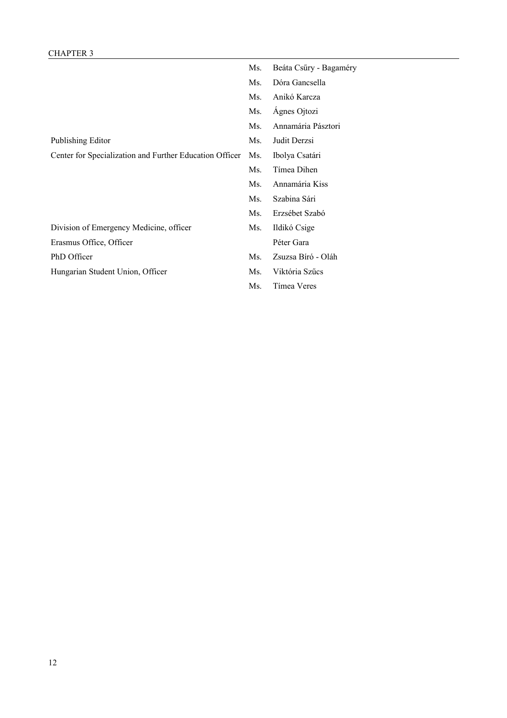## CHAPTER 3

|                                                         | Ms. | Beáta Csűry - Bagaméry |
|---------------------------------------------------------|-----|------------------------|
|                                                         | Ms. | Dóra Gancsella         |
|                                                         | Ms. | Anikó Karcza           |
|                                                         | Ms. | Ágnes Ojtozi           |
|                                                         | Ms. | Annamária Pásztori     |
| Publishing Editor                                       | Ms. | Judit Derzsi           |
| Center for Specialization and Further Education Officer | Ms. | Ibolya Csatári         |
|                                                         | Ms. | Tímea Dihen            |
|                                                         | Ms. | Annamária Kiss         |
|                                                         | Ms. | Szabina Sári           |
|                                                         | Ms. | Erzsébet Szabó         |
| Division of Emergency Medicine, officer                 | Ms. | Ildikó Csige           |
| Erasmus Office, Officer                                 |     | Péter Gara             |
| PhD Officer                                             | Ms. | Zsuzsa Bíró - Oláh     |
| Hungarian Student Union, Officer                        | Ms. | Viktória Szűcs         |
|                                                         | Ms. | Tímea Veres            |
|                                                         |     |                        |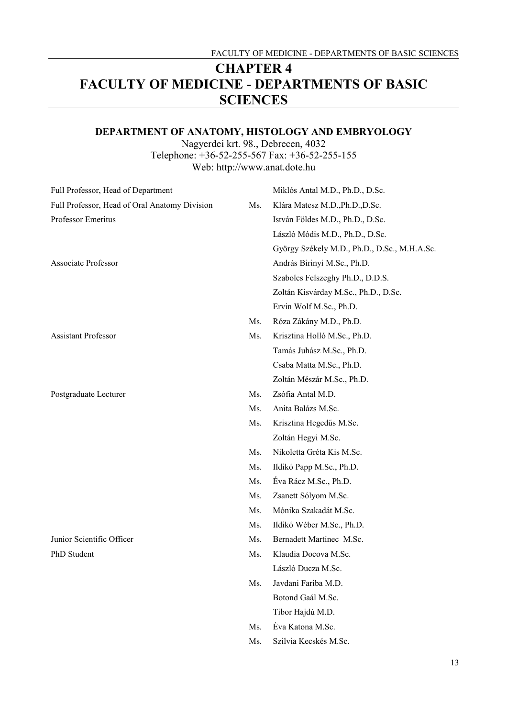# **CHAPTER 4 FACULTY OF MEDICINE - DEPARTMENTS OF BASIC SCIENCES**

## **DEPARTMENT OF ANATOMY, HISTOLOGY AND EMBRYOLOGY**

Nagyerdei krt. 98., Debrecen, 4032 Telephone: +36-52-255-567 Fax: +36-52-255-155 Web: http://www.anat.dote.hu

| Full Professor, Head of Department            |     | Miklós Antal M.D., Ph.D., D.Sc.              |
|-----------------------------------------------|-----|----------------------------------------------|
| Full Professor, Head of Oral Anatomy Division | Ms. | Klára Matesz M.D., Ph.D., D.Sc.              |
| Professor Emeritus                            |     | István Földes M.D., Ph.D., D.Sc.             |
|                                               |     | László Módis M.D., Ph.D., D.Sc.              |
|                                               |     | György Székely M.D., Ph.D., D.Sc., M.H.A.Sc. |
| <b>Associate Professor</b>                    |     | András Birinyi M.Sc., Ph.D.                  |
|                                               |     | Szabolcs Felszeghy Ph.D., D.D.S.             |
|                                               |     | Zoltán Kisvárday M.Sc., Ph.D., D.Sc.         |
|                                               |     | Ervin Wolf M.Sc., Ph.D.                      |
|                                               | Ms. | Róza Zákány M.D., Ph.D.                      |
| <b>Assistant Professor</b>                    | Ms. | Krisztina Holló M.Sc., Ph.D.                 |
|                                               |     | Tamás Juhász M.Sc., Ph.D.                    |
|                                               |     | Csaba Matta M.Sc., Ph.D.                     |
|                                               |     | Zoltán Mészár M.Sc., Ph.D.                   |
| Postgraduate Lecturer                         | Ms. | Zsófia Antal M.D.                            |
|                                               | Ms. | Anita Balázs M.Sc.                           |
|                                               | Ms. | Krisztina Hegedűs M.Sc.                      |
|                                               |     | Zoltán Hegyi M.Sc.                           |
|                                               | Ms. | Nikoletta Gréta Kis M.Sc.                    |
|                                               | Ms. | Ildikó Papp M.Sc., Ph.D.                     |
|                                               | Ms. | Éva Rácz M.Sc., Ph.D.                        |
|                                               | Ms. | Zsanett Sólyom M.Sc.                         |
|                                               | Ms. | Mónika Szakadát M.Sc.                        |
|                                               | Ms. | Ildikó Wéber M.Sc., Ph.D.                    |
| Junior Scientific Officer                     | Ms. | Bernadett Martinec M.Sc.                     |
| PhD Student                                   | Ms. | Klaudia Docova M.Sc.                         |
|                                               |     | László Ducza M.Sc.                           |
|                                               | Ms. | Javdani Fariba M.D.                          |
|                                               |     | Botond Gaál M.Sc.                            |
|                                               |     | Tibor Hajdú M.D.                             |
|                                               | Ms. | Éva Katona M.Sc.                             |
|                                               | Ms. | Szilvia Kecskés M.Sc.                        |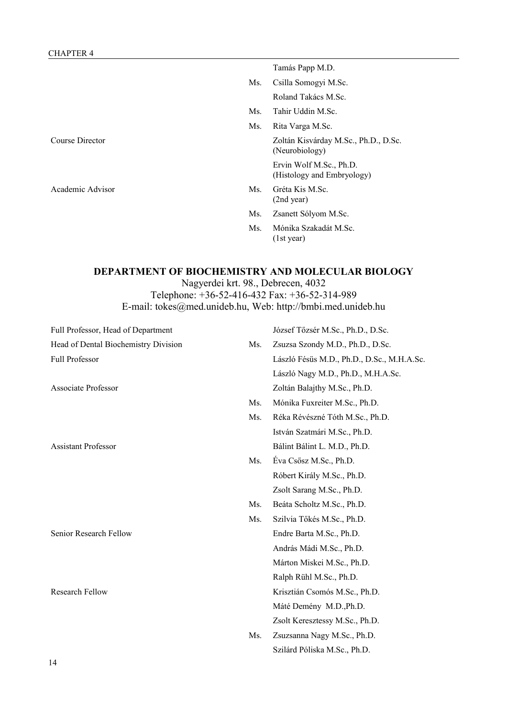Tamás Papp M.D. Ms. Csilla Somogyi M.Sc. Roland Takács M.Sc. Ms. Tahir Uddin M.Sc. Ms. Rita Varga M.Sc. Course Director Zoltán Kisvárday M.Sc., Ph.D., D.Sc. (Neurobiology) Ervin Wolf M.Sc., Ph.D. (Histology and Embryology) Academic Advisor Ms. Gréta Kis M.Sc. (2nd year) Ms. Zsanett Sólyom M.Sc. Ms. Mónika Szakadát M.Sc.

## **DEPARTMENT OF BIOCHEMISTRY AND MOLECULAR BIOLOGY**

(1st year)

Nagyerdei krt. 98., Debrecen, 4032

Telephone: +36-52-416-432 Fax: +36-52-314-989 E-mail: tokes@med.unideb.hu, Web: http://bmbi.med.unideb.hu

| Full Professor, Head of Department   |     | József Tőzsér M.Sc., Ph.D., D.Sc.          |
|--------------------------------------|-----|--------------------------------------------|
| Head of Dental Biochemistry Division | Ms. | Zsuzsa Szondy M.D., Ph.D., D.Sc.           |
| Full Professor                       |     | László Fésüs M.D., Ph.D., D.Sc., M.H.A.Sc. |
|                                      |     | László Nagy M.D., Ph.D., M.H.A.Sc.         |
| <b>Associate Professor</b>           |     | Zoltán Balajthy M.Sc., Ph.D.               |
|                                      | Ms. | Mónika Fuxreiter M.Sc., Ph.D.              |
|                                      | Ms. | Réka Révészné Tóth M.Sc., Ph.D.            |
|                                      |     | István Szatmári M.Sc., Ph.D.               |
| <b>Assistant Professor</b>           |     | Bálint Bálint L. M.D., Ph.D.               |
|                                      | Ms. | Éva Csősz M.Sc., Ph.D.                     |
|                                      |     | Róbert Király M.Sc., Ph.D.                 |
|                                      |     | Zsolt Sarang M.Sc., Ph.D.                  |
|                                      | Ms. | Beáta Scholtz M.Sc., Ph.D.                 |
|                                      | Ms. | Szilvia Tőkés M.Sc., Ph.D.                 |
| Senior Research Fellow               |     | Endre Barta M.Sc., Ph.D.                   |
|                                      |     | András Mádi M.Sc., Ph.D.                   |
|                                      |     | Márton Miskei M.Sc., Ph.D.                 |
|                                      |     | Ralph Rühl M.Sc., Ph.D.                    |
| <b>Research Fellow</b>               |     | Krisztián Csomós M.Sc., Ph.D.              |
|                                      |     | Máté Demény M.D., Ph.D.                    |
|                                      |     | Zsolt Keresztessy M.Sc., Ph.D.             |
|                                      | Ms. | Zsuzsanna Nagy M.Sc., Ph.D.                |
|                                      |     | Szilárd Póliska M.Sc., Ph.D.               |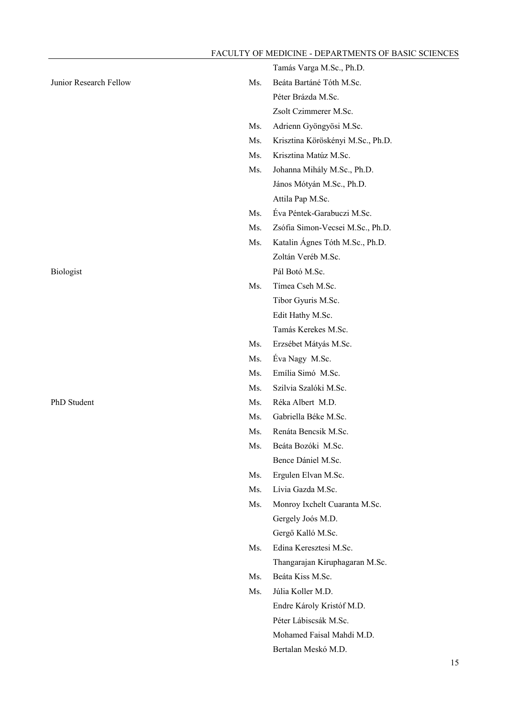|                        |     | Tamás Varga M.Sc., Ph.D.          |
|------------------------|-----|-----------------------------------|
| Junior Research Fellow | Ms. | Beáta Bartáné Tóth M.Sc.          |
|                        |     | Péter Brázda M.Sc.                |
|                        |     | Zsolt Czimmerer M.Sc.             |
|                        | Ms. | Adrienn Gyöngyösi M.Sc.           |
|                        | Ms. | Krisztina Köröskényi M.Sc., Ph.D. |
|                        | Ms. | Krisztina Matúz M.Sc.             |
|                        | Ms. | Johanna Mihály M.Sc., Ph.D.       |
|                        |     | János Mótyán M.Sc., Ph.D.         |
|                        |     | Attila Pap M.Sc.                  |
|                        | Ms. | Éva Péntek-Garabuczi M.Sc.        |
|                        | Ms. | Zsófia Simon-Vecsei M.Sc., Ph.D.  |
|                        | Ms. | Katalin Ágnes Tóth M.Sc., Ph.D.   |
|                        |     | Zoltán Veréb M.Sc.                |
| Biologist              |     | Pál Botó M.Sc.                    |
|                        | Ms. | Tímea Cseh M.Sc.                  |
|                        |     | Tibor Gyuris M.Sc.                |
|                        |     | Edit Hathy M.Sc.                  |
|                        |     | Tamás Kerekes M.Sc.               |
|                        | Ms. | Erzsébet Mátyás M.Sc.             |
|                        | Ms. | Éva Nagy M.Sc.                    |
|                        | Ms. | Emília Simó M.Sc.                 |
|                        | Ms. | Szilvia Szalóki M.Sc.             |
| PhD Student            | Ms. | Réka Albert M.D.                  |
|                        | Ms. | Gabriella Béke M.Sc.              |
|                        | Ms. | Renáta Bencsik M.Sc.              |
|                        | Ms. | Beáta Bozóki M.Sc.                |
|                        |     | Bence Dániel M.Sc.                |
|                        | Ms. | Ergulen Elvan M.Sc.               |
|                        | Ms. | Lívia Gazda M.Sc.                 |
|                        | Ms. | Monroy Ixchelt Cuaranta M.Sc.     |
|                        |     | Gergely Joós M.D.                 |
|                        |     | Gergő Kalló M.Sc.                 |
|                        | Ms. | Edina Keresztesi M.Sc.            |
|                        |     | Thangarajan Kiruphagaran M.Sc.    |
|                        | Ms. | Beáta Kiss M.Sc.                  |
|                        | Ms. | Júlia Koller M.D.                 |
|                        |     | Endre Károly Kristóf M.D.         |
|                        |     | Péter Lábiscsák M.Sc.             |
|                        |     | Mohamed Faisal Mahdi M.D.         |
|                        |     | Bertalan Meskó M.D.               |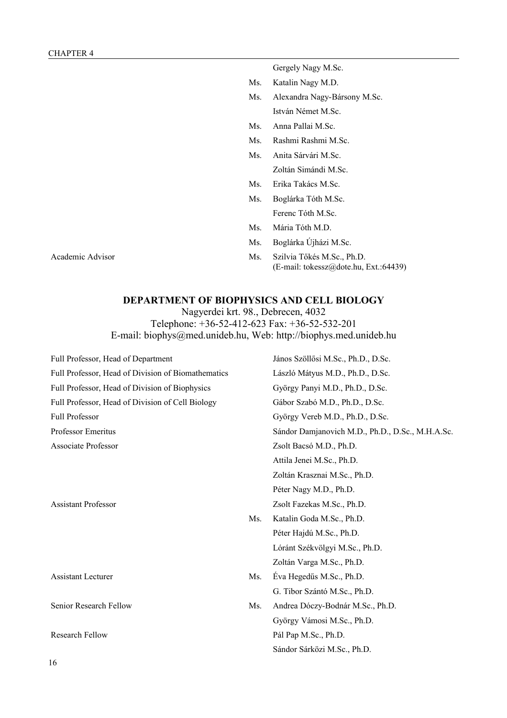Gergely Nagy M.Sc.

- Ms. Katalin Nagy M.D.
- Ms. Alexandra Nagy-Bársony M.Sc. István Német M.Sc.
- Ms. Anna Pallai M.Sc.
- Ms. Rashmi Rashmi M.Sc.
- Ms. Anita Sárvári M.Sc. Zoltán Simándi M.Sc.
- Ms. Erika Takács M.Sc.
- Ms. Boglárka Tóth M.Sc. Ferenc Tóth M.Sc.
- Ms. Mária Tóth M.D.
- Ms. Boglárka Újházi M.Sc.
- Academic Advisor Ms. Szilvia Tőkés M.Sc., Ph.D. (E-mail: tokessz@dote.hu, Ext.:64439)

### **DEPARTMENT OF BIOPHYSICS AND CELL BIOLOGY**

Nagyerdei krt. 98., Debrecen, 4032 Telephone: +36-52-412-623 Fax: +36-52-532-201

E-mail: biophys@med.unideb.hu, Web: http://biophys.med.unideb.hu

| Full Professor, Head of Department                 |     | János Szöllősi M.Sc., Ph.D., D.Sc.               |
|----------------------------------------------------|-----|--------------------------------------------------|
| Full Professor, Head of Division of Biomathematics |     | László Mátyus M.D., Ph.D., D.Sc.                 |
| Full Professor, Head of Division of Biophysics     |     | György Panyi M.D., Ph.D., D.Sc.                  |
| Full Professor, Head of Division of Cell Biology   |     | Gábor Szabó M.D., Ph.D., D.Sc.                   |
| <b>Full Professor</b>                              |     | György Vereb M.D., Ph.D., D.Sc.                  |
| Professor Emeritus                                 |     | Sándor Damjanovich M.D., Ph.D., D.Sc., M.H.A.Sc. |
| Associate Professor                                |     | Zsolt Bacsó M.D., Ph.D.                          |
|                                                    |     | Attila Jenei M.Sc., Ph.D.                        |
|                                                    |     | Zoltán Krasznai M.Sc., Ph.D.                     |
|                                                    |     | Péter Nagy M.D., Ph.D.                           |
| <b>Assistant Professor</b>                         |     | Zsolt Fazekas M.Sc., Ph.D.                       |
|                                                    | Ms. | Katalin Goda M.Sc., Ph.D.                        |
|                                                    |     | Péter Hajdú M.Sc., Ph.D.                         |
|                                                    |     | Lóránt Székvölgyi M.Sc., Ph.D.                   |
|                                                    |     | Zoltán Varga M.Sc., Ph.D.                        |
| <b>Assistant Lecturer</b>                          | Ms. | Éva Hegedűs M.Sc., Ph.D.                         |
|                                                    |     | G. Tibor Szántó M.Sc., Ph.D.                     |
| Senior Research Fellow                             | Ms. | Andrea Dóczy-Bodnár M.Sc., Ph.D.                 |
|                                                    |     | György Vámosi M.Sc., Ph.D.                       |
| <b>Research Fellow</b>                             |     | Pál Pap M.Sc., Ph.D.                             |
|                                                    |     | Sándor Sárközi M.Sc., Ph.D.                      |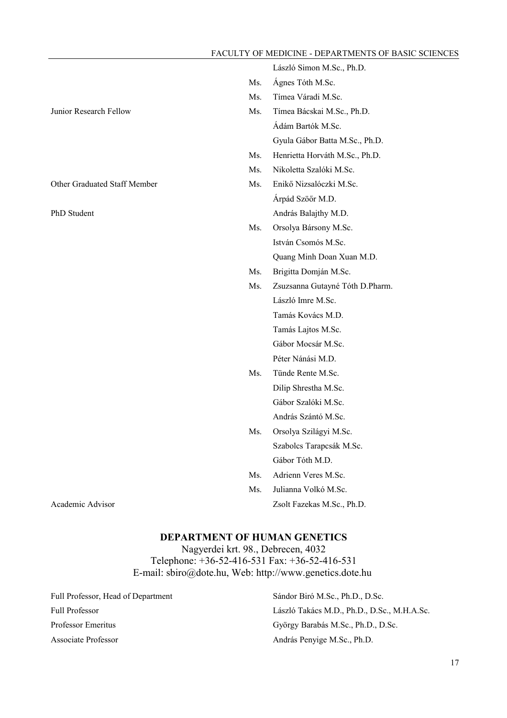László Simon M.Sc., Ph.D.

|                              | Ms. | Ágnes Tóth M.Sc.                |
|------------------------------|-----|---------------------------------|
|                              | Ms. | Tímea Váradi M.Sc.              |
| Junior Research Fellow       | Ms. | Tímea Bácskai M.Sc., Ph.D.      |
|                              |     | Ádám Bartók M.Sc.               |
|                              |     | Gyula Gábor Batta M.Sc., Ph.D.  |
|                              | Ms. | Henrietta Horváth M.Sc., Ph.D.  |
|                              | Ms. | Nikoletta Szalóki M.Sc.         |
| Other Graduated Staff Member | Ms. | Enikő Nizsalóczki M.Sc.         |
|                              |     | Árpád Szöőr M.D.                |
| PhD Student                  |     | András Balajthy M.D.            |
|                              | Ms. | Orsolya Bársony M.Sc.           |
|                              |     | István Csomós M.Sc.             |
|                              |     | Quang Minh Doan Xuan M.D.       |
|                              | Ms. | Brigitta Domján M.Sc.           |
|                              | Ms. | Zsuzsanna Gutayné Tóth D.Pharm. |
|                              |     | László Imre M.Sc.               |
|                              |     | Tamás Kovács M.D.               |
|                              |     | Tamás Lajtos M.Sc.              |
|                              |     | Gábor Mocsár M.Sc.              |
|                              |     | Péter Nánási M.D.               |
|                              | Ms. | Tünde Rente M.Sc.               |
|                              |     | Dilip Shrestha M.Sc.            |
|                              |     | Gábor Szalóki M.Sc.             |
|                              |     | András Szántó M.Sc.             |
|                              | Ms. | Orsolya Szilágyi M.Sc.          |
|                              |     | Szabolcs Tarapcsák M.Sc.        |
|                              |     | Gábor Tóth M.D.                 |
|                              | Ms. | Adrienn Veres M.Sc.             |
|                              | Ms. | Julianna Volkó M.Sc.            |
| Academic Advisor             |     | Zsolt Fazekas M.Sc., Ph.D.      |

### **DEPARTMENT OF HUMAN GENETICS**

Nagyerdei krt. 98., Debrecen, 4032 Telephone: +36-52-416-531 Fax: +36-52-416-531 E-mail: sbiro@dote.hu, Web: http://www.genetics.dote.hu

Full Professor, Head of Department Sándor Biró M.Sc., Ph.D., D.Sc.

Full Professor László Takács M.D., Ph.D., D.Sc., M.H.A.Sc. Professor Emeritus György Barabás M.Sc., Ph.D., D.Sc. Associate Professor András Penyige M.Sc., Ph.D.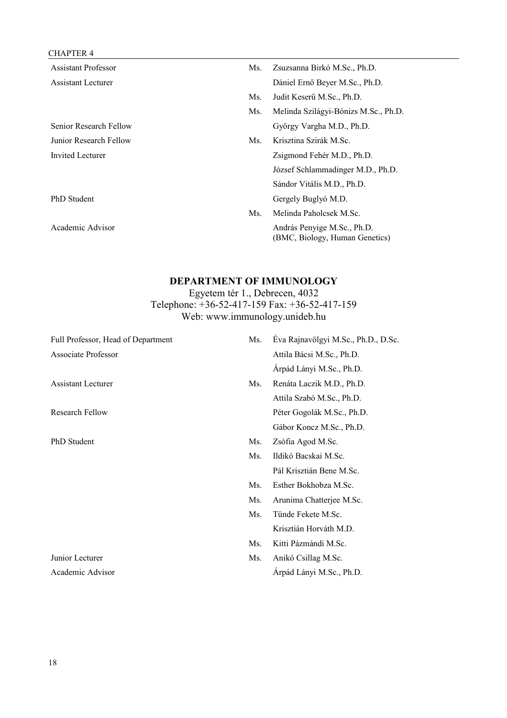## CHAPTER 4

| <b>Assistant Professor</b> | Ms. | Zsuzsanna Birkó M.Sc., Ph.D.                                  |
|----------------------------|-----|---------------------------------------------------------------|
| <b>Assistant Lecturer</b>  |     | Dániel Ernő Beyer M.Sc., Ph.D.                                |
|                            | Ms. | Judit Keserű M.Sc., Ph.D.                                     |
|                            | Ms. | Melinda Szilágyi-Bónizs M.Sc., Ph.D.                          |
| Senior Research Fellow     |     | György Vargha M.D., Ph.D.                                     |
| Junior Research Fellow     | Ms. | Krisztina Szirák M.Sc.                                        |
| Invited Lecturer           |     | Zsigmond Fehér M.D., Ph.D.                                    |
|                            |     | József Schlammadinger M.D., Ph.D.                             |
|                            |     | Sándor Vitális M.D., Ph.D.                                    |
| PhD Student                |     | Gergely Buglyó M.D.                                           |
|                            | Ms. | Melinda Paholcsek M.Sc.                                       |
| Academic Advisor           |     | András Penyige M.Sc., Ph.D.<br>(BMC, Biology, Human Genetics) |

## **DEPARTMENT OF IMMUNOLOGY**

Egyetem tér 1., Debrecen, 4032 Telephone: +36-52-417-159 Fax: +36-52-417-159 Web: www.immunology.unideb.hu

| Full Professor, Head of Department | Ms. | Eva Rajnavölgyi M.Sc., Ph.D., D.Sc. |
|------------------------------------|-----|-------------------------------------|
| <b>Associate Professor</b>         |     | Attila Bácsi M.Sc., Ph.D.           |
|                                    |     | Árpád Lányi M.Sc., Ph.D.            |
| <b>Assistant Lecturer</b>          | Ms. | Renáta Laczik M.D., Ph.D.           |
|                                    |     | Attila Szabó M.Sc., Ph.D.           |
| Research Fellow                    |     | Péter Gogolák M.Sc., Ph.D.          |
|                                    |     | Gábor Koncz M.Sc., Ph.D.            |
| PhD Student                        | Ms. | Zsófia Agod M.Sc.                   |
|                                    | Ms. | Ildikó Bacskai M.Sc.                |
|                                    |     | Pál Krisztián Bene M.Sc.            |
|                                    | Ms. | Esther Bokhobza M.Sc.               |
|                                    | Ms. | Arunima Chatterjee M.Sc.            |
|                                    | Ms. | Tünde Fekete M.Sc.                  |
|                                    |     | Krisztián Horváth M.D.              |
|                                    | Ms. | Kitti Pázmándi M.Sc.                |
| Junior Lecturer                    | Ms. | Anikó Csillag M.Sc.                 |
| Academic Advisor                   |     | Árpád Lányi M.Sc., Ph.D.            |
|                                    |     |                                     |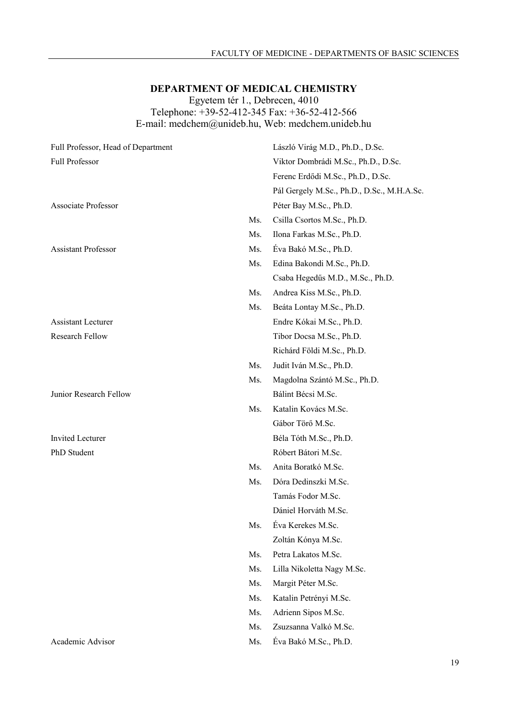## **DEPARTMENT OF MEDICAL CHEMISTRY**

Egyetem tér 1., Debrecen, 4010

Telephone: +39-52-412-345 Fax: +36-52-412-566 E-mail: medchem@unideb.hu, Web: medchem.unideb.hu

| Full Professor, Head of Department |     | László Virág M.D., Ph.D., D.Sc.            |
|------------------------------------|-----|--------------------------------------------|
| Full Professor                     |     | Viktor Dombrádi M.Sc., Ph.D., D.Sc.        |
|                                    |     | Ferenc Erdődi M.Sc., Ph.D., D.Sc.          |
|                                    |     | Pál Gergely M.Sc., Ph.D., D.Sc., M.H.A.Sc. |
| <b>Associate Professor</b>         |     | Péter Bay M.Sc., Ph.D.                     |
|                                    | Ms. | Csilla Csortos M.Sc., Ph.D.                |
|                                    | Ms. | Ilona Farkas M.Sc., Ph.D.                  |
| <b>Assistant Professor</b>         | Ms. | Éva Bakó M.Sc., Ph.D.                      |
|                                    | Ms. | Edina Bakondi M.Sc., Ph.D.                 |
|                                    |     | Csaba Hegedűs M.D., M.Sc., Ph.D.           |
|                                    | Ms. | Andrea Kiss M.Sc., Ph.D.                   |
|                                    | Ms. | Beáta Lontay M.Sc., Ph.D.                  |
| <b>Assistant Lecturer</b>          |     | Endre Kókai M.Sc., Ph.D.                   |
| Research Fellow                    |     | Tibor Docsa M.Sc., Ph.D.                   |
|                                    |     | Richárd Földi M.Sc., Ph.D.                 |
|                                    | Ms. | Judit Iván M.Sc., Ph.D.                    |
|                                    | Ms. | Magdolna Szántó M.Sc., Ph.D.               |
| Junior Research Fellow             |     | Bálint Bécsi M.Sc.                         |
|                                    | Ms. | Katalin Kovács M.Sc.                       |
|                                    |     | Gábor Törő M.Sc.                           |
| <b>Invited Lecturer</b>            |     | Béla Tóth M.Sc., Ph.D.                     |
| PhD Student                        |     | Róbert Bátori M.Sc.                        |
|                                    | Ms. | Anita Boratkó M.Sc.                        |
|                                    | Ms. | Dóra Dedinszki M.Sc.                       |
|                                    |     | Tamás Fodor M.Sc.                          |
|                                    |     | Dániel Horváth M.Sc.                       |
|                                    | Ms. | Éva Kerekes M.Sc.                          |
|                                    |     | Zoltán Kónya M.Sc.                         |
|                                    | Ms. | Petra Lakatos M.Sc.                        |
|                                    | Ms. | Lilla Nikoletta Nagy M.Sc.                 |
|                                    | Ms. | Margit Péter M.Sc.                         |
|                                    | Ms. | Katalin Petrényi M.Sc.                     |
|                                    | Ms. | Adrienn Sipos M.Sc.                        |
|                                    | Ms. | Zsuzsanna Valkó M.Sc.                      |
| Academic Advisor                   | Ms. | Éva Bakó M.Sc., Ph.D.                      |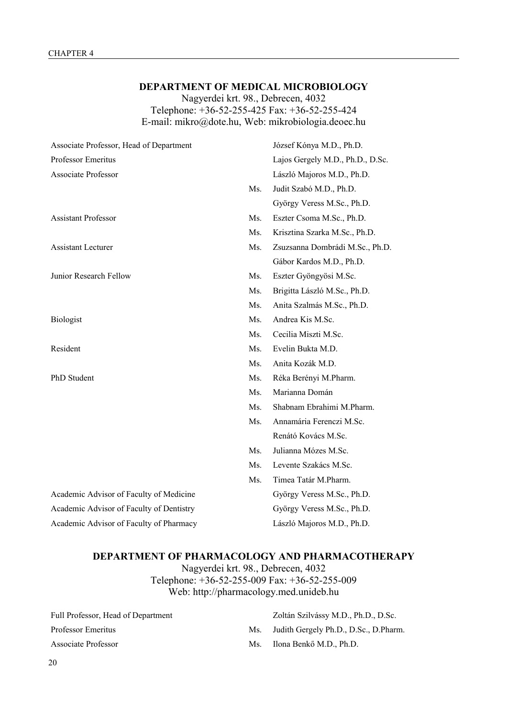## **DEPARTMENT OF MEDICAL MICROBIOLOGY**

Nagyerdei krt. 98., Debrecen, 4032 Telephone: +36-52-255-425 Fax: +36-52-255-424 E-mail: mikro@dote.hu, Web: mikrobiologia.deoec.hu

| Associate Professor, Head of Department  |     | József Kónya M.D., Ph.D.         |
|------------------------------------------|-----|----------------------------------|
| Professor Emeritus                       |     | Lajos Gergely M.D., Ph.D., D.Sc. |
| <b>Associate Professor</b>               |     | László Majoros M.D., Ph.D.       |
|                                          | Ms. | Judit Szabó M.D., Ph.D.          |
|                                          |     | György Veress M.Sc., Ph.D.       |
| <b>Assistant Professor</b>               | Ms. | Eszter Csoma M.Sc., Ph.D.        |
|                                          | Ms. | Krisztina Szarka M.Sc., Ph.D.    |
| <b>Assistant Lecturer</b>                | Ms. | Zsuzsanna Dombrádi M.Sc., Ph.D.  |
|                                          |     | Gábor Kardos M.D., Ph.D.         |
| Junior Research Fellow                   | Ms. | Eszter Gyöngyösi M.Sc.           |
|                                          | Ms. | Brigitta László M.Sc., Ph.D.     |
|                                          | Ms. | Anita Szalmás M.Sc., Ph.D.       |
| <b>Biologist</b>                         | Ms. | Andrea Kis M.Sc.                 |
|                                          | Ms. | Cecilia Miszti M.Sc.             |
| Resident                                 | Ms. | Evelin Bukta M.D.                |
|                                          | Ms. | Anita Kozák M.D.                 |
| PhD Student                              | Ms. | Réka Berényi M.Pharm.            |
|                                          | Ms. | Marianna Domán                   |
|                                          | Ms. | Shabnam Ebrahimi M.Pharm.        |
|                                          | Ms. | Annamária Ferenczi M.Sc.         |
|                                          |     | Renátó Kovács M.Sc.              |
|                                          | Ms. | Julianna Mózes M.Sc.             |
|                                          | Ms. | Levente Szakács M.Sc.            |
|                                          | Ms. | Timea Tatár M.Pharm.             |
| Academic Advisor of Faculty of Medicine  |     | György Veress M.Sc., Ph.D.       |
| Academic Advisor of Faculty of Dentistry |     | György Veress M.Sc., Ph.D.       |
| Academic Advisor of Faculty of Pharmacy  |     | László Majoros M.D., Ph.D.       |

## **DEPARTMENT OF PHARMACOLOGY AND PHARMACOTHERAPY**

Nagyerdei krt. 98., Debrecen, 4032 Telephone: +36-52-255-009 Fax: +36-52-255-009 Web: http://pharmacology.med.unideb.hu

| Full Professor, Head of Department |     | Zoltán Szilvássy M.D., Ph.D., D.Sc.   |
|------------------------------------|-----|---------------------------------------|
| Professor Emeritus                 | Ms. | Judith Gergely Ph.D., D.Sc., D.Pharm. |
| Associate Professor                | Ms. | Ilona Benkő M.D., Ph.D.               |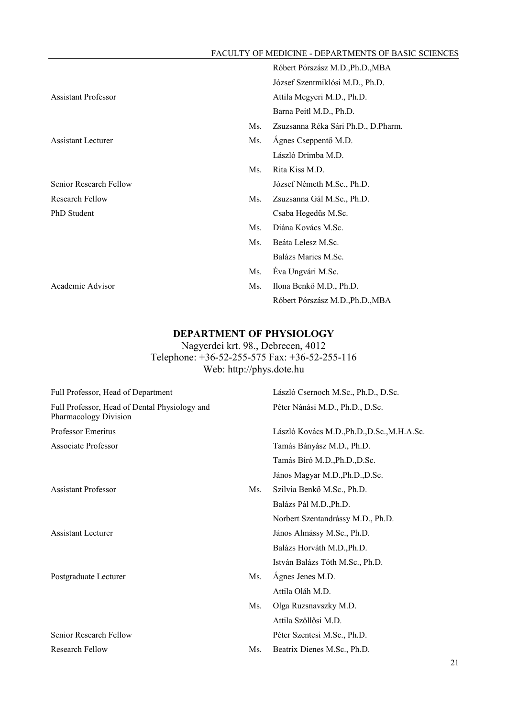|                            |     | Róbert Pórszász M.D., Ph.D., MBA    |
|----------------------------|-----|-------------------------------------|
|                            |     | József Szentmiklósi M.D., Ph.D.     |
| <b>Assistant Professor</b> |     | Attila Megyeri M.D., Ph.D.          |
|                            |     | Barna Peitl M.D., Ph.D.             |
|                            | Ms. | Zsuzsanna Réka Sári Ph.D., D.Pharm. |
| <b>Assistant Lecturer</b>  | Ms. | Ágnes Cseppentő M.D.                |
|                            |     | László Drimba M.D.                  |
|                            | Ms. | Rita Kiss M.D.                      |
| Senior Research Fellow     |     | József Németh M.Sc., Ph.D.          |
| <b>Research Fellow</b>     | Ms. | Zsuzsanna Gál M.Sc., Ph.D.          |
| PhD Student                |     | Csaba Hegedűs M.Sc.                 |
|                            | Ms. | Diána Kovács M.Sc.                  |
|                            | Ms. | Beáta Lelesz M.Sc.                  |
|                            |     | Balázs Marics M.Sc.                 |
|                            | Ms. | Éva Ungvári M.Sc.                   |
| Academic Advisor           | Ms. | Ilona Benkő M.D., Ph.D.             |
|                            |     | Róbert Pórszász M.D., Ph.D., MBA    |

## **DEPARTMENT OF PHYSIOLOGY**

Nagyerdei krt. 98., Debrecen, 4012 Telephone: +36-52-255-575 Fax: +36-52-255-116 Web: http://phys.dote.hu

| Full Professor, Head of Department                                     |     | László Csernoch M.Sc., Ph.D., D.Sc.         |
|------------------------------------------------------------------------|-----|---------------------------------------------|
| Full Professor, Head of Dental Physiology and<br>Pharmacology Division |     | Péter Nánási M.D., Ph.D., D.Sc.             |
| Professor Emeritus                                                     |     | László Kovács M.D., Ph.D., D.Sc., M.H.A.Sc. |
| <b>Associate Professor</b>                                             |     | Tamás Bányász M.D., Ph.D.                   |
|                                                                        |     | Tamás Bíró M.D., Ph.D., D.Sc.               |
|                                                                        |     | János Magyar M.D., Ph.D., D.Sc.             |
| <b>Assistant Professor</b>                                             | Ms. | Szilvia Benkő M.Sc., Ph.D.                  |
|                                                                        |     | Balázs Pál M.D., Ph.D.                      |
|                                                                        |     | Norbert Szentandrássy M.D., Ph.D.           |
| Assistant Lecturer                                                     |     | János Almássy M.Sc., Ph.D.                  |
|                                                                        |     | Balázs Horváth M.D., Ph.D.                  |
|                                                                        |     | István Balázs Tóth M.Sc., Ph.D.             |
| Postgraduate Lecturer                                                  | Ms. | Ágnes Jenes M.D.                            |
|                                                                        |     | Attila Oláh M.D.                            |
|                                                                        | Ms. | Olga Ruzsnavszky M.D.                       |
|                                                                        |     | Attila Szöllősi M.D.                        |
| Senior Research Fellow                                                 |     | Péter Szentesi M.Sc., Ph.D.                 |
| <b>Research Fellow</b>                                                 | Ms. | Beatrix Dienes M.Sc., Ph.D.                 |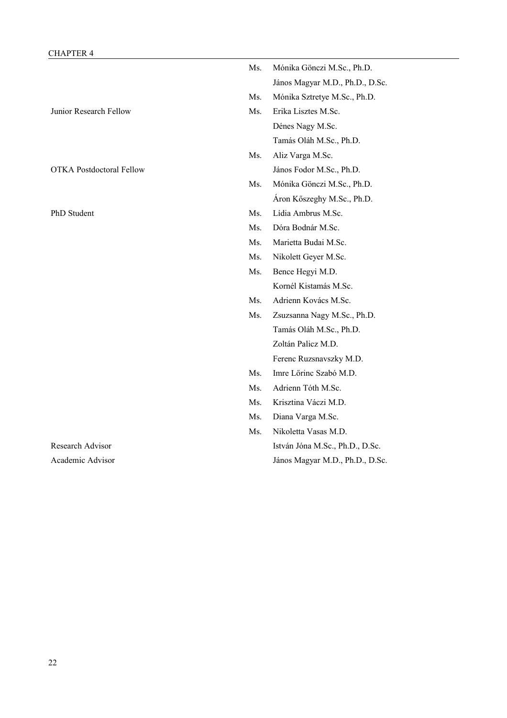| CHAP I EK 4                     |     |                                 |
|---------------------------------|-----|---------------------------------|
|                                 | Ms. | Mónika Gönczi M.Sc., Ph.D.      |
|                                 |     | János Magyar M.D., Ph.D., D.Sc. |
|                                 | Ms. | Mónika Sztretye M.Sc., Ph.D.    |
| Junior Research Fellow          | Ms. | Erika Lisztes M.Sc.             |
|                                 |     | Dénes Nagy M.Sc.                |
|                                 |     | Tamás Oláh M.Sc., Ph.D.         |
|                                 | Ms. | Aliz Varga M.Sc.                |
| <b>OTKA Postdoctoral Fellow</b> |     | János Fodor M.Sc., Ph.D.        |
|                                 | Ms. | Mónika Gönczi M.Sc., Ph.D.      |
|                                 |     | Áron Kőszeghy M.Sc., Ph.D.      |
| PhD Student                     | Ms. | Lídia Ambrus M.Sc.              |
|                                 | Ms. | Dóra Bodnár M.Sc.               |
|                                 | Ms. | Marietta Budai M.Sc.            |
|                                 | Ms. | Nikolett Geyer M.Sc.            |
|                                 | Ms. | Bence Hegyi M.D.                |
|                                 |     | Kornél Kistamás M.Sc.           |
|                                 | Ms. | Adrienn Kovács M.Sc.            |
|                                 | Ms. | Zsuzsanna Nagy M.Sc., Ph.D.     |
|                                 |     | Tamás Oláh M.Sc., Ph.D.         |
|                                 |     | Zoltán Palicz M.D.              |
|                                 |     | Ferenc Ruzsnavszky M.D.         |
|                                 | Ms. | Imre Lőrinc Szabó M.D.          |
|                                 | Ms. | Adrienn Tóth M.Sc.              |
|                                 | Ms. | Krisztina Váczi M.D.            |
|                                 | Ms. | Diana Varga M.Sc.               |
|                                 | Ms. | Nikoletta Vasas M.D.            |
| Research Advisor                |     | István Jóna M.Sc., Ph.D., D.Sc. |
| Academic Advisor                |     | János Magyar M.D., Ph.D., D.Sc. |
|                                 |     |                                 |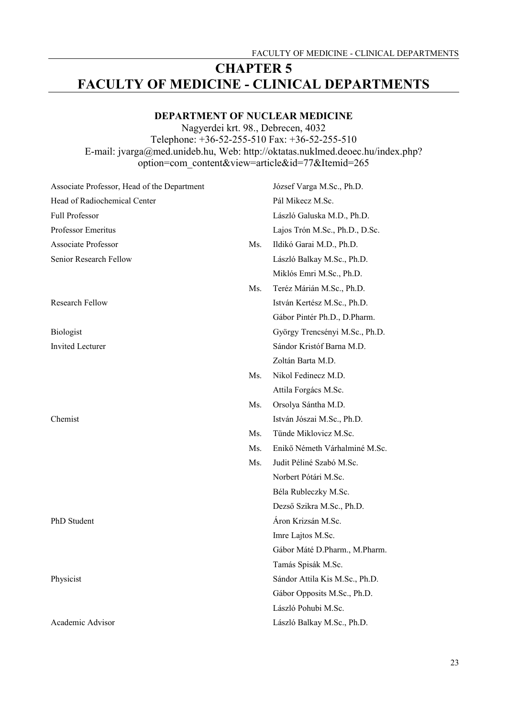## **CHAPTER 5 FACULTY OF MEDICINE - CLINICAL DEPARTMENTS**

## **DEPARTMENT OF NUCLEAR MEDICINE**

Nagyerdei krt. 98., Debrecen, 4032

Telephone: +36-52-255-510 Fax: +36-52-255-510 E-mail: jvarga@med.unideb.hu, Web: http://oktatas.nuklmed.deoec.hu/index.php? option=com\_content&view=article&id=77&Itemid=265

Associate Professor, Head of the Department József Varga M.Sc., Ph.D. Head of Radiochemical Center Pál Mikecz M.Sc. Full Professor László Galuska M.D., Ph.D. Professor Emeritus Lajos Trón M.Sc., Ph.D., D.Sc. Associate Professor Ms. Ildikó Garai M.D., Ph.D. Senior Research Fellow László Balkay M.Sc., Ph.D. Miklós Emri M.Sc., Ph.D. Ms. Teréz Márián M.Sc., Ph.D. Research Fellow István Kertész M.Sc., Ph.D. Gábor Pintér Ph.D., D.Pharm. Biologist György Trencsényi M.Sc., Ph.D. Invited Lecturer Sándor Kristóf Barna M.D. Zoltán Barta M.D. Ms. Nikol Fedinecz M.D. Attila Forgács M.Sc. Ms. Orsolya Sántha M.D. Chemist István Jószai M.Sc., Ph.D. Ms. Tünde Miklovicz M.Sc. Ms. Enikő Németh Várhalminé M.Sc. Ms. Judit Péliné Szabó M.Sc. Norbert Pótári M.Sc. Béla Rubleczky M.Sc. Dezső Szikra M.Sc., Ph.D. PhD Student **Array Array Array Array Array Array Array Array Array Array Array Array Array Array Array Array Array Array Array Array Array Array Array Array Array Array Array Array Array Array Array Array Array Array Array** Imre Lajtos M.Sc. Gábor Máté D.Pharm., M.Pharm. Tamás Spisák M.Sc. Physicist Sándor Attila Kis M.Sc., Ph.D. Gábor Opposits M.Sc., Ph.D. László Pohubi M.Sc. Academic Advisor László Balkay M.Sc., Ph.D.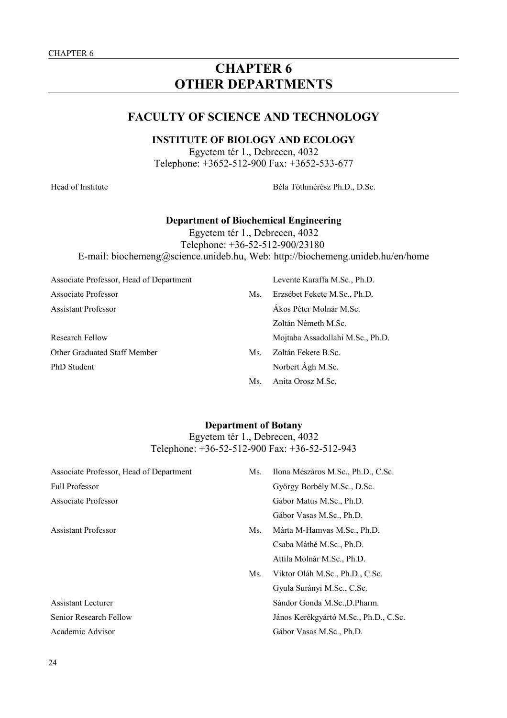## **CHAPTER 6 OTHER DEPARTMENTS**

## **FACULTY OF SCIENCE AND TECHNOLOGY**

## **INSTITUTE OF BIOLOGY AND ECOLOGY**

Egyetem tér 1., Debrecen, 4032 Telephone: +3652-512-900 Fax: +3652-533-677

Head of Institute Béla Tóthmérész Ph.D., D.Sc.

#### **Department of Biochemical Engineering**

Egyetem tér 1., Debrecen, 4032 Telephone: +36-52-512-900/23180 E-mail: biochemeng@science.unideb.hu, Web: http://biochemeng.unideb.hu/en/home

Associate Professor, Head of Department Levente Karaffa M.Sc., Ph.D. Associate Professor Ms. Erzsébet Fekete M.Sc., Ph.D. Assistant Professor Ákos Péter Molnár M.Sc.

Other Graduated Staff Member Ms. Zoltán Fekete B.Sc. PhD Student Norbert Ágh M.Sc.

- Zoltán Németh M.Sc. Research Fellow Mojtaba Assadollahi M.Sc., Ph.D.
	- Ms. Anita Orosz M.Sc.

## **Department of Botany** Egyetem tér 1., Debrecen, 4032 Telephone: +36-52-512-900 Fax: +36-52-512-943

| Associate Professor, Head of Department | Ms. | Ilona Mészáros M.Sc., Ph.D., C.Sc.    |
|-----------------------------------------|-----|---------------------------------------|
| <b>Full Professor</b>                   |     | György Borbély M.Sc., D.Sc.           |
| Associate Professor                     |     | Gábor Matus M.Sc., Ph.D.              |
|                                         |     | Gábor Vasas M.Sc., Ph.D.              |
| <b>Assistant Professor</b>              | Ms. | Márta M-Hamvas M.Sc., Ph.D.           |
|                                         |     | Csaba Máthé M.Sc., Ph.D.              |
|                                         |     | Attila Molnár M.Sc., Ph.D.            |
|                                         | Ms. | Viktor Oláh M.Sc., Ph.D., C.Sc.       |
|                                         |     | Gyula Surányi M.Sc., C.Sc.            |
| <b>Assistant Lecturer</b>               |     | Sándor Gonda M.Sc., D. Pharm.         |
| Senior Research Fellow                  |     | János Kerékgyártó M.Sc., Ph.D., C.Sc. |
| Academic Advisor                        |     | Gábor Vasas M.Sc., Ph.D.              |
|                                         |     |                                       |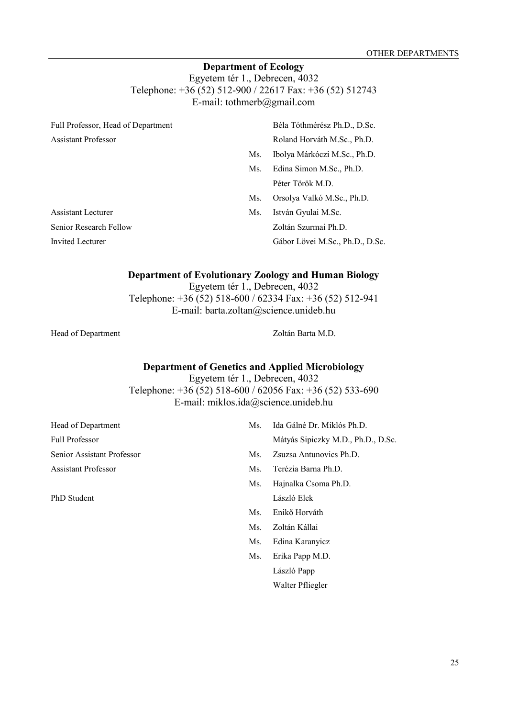## **Department of Ecology**

Egyetem tér 1., Debrecen, 4032 Telephone: +36 (52) 512-900 / 22617 Fax: +36 (52) 512743 E-mail: tothmerb@gmail.com

| Full Professor, Head of Department |     | Béla Tóthmérész Ph.D., D.Sc.    |
|------------------------------------|-----|---------------------------------|
| <b>Assistant Professor</b>         |     | Roland Horváth M.Sc., Ph.D.     |
|                                    | Ms. | Ibolya Márkóczi M.Sc., Ph.D.    |
|                                    | Ms. | Edina Simon M.Sc., Ph.D.        |
|                                    |     | Péter Török M.D.                |
|                                    | Ms. | Orsolya Valkó M.Sc., Ph.D.      |
| Assistant Lecturer                 | Ms. | István Gyulai M.Sc.             |
| Senior Research Fellow             |     | Zoltán Szurmai Ph.D.            |
| <b>Invited Lecturer</b>            |     | Gábor Lövei M.Sc., Ph.D., D.Sc. |

## **Department of Evolutionary Zoology and Human Biology**

Egyetem tér 1., Debrecen, 4032 Telephone: +36 (52) 518-600 / 62334 Fax: +36 (52) 512-941 E-mail: barta.zoltan@science.unideb.hu

Head of Department Zoltán Barta M.D.

## **Department of Genetics and Applied Microbiology**

Egyetem tér 1., Debrecen, 4032 Telephone: +36 (52) 518-600 / 62056 Fax: +36 (52) 533-690 E-mail: miklos.ida@science.unideb.hu

| Head of Department         | Ms. | Ida Gálné Dr. Miklós Ph.D.         |
|----------------------------|-----|------------------------------------|
| <b>Full Professor</b>      |     | Mátyás Sipiczky M.D., Ph.D., D.Sc. |
| Senior Assistant Professor | Ms. | Zsuzsa Antunovics Ph.D.            |
| <b>Assistant Professor</b> | Ms. | Terézia Barna Ph.D.                |
|                            | Ms. | Hajnalka Csoma Ph.D.               |
| PhD Student                |     | László Elek                        |
|                            | Ms. | Enikő Horváth                      |
|                            | Ms. | Zoltán Kállai                      |
|                            |     |                                    |

- Ms. Edina Karanyicz
- Ms. Erika Papp M.D. László Papp Walter Pfliegler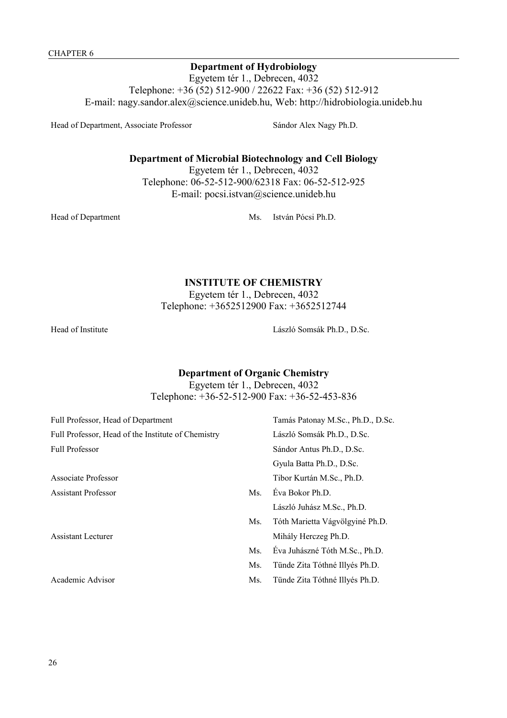## **Department of Hydrobiology**

Egyetem tér 1., Debrecen, 4032 Telephone: +36 (52) 512-900 / 22622 Fax: +36 (52) 512-912 E-mail: nagy.sandor.alex@science.unideb.hu, Web: http://hidrobiologia.unideb.hu

Head of Department, Associate Professor Sándor Alex Nagy Ph.D.

## **Department of Microbial Biotechnology and Cell Biology**

Egyetem tér 1., Debrecen, 4032 Telephone: 06-52-512-900/62318 Fax: 06-52-512-925 E-mail: pocsi.istvan@science.unideb.hu

Head of Department Ms. István Pócsi Ph.D.

## **INSTITUTE OF CHEMISTRY**

Egyetem tér 1., Debrecen, 4032 Telephone: +3652512900 Fax: +3652512744

Head of Institute László Somsák Ph.D., D.Sc.

## **Department of Organic Chemistry**

Egyetem tér 1., Debrecen, 4032 Telephone: +36-52-512-900 Fax: +36-52-453-836

| Full Professor, Head of Department                 |     | Tamás Patonay M.Sc., Ph.D., D.Sc. |
|----------------------------------------------------|-----|-----------------------------------|
| Full Professor, Head of the Institute of Chemistry |     | László Somsák Ph.D., D.Sc.        |
| <b>Full Professor</b>                              |     | Sándor Antus Ph.D., D.Sc.         |
|                                                    |     | Gyula Batta Ph.D., D.Sc.          |
| Associate Professor                                |     | Tibor Kurtán M.Sc., Ph.D.         |
| <b>Assistant Professor</b>                         | Ms. | Eva Bokor Ph.D.                   |
|                                                    |     | László Juhász M.Sc., Ph.D.        |
|                                                    | Ms. | Tóth Marietta Vágyölgyiné Ph.D.   |
| <b>Assistant Lecturer</b>                          |     | Mihály Herczeg Ph.D.              |
|                                                    | Ms. | Eva Juhászné Tóth M.Sc., Ph.D.    |
|                                                    | Ms. | Tünde Zita Tóthné Illyés Ph.D.    |
| Academic Advisor                                   | Ms. | Tünde Zita Tóthné Illyés Ph.D.    |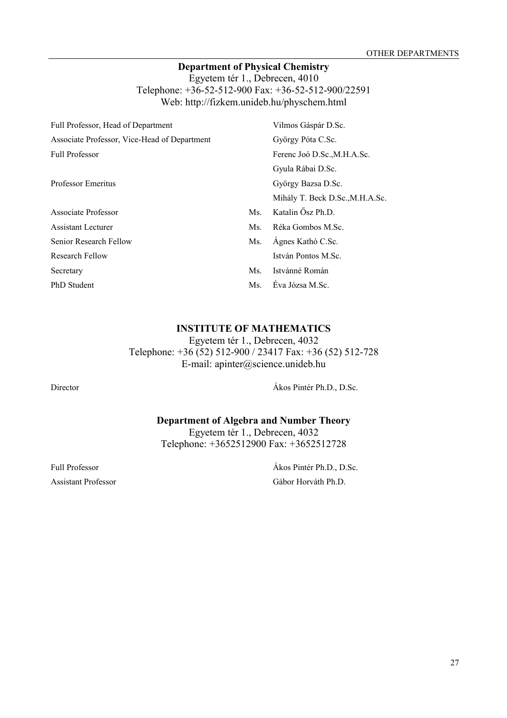## **Department of Physical Chemistry**

Egyetem tér 1., Debrecen, 4010 Telephone: +36-52-512-900 Fax: +36-52-512-900/22591 Web: http://fizkem.unideb.hu/physchem.html

| Full Professor, Head of Department           |     | Vilmos Gáspár D.Sc.             |
|----------------------------------------------|-----|---------------------------------|
| Associate Professor, Vice-Head of Department |     | György Póta C.Sc.               |
| <b>Full Professor</b>                        |     | Ferenc Joó D.Sc., M.H.A.Sc.     |
|                                              |     | Gyula Rábai D.Sc.               |
| <b>Professor Emeritus</b>                    |     | György Bazsa D.Sc.              |
|                                              |     | Mihály T. Beck D.Sc., M.H.A.Sc. |
| Associate Professor                          | Ms. | Katalin Ösz Ph.D.               |
| <b>Assistant Lecturer</b>                    | Ms. | Réka Gombos M.Sc.               |
| Senior Research Fellow                       | Ms. | Ágnes Kathó C.Sc.               |
| <b>Research Fellow</b>                       |     | István Pontos M.Sc.             |
| Secretary                                    | Ms. | Istvánné Román                  |
| <b>PhD</b> Student                           | Ms. | Éva Józsa M.Sc.                 |

## **INSTITUTE OF MATHEMATICS**

Egyetem tér 1., Debrecen, 4032

Telephone: +36 (52) 512-900 / 23417 Fax: +36 (52) 512-728 E-mail: apinter@science.unideb.hu

Director Ákos Pintér Ph.D., D.Sc.

**Department of Algebra and Number Theory** Egyetem tér 1., Debrecen, 4032

Telephone: +3652512900 Fax: +3652512728

Full Professor Ákos Pintér Ph.D., D.Sc. Assistant Professor Gábor Horváth Ph.D.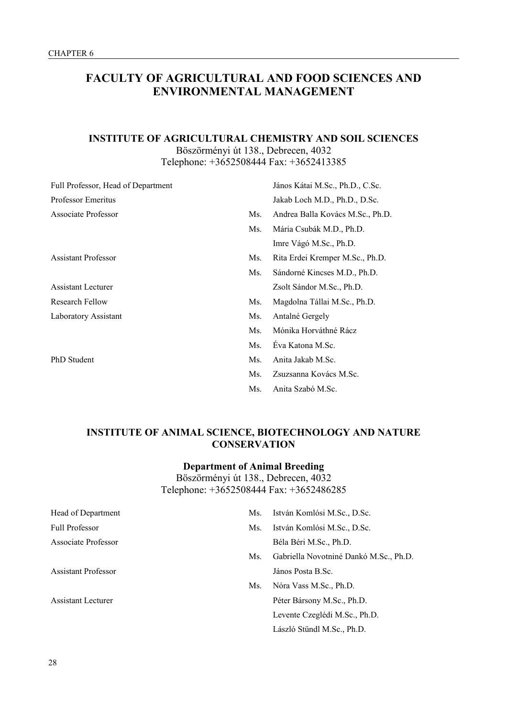## **FACULTY OF AGRICULTURAL AND FOOD SCIENCES AND ENVIRONMENTAL MANAGEMENT**

## **INSTITUTE OF AGRICULTURAL CHEMISTRY AND SOIL SCIENCES** Böszörményi út 138., Debrecen, 4032 Telephone: +3652508444 Fax: +3652413385

| Full Professor, Head of Department |     | János Kátai M.Sc., Ph.D., C.Sc.  |
|------------------------------------|-----|----------------------------------|
| <b>Professor Emeritus</b>          |     | Jakab Loch M.D., Ph.D., D.Sc.    |
| Associate Professor                | Ms. | Andrea Balla Kovács M.Sc., Ph.D. |
|                                    | Ms. | Mária Csubák M.D., Ph.D.         |
|                                    |     | Imre Vágó M.Sc., Ph.D.           |
| <b>Assistant Professor</b>         | Ms. | Rita Erdei Kremper M.Sc., Ph.D.  |
|                                    | Ms. | Sándorné Kincses M.D., Ph.D.     |
| <b>Assistant Lecturer</b>          |     | Zsolt Sándor M.Sc., Ph.D.        |
| Research Fellow                    | Ms. | Magdolna Tállai M.Sc., Ph.D.     |
| Laboratory Assistant               | Ms. | Antalné Gergely                  |
|                                    | Ms. | Mónika Horváthné Rácz            |
|                                    | Ms. | Eva Katona M.Sc.                 |
| <b>PhD</b> Student                 | Ms. | Anita Jakab M.Sc.                |
|                                    | Ms. | Zsuzsanna Kovács M.Sc.           |
|                                    | Ms. | Anita Szabó M.Sc.                |

## **INSTITUTE OF ANIMAL SCIENCE, BIOTECHNOLOGY AND NATURE CONSERVATION**

## **Department of Animal Breeding**

Böszörményi út 138., Debrecen, 4032 Telephone: +3652508444 Fax: +3652486285

| Head of Department         | Ms. | István Komlósi M.Sc., D.Sc.            |
|----------------------------|-----|----------------------------------------|
| <b>Full Professor</b>      | Ms. | István Komlósi M.Sc., D.Sc.            |
| Associate Professor        |     | Béla Béri M.Sc., Ph.D.                 |
|                            | Ms. | Gabriella Novotniné Dankó M.Sc., Ph.D. |
| <b>Assistant Professor</b> |     | János Posta B.Sc.                      |
|                            | Ms. | Nóra Vass M.Sc., Ph.D.                 |
| <b>Assistant Lecturer</b>  |     | Péter Bársony M.Sc., Ph.D.             |
|                            |     | Levente Czeglédi M.Sc., Ph.D.          |
|                            |     | László Stündl M.Sc., Ph.D.             |
|                            |     |                                        |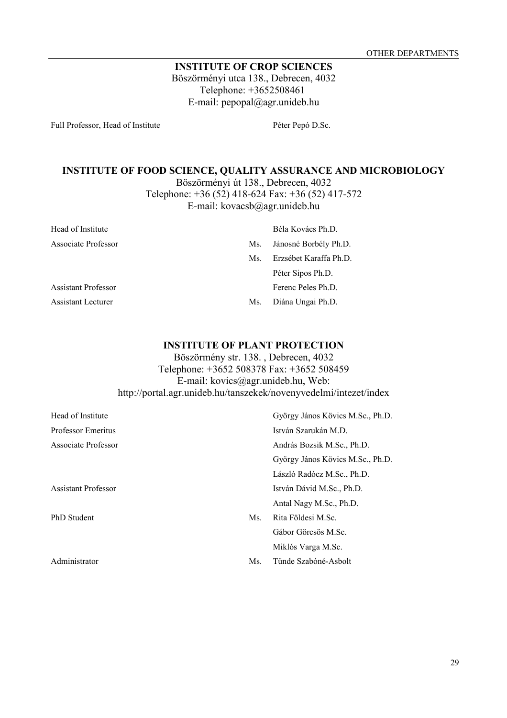## **INSTITUTE OF CROP SCIENCES** Böszörményi utca 138., Debrecen, 4032 Telephone: +3652508461 E-mail: pepopal@agr.unideb.hu

Full Professor, Head of Institute Péter Pepó D.Sc.

## **INSTITUTE OF FOOD SCIENCE, QUALITY ASSURANCE AND MICROBIOLOGY**

Böszörményi út 138., Debrecen, 4032 Telephone: +36 (52) 418-624 Fax: +36 (52) 417-572

E-mail: kovacsb@agr.unideb.hu

| Head of Institute          |     | Béla Kovács Ph.D.      |
|----------------------------|-----|------------------------|
| Associate Professor        | Ms. | Jánosné Borbély Ph.D.  |
|                            | Ms. | Erzsébet Karaffa Ph.D. |
|                            |     | Péter Sipos Ph.D.      |
| <b>Assistant Professor</b> |     | Ferenc Peles Ph.D.     |
| <b>Assistant Lecturer</b>  | Ms. | Diána Ungai Ph.D.      |

## **INSTITUTE OF PLANT PROTECTION**

Böszörmény str. 138. , Debrecen, 4032 Telephone: +3652 508378 Fax: +3652 508459 E-mail: kovics@agr.unideb.hu, Web: http://portal.agr.unideb.hu/tanszekek/novenyvedelmi/intezet/index

| Head of Institute          |     | György János Kövics M.Sc., Ph.D. |
|----------------------------|-----|----------------------------------|
| <b>Professor Emeritus</b>  |     | István Szarukán M.D.             |
| Associate Professor        |     | András Bozsik M.Sc., Ph.D.       |
|                            |     | György János Kövics M.Sc., Ph.D. |
|                            |     | László Radócz M.Sc., Ph.D.       |
| <b>Assistant Professor</b> |     | István Dávid M.Sc., Ph.D.        |
|                            |     | Antal Nagy M.Sc., Ph.D.          |
| <b>PhD</b> Student         | Ms. | Rita Földesi M.Sc.               |
|                            |     | Gábor Görcsös M.Sc.              |
|                            |     | Miklós Varga M.Sc.               |
| Administrator              | Ms. | Tünde Szabóné-Asbolt             |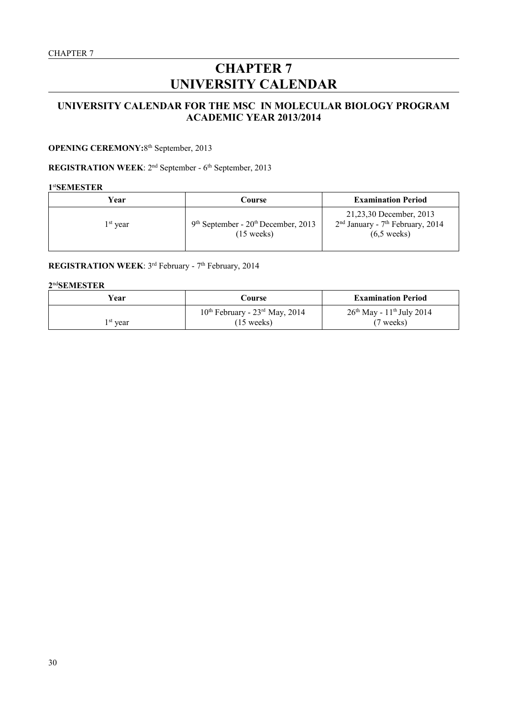# **CHAPTER 7 UNIVERSITY CALENDAR**

## **UNIVERSITY CALENDAR FOR THE MSC IN MOLECULAR BIOLOGY PROGRAM ACADEMIC YEAR 2013/2014**

#### **OPENING CEREMONY: 8th September, 2013**

## **REGISTRATION WEEK**: 2nd September - 6th September, 2013

#### **1** st**SEMESTER**

| Year       | Course                                                        | <b>Examination Period</b>                                                                          |
|------------|---------------------------------------------------------------|----------------------------------------------------------------------------------------------------|
| $1st$ vear | $9th September - 20th December, 2013$<br>$(15 \text{ weeks})$ | 21,23,30 December, 2013<br>$2nd$ January - 7 <sup>th</sup> February, 2014<br>$(6.5 \text{ weeks})$ |

## **REGISTRATION WEEK**: 3<sup>rd</sup> February - 7<sup>th</sup> February, 2014

### **2** nd**SEMESTER**

| Year                 | Course                                     | <b>Examination Period</b>               |
|----------------------|--------------------------------------------|-----------------------------------------|
|                      | $10^{th}$ February - $23^{rd}$ May, $2014$ | $26th$ May - 11 <sup>th</sup> July 2014 |
| 1 <sup>st</sup> vear | $(15 \text{ weeks})$                       | (7 weeks)                               |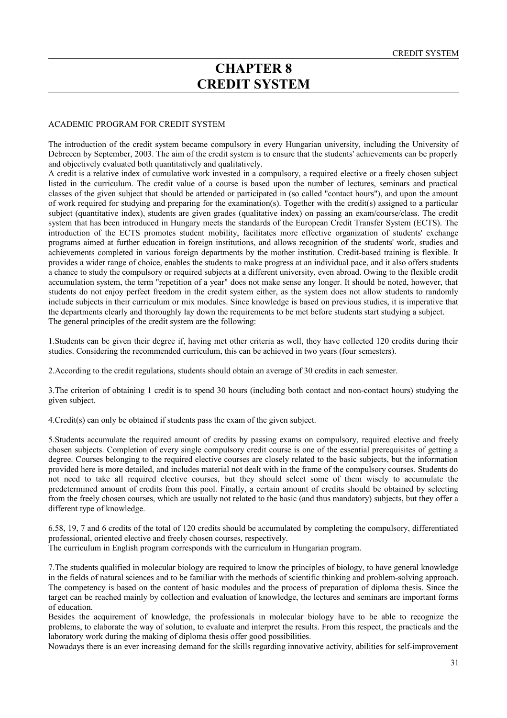## **CHAPTER 8 CREDIT SYSTEM**

#### ACADEMIC PROGRAM FOR CREDIT SYSTEM

The introduction of the credit system became compulsory in every Hungarian university, including the University of Debrecen by September, 2003. The aim of the credit system is to ensure that the students' achievements can be properly and objectively evaluated both quantitatively and qualitatively.

A credit is a relative index of cumulative work invested in a compulsory, a required elective or a freely chosen subject listed in the curriculum. The credit value of a course is based upon the number of lectures, seminars and practical classes of the given subject that should be attended or participated in (so called "contact hours"), and upon the amount of work required for studying and preparing for the examination(s). Together with the credit(s) assigned to a particular subject (quantitative index), students are given grades (qualitative index) on passing an exam/course/class. The credit system that has been introduced in Hungary meets the standards of the European Credit Transfer System (ECTS). The introduction of the ECTS promotes student mobility, facilitates more effective organization of students' exchange programs aimed at further education in foreign institutions, and allows recognition of the students' work, studies and achievements completed in various foreign departments by the mother institution. Credit-based training is flexible. It provides a wider range of choice, enables the students to make progress at an individual pace, and it also offers students a chance to study the compulsory or required subjects at a different university, even abroad. Owing to the flexible credit accumulation system, the term "repetition of a year" does not make sense any longer. It should be noted, however, that students do not enjoy perfect freedom in the credit system either, as the system does not allow students to randomly include subjects in their curriculum or mix modules. Since knowledge is based on previous studies, it is imperative that the departments clearly and thoroughly lay down the requirements to be met before students start studying a subject. The general principles of the credit system are the following:

1.Students can be given their degree if, having met other criteria as well, they have collected 120 credits during their studies. Considering the recommended curriculum, this can be achieved in two years (four semesters).

2.According to the credit regulations, students should obtain an average of 30 credits in each semester.

3.The criterion of obtaining 1 credit is to spend 30 hours (including both contact and non-contact hours) studying the given subject.

4.Credit(s) can only be obtained if students pass the exam of the given subject.

5.Students accumulate the required amount of credits by passing exams on compulsory, required elective and freely chosen subjects. Completion of every single compulsory credit course is one of the essential prerequisites of getting a degree. Courses belonging to the required elective courses are closely related to the basic subjects, but the information provided here is more detailed, and includes material not dealt with in the frame of the compulsory courses. Students do not need to take all required elective courses, but they should select some of them wisely to accumulate the predetermined amount of credits from this pool. Finally, a certain amount of credits should be obtained by selecting from the freely chosen courses, which are usually not related to the basic (and thus mandatory) subjects, but they offer a different type of knowledge.

6.58, 19, 7 and 6 credits of the total of 120 credits should be accumulated by completing the compulsory, differentiated professional, oriented elective and freely chosen courses, respectively.

The curriculum in English program corresponds with the curriculum in Hungarian program.

7.The students qualified in molecular biology are required to know the principles of biology, to have general knowledge in the fields of natural sciences and to be familiar with the methods of scientific thinking and problem-solving approach. The competency is based on the content of basic modules and the process of preparation of diploma thesis. Since the target can be reached mainly by collection and evaluation of knowledge, the lectures and seminars are important forms of education.

Besides the acquirement of knowledge, the professionals in molecular biology have to be able to recognize the problems, to elaborate the way of solution, to evaluate and interpret the results. From this respect, the practicals and the laboratory work during the making of diploma thesis offer good possibilities.

Nowadays there is an ever increasing demand for the skills regarding innovative activity, abilities for self-improvement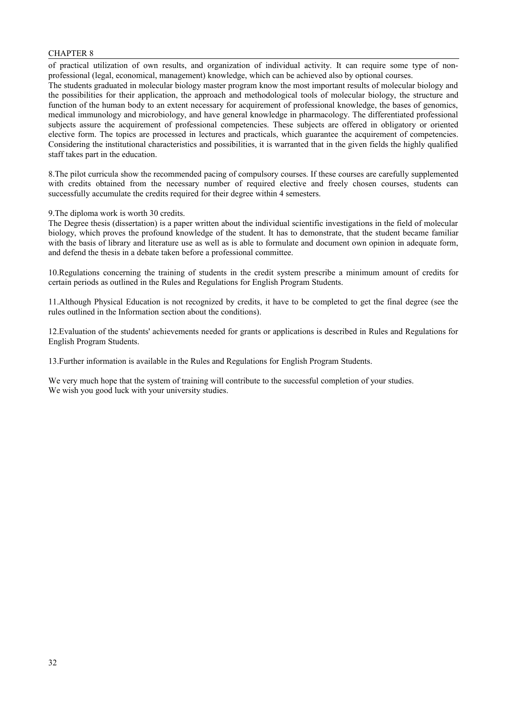### CHAPTER 8

of practical utilization of own results, and organization of individual activity. It can require some type of nonprofessional (legal, economical, management) knowledge, which can be achieved also by optional courses.

The students graduated in molecular biology master program know the most important results of molecular biology and the possibilities for their application, the approach and methodological tools of molecular biology, the structure and function of the human body to an extent necessary for acquirement of professional knowledge, the bases of genomics, medical immunology and microbiology, and have general knowledge in pharmacology. The differentiated professional subjects assure the acquirement of professional competencies. These subjects are offered in obligatory or oriented elective form. The topics are processed in lectures and practicals, which guarantee the acquirement of competencies. Considering the institutional characteristics and possibilities, it is warranted that in the given fields the highly qualified staff takes part in the education.

8.The pilot curricula show the recommended pacing of compulsory courses. If these courses are carefully supplemented with credits obtained from the necessary number of required elective and freely chosen courses, students can successfully accumulate the credits required for their degree within 4 semesters.

9.The diploma work is worth 30 credits.

The Degree thesis (dissertation) is a paper written about the individual scientific investigations in the field of molecular biology, which proves the profound knowledge of the student. It has to demonstrate, that the student became familiar with the basis of library and literature use as well as is able to formulate and document own opinion in adequate form, and defend the thesis in a debate taken before a professional committee.

10.Regulations concerning the training of students in the credit system prescribe a minimum amount of credits for certain periods as outlined in the Rules and Regulations for English Program Students.

11.Although Physical Education is not recognized by credits, it have to be completed to get the final degree (see the rules outlined in the Information section about the conditions).

12.Evaluation of the students' achievements needed for grants or applications is described in Rules and Regulations for English Program Students.

13.Further information is available in the Rules and Regulations for English Program Students.

We very much hope that the system of training will contribute to the successful completion of your studies. We wish you good luck with your university studies.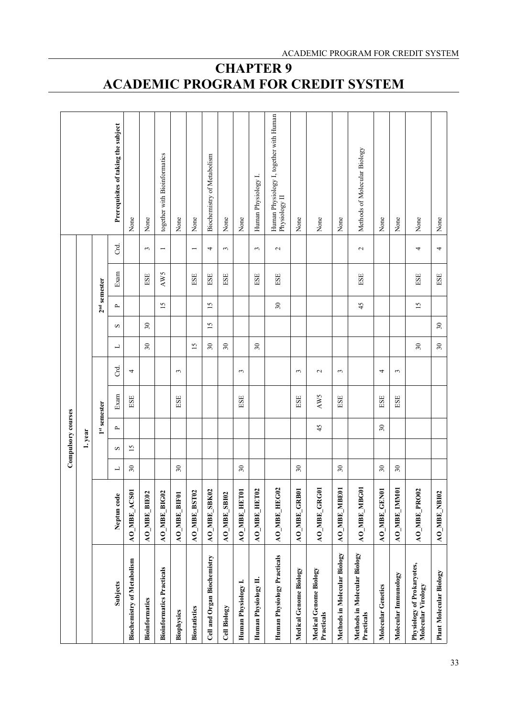|                                                  |                     |                          | Compulsory courses |              |               |                |        |        |                          |                |              |                                                          |
|--------------------------------------------------|---------------------|--------------------------|--------------------|--------------|---------------|----------------|--------|--------|--------------------------|----------------|--------------|----------------------------------------------------------|
|                                                  |                     |                          | 1. year            |              |               |                |        |        |                          |                |              |                                                          |
|                                                  |                     |                          |                    | 1st semester |               |                |        |        |                          | $2nd$ semester |              |                                                          |
| Subjects                                         | Neptun code         | ┙                        | S                  | $\sim$       | Exam          | ಕ              | 凵      | S      | $\overline{\phantom{a}}$ | Exam           | Crd.         | Prerequisites of taking the subject                      |
| <b>Biochemistry of Metabolism</b>                | AO_MBE_ACS01        | $\overline{\mathbf{30}}$ | $\overline{15}$    |              | $_{\rm{ESE}}$ | 4              |        |        |                          |                |              | None                                                     |
| <b>Bioinformatics</b>                            | AO_MBE_BIE02        |                          |                    |              |               |                | 30     | $30\,$ |                          | $_{\rm{BSE}}$  | $\epsilon$   | None                                                     |
| <b>Bioinformatics Practicals</b>                 | <b>AO_MBE_BIG02</b> |                          |                    |              |               |                |        |        | 15                       | AW5            |              | together with Bioinformatics                             |
| <b>Biophysics</b>                                | AO_MBE_BIF01        | 30                       |                    |              | $_{\rm{EST}}$ | $\mathfrak{g}$ |        |        |                          |                |              | None                                                     |
| <b>Biostatistics</b>                             | <b>AO_MBE_BST02</b> |                          |                    |              |               |                | 15     |        |                          | ESE            |              | None                                                     |
| Cell and Organ Biochemistry                      | <b>AO_MBE_SBK02</b> |                          |                    |              |               |                | $30\,$ | 15     | 15                       | ESE            | 4            | <b>Biochemistry of Metabolism</b>                        |
| Cell Biology                                     | <b>AO_MBE_SBI02</b> |                          |                    |              |               |                | 30     |        |                          | ESE            | 3            | None                                                     |
| Human Physiology I.                              | AO_MBE_HET01        | 30                       |                    |              | ESE           | 3              |        |        |                          |                |              | None                                                     |
| Human Physiology II.                             | <b>AO_MBE_HET02</b> |                          |                    |              |               |                | 30     |        |                          | ESE            | 3            | Human Physiology I.                                      |
| Human Physiology Practicals                      | <b>AO_MBE_HEG02</b> |                          |                    |              |               |                |        |        | $30\,$                   | ESE            | $\mathbf{c}$ | Human Physiology I, together with Human<br>Physiology II |
| Medical Genome Biology                           | AO_MBE_GRB01        | 30                       |                    |              | $_{\rm{BSE}}$ | $\epsilon$     |        |        |                          |                |              | None                                                     |
| Medical Genome Biology<br>Practicals             | AO_MBE_GRG01        |                          |                    | 45           | AW5           | $\mathbf{c}$   |        |        |                          |                |              | None                                                     |
| Methods in Molecular Biology                     | AO_MBE_MBE01        | 30                       |                    |              | ESE           | $\epsilon$     |        |        |                          |                |              | None                                                     |
| Methods in Molecular Biology<br>Practicals       | AO_MBE_MBG0         |                          |                    |              |               |                |        |        | 45                       | ESE            | $\sim$       | Methods of Molecular Biology                             |
| <b>Molecular Genetics</b>                        | AO_MBE_GEN01        | 30                       |                    | 30           | ESE           | 4              |        |        |                          |                |              | None                                                     |
| Molecular Immunology                             | AO_MBE_IMMO         | 30                       |                    |              | $_{\rm{ESE}}$ | 3              |        |        |                          |                |              | None                                                     |
| Physiology of Prokaryotes,<br>Molecular Virology | <b>AO_MBE_PRO02</b> |                          |                    |              |               |                | $30\,$ |        | 15                       | ESE            | 4            | None                                                     |
| Plant Molecular Biology                          | AO_MBE_NBI02        |                          |                    |              |               |                | $30\,$ | $30\,$ |                          | ESE            | 4            | None                                                     |

# **CHAPTER 9 ACADEMIC PROGRAM FOR CREDIT SYSTEM**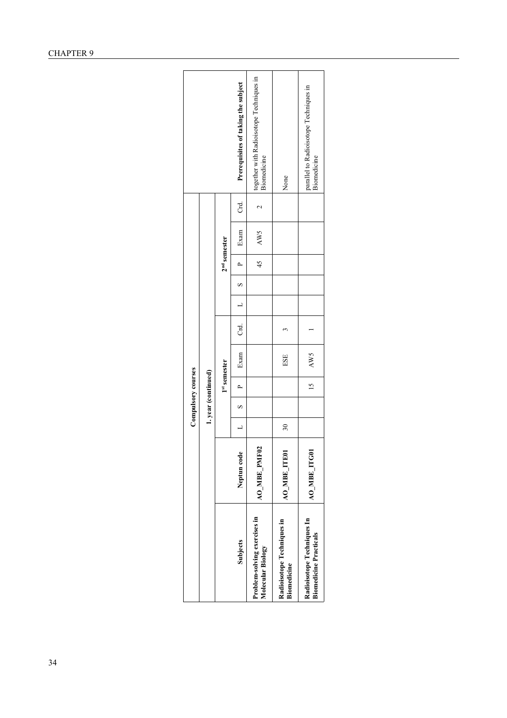|                                                             |              |        |   | Compulsory courses  |      |        |               |                |      |             |                                                         |
|-------------------------------------------------------------|--------------|--------|---|---------------------|------|--------|---------------|----------------|------|-------------|---------------------------------------------------------|
|                                                             |              |        |   | 1. year (continued) |      |        |               |                |      |             |                                                         |
|                                                             |              |        |   | 1st semester        |      |        |               | $2nd$ semester |      |             |                                                         |
| Subjects                                                    | Neptun code  |        | S | ≏                   | Exam | ਰ<br>ਹ | $\frac{1}{2}$ |                | Exam | Crd.        | Prerequisites of taking the subject                     |
| Problem-solving exercises in<br>Molecular Biology           | AO_MBE_PMF0  |        |   |                     |      |        |               | 45             | AW5  | $\mathbf 2$ | together with Radioisotope Techniques in<br>Biomedicine |
| Radioisotope Techniques in<br>Biomedicine                   | AO_MBE_ITE01 | $30\,$ |   |                     | ESE  |        |               |                |      |             | None                                                    |
| Radioisotope Techniques In<br><b>Biomedicine Practicals</b> | AO_MBE_ITG01 |        |   | $\overline{15}$     | AW5  |        |               |                |      |             | parallel to Radioisotope Techniques in<br>Biomedicine   |
|                                                             |              |        |   |                     |      |        |               |                |      |             |                                                         |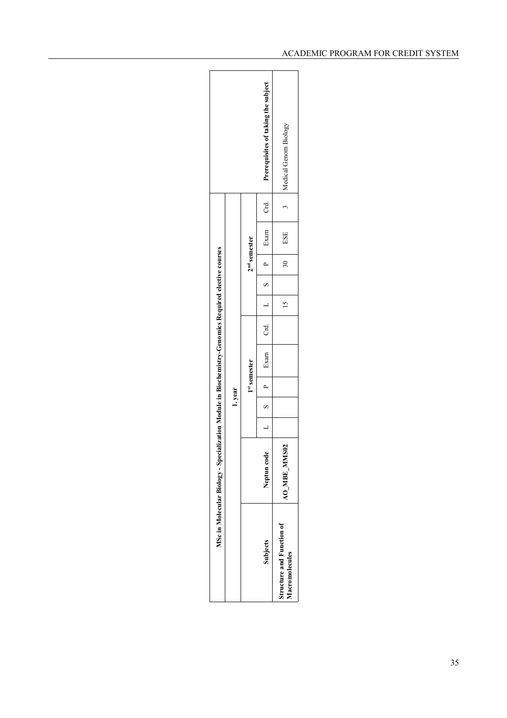|                                                    | MSc in Molecular Biology - Specialization Module in Biochemistry-Genomics Required elective courses |  | 1.year        | 1st semester |  | 2 <sup>nd</sup> semester |                                                                                                            |                                     |
|----------------------------------------------------|-----------------------------------------------------------------------------------------------------|--|---------------|--------------|--|--------------------------|------------------------------------------------------------------------------------------------------------|-------------------------------------|
| Subjects                                           | Neptun code                                                                                         |  | $1$ d   S   1 |              |  |                          | Exam $\begin{array}{ c c c c c c c c } \hline \text{Exam} & \text{Crd.} \end{array}$ 1 S   P   Exam   Crd. | Prerequisites of taking the subject |
| <b>Structure and Function of</b><br>Macromolecules | <b>SO2</b><br>AO MBE MM                                                                             |  |               |              |  | $\overline{\mathbf{30}}$ | ESE                                                                                                        | Medical Genom Biology               |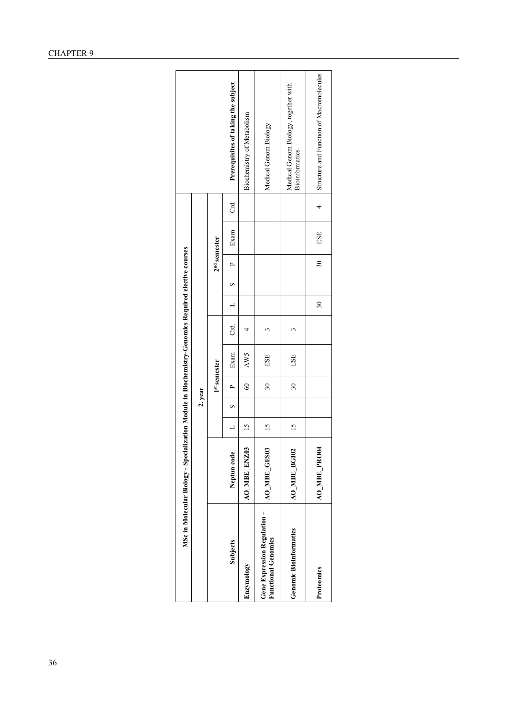|                                                           | MSc in Molecular Biology - Specialization Module in Biochemistry-Genomics Required elective courses |                |         |              |      |        |                          |          |                |      |        |                                                               |
|-----------------------------------------------------------|-----------------------------------------------------------------------------------------------------|----------------|---------|--------------|------|--------|--------------------------|----------|----------------|------|--------|---------------------------------------------------------------|
|                                                           |                                                                                                     |                | 2. year |              |      |        |                          |          |                |      |        |                                                               |
|                                                           |                                                                                                     |                |         | 1st semester |      |        |                          |          | $2nd$ semester |      |        |                                                               |
| <b>Subjects</b>                                           | Neptun code                                                                                         | $\overline{a}$ | S       |              | Exam | ਰ<br>ਹ |                          | $\infty$ | $\mathbf{r}$   | Exam | ਰ<br>ਹ | Prerequisites of taking the subject                           |
| Enzymology                                                | ⊵<br>AO_MBE_ENZ0                                                                                    | $\frac{5}{2}$  |         | $\degree$    | AW5  |        |                          |          |                |      |        | Biochemistry of Metabolism                                    |
| Gene Expression Regulation-<br><b>Functional Genomics</b> | AO_MBE_GES0                                                                                         | $^{15}$        |         | 30           | ESE  |        |                          |          |                |      |        | Medical Genom Biology                                         |
| <b>Genomic Bioinformatics</b>                             | <b>AO MBE BGI02</b>                                                                                 | 15             |         | $30\,$       | ESE  |        |                          |          |                |      |        | Medical Genom Biology, together with<br><b>Bioinformatics</b> |
| Proteomics                                                | <b>AO_MBE_PRO04</b>                                                                                 |                |         |              |      |        | $\overline{\mathbf{30}}$ |          | $\approx$      | ESE  |        | Structure and Function of Macromolecules                      |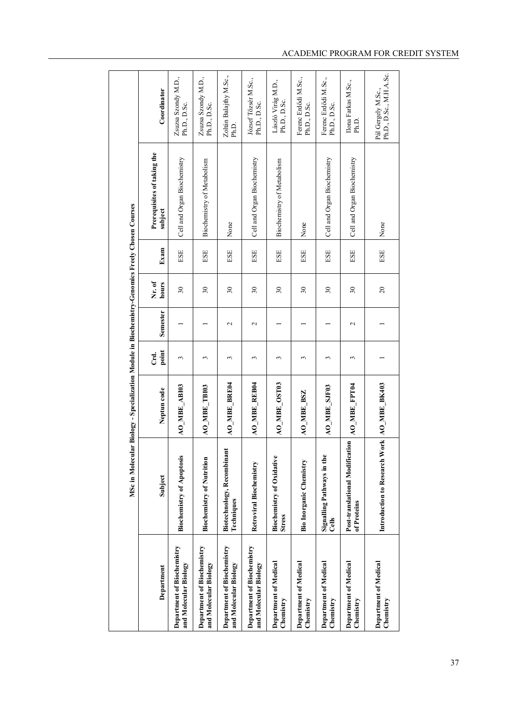|                                                     |                                                   | MSc in Molecular Biology - Specialization Module in Biochemistry-Genomics Freely Chosen Courses |               |                 |                 |      |                                        |                                               |  |
|-----------------------------------------------------|---------------------------------------------------|-------------------------------------------------------------------------------------------------|---------------|-----------------|-----------------|------|----------------------------------------|-----------------------------------------------|--|
| Department                                          | Subject                                           | Neptun code                                                                                     | point<br>Crd. | Semester        | Nr. of<br>hours | Exam | Prerequisites of taking the<br>subject | Coordinator                                   |  |
| Department of Biochemistry<br>and Molecular Biology | <b>Biochemistry of Apoptosis</b>                  | AO_MBE_ABI03                                                                                    | 3             |                 | $30\,$          | ESE  | Cell and Organ Biochemistry            | Zsuzsa Szondy M.D.,<br>Ph.D., D.Sc.           |  |
| Department of Biochemistry<br>and Molecular Biology | <b>Biochemistry of Nutrition</b>                  | AO_MBE_TBI03                                                                                    | 3             |                 | 30              | ESE  | Biochemistry of Metabolism             | Zsuzsa Szondy M.D.,<br>Ph.D., D.Sc.           |  |
| Department of Biochemistry<br>and Molecular Biology | Biotechnology, Recombinan<br>Techniques           | <b>AO_MBE_BRE04</b>                                                                             | 3             | $\mathbf{\sim}$ | $\overline{30}$ | ESE  | None                                   | Zoltán Balajthy M.Sc.,<br>Ph.D.               |  |
| Department of Biochemistry<br>and Molecular Biology | Retroviral Biochemistry                           | AO_MBE_REB04                                                                                    | 3             | $\mathbf{\sim}$ | $30\,$          | ESE  | Cell and Organ Biochemistry            | József Tőzsér M.Sc.,<br>Ph.D., D.Sc.          |  |
| Department of Medical<br>Chemistry                  | <b>Biochemistry of Oxidative</b><br><b>Stress</b> | AO_MBE_OST03                                                                                    | 3             |                 | 30              | ESE  | Biochemistry of Metabolism             | László Virág M.D.,<br>Ph.D., D.Sc.            |  |
| <b>Department of Medical</b><br>Chemistry           | <b>Bio Inorganic Chemistry</b>                    | AO_MBE_BSZ                                                                                      | 3             |                 | $30\,$          | ESE  | None                                   | Ferenc Erdődi M.Sc.,<br>Ph.D., D.Sc.          |  |
| Department of Medical<br>Chemistry                  | Signalling Pathways in the<br>Cells               | AO_MBE_SJF03                                                                                    | 3             |                 | 30              | ESE  | Cell and Organ Biochemistry            | Ferenc Erdődi M.Sc.,<br>Ph.D., D.Sc.          |  |
| Department of Medical<br>Chemistry                  | Post-translational Modification<br>of Proteins    | AO MBE FPT04                                                                                    | 3             | $\sim$          | 30              | ESE  | Cell and Organ Biochemistry            | Ilona Farkas M.Sc.,<br>Ph.D.                  |  |
| Department of Medical<br>Chemistry                  | Introduction to Research Work AO_MBE_BK403        |                                                                                                 |               |                 | $\overline{20}$ | ESE  | None                                   | Ph.D., D.Sc., M.H.A.Sc.<br>Pál Gergely M.Sc., |  |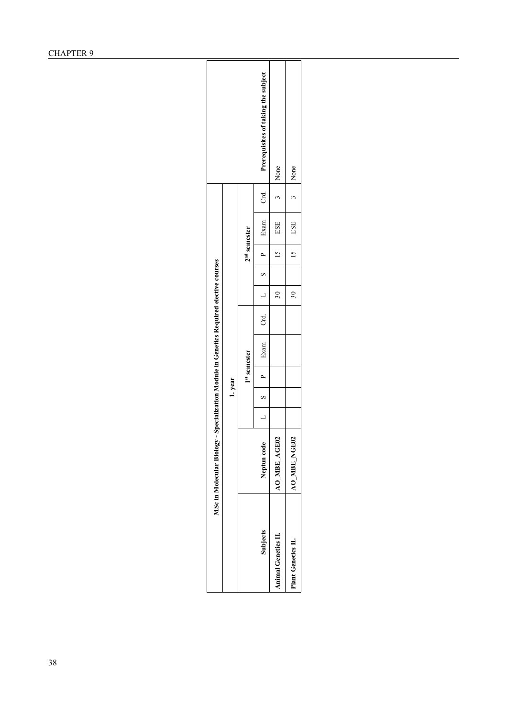|                                                                                        |        | $2nd$ semester | Prerequisites of taking the subject<br>$rac{1}{\sqrt{2}}$<br>$1$ Exam $1$ | 3 None<br>ESE<br>$\frac{15}{15}$ | 3   None<br>$15$   ESE    |
|----------------------------------------------------------------------------------------|--------|----------------|---------------------------------------------------------------------------|----------------------------------|---------------------------|
|                                                                                        |        |                | Exam   Crd.   $L$   S   P                                                 | $\overline{30}$                  | $\frac{1}{30}$            |
|                                                                                        |        | $1st$ semester |                                                                           |                                  |                           |
|                                                                                        | 1.year |                | $\overline{P}$<br>$\frac{1}{2}$<br>$\frac{1}{2}$                          |                                  |                           |
| MSc in Molecular Biology - Specialization Module in Genetics Required elective courses |        |                | Neptun code                                                               | AO MBE AGE02                     | <b>AO_MBE_NGE02</b>       |
|                                                                                        |        |                | Subjects                                                                  | <b>Animal Genetics II.</b>       | <b>Plant Genetics II.</b> |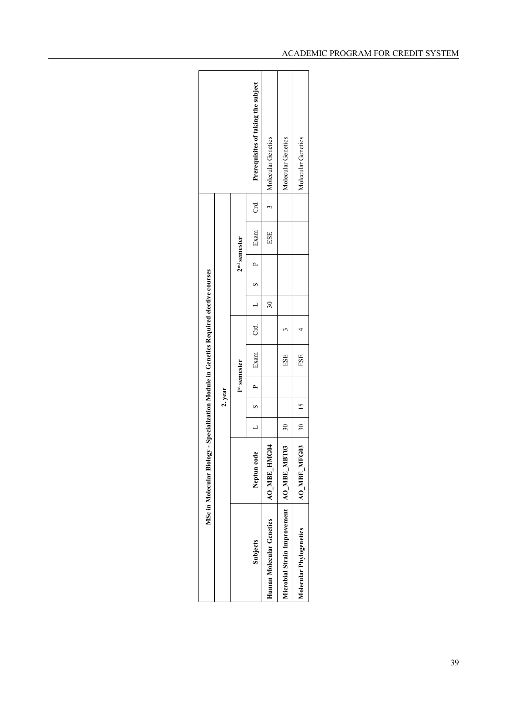| ਟ<br>ਹ<br>$\tilde{f}$<br>L S P Exam<br>ESE<br>$2nd$ semester<br>$\overline{\mathbf{30}}$<br>Crd.<br>· Exam<br>ESE<br>1st semester<br>$\overline{a}$<br>2. year<br>$\sim$ S $\rightarrow$<br>$30$   15<br>$\overline{a}$<br>30 <sub>o</sub><br>AO MBE HMG04<br>Neptun code<br>Microbial Strain Improvement   AO_MBE_MBT0.<br>Human Molecular Genetics<br>Subjects |                         | MSc in Molecular Biology - Specialization Module in Genetics Required elective courses |  |     |  |  |  |                                     |
|------------------------------------------------------------------------------------------------------------------------------------------------------------------------------------------------------------------------------------------------------------------------------------------------------------------------------------------------------------------|-------------------------|----------------------------------------------------------------------------------------|--|-----|--|--|--|-------------------------------------|
|                                                                                                                                                                                                                                                                                                                                                                  |                         |                                                                                        |  |     |  |  |  |                                     |
|                                                                                                                                                                                                                                                                                                                                                                  |                         |                                                                                        |  |     |  |  |  |                                     |
|                                                                                                                                                                                                                                                                                                                                                                  |                         |                                                                                        |  |     |  |  |  | Prerequisites of taking the subject |
|                                                                                                                                                                                                                                                                                                                                                                  |                         |                                                                                        |  |     |  |  |  | Molecular Genetics                  |
|                                                                                                                                                                                                                                                                                                                                                                  |                         |                                                                                        |  |     |  |  |  | Molecular Genetics                  |
|                                                                                                                                                                                                                                                                                                                                                                  | Molecular Phylogenetics | <b>AO_MBE_MFG03</b>                                                                    |  | ESE |  |  |  | Molecular Genetics                  |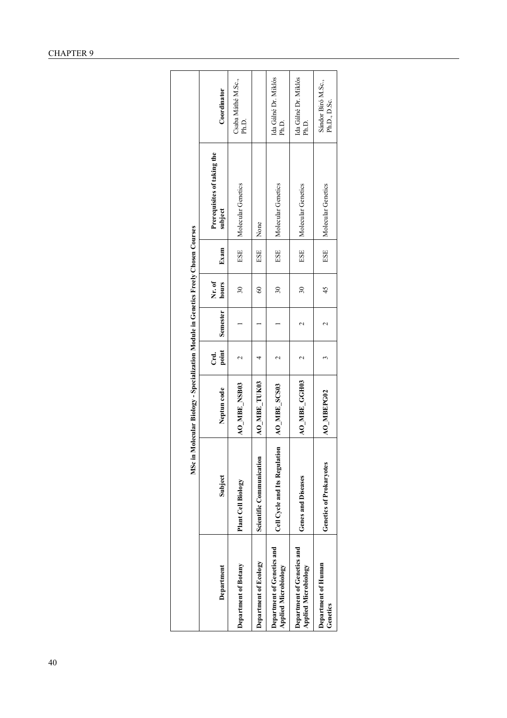|                                                           |                                 | MSc in Molecular Biology - Specialization Module in Genetics Freely Chosen Courses |               |                    |                          |      |                                        |                                    |
|-----------------------------------------------------------|---------------------------------|------------------------------------------------------------------------------------|---------------|--------------------|--------------------------|------|----------------------------------------|------------------------------------|
| Department                                                | Subject                         | Neptun code                                                                        | point<br>Crd. | Semester           | Nr. of<br>hours          | Exam | Prerequisites of taking the<br>subject | Coordinator                        |
| Department of Botany                                      | Plant Cell Biology              | AO MBE NSB03                                                                       |               |                    | $\overline{\mathbf{30}}$ | ESE  | Molecular Genetics                     | Csaba Máthé M.Sc.,<br>Ph.D.        |
| Department of Ecology                                     | <b>Scientific Communication</b> | AO_MBE_TUK03                                                                       |               |                    | $\degree$                | ESE  | None                                   |                                    |
| Department of Genetics and<br><b>Applied Microbiology</b> | Cell Cycle and Its Regulation   | AO_MBE_SCS03                                                                       |               |                    | $\overline{30}$          | ESE  | Molecular Genetics                     | Ida Gálné Dr. Miklós<br>Ph.D.      |
| Department of Genetics and<br><b>Applied Microbiology</b> | <b>Genes and Diseases</b>       | AO MBE GGH03                                                                       |               |                    | $\overline{30}$          | ESE  | Molecular Genetics                     | Ida Gálné Dr. Miklós<br>Ph.D.      |
| Department of Human<br>Genetics                           | Genetics of Prokaryotes         | AO_MBEPG02                                                                         |               | $\scriptstyle\sim$ | 45                       | ESE  | Molecular Genetics                     | Sándor Biró M.Sc.,<br>Ph.D., D.Sc. |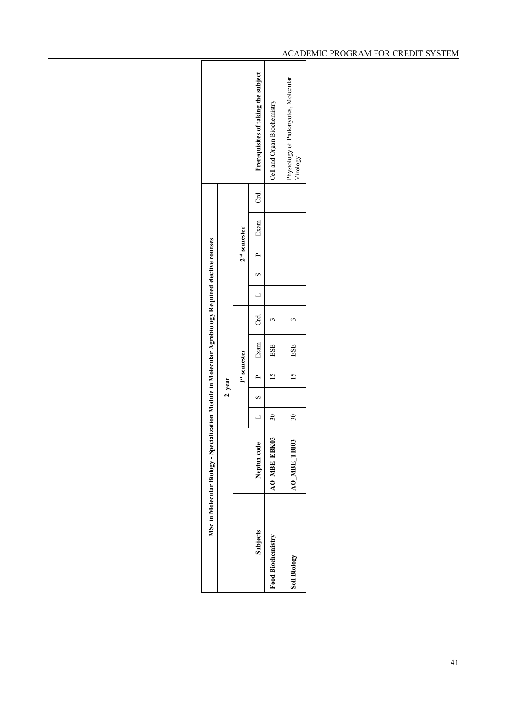|                     | MSc in Molecular Biology - Specialization Module in Molecular Agrobiology Required elective courses |                 |               |                 |            |  |                |                                        |      |                                                  |
|---------------------|-----------------------------------------------------------------------------------------------------|-----------------|---------------|-----------------|------------|--|----------------|----------------------------------------|------|--------------------------------------------------|
|                     |                                                                                                     |                 | 2. year       |                 |            |  |                |                                        |      |                                                  |
|                     |                                                                                                     |                 |               | 1st semester    |            |  | $2nd$ semester |                                        |      |                                                  |
| Subjects            | Neptun code                                                                                         |                 | $\frac{8}{3}$ | $\overline{a}$  | Exam       |  |                | Crd. $L \qquad S \qquad P \qquad Exam$ | Crd. | Prerequisites of taking the subject              |
| Food Biochemistry   | <b>AO_MBE_EBK03</b>                                                                                 | 30              |               | 15              | <b>ESE</b> |  |                |                                        |      | Cell and Organ Biochemistry                      |
| <b>Soil Biology</b> | AO MBE TBIO                                                                                         | 30 <sub>o</sub> |               | $\overline{15}$ | ESE        |  |                |                                        |      | Physiology of Prokaryotes, Molecular<br>Virology |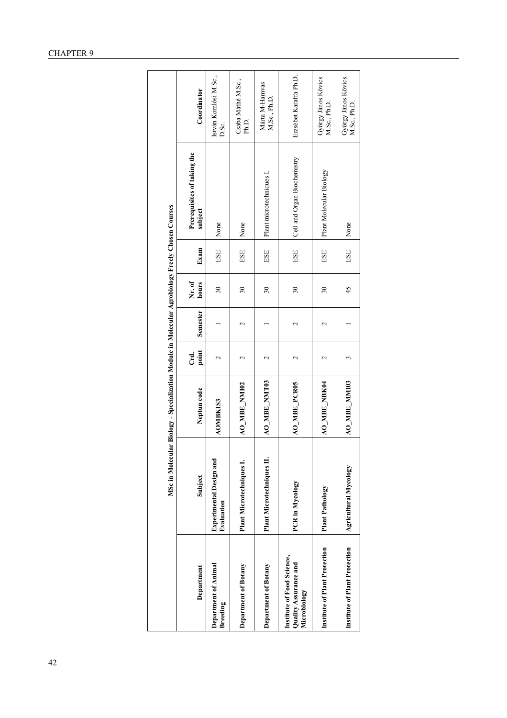|                                                                     |                                              | MSc in Molecular Biology - Specialization Module in Molecular Agrobiology Freely Chosen Courses |                        |                 |                 |      |                                        |                                     |
|---------------------------------------------------------------------|----------------------------------------------|-------------------------------------------------------------------------------------------------|------------------------|-----------------|-----------------|------|----------------------------------------|-------------------------------------|
| Department                                                          | Subject                                      | Neptun code                                                                                     | point<br>Crd.          | Semester        | Nr. of<br>hours | Exam | Prerequisites of taking the<br>subject | Coordinator                         |
| Department of Animal<br><b>Breeding</b>                             | <b>Experimental Design and</b><br>Evaluation | <b>AOMBKIS3</b>                                                                                 | $\mathbf{\mathcal{L}}$ |                 | $30\,$          | ESE  | None                                   | István Komlósi M.Sc.,<br>D.Sc.      |
| Department of Botany                                                | Plant Microtechniques I.                     | AO_MBE_NMI02                                                                                    | $\mathbf{\sim}$        | $\mathbf{\sim}$ | $\overline{30}$ | ESE  | None                                   | Csaba Máthé M.Sc.,<br>Ph.D.         |
| Department of Botany                                                | <b>Plant Microtechniques II.</b>             | AO_MBE_NMT03                                                                                    | 2                      |                 | $\overline{30}$ | ESE  | Plant microtechniques I.               | Márta M-Hamvas<br>M.Sc., Ph.D.      |
| Institute of Food Science,<br>Quality Assurance and<br>Microbiology | PCR in Mycology                              | AO_MBE_PCR05                                                                                    | $\mathbf{\sim}$        | $\mathbf{\sim}$ | 30              | ESE  | Cell and Organ Biochemistry            | Erzsébet Karaffa Ph.D.              |
| <b>Institute of Plant Protection</b>                                | <b>Plant Pathology</b>                       | <b>AO_MBE_NBK04</b>                                                                             | $\mathbf{\sim}$        | $\mathbf{\sim}$ | $30\,$          | ESE  | Plant Molecular Biology                | György János Kövics<br>M.Sc., Ph.D. |
| Institute of Plant Protection                                       | Agricultural Mycology                        | AO_MBE_MMI03                                                                                    | 3                      |                 | 45              | ESE  | None                                   | György János Kövics<br>M.Sc., Ph.D. |

## CHAPTER 9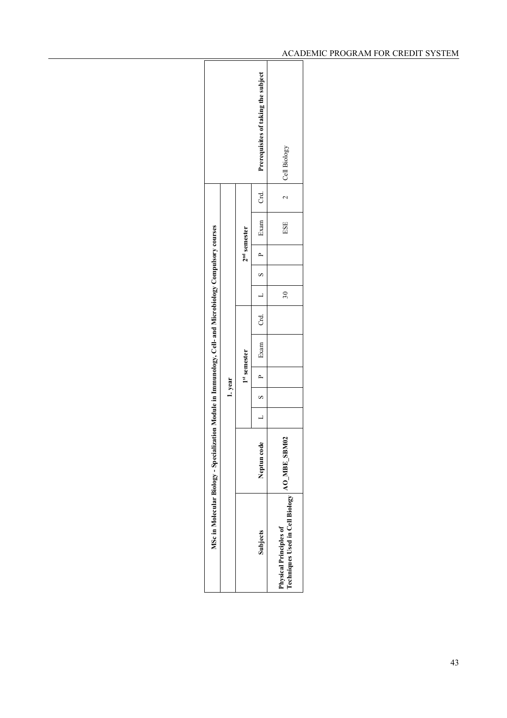| <b>Subjects</b>                                                  | MSc in Molecular Biology - Specialization Module in Immunology, Cell- and Microbiology Compulsory courses<br>٥<br>Neptun cod | $\overline{a}$ | 1.year<br>$\overline{\mathbf{s}}$ | 1st semester<br>$\overline{a}$ | Exam Crd.   L |                 | $\begin{array}{c c} & B & D \\ \hline \end{array}$ | $2nd$ semester | Exam Crd. |        | Prerequisites of taking the subject |
|------------------------------------------------------------------|------------------------------------------------------------------------------------------------------------------------------|----------------|-----------------------------------|--------------------------------|---------------|-----------------|----------------------------------------------------|----------------|-----------|--------|-------------------------------------|
| Techniques Used in Cell Biology<br><b>Physical Principles of</b> | AO_MBE_SBM02                                                                                                                 |                |                                   |                                |               | 30 <sub>o</sub> |                                                    |                | ESE       | $\sim$ | Cell Biology                        |
|                                                                  |                                                                                                                              |                |                                   |                                |               |                 |                                                    |                |           |        |                                     |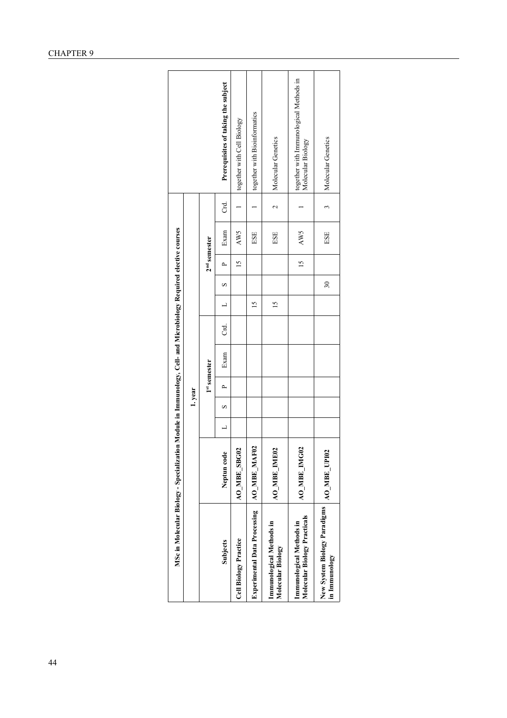|                                                          | MSc in Molecular Biology - Specialization Module in Immunology, Cell- and Microbiology Required elective courses |        |              |      |    |               |    |                 |      |                 |                                                             |
|----------------------------------------------------------|------------------------------------------------------------------------------------------------------------------|--------|--------------|------|----|---------------|----|-----------------|------|-----------------|-------------------------------------------------------------|
|                                                          |                                                                                                                  | 1.year |              |      |    |               |    |                 |      |                 |                                                             |
|                                                          |                                                                                                                  |        | 1st semester |      |    |               |    | $2nd$ semester  |      |                 |                                                             |
| <b>Subjects</b>                                          | Neptun code                                                                                                      | S      | ≏            | Exam | Ğ. |               | S  | Δ               | Exam | Crd.            | Prerequisites of taking the subject                         |
| Cell Biology Practice                                    | <b>AO_MBE_SBG0</b>                                                                                               |        |              |      |    |               |    | $\overline{15}$ | AW5  |                 | together with Cell Biology                                  |
| Experimental Data Processing                             | AO_MBE_MAF02                                                                                                     |        |              |      |    | $\frac{5}{2}$ |    |                 | ESE  |                 | together with Bioinformatics                                |
| Immunological Methods in<br>Molecular Biology            | Ō,<br>AO MBE IMEO                                                                                                |        |              |      |    | $\frac{5}{2}$ |    |                 | ESE  | $\mathbf{\sim}$ | Molecular Genetics                                          |
| Molecular Biology Practicals<br>Immunological Methods in | <b>AO_MBE_IMG02</b>                                                                                              |        |              |      |    |               |    | 15              | AW5  |                 | together with Immunological Methods in<br>Molecular Biology |
| New System Biology Paradigms<br>in Immunology            | AO MBE UPIO2                                                                                                     |        |              |      |    |               | 30 |                 | ESE  | 3               | Molecular Genetics                                          |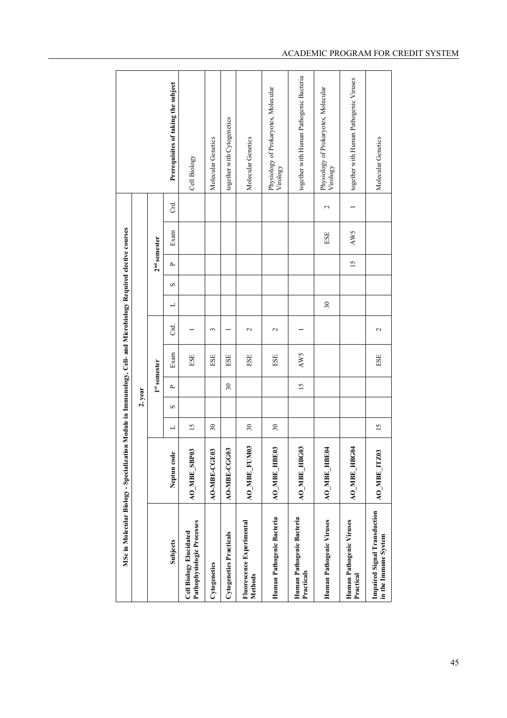|                                                              | MSc in Molecular Biology - Specialization Module in Immunology, Cell- and Microbiology Required elective courses |                          |         |                          |      |                    |                 |             |                 |      |                 |                                                  |
|--------------------------------------------------------------|------------------------------------------------------------------------------------------------------------------|--------------------------|---------|--------------------------|------|--------------------|-----------------|-------------|-----------------|------|-----------------|--------------------------------------------------|
|                                                              |                                                                                                                  |                          | 2. year |                          |      |                    |                 |             |                 |      |                 |                                                  |
|                                                              |                                                                                                                  |                          |         | <sup>1st</sup> semester  |      |                    |                 |             | $2nd$ semester  |      |                 |                                                  |
| Subjects                                                     | Neptun code                                                                                                      | ⊐                        | S       | $\sim$                   | Exam | ಕ                  | ┙               | $\mathbf 2$ | $\sim$          | Exam | ರ               | Prerequisites of taking the subject              |
| Pathophysiologic Processes<br><b>Cell Biology Elucidated</b> | AO_MBE_SBP03                                                                                                     | $\overline{15}$          |         |                          | ESE  |                    |                 |             |                 |      |                 | Cell Biology                                     |
| Cytogenetics                                                 | <b>AO-MBE-CGE03</b>                                                                                              | $30\,$                   |         |                          | ESE  | 3                  |                 |             |                 |      |                 | Molecular Genetics                               |
| Cytogenetics Practicals                                      | AO-MBE-CGG03                                                                                                     |                          |         | $\overline{\mathbf{30}}$ | ESE  |                    |                 |             |                 |      |                 | together with Cytogenetics                       |
| Fluorescence Experimental<br>Methods                         | <b>AO_MBE_FUM03</b>                                                                                              | $\overline{\mathbf{30}}$ |         |                          | ESE  | $\mathbf{\Omega}$  |                 |             |                 |      |                 | Molecular Genetics                               |
| Human Pathogenic Bacteria                                    | AO_MBE_HBE03                                                                                                     | $\overline{\mathbf{30}}$ |         |                          | ESE  | $\mathbf{\hat{c}}$ |                 |             |                 |      |                 | Physiology of Prokaryotes, Molecular<br>Virology |
| Human Pathogenic Bacteria<br>Practicals                      | AO MBE HBG03                                                                                                     |                          |         | 15                       | AW5  |                    |                 |             |                 |      |                 | together with Human Pathogenic Bacteria          |
| Human Pathogenic Viruses                                     | <b>AO_MBE_HBE04</b>                                                                                              |                          |         |                          |      |                    | $\mathfrak{S}0$ |             |                 | ESE  | $\mathbf{\sim}$ | Physiology of Prokaryotes, Molecular<br>Virology |
| Human Pathogenic Viruses<br>Practical                        | AO MBE HBG04                                                                                                     |                          |         |                          |      |                    |                 |             | $\overline{15}$ | AW5  |                 | together with Human Pathogenic Viruses           |
| <b>Impaired Signal Transduction</b><br>in the Immune System  | AO_MBE_ITZ03                                                                                                     | 15                       |         |                          | ESE  | $\mathbf{\Omega}$  |                 |             |                 |      |                 | Molecular Genetics                               |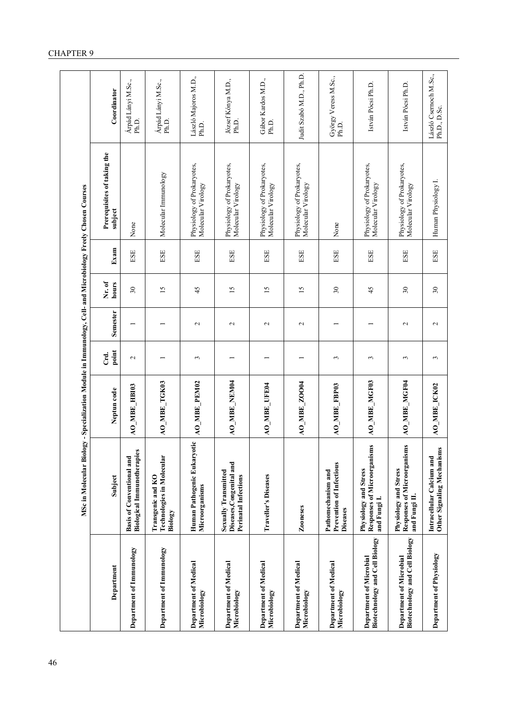|                                                           | MSc in Molecular Biolo                                                          | gy - Specialization Module in Immunology, Cell- and Microbiology Freely Chosen Courses |                 |                   |                          |      |                                                  |                                       |
|-----------------------------------------------------------|---------------------------------------------------------------------------------|----------------------------------------------------------------------------------------|-----------------|-------------------|--------------------------|------|--------------------------------------------------|---------------------------------------|
| Department                                                | Subject                                                                         | Neptun code                                                                            | point<br>Crd.   | <b>Semester</b>   | Nr. of<br>hours          | Exam | Prerequisites of taking the<br>subject           | Coordinator                           |
| Department of Immunology                                  | <b>Biological Immunotherapies</b><br><b>Basis of Conventional and</b>           | <b>AO_MBE_HB103</b>                                                                    | $\mathbf{\sim}$ |                   | $30\,$                   | ESE  | None                                             | Árpád Lányi M.Sc.,<br>Ph.D.           |
| Department of Immunology                                  | Technologies in Molecular<br>Transgenic and KO<br>Biology                       | AO_MBE_TGK03                                                                           |                 |                   | 15                       | ESE  | Molecular Immunology                             | Árpád Lányi M.Sc.,<br>Ph.D.           |
| <b>Department of Medical</b><br>Microbiology              | Human Pathogenic Eukaryotic<br>Microorganisms                                   | <b>AO_MBE_PEM02</b>                                                                    | 3               | $\mathcal{L}$     | 45                       | ESE  | Physiology of Prokaryotes,<br>Molecular Virology | László Majoros M.D.,<br>Ph.D.         |
| Department of Medical<br>Microbiology                     | Sexually Transmitted<br>Diseases, Congenital and<br><b>Perinatal Infections</b> | AO_MBE_NEM04                                                                           |                 | $\mathbf{\Omega}$ | 15                       | ESE  | Physiology of Prokaryotes,<br>Molecular Virology | József Kónya M.D.,<br>Ph.D.           |
| <b>Department of Medical</b><br>Microbiology              | Traveller's Diseases                                                            | <b>AO_MBE_UFE04</b>                                                                    |                 | $\sim$            | 15                       | ESE  | Physiology of Prokaryotes,<br>Molecular Virology | Gábor Kardos M.D.,<br>Ph.D.           |
| Department of Medical<br>Microbiology                     | Zooneses                                                                        | <b>AO_MBE_ZOO04</b>                                                                    |                 | $\sim$            | $\overline{15}$          | ESE  | Physiology of Prokaryotes,<br>Molecular Virology | Judit Szabó M.D., Ph.D.               |
| <b>Department of Medical</b><br>Microbiology              | Prevention of Infectious<br>Pathomechanism and<br>Diseases                      | AO_MBE_FBP03                                                                           | 3               |                   | $\overline{\mathbf{30}}$ | ESE  | None                                             | György Veress M.Sc.,<br>Ph.D.         |
| Biotechnology and Cell Biology<br>Department of Microbial | Responses of Microorganisms<br>Physiology and Stress<br>and Fungi I.            | AO_MBE_MGF03                                                                           | 3               |                   | 45                       | ESE  | Physiology of Prokaryotes,<br>Molecular Virology | István Pócsi Ph.D.                    |
| Biotechnology and Cell Biology<br>Department of Microbial | Responses of Microorganisms<br>Physiology and Stress<br>and Fungi II.           | AO_MBE_MGF04                                                                           | 3               | $\sim$            | $\overline{\mathbf{30}}$ | ESE  | Physiology of Prokaryotes,<br>Molecular Virology | István Pócsi Ph.D.                    |
| Department of Physiology                                  | Other Signaling Mechanisms<br>Intracellular Calcium and                         | AO_MBE_ICK02                                                                           | 3               | $\sim$            | $\overline{30}$          | ESE  | Human Physiology I.                              | László Csemoch M.Sc.,<br>Ph.D., D.Sc. |

## CHAPTER 9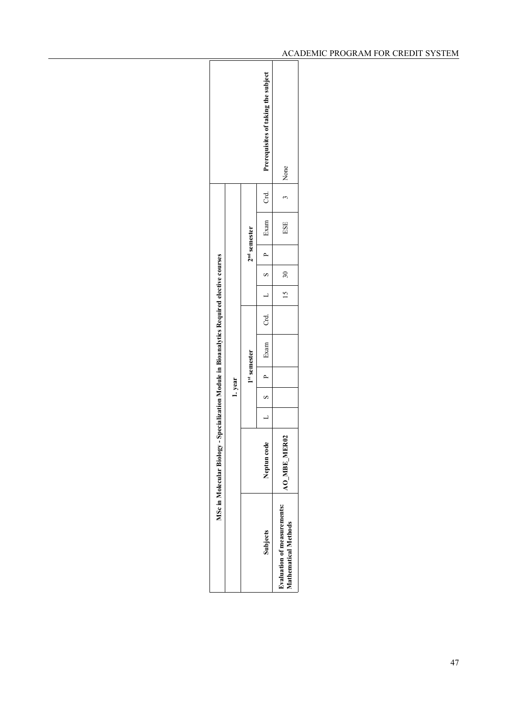|                                                                  |                                  |      | Prerequisites of taking the subject | None                                                       |  |
|------------------------------------------------------------------|----------------------------------|------|-------------------------------------|------------------------------------------------------------|--|
|                                                                  |                                  |      | ි<br>ටි                             |                                                            |  |
|                                                                  |                                  |      | Exam                                | ESE                                                        |  |
|                                                                  | $2nd$ semester<br>$\overline{P}$ |      |                                     |                                                            |  |
|                                                                  |                                  |      | $\overline{\mathbf{s}}$             | 30                                                         |  |
|                                                                  |                                  |      | $\frac{1}{2}$                       | 15 <sub>1</sub>                                            |  |
| -Specialization Module in Bioanalytics Required elective courses | Crd.                             |      |                                     |                                                            |  |
|                                                                  | 1st semester                     | Exam |                                     |                                                            |  |
|                                                                  |                                  |      | 1. year                             | $\overline{a}$                                             |  |
|                                                                  |                                  |      |                                     | $\overline{\mathbf{s}}$                                    |  |
|                                                                  |                                  |      |                                     |                                                            |  |
| MSc in Molecular Biology                                         |                                  |      | $\bullet$<br>Neptun cod             | AO MBE MER02                                               |  |
|                                                                  |                                  |      | Subjects                            | Evaluation of measurements:<br><b>Mathematical Methods</b> |  |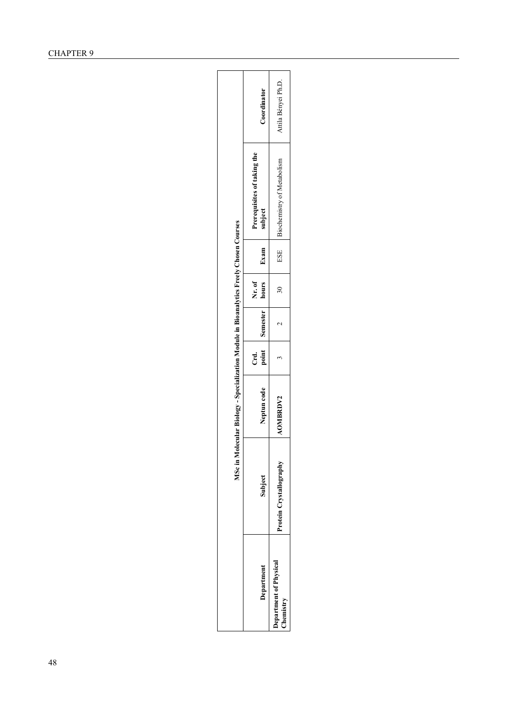|                                            |                         | MSc in Molecular Biology - Specialization Module in Bioanalytics Freely Chosen Courses |        |                |                                |      |                                        |                     |
|--------------------------------------------|-------------------------|----------------------------------------------------------------------------------------|--------|----------------|--------------------------------|------|----------------------------------------|---------------------|
| Department                                 | Subject                 | Neptun code                                                                            | ਟ<br>ਹ | point Semester | $\blacksquare$ hours<br>Nr. of | Exam | Prerequisites of taking the<br>subject | Coordinator         |
| <b>Department of Physical</b><br>Chemistry | Protein Crystallography | <b>AOMBRDV2</b>                                                                        |        |                | $\overline{30}$                |      | ESE Biochemistry of Metabolism         | Attila Bényei Ph.D. |
|                                            |                         |                                                                                        |        |                |                                |      |                                        |                     |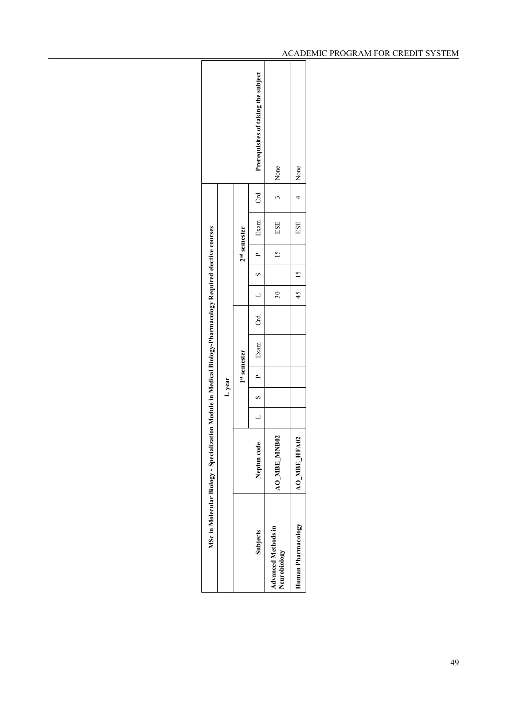|                                                                          |         |                | Prerequisites of taking the subject | None                                       | 4 None              |
|--------------------------------------------------------------------------|---------|----------------|-------------------------------------|--------------------------------------------|---------------------|
|                                                                          |         |                | Cd<br>C                             |                                            |                     |
|                                                                          |         |                | Exam '                              | ESE                                        | ESE                 |
|                                                                          |         | $2nd$ semester |                                     | 15                                         |                     |
|                                                                          |         |                |                                     |                                            | 45 15               |
|                                                                          |         |                |                                     | $\approx$                                  |                     |
|                                                                          |         |                | Crd. $L$ S P                        |                                            |                     |
| ization Module in Medical Biology-Pharmacology Required elective courses |         |                | $1$ Exam                            |                                            |                     |
|                                                                          |         | 1st semester   | $L$   S   P                         |                                            |                     |
|                                                                          | 1. year |                |                                     |                                            |                     |
|                                                                          |         |                |                                     |                                            |                     |
|                                                                          |         |                | Neptun code                         | <b>BO2</b><br>AO MBE MNI                   | <b>AO_MBE_HFA02</b> |
| MSc in Molecular Biology - Speciali                                      |         |                | <b>Subjects</b>                     | <b>Advanced Methods in</b><br>Neurobiology | Human Pharmacology  |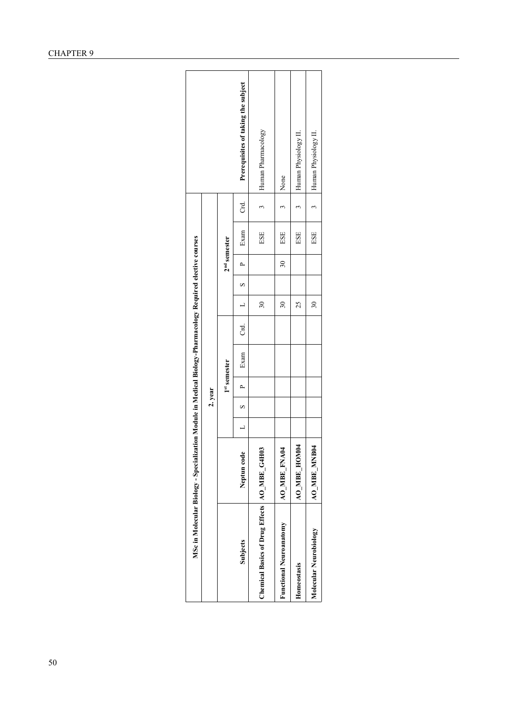|                                                | MSc in Molecular Biology - Specialization Module in Medical Biology-Pharmacology Required elective courses |                |          |                |      |      |                 |       |                |      |               |                                     |  |
|------------------------------------------------|------------------------------------------------------------------------------------------------------------|----------------|----------|----------------|------|------|-----------------|-------|----------------|------|---------------|-------------------------------------|--|
|                                                |                                                                                                            |                | 2. year  |                |      |      |                 |       |                |      |               |                                     |  |
|                                                |                                                                                                            |                |          | 1st semester   |      |      |                 |       | $2nd$ semester |      |               |                                     |  |
| <b>Subjects</b>                                | Neptun code                                                                                                | $\overline{a}$ | $\infty$ | $\overline{a}$ | Exam | Crd. | $\frac{1}{2}$   | $S -$ | $\overline{a}$ | Exam | ਰ<br>ਹ        | Prerequisites of taking the subject |  |
| Chemical Basics of Drug Effects   AO_MBE_G4H03 |                                                                                                            |                |          |                |      |      | $\overline{30}$ |       |                | ESE  | 3             | Human Pharmacology                  |  |
| <b>Functional Neuroanatomy</b>                 | AO_MBE_FNA04                                                                                               |                |          |                |      |      | $\approx$       |       | $\approx$      | ESE  | $\tilde{5}$   | None                                |  |
| Homeostasis                                    | AO_MBE_HOM04                                                                                               |                |          |                |      |      | 25              |       |                | ESE  | $\frac{1}{2}$ | Human Physiology II.                |  |
| Molecular Neurobiology                         | AO_MBE_MNB0                                                                                                |                |          |                |      |      | $\approx$       |       |                | ESE  | $\tilde{3}$   | Human Physiology II.                |  |
|                                                |                                                                                                            |                |          |                |      |      |                 |       |                |      |               |                                     |  |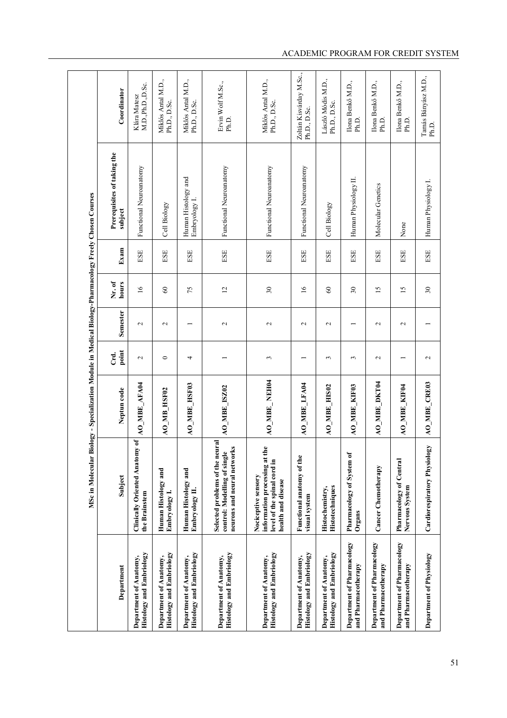|                                                           | MSc in Molecular Biology - Specialization Module in Medical Biology-Pharmacology Freely Chosen Courses                              |                     |                   |                   |                 |               |                                        |                                         |
|-----------------------------------------------------------|-------------------------------------------------------------------------------------------------------------------------------------|---------------------|-------------------|-------------------|-----------------|---------------|----------------------------------------|-----------------------------------------|
| Department                                                | Subject                                                                                                                             | Neptun code         | point<br>Crd.     | Semester          | Nr. of<br>hours | Exam          | Prerequisites of taking the<br>subject | Coordinator                             |
| Histology and Embriology<br>Department of Anatomy,        | Clinically Oriented Anatomy of<br>the Brainstem                                                                                     | AO_MBE_AFA04        | $\mathbf{\sim}$   | $\mathbf{\sim}$   | $\overline{16}$ | ESE           | Functional Neuroanatomy                | M.D.,Ph.D.,D.Sc.<br>Klára Matesz        |
| Histology and Embriology<br>Department of Anatomy,        | Human Histology and<br>Embryology I.                                                                                                | <b>AO_MB_HSF02</b>  | $\circ$           | $\mathbf{\sim}$   | $\infty$        | $_{\rm{ESE}}$ | Cell Biology                           | Miklós Antal M.D.,<br>Ph.D., D.Sc.      |
| Histology and Embriology<br>Department of Anatomy,        | Human Histology and<br>Embryology II.                                                                                               | <b>AO_MBE_HSF03</b> | 4                 |                   | 75              | $_{\rm{BSE}}$ | Human Histology and<br>Embryology I.   | Miklós Antal M.D.,<br>Ph.D., D.Sc.      |
| Histology and Embriology<br>Department of Anatomy,        | Selected problems of the neural<br>neurons and neural networks<br>control: Modelling of single                                      | <b>AO_MBE_ISZ02</b> |                   | $\mathbf{\sim}$   | 12              | ESE           | Functional Neuroanatomy                | Ervin Wolf M.Sc.,<br>Ph.D.              |
| Histology and Embriology<br>Department of Anatomy,        | $\overline{\mathbf{e}}$<br>information processing at th<br>level of the spinal cord in<br>Nociceptive sensory<br>health and disease | AO_MBE_NEH04        | $\epsilon$        | $\mathbf{\sim}$   | $30\,$          | ESE           | Functional Neuroanatomy                | Miklós Antal M.D.,<br>Ph.D., D.Sc.      |
| Histology and Embriology<br>Department of Anatomy,        | Functional anatomy of the<br>visual system                                                                                          | AO_MBE_LFA04        |                   | $\mathbf{\sim}$   | $\overline{16}$ | ESE           | Functional Neuroanatomy                | Zoltán Kisvárday M.Sc.,<br>Ph.D., D.Sc. |
| <b>Histology and Embriology</b><br>Department of Anatomy, | <b>Histotechniques</b><br>Histochemistry,                                                                                           | AO_MBE_HIS02        | 3                 | $\sim$            | 60              | $_{\rm{ESE}}$ | Cell Biology                           | László Módis M.D.,<br>Ph.D., D.Sc.      |
| Department of Pharmacology<br>and Pharmacotherapy         | Pharmacology of System of<br>Organs                                                                                                 | <b>AO_MBE_KIF03</b> | 3                 |                   | $30\,$          | ESE           | Human Physiology II.                   | Ilona Benkő M.D.,<br>Ph.D.              |
| Department of Pharmacology<br>and Pharmacotherapy         | Cancer Chemotherapy                                                                                                                 | <b>AO_MBE_DKT04</b> | $\mathbf{\Omega}$ | $\mathbf{\Omega}$ | $\overline{15}$ | ESE           | Molecular Genetics                     | Ilona Benkő M.D.,<br>Ph.D.              |
| Department of Pharmacology<br>and Pharmacotherapy         | Pharmacology of Central<br>Nervous System                                                                                           | AO_MBE_KIF04        |                   | $\mathcal{L}$     | 15              | ESE           | None                                   | Ilona Benkő M.D.,<br>Ph.D.              |
| Department of Physiology                                  | Cardiorespiratory Physiology                                                                                                        | AO_MBE_CRE03        | $\mathbf{\sim}$   |                   | 30              | $_{\rm{ESE}}$ | Human Physiology I.                    | Tamás Bányász M.D.,<br>Ph.D.            |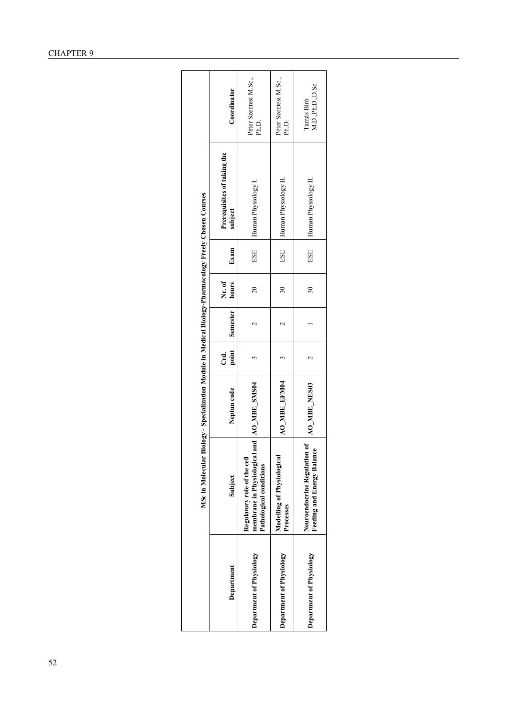|                          | MSc in Molecular Biology - Specialization Module in Medical Biology-Pharmacology Freely Chosen Courses |                  |                 |                    |                 |      |                                        |                                |
|--------------------------|--------------------------------------------------------------------------------------------------------|------------------|-----------------|--------------------|-----------------|------|----------------------------------------|--------------------------------|
| Department               | Subject                                                                                                | Neptun code      | point<br>ਟ<br>ਹ | Semester           | Nr. of<br>hours | Exam | Prerequisites of taking the<br>subject | Coordinator                    |
| Department of Physiology | membrane in Physiological<br>Regulatory role of the cell<br>Pathological conditions                    | and AO_MBE_SMS04 |                 | ¢                  | $\overline{20}$ | ESE  | Human Physiology I.                    | Péter Szentesi M.Sc.,<br>Ph.D. |
| Department of Physiology | Modelling of Physiological<br>Processes                                                                | AO_MBE_EFM04     |                 | $\scriptstyle\sim$ | $\overline{30}$ | ESE  | Human Physiology II.                   | Péter Szentesi M.Sc.,<br>Ph.D. |
| Department of Physiology | Neuroendocrine Regulation of<br>Feeding and Energy Balance                                             | AO_MBE_NES03     |                 |                    | $\overline{30}$ | ESE  | Human Physiology II.                   | M.D.,Ph.D.,D.Sc.<br>Tamás Biró |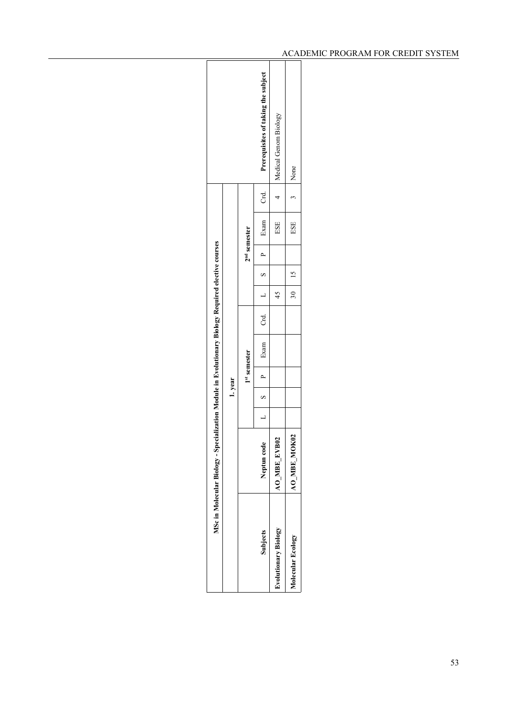|                      | MSc in Molecular Biology - Specialization Module in Evolutionary Biology Required elective courses |        |              |          |         |                |                        |          |                                     |  |
|----------------------|----------------------------------------------------------------------------------------------------|--------|--------------|----------|---------|----------------|------------------------|----------|-------------------------------------|--|
|                      |                                                                                                    | 1.year |              |          |         |                |                        |          |                                     |  |
|                      |                                                                                                    |        | 1st semester |          |         | $2nd$ semester |                        |          |                                     |  |
| <b>Subjects</b>      | Neptun code                                                                                        |        |              | S P Exam |         |                | Crd. $L$ S P Exam Crd. |          | Prerequisites of taking the subject |  |
| Evolutionary Biology | <b>AO_MBE_EVB02</b>                                                                                |        |              |          | 45      |                | ESE                    |          | 4 Medical Genom Biology             |  |
| Molecular Ecology    | AO MBE MOK                                                                                         |        |              |          | $30$ 15 |                | ESE                    | 3   None |                                     |  |
|                      |                                                                                                    |        |              |          |         |                |                        |          |                                     |  |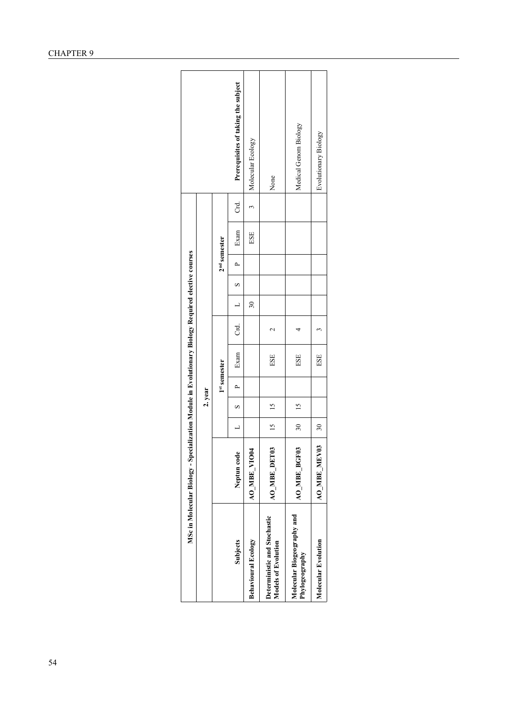|                                                            | MSc in Molecular Biology - Specialization Module in Evolutionary Biology Required elective courses |                 |                |              |      |         |                          |          |                |      |        |                                     |
|------------------------------------------------------------|----------------------------------------------------------------------------------------------------|-----------------|----------------|--------------|------|---------|--------------------------|----------|----------------|------|--------|-------------------------------------|
|                                                            |                                                                                                    |                 | 2. year        |              |      |         |                          |          |                |      |        |                                     |
|                                                            |                                                                                                    |                 |                | 1st semester |      |         |                          |          | $2nd$ semester |      |        |                                     |
| <b>Subjects</b>                                            | Neptun code                                                                                        | $\overline{a}$  | S              | $\sim$       | Exam | ි<br>ටි | $\frac{1}{2}$            | $\infty$ | $\overline{a}$ | Exam | ਰ<br>ਹ | Prerequisites of taking the subject |
| Behavioural Ecology                                        | AO MBE VIOO                                                                                        |                 |                |              |      |         | $\overline{\mathbf{30}}$ |          |                | ESE  |        | Molecular Ecology                   |
| Deterministic and Stochastic<br><b>Models of Evolution</b> | ⊵<br>AO MBE DET                                                                                    | $15 \t 15$      |                |              | ESE  | C       |                          |          |                |      |        | None                                |
| Molecular Biogeography and<br>Phylogeography               | <b>AO_MBE_BGF03</b>                                                                                | 30 <sub>o</sub> | $\frac{15}{2}$ |              | ESE  |         |                          |          |                |      |        | Medical Genom Biology               |
| <b>Molecular Evolution</b>                                 | AO MBE MEV03                                                                                       | 30              |                |              | ESE  |         |                          |          |                |      |        | Evolutionary Biology                |
|                                                            |                                                                                                    |                 |                |              |      |         |                          |          |                |      |        |                                     |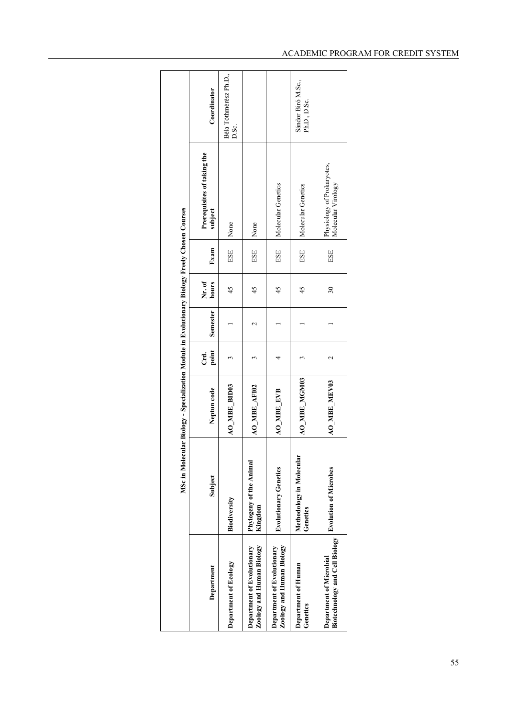|                                                           |                                      | MSc in Molecular Biology - Specialization Module in Evolutionary Biology Freely Chosen Courses |                 |                 |                          |      |                                                  |                                    |
|-----------------------------------------------------------|--------------------------------------|------------------------------------------------------------------------------------------------|-----------------|-----------------|--------------------------|------|--------------------------------------------------|------------------------------------|
| Department                                                | Subject                              | Neptun code                                                                                    | point<br>Crd.   | Semester        | Nr. of<br>hours          | Exam | Prerequisites of taking the<br>subject           | Coordinator                        |
| Department of Ecology                                     | Biodiversity                         | <b>AO_MBE_BID03</b>                                                                            |                 |                 | 45                       | ESE  | None                                             | Béla Tóthmérész Ph.D.,<br>D.Sc.    |
| Zoology and Human Biology<br>Department of Evolutionary   | Phylogeny of the Animal<br>Kingdom   | AO_MBE_AFI02                                                                                   |                 | $\mathbf{\sim}$ | 45                       | ESE  | None                                             |                                    |
| Zoology and Human Biology<br>Department of Evolutionary   | <b>Evolutionary Genetics</b>         | <b>AO_MBE_EVB</b>                                                                              |                 |                 | 45                       | ESE  | Molecular Genetics                               |                                    |
| Department of Human<br>Genetics                           | Methodology in Molecular<br>Genetics | AO_MBE_MGM03                                                                                   |                 |                 | 45                       | ESE  | Molecular Genetics                               | Sándor Biró M.Sc.,<br>Ph.D., D.Sc. |
| Biotechnology and Cell Biology<br>Department of Microbial | <b>Evolution of Microbes</b>         | AO_MBE_MEV03                                                                                   | $\mathbf{\sim}$ |                 | $\overline{\mathbf{30}}$ | ESE  | Physiology of Prokaryotes,<br>Molecular Virology |                                    |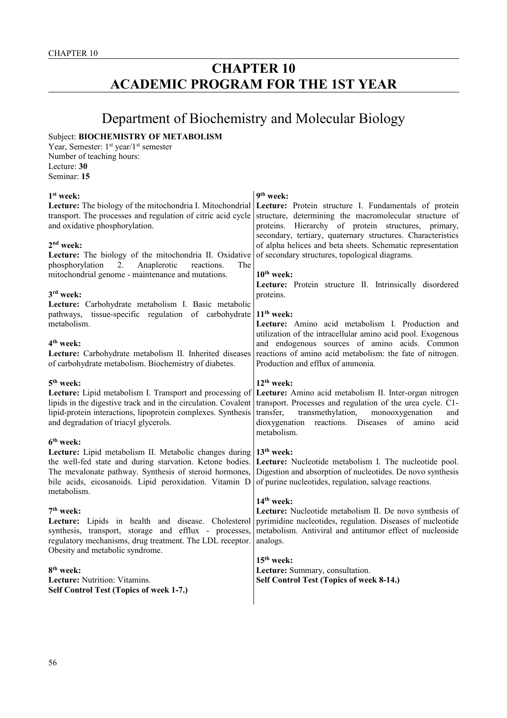# **CHAPTER 10 ACADEMIC PROGRAM FOR THE 1ST YEAR**

# Department of Biochemistry and Molecular Biology

# Subject: **BIOCHEMISTRY OF METABOLISM**

Year, Semester: 1<sup>st</sup> year/1<sup>st</sup> semester Number of teaching hours: Lecture: **30** Seminar: **15**

| 1 <sup>st</sup> week:                                                                                                                                                                                                                                                                 | 9 <sup>th</sup> week:                                                                                                                                                                                                                                                           |
|---------------------------------------------------------------------------------------------------------------------------------------------------------------------------------------------------------------------------------------------------------------------------------------|---------------------------------------------------------------------------------------------------------------------------------------------------------------------------------------------------------------------------------------------------------------------------------|
| Lecture: The biology of the mitochondria I. Mitochondrial<br>transport. The processes and regulation of citric acid cycle<br>and oxidative phosphorylation.                                                                                                                           | Lecture: Protein structure I. Fundamentals of protein<br>structure, determining the macromolecular structure of<br>Hierarchy of protein structures, primary,<br>proteins.                                                                                                       |
| 2 <sup>nd</sup> week:<br>Lecture: The biology of the mitochondria II. Oxidative                                                                                                                                                                                                       | secondary, tertiary, quaternary structures. Characteristics<br>of alpha helices and beta sheets. Schematic representation<br>of secondary structures, topological diagrams.                                                                                                     |
| Anaplerotic<br>phosphorylation<br>2.<br>reactions.<br>The<br>mitochondrial genome - maintenance and mutations.                                                                                                                                                                        | $10th$ week:<br>Lecture: Protein structure II. Intrinsically disordered                                                                                                                                                                                                         |
| 3rd week:<br>Lecture: Carbohydrate metabolism I. Basic metabolic                                                                                                                                                                                                                      | proteins.                                                                                                                                                                                                                                                                       |
| pathways, tissue-specific regulation of carbohydrate<br>metabolism.                                                                                                                                                                                                                   | $11th$ week:<br>Lecture: Amino acid metabolism I. Production and<br>utilization of the intracellular amino acid pool. Exogenous                                                                                                                                                 |
| 4 <sup>th</sup> week:<br>Lecture: Carbohydrate metabolism II. Inherited diseases<br>of carbohydrate metabolism. Biochemistry of diabetes.                                                                                                                                             | and endogenous sources of amino acids. Common<br>reactions of amino acid metabolism: the fate of nitrogen.<br>Production and efflux of ammonia.                                                                                                                                 |
| 5 <sup>th</sup> week:<br>Lecture: Lipid metabolism I. Transport and processing of<br>lipids in the digestive track and in the circulation. Covalent<br>lipid-protein interactions, lipoprotein complexes. Synthesis<br>and degradation of triacyl glycerols.<br>6 <sup>th</sup> week: | $12th$ week:<br>Lecture: Amino acid metabolism II. Inter-organ nitrogen<br>transport. Processes and regulation of the urea cycle. C1-<br>transfer,<br>transmethylation,<br>monooxygenation<br>and<br>dioxygenation<br>reactions. Diseases<br>of<br>amino<br>acid<br>metabolism. |
| Lecture: Lipid metabolism II. Metabolic changes during<br>the well-fed state and during starvation. Ketone bodies.<br>The mevalonate pathway. Synthesis of steroid hormones,<br>bile acids, eicosanoids. Lipid peroxidation. Vitamin D<br>metabolism.                                 | 13 <sup>th</sup> week:<br>Lecture: Nucleotide metabolism I. The nucleotide pool.<br>Digestion and absorption of nucleotides. De novo synthesis<br>of purine nucleotides, regulation, salvage reactions.                                                                         |
| 7 <sup>th</sup> week:<br>Lecture: Lipids in health and disease. Cholesterol<br>synthesis, transport, storage and efflux - processes,<br>regulatory mechanisms, drug treatment. The LDL receptor.<br>Obesity and metabolic syndrome.                                                   | 14 <sup>th</sup> week:<br>Lecture: Nucleotide metabolism II. De novo synthesis of<br>pyrimidine nucleotides, regulation. Diseases of nucleotide<br>metabolism. Antiviral and antitumor effect of nucleoside<br>analogs.                                                         |
| 8 <sup>th</sup> week:<br>Lecture: Nutrition: Vitamins.<br>Self Control Test (Topics of week 1-7.)                                                                                                                                                                                     | $15th$ week:<br>Lecture: Summary, consultation.<br>Self Control Test (Topics of week 8-14.)                                                                                                                                                                                     |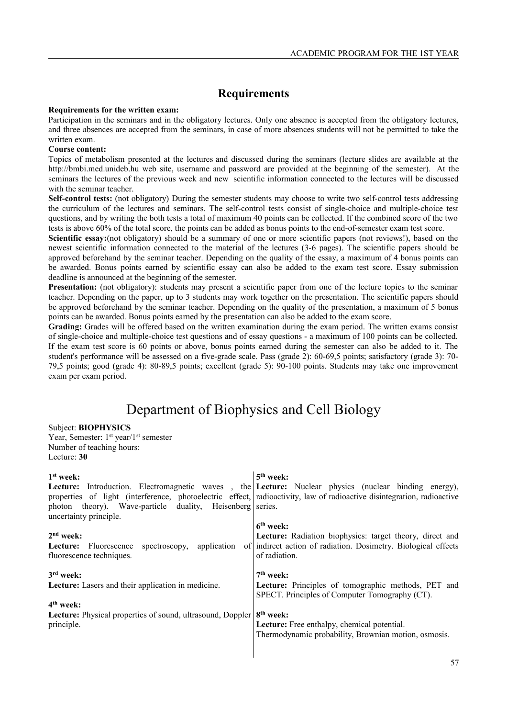## **Requirements**

#### **Requirements for the written exam:**

Participation in the seminars and in the obligatory lectures. Only one absence is accepted from the obligatory lectures, and three absences are accepted from the seminars, in case of more absences students will not be permitted to take the written exam.

#### **Course content:**

Topics of metabolism presented at the lectures and discussed during the seminars (lecture slides are available at the http://bmbi.med.unideb.hu web site, username and password are provided at the beginning of the semester). At the seminars the lectures of the previous week and new scientific information connected to the lectures will be discussed with the seminar teacher.

**Self-control tests:** (not obligatory) During the semester students may choose to write two self-control tests addressing the curriculum of the lectures and seminars. The self-control tests consist of single-choice and multiple-choice test questions, and by writing the both tests a total of maximum 40 points can be collected. If the combined score of the two tests is above 60% of the total score, the points can be added as bonus points to the end-of-semester exam test score.

**Scientific essay:**(not obligatory) should be a summary of one or more scientific papers (not reviews!), based on the newest scientific information connected to the material of the lectures (3-6 pages). The scientific papers should be approved beforehand by the seminar teacher. Depending on the quality of the essay, a maximum of 4 bonus points can be awarded. Bonus points earned by scientific essay can also be added to the exam test score. Essay submission deadline is announced at the beginning of the semester.

**Presentation:** (not obligatory): students may present a scientific paper from one of the lecture topics to the seminar teacher. Depending on the paper, up to 3 students may work together on the presentation. The scientific papers should be approved beforehand by the seminar teacher. Depending on the quality of the presentation, a maximum of 5 bonus points can be awarded. Bonus points earned by the presentation can also be added to the exam score.

**Grading:** Grades will be offered based on the written examination during the exam period. The written exams consist of single-choice and multiple-choice test questions and of essay questions - a maximum of 100 points can be collected. If the exam test score is 60 points or above, bonus points earned during the semester can also be added to it. The student's performance will be assessed on a five-grade scale. Pass (grade 2): 60-69,5 points; satisfactory (grade 3): 70- 79,5 points; good (grade 4): 80-89,5 points; excellent (grade 5): 90-100 points. Students may take one improvement exam per exam period.

## Department of Biophysics and Cell Biology

#### Subject: **BIOPHYSICS**

Year, Semester: 1<sup>st</sup> year/1<sup>st</sup> semester Number of teaching hours: Lecture: **30**

| $1st$ week:<br><b>Lecture:</b> Introduction. Electromagnetic waves, the <b>Lecture:</b> Nuclear physics (nuclear binding energy),<br>properties of light (interference, photoelectric effect, radioactivity, law of radioactive disintegration, radioactive<br>photon theory). Wave-particle duality, Heisenberg series.<br>uncertainty principle. | 5 <sup>th</sup> week:                                                                                                                                      |
|----------------------------------------------------------------------------------------------------------------------------------------------------------------------------------------------------------------------------------------------------------------------------------------------------------------------------------------------------|------------------------------------------------------------------------------------------------------------------------------------------------------------|
| $2nd$ week:<br>application<br>Fluorescence<br>spectroscopy,<br>Lecture:<br>fluorescence techniques.                                                                                                                                                                                                                                                | $6th$ week:<br>Lecture: Radiation biophysics: target theory, direct and<br>of indirect action of radiation. Dosimetry. Biological effects<br>of radiation. |
| $3rd$ week:<br>Lecture: Lasers and their application in medicine.<br>$4th$ week:                                                                                                                                                                                                                                                                   | $7th$ week:<br>Lecture: Principles of tomographic methods, PET and<br>SPECT. Principles of Computer Tomography (CT).                                       |
| Lecture: Physical properties of sound, ultrasound, Doppler<br>principle.                                                                                                                                                                                                                                                                           | 8 <sup>th</sup> week:<br>Lecture: Free enthalpy, chemical potential.<br>Thermodynamic probability, Brownian motion, osmosis.                               |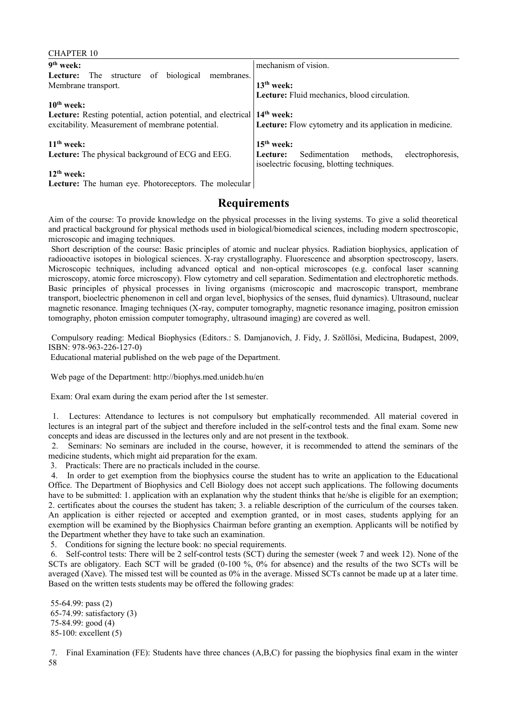#### CHAPTER 10 **9 th week:**  Lecture: The structure of biological membranes. Membrane transport. **10th week: Lecture:** Resting potential, action potential, and electrical excitability. Measurement of membrane potential. **11th week: Lecture:** The physical background of ECG and EEG. **12th week:**  mechanism of vision. **13th week: Lecture:** Fluid mechanics, blood circulation. **14th week: Lecture:** Flow cytometry and its application in medicine. **15th week: Lecture:** Sedimentation methods, electrophoresis, isoelectric focusing, blotting techniques.

**Lecture:** The human eye. Photoreceptors. The molecular

## **Requirements**

Aim of the course: To provide knowledge on the physical processes in the living systems. To give a solid theoretical and practical background for physical methods used in biological/biomedical sciences, including modern spectroscopic, microscopic and imaging techniques.

 Short description of the course: Basic principles of atomic and nuclear physics. Radiation biophysics, application of radiooactive isotopes in biological sciences. X-ray crystallography. Fluorescence and absorption spectroscopy, lasers. Microscopic techniques, including advanced optical and non-optical microscopes (e.g. confocal laser scanning microscopy, atomic force microscopy). Flow cytometry and cell separation. Sedimentation and electrophoretic methods. Basic principles of physical processes in living organisms (microscopic and macroscopic transport, membrane transport, bioelectric phenomenon in cell and organ level, biophysics of the senses, fluid dynamics). Ultrasound, nuclear magnetic resonance. Imaging techniques (X-ray, computer tomography, magnetic resonance imaging, positron emission tomography, photon emission computer tomography, ultrasound imaging) are covered as well.

 Compulsory reading: Medical Biophysics (Editors.: S. Damjanovich, J. Fidy, J. Szöllősi, Medicina, Budapest, 2009, ISBN: 978-963-226-127-0)

Educational material published on the web page of the Department.

Web page of the Department: http://biophys.med.unideb.hu/en

Exam: Oral exam during the exam period after the 1st semester.

 1. Lectures: Attendance to lectures is not compulsory but emphatically recommended. All material covered in lectures is an integral part of the subject and therefore included in the self-control tests and the final exam. Some new concepts and ideas are discussed in the lectures only and are not present in the textbook.

 2. Seminars: No seminars are included in the course, however, it is recommended to attend the seminars of the medicine students, which might aid preparation for the exam.

3. Practicals: There are no practicals included in the course.

 4. In order to get exemption from the biophysics course the student has to write an application to the Educational Office. The Department of Biophysics and Cell Biology does not accept such applications. The following documents have to be submitted: 1. application with an explanation why the student thinks that he/she is eligible for an exemption; 2. certificates about the courses the student has taken; 3. a reliable description of the curriculum of the courses taken. An application is either rejected or accepted and exemption granted, or in most cases, students applying for an exemption will be examined by the Biophysics Chairman before granting an exemption. Applicants will be notified by the Department whether they have to take such an examination.

5. Conditions for signing the lecture book: no special requirements.

 6. Self-control tests: There will be 2 self-control tests (SCT) during the semester (week 7 and week 12). None of the SCTs are obligatory. Each SCT will be graded (0-100 %, 0% for absence) and the results of the two SCTs will be averaged (Xave). The missed test will be counted as 0% in the average. Missed SCTs cannot be made up at a later time. Based on the written tests students may be offered the following grades:

 55-64.99: pass (2) 65-74.99: satisfactory (3) 75-84.99: good (4) 85-100: excellent (5)

 7. Final Examination (FE): Students have three chances (A,B,C) for passing the biophysics final exam in the winter 58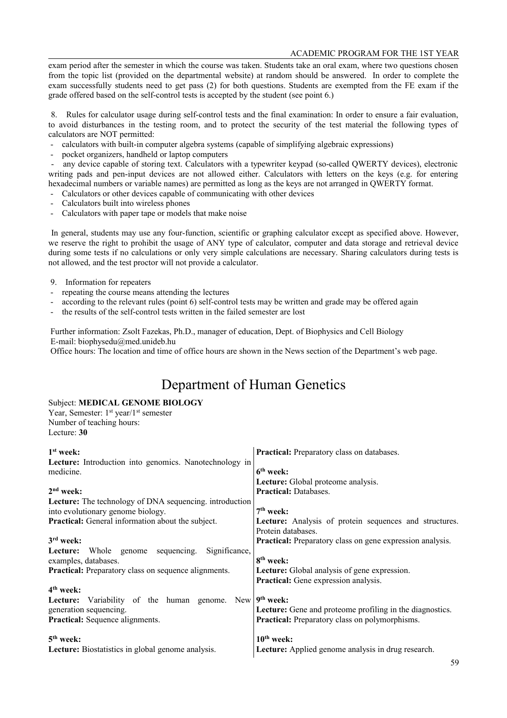exam period after the semester in which the course was taken. Students take an oral exam, where two questions chosen from the topic list (provided on the departmental website) at random should be answered. In order to complete the exam successfully students need to get pass (2) for both questions. Students are exempted from the FE exam if the grade offered based on the self-control tests is accepted by the student (see point 6.)

 8. Rules for calculator usage during self-control tests and the final examination: In order to ensure a fair evaluation, to avoid disturbances in the testing room, and to protect the security of the test material the following types of calculators are NOT permitted:

- calculators with built-in computer algebra systems (capable of simplifying algebraic expressions)
- pocket organizers, handheld or laptop computers

any device capable of storing text. Calculators with a typewriter keypad (so-called QWERTY devices), electronic writing pads and pen-input devices are not allowed either. Calculators with letters on the keys (e.g. for entering hexadecimal numbers or variable names) are permitted as long as the keys are not arranged in QWERTY format.

- Calculators or other devices capable of communicating with other devices
- Calculators built into wireless phones
- Calculators with paper tape or models that make noise

 In general, students may use any four-function, scientific or graphing calculator except as specified above. However, we reserve the right to prohibit the usage of ANY type of calculator, computer and data storage and retrieval device during some tests if no calculations or only very simple calculations are necessary. Sharing calculators during tests is not allowed, and the test proctor will not provide a calculator.

- 9. Information for repeaters
- repeating the course means attending the lectures
- according to the relevant rules (point 6) self-control tests may be written and grade may be offered again
- the results of the self-control tests written in the failed semester are lost

 Further information: Zsolt Fazekas, Ph.D., manager of education, Dept. of Biophysics and Cell Biology E-mail: biophysedu@med.unideb.hu

Office hours: The location and time of office hours are shown in the News section of the Department's web page.

# Department of Human Genetics

### Subject: **MEDICAL GENOME BIOLOGY**

Year, Semester: 1<sup>st</sup> year/1<sup>st</sup> semester Number of teaching hours: Lecture: **30**

| $1st$ week:                                                    | <b>Practical:</b> Preparatory class on databases.                |
|----------------------------------------------------------------|------------------------------------------------------------------|
| Lecture: Introduction into genomics. Nanotechnology in         |                                                                  |
| medicine.                                                      | $6th$ week:                                                      |
|                                                                | Lecture: Global proteome analysis.                               |
| $2nd$ week:                                                    | <b>Practical: Databases.</b>                                     |
| <b>Lecture:</b> The technology of DNA sequencing. introduction |                                                                  |
| into evolutionary genome biology.                              | $7th$ week:                                                      |
| <b>Practical:</b> General information about the subject.       | Lecture: Analysis of protein sequences and structures.           |
|                                                                | Protein databases.                                               |
| $3rd$ week:                                                    | <b>Practical:</b> Preparatory class on gene expression analysis. |
| Significance,<br>sequencing.<br>Lecture:<br>Whole genome       |                                                                  |
| examples, databases.                                           | 8 <sup>th</sup> week:                                            |
| <b>Practical:</b> Preparatory class on sequence alignments.    | <b>Lecture:</b> Global analysis of gene expression.              |
|                                                                | <b>Practical:</b> Gene expression analysis.                      |
| $4th$ week:                                                    |                                                                  |
| Variability of the human genome.<br>New  <br>Lecture:          | 9 <sup>th</sup> week:                                            |
| generation sequencing.                                         | <b>Lecture:</b> Gene and proteome profiling in the diagnostics.  |
| <b>Practical:</b> Sequence alignments.                         | <b>Practical:</b> Preparatory class on polymorphisms.            |
|                                                                |                                                                  |
| $5th$ week:                                                    | $10th$ week:                                                     |
| <b>Lecture:</b> Biostatistics in global genome analysis.       | <b>Lecture:</b> Applied genome analysis in drug research.        |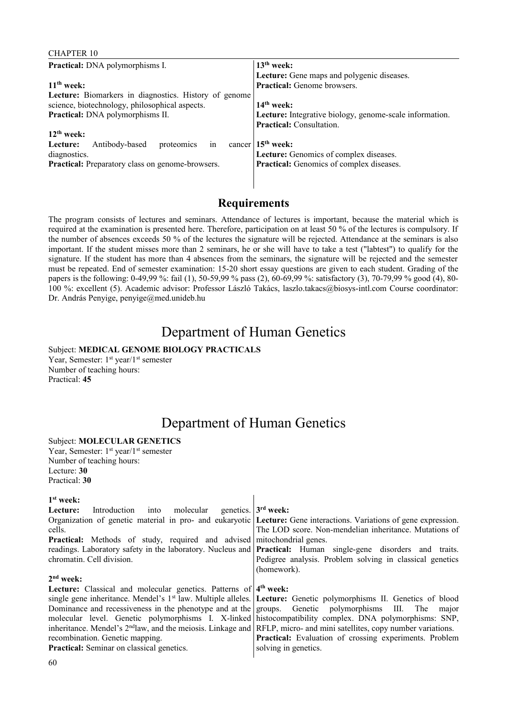### CHAPTER 10

| <b>Practical:</b> DNA polymorphisms I.                | $13th$ week:                                            |
|-------------------------------------------------------|---------------------------------------------------------|
|                                                       | Lecture: Gene maps and polygenic diseases.              |
| $11th$ week:                                          | <b>Practical:</b> Genome browsers.                      |
| Lecture: Biomarkers in diagnostics. History of genome |                                                         |
| science, biotechnology, philosophical aspects.        | $14th$ week:                                            |
| Practical: DNA polymorphisms II.                      | Lecture: Integrative biology, genome-scale information. |
|                                                       | Practical: Consultation.                                |
| $12th$ week:                                          |                                                         |
| in<br>proteomics<br>Antibody-based<br>Lecture:        | cancer $15th$ week:                                     |
| diagnostics.                                          | Lecture: Genomics of complex diseases.                  |
| Practical: Preparatory class on genome-browsers.      | <b>Practical:</b> Genomics of complex diseases.         |
|                                                       |                                                         |

## **Requirements**

The program consists of lectures and seminars. Attendance of lectures is important, because the material which is required at the examination is presented here. Therefore, participation on at least 50 % of the lectures is compulsory. If the number of absences exceeds 50 % of the lectures the signature will be rejected. Attendance at the seminars is also important. If the student misses more than 2 seminars, he or she will have to take a test ("labtest") to qualify for the signature. If the student has more than 4 absences from the seminars, the signature will be rejected and the semester must be repeated. End of semester examination: 15-20 short essay questions are given to each student. Grading of the papers is the following: 0-49,99 %: fail (1), 50-59,99 % pass (2), 60-69,99 %: satisfactory (3), 70-79,99 % good (4), 80- 100 %: excellent (5). Academic advisor: Professor László Takács, laszlo.takacs@biosys-intl.com Course coordinator: Dr. András Penyige, penyige@med.unideb.hu

## Department of Human Genetics

## Subject: **MEDICAL GENOME BIOLOGY PRACTICALS**

Year, Semester: 1<sup>st</sup> year/1<sup>st</sup> semester Number of teaching hours: Practical: **45**

# Department of Human Genetics

 $\overline{\phantom{a}}$ 

### Subject: **MOLECULAR GENETICS**

Year, Semester: 1<sup>st</sup> year/1<sup>st</sup> semester Number of teaching hours: Lecture: **30** Practical: **30**

### **1 st week:**

| Introduction into molecular genetics. $3^{rd}$ week:<br>Lecture:                                                                  |                                                                                                                               |
|-----------------------------------------------------------------------------------------------------------------------------------|-------------------------------------------------------------------------------------------------------------------------------|
|                                                                                                                                   | Organization of genetic material in pro- and eukaryotic Lecture: Gene interactions. Variations of gene expression.            |
| cells.                                                                                                                            | The LOD score. Non-mendelian inheritance. Mutations of                                                                        |
| <b>Practical:</b> Methods of study, required and advised mitochondrial genes.                                                     |                                                                                                                               |
|                                                                                                                                   | readings. Laboratory safety in the laboratory. Nucleus and <b>Practical:</b> Human single-gene disorders and traits.          |
| chromatin. Cell division.                                                                                                         | Pedigree analysis. Problem solving in classical genetics                                                                      |
|                                                                                                                                   | (homework).                                                                                                                   |
| $2nd$ week:                                                                                                                       |                                                                                                                               |
| Lecture: Classical and molecular genetics. Patterns of 4 <sup>th</sup> week:                                                      |                                                                                                                               |
|                                                                                                                                   | single gene inheritance. Mendel's 1 <sup>st</sup> law. Multiple alleles. Lecture: Genetic polymorphisms II. Genetics of blood |
|                                                                                                                                   | Dominance and recessiveness in the phenotype and at the groups. Genetic polymorphisms III. The major                          |
|                                                                                                                                   | molecular level. Genetic polymorphisms I. X-linked histocompatibility complex. DNA polymorphisms: SNP,                        |
| inheritance. Mendel's 2 <sup>nd</sup> law, and the meiosis. Linkage and RFLP, micro- and mini satellites, copy number variations. |                                                                                                                               |
| recombination. Genetic mapping.                                                                                                   | <b>Practical:</b> Evaluation of crossing experiments. Problem                                                                 |
| <b>Practical:</b> Seminar on classical genetics.                                                                                  | solving in genetics.                                                                                                          |
|                                                                                                                                   |                                                                                                                               |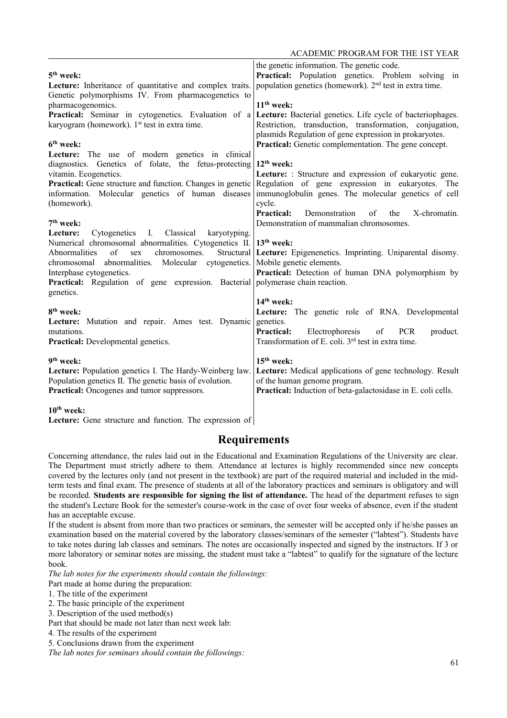|                                                                                                                | the genetic information. The genetic code.                                |
|----------------------------------------------------------------------------------------------------------------|---------------------------------------------------------------------------|
| $5th$ week:                                                                                                    | Practical: Population genetics. Problem solving in                        |
| Lecture: Inheritance of quantitative and complex traits.                                                       | population genetics (homework). 2 <sup>nd</sup> test in extra time.       |
| Genetic polymorphisms IV. From pharmacogenetics to                                                             |                                                                           |
|                                                                                                                | $11th$ week:                                                              |
| pharmacogenomics.                                                                                              |                                                                           |
| Practical: Seminar in cytogenetics. Evaluation of a                                                            | Lecture: Bacterial genetics. Life cycle of bacteriophages.                |
| karyogram (homework). $1st$ test in extra time.                                                                | Restriction, transduction, transformation, conjugation,                   |
| $6th$ week:                                                                                                    | plasmids Regulation of gene expression in prokaryotes.                    |
|                                                                                                                | Practical: Genetic complementation. The gene concept.                     |
| Lecture: The use of modern genetics in clinical                                                                | $12th$ week:                                                              |
| diagnostics. Genetics of folate, the fetus-protecting                                                          |                                                                           |
| vitamin. Ecogenetics.                                                                                          | Lecture: : Structure and expression of eukaryotic gene.                   |
| <b>Practical:</b> Gene structure and function. Changes in genetic                                              | Regulation of gene expression in eukaryotes. The                          |
| information. Molecular genetics of human diseases                                                              | immunoglobulin genes. The molecular genetics of cell                      |
| (homework).                                                                                                    | cycle.<br><b>Practical:</b><br>Demonstration<br>of<br>X-chromatin.<br>the |
| 7 <sup>th</sup> week:                                                                                          | Demonstration of mammalian chromosomes.                                   |
|                                                                                                                |                                                                           |
| Cytogenetics I. Classical<br>Lecture:<br>karyotyping.<br>Numerical chromosomal abnormalities. Cytogenetics II. | $13th$ week:                                                              |
| of<br>chromosomes.<br>Abnormalities<br>Structural<br>sex                                                       | Lecture: Epigenenetics. Imprinting. Uniparental disomy.                   |
| abnormalities. Molecular cytogenetics.<br>chromosomal                                                          | Mobile genetic elements.                                                  |
| Interphase cytogenetics.                                                                                       | Practical: Detection of human DNA polymorphism by                         |
| Practical: Regulation of gene expression. Bacterial                                                            | polymerase chain reaction.                                                |
| genetics.                                                                                                      |                                                                           |
|                                                                                                                | $14th$ week:                                                              |
| 8 <sup>th</sup> week:                                                                                          | Lecture: The genetic role of RNA. Developmental                           |
| Lecture: Mutation and repair. Ames test. Dynamic                                                               | genetics.                                                                 |
| mutations.                                                                                                     | <b>Practical:</b><br>Electrophoresis<br><b>PCR</b><br>product.<br>of      |
| Practical: Developmental genetics.                                                                             | Transformation of E. coli. 3 <sup>rd</sup> test in extra time.            |
|                                                                                                                |                                                                           |
| 9 <sup>th</sup> week:                                                                                          | $15th$ week:                                                              |
| Lecture: Population genetics I. The Hardy-Weinberg law.                                                        | Lecture: Medical applications of gene technology. Result                  |
| Population genetics II. The genetic basis of evolution.                                                        | of the human genome program.                                              |
| Practical: Oncogenes and tumor suppressors.                                                                    | <b>Practical:</b> Induction of beta-galactosidase in E. coli cells.       |
|                                                                                                                |                                                                           |
| $10th$ week:                                                                                                   |                                                                           |

**Lecture:** Gene structure and function. The expression of

## **Requirements**

Concerning attendance, the rules laid out in the Educational and Examination Regulations of the University are clear. The Department must strictly adhere to them. Attendance at lectures is highly recommended since new concepts covered by the lectures only (and not present in the textbook) are part of the required material and included in the midterm tests and final exam. The presence of students at all of the laboratory practices and seminars is obligatory and will be recorded. **Students are responsible for signing the list of attendance.** The head of the department refuses to sign the student's Lecture Book for the semester's course-work in the case of over four weeks of absence, even if the student has an acceptable excuse.

If the student is absent from more than two practices or seminars, the semester will be accepted only if he/she passes an examination based on the material covered by the laboratory classes/seminars of the semester ("labtest"). Students have to take notes during lab classes and seminars. The notes are occasionally inspected and signed by the instructors. If 3 or more laboratory or seminar notes are missing, the student must take a "labtest" to qualify for the signature of the lecture book.

*The lab notes for the experiments should contain the followings:*

Part made at home during the preparation:

1. The title of the experiment

2. The basic principle of the experiment

3. Description of the used method(s)

Part that should be made not later than next week lab:

4. The results of the experiment

5. Conclusions drawn from the experiment

*The lab notes for seminars should contain the followings:*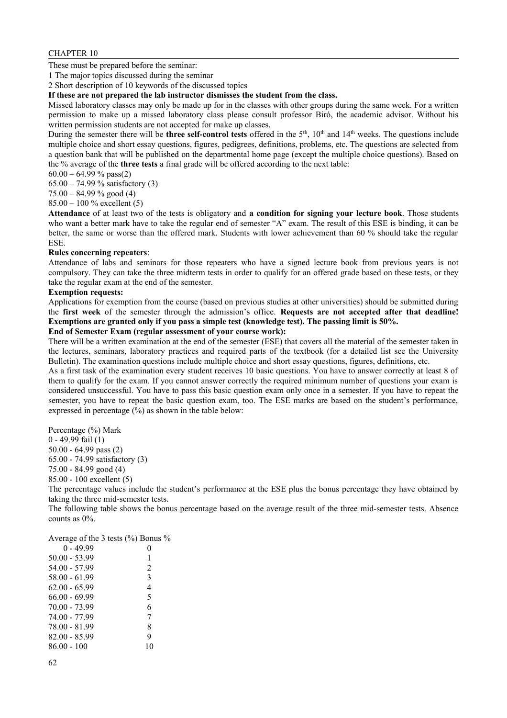### CHAPTER 10

These must be prepared before the seminar:

1 The major topics discussed during the seminar

2 Short description of 10 keywords of the discussed topics

**If these are not prepared the lab instructor dismisses the student from the class.**

Missed laboratory classes may only be made up for in the classes with other groups during the same week. For a written permission to make up a missed laboratory class please consult professor Biró, the academic advisor. Without his written permission students are not accepted for make up classes.

During the semester there will be **three** self-control tests offered in the 5<sup>th</sup>, 10<sup>th</sup> and 14<sup>th</sup> weeks. The questions include multiple choice and short essay questions, figures, pedigrees, definitions, problems, etc. The questions are selected from a question bank that will be published on the departmental home page (except the multiple choice questions). Based on the % average of the **three tests** a final grade will be offered according to the next table:

 $60.00 - 64.99 \%$  pass(2)

65.00 – 74.99 % satisfactory (3)

 $75.00 - 84.99 \%$  good (4)

85.00 – 100 % excellent (5)

**Attendance** of at least two of the tests is obligatory and **a condition for signing your lecture book**. Those students who want a better mark have to take the regular end of semester "A" exam. The result of this ESE is binding, it can be better, the same or worse than the offered mark. Students with lower achievement than 60 % should take the regular ESE.

#### **Rules concerning repeaters**:

Attendance of labs and seminars for those repeaters who have a signed lecture book from previous years is not compulsory. They can take the three midterm tests in order to qualify for an offered grade based on these tests, or they take the regular exam at the end of the semester.

#### **Exemption requests:**

Applications for exemption from the course (based on previous studies at other universities) should be submitted during the **first week** of the semester through the admission's office. **Requests are not accepted after that deadline! Exemptions are granted only if you pass a simple test (knowledge test). The passing limit is 50%.**

### **End of Semester Exam (regular assessment of your course work):**

There will be a written examination at the end of the semester (ESE) that covers all the material of the semester taken in the lectures, seminars, laboratory practices and required parts of the textbook (for a detailed list see the University Bulletin). The examination questions include multiple choice and short essay questions, figures, definitions, etc.

As a first task of the examination every student receives 10 basic questions. You have to answer correctly at least 8 of them to qualify for the exam. If you cannot answer correctly the required minimum number of questions your exam is considered unsuccessful. You have to pass this basic question exam only once in a semester. If you have to repeat the semester, you have to repeat the basic question exam, too. The ESE marks are based on the student's performance, expressed in percentage (%) as shown in the table below:

Percentage (%) Mark

0 - 49.99 fail (1)

50.00 - 64.99 pass (2)

65.00 - 74.99 satisfactory (3)

75.00 - 84.99 good (4)

85.00 - 100 excellent (5)

The percentage values include the student's performance at the ESE plus the bonus percentage they have obtained by taking the three mid-semester tests.

The following table shows the bonus percentage based on the average result of the three mid-semester tests. Absence counts as 0%.

| Average of the 3 tests $\frac{6}{6}$ Bonus $\frac{6}{6}$ |    |
|----------------------------------------------------------|----|
| $0 - 4999$                                               |    |
| 50.00 - 53.99                                            | 1  |
| 54.00 - 57.99                                            | 2  |
| 58.00 - 61.99                                            | 3  |
| 62 00 - 65 99                                            | 4  |
| 66 00 - 69 99                                            | 5  |
| 70.00 - 73.99                                            | 6  |
| 74 00 - 77 99                                            | 7  |
| 78.00 - 81.99                                            | 8  |
| 82.00 - 85.99                                            | 9  |
| 86 00 - 100                                              | 10 |
|                                                          |    |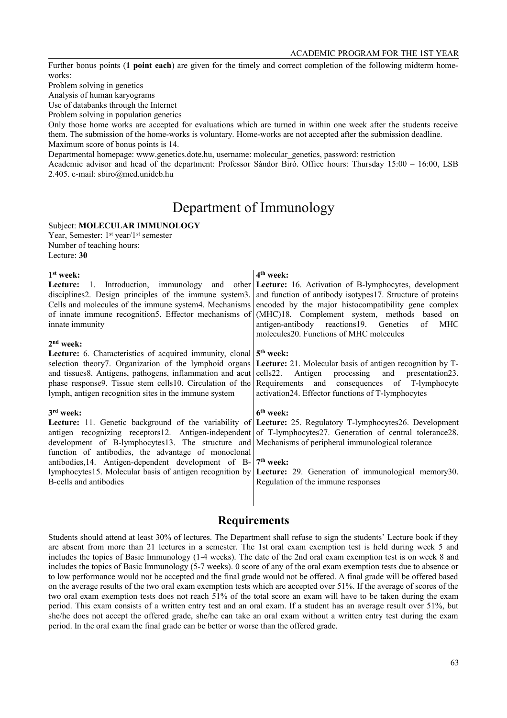Further bonus points (**1 point each**) are given for the timely and correct completion of the following midterm homeworks:

Problem solving in genetics

Analysis of human karyograms

Use of databanks through the Internet

Problem solving in population genetics

Only those home works are accepted for evaluations which are turned in within one week after the students receive them. The submission of the home-works is voluntary. Home-works are not accepted after the submission deadline. Maximum score of bonus points is 14.

Departmental homepage: www.genetics.dote.hu, username: molecular\_genetics, password: restriction

Academic advisor and head of the department: Professor Sándor Biró. Office hours: Thursday 15:00 – 16:00, LSB 2.405. e-mail: sbiro@med.unideb.hu

## Department of Immunology

Subject: **MOLECULAR IMMUNOLOGY** Year, Semester: 1<sup>st</sup> year/1<sup>st</sup> semester Number of teaching hours:

Lecture: **30**

#### **1 st week:**

Lecture: 1. Introduction, immunology and other disciplines2. Design principles of the immune system3. Cells and molecules of the immune system4. Mechanisms of innate immune recognition5. Effector mechanisms of innate immunity

#### **2 nd week:**

**Lecture:** 6. Characteristics of acquired immunity, clonal selection theory7. Organization of the lymphoid organs and tissues8. Antigens, pathogens, inflammation and acut phase response9. Tissue stem cells10. Circulation of the lymph, antigen recognition sites in the immune system

#### **3 rd week:**

Lecture: 11. Genetic background of the variability of antigen recognizing receptors12. Antigen-independent development of B-lymphocytes13. The structure and function of antibodies, the advantage of monoclonal antibodies,14. Antigen-dependent development of Blymphocytes15. Molecular basis of antigen recognition by B-cells and antibodies

#### **4 th week:**

Lecture: 16. Activation of B-lymphocytes, development and function of antibody isotypes17. Structure of proteins encoded by the major histocompatibility gene complex (MHC)18. Complement system, methods based on antigen-antibody reactions19. Genetics of MHC molecules20. Functions of MHC molecules

#### **5 th week:**

**Lecture:** 21. Molecular basis of antigen recognition by Tcells22. Antigen processing and presentation23. Requirements and consequences of T-lymphocyte activation24. Effector functions of T-lymphocytes

#### **6 th week:**

**Lecture:** 25. Regulatory T-lymphocytes26. Development of T-lymphocytes27. Generation of central tolerance28. Mechanisms of peripheral immunological tolerance

#### **7 th week:**

Lecture: 29. Generation of immunological memory30. Regulation of the immune responses

### **Requirements**

Students should attend at least 30% of lectures. The Department shall refuse to sign the students' Lecture book if they are absent from more than 21 lectures in a semester. The 1st oral exam exemption test is held during week 5 and includes the topics of Basic Immunology (1-4 weeks). The date of the 2nd oral exam exemption test is on week 8 and includes the topics of Basic Immunology (5-7 weeks). 0 score of any of the oral exam exemption tests due to absence or to low performance would not be accepted and the final grade would not be offered. A final grade will be offered based on the average results of the two oral exam exemption tests which are accepted over 51%. If the average of scores of the two oral exam exemption tests does not reach 51% of the total score an exam will have to be taken during the exam period. This exam consists of a written entry test and an oral exam. If a student has an average result over 51%, but she/he does not accept the offered grade, she/he can take an oral exam without a written entry test during the exam period. In the oral exam the final grade can be better or worse than the offered grade.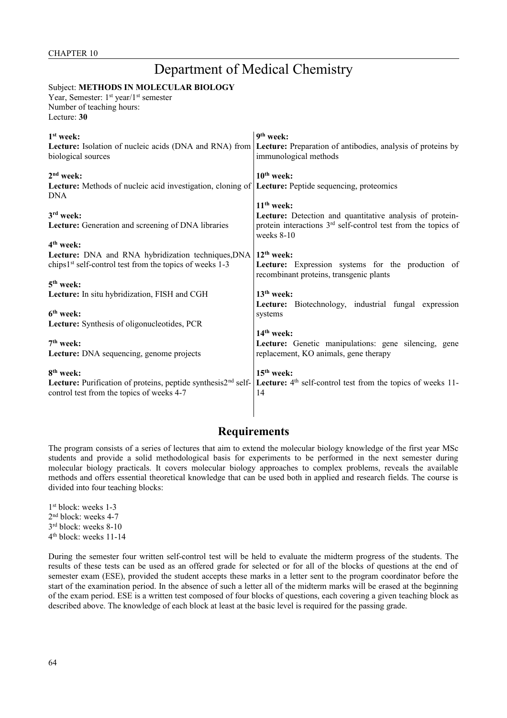# Department of Medical Chemistry

## Subject: **METHODS IN MOLECULAR BIOLOGY**

Year, Semester: 1<sup>st</sup> year/1<sup>st</sup> semester Number of teaching hours: Lecture: **30**

| $1st$ week:                                                                             | 9 <sup>th</sup> week:                                                                                                                                                 |
|-----------------------------------------------------------------------------------------|-----------------------------------------------------------------------------------------------------------------------------------------------------------------------|
| Lecture: Isolation of nucleic acids (DNA and RNA) from                                  | <b>Lecture:</b> Preparation of antibodies, analysis of proteins by                                                                                                    |
| biological sources                                                                      | immunological methods                                                                                                                                                 |
| $2nd$ week:<br>Lecture: Methods of nucleic acid investigation, cloning of<br><b>DNA</b> | $10th$ week:<br>Lecture: Peptide sequencing, proteomics                                                                                                               |
| $3rd$ week:<br>Lecture: Generation and screening of DNA libraries                       | $11th$ week:<br>Lecture: Detection and quantitative analysis of protein-<br>protein interactions 3 <sup>rd</sup> self-control test from the topics of<br>weeks $8-10$ |
| 4 <sup>th</sup> week:                                                                   | $12th$ week:                                                                                                                                                          |
| Lecture: DNA and RNA hybridization techniques, DNA                                      | Lecture: Expression systems for the production of                                                                                                                     |
| chips1 <sup>st</sup> self-control test from the topics of weeks 1-3                     | recombinant proteins, transgenic plants                                                                                                                               |
| $5th$ week:                                                                             | 13 <sup>th</sup> week:                                                                                                                                                |
| Lecture: In situ hybridization, FISH and CGH                                            | Lecture: Biotechnology, industrial fungal expression                                                                                                                  |
| $6th$ week:                                                                             | systems                                                                                                                                                               |
| Lecture: Synthesis of oligonucleotides, PCR                                             | $14th$ week:                                                                                                                                                          |
| $7th$ week:                                                                             | Lecture: Genetic manipulations: gene silencing, gene                                                                                                                  |
| Lecture: DNA sequencing, genome projects                                                | replacement, KO animals, gene therapy                                                                                                                                 |
| 8 <sup>th</sup> week:                                                                   | $15th$ week:                                                                                                                                                          |
| Lecture: Purification of proteins, peptide synthesis2 <sup>nd</sup> self-               | Lecture: 4 <sup>th</sup> self-control test from the topics of weeks 11-                                                                                               |
| control test from the topics of weeks 4-7                                               | 14                                                                                                                                                                    |

## **Requirements**

The program consists of a series of lectures that aim to extend the molecular biology knowledge of the first year MSc students and provide a solid methodological basis for experiments to be performed in the next semester during molecular biology practicals. It covers molecular biology approaches to complex problems, reveals the available methods and offers essential theoretical knowledge that can be used both in applied and research fields. The course is divided into four teaching blocks:

 st block: weeks 1-3 nd block: weeks 4-7 rd block: weeks 8-10 th block: weeks 11-14

During the semester four written self-control test will be held to evaluate the midterm progress of the students. The results of these tests can be used as an offered grade for selected or for all of the blocks of questions at the end of semester exam (ESE), provided the student accepts these marks in a letter sent to the program coordinator before the start of the examination period. In the absence of such a letter all of the midterm marks will be erased at the beginning of the exam period. ESE is a written test composed of four blocks of questions, each covering a given teaching block as described above. The knowledge of each block at least at the basic level is required for the passing grade.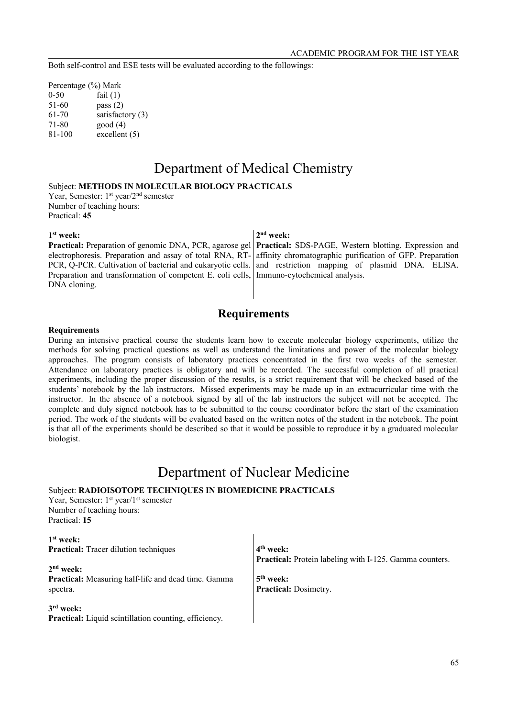Both self-control and ESE tests will be evaluated according to the followings:

Percentage (%) Mark 0-50 fail (1) 51-60 pass (2) 61-70 satisfactory (3) 71-80 good (4) 81-100 excellent (5)

# Department of Medical Chemistry

## Subject: **METHODS IN MOLECULAR BIOLOGY PRACTICALS**

Year, Semester: 1<sup>st</sup> year/2<sup>nd</sup> semester Number of teaching hours: Practical: **45**

**1 st week:** 

electrophoresis. Preparation and assay of total RNA, RT-PCR, Q-PCR. Cultivation of bacterial and eukaryotic cells. Preparation and transformation of competent E. coli cells, Immuno-cytochemical analysis. DNA cloning.

### **2 nd week:**

**Practical:** Preparation of genomic DNA, PCR, agarose gel **Practical:** SDS-PAGE, Western blotting. Expression and affinity chromatographic purification of GFP. Preparation and restriction mapping of plasmid DNA. ELISA.

## **Requirements**

#### **Requirements**

During an intensive practical course the students learn how to execute molecular biology experiments, utilize the methods for solving practical questions as well as understand the limitations and power of the molecular biology approaches. The program consists of laboratory practices concentrated in the first two weeks of the semester. Attendance on laboratory practices is obligatory and will be recorded. The successful completion of all practical experiments, including the proper discussion of the results, is a strict requirement that will be checked based of the students' notebook by the lab instructors. Missed experiments may be made up in an extracurricular time with the instructor. In the absence of a notebook signed by all of the lab instructors the subject will not be accepted. The complete and duly signed notebook has to be submitted to the course coordinator before the start of the examination period. The work of the students will be evaluated based on the written notes of the student in the notebook. The point is that all of the experiments should be described so that it would be possible to reproduce it by a graduated molecular biologist.

## Department of Nuclear Medicine

### Subject: **RADIOISOTOPE TECHNIQUES IN BIOMEDICINE PRACTICALS**

Year, Semester: 1<sup>st</sup> year/1<sup>st</sup> semester Number of teaching hours: Practical: **15**

**1 st week: Practical:** Tracer dilution techniques

**2 nd week: Practical:** Measuring half-life and dead time. Gamma spectra.

**3 rd week:**  Practical: Liquid scintillation counting, efficiency.

**4 th week: Practical:** Protein labeling with I-125. Gamma counters.

**5 th week: Practical:** Dosimetry.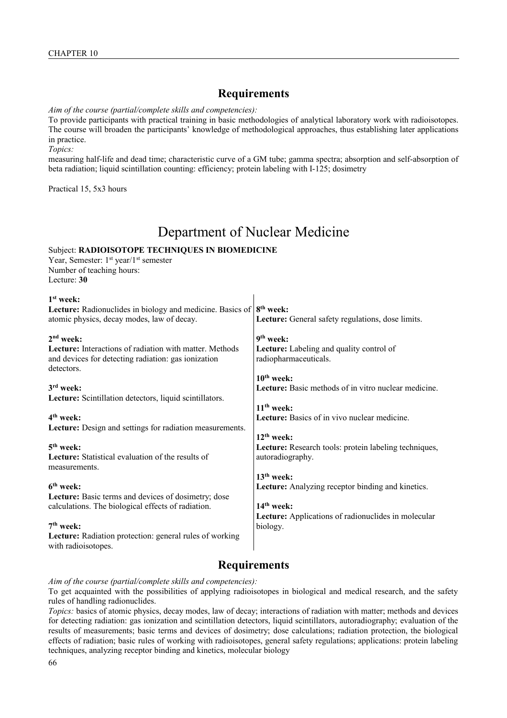## **Requirements**

#### *Aim of the course (partial/complete skills and competencies):*

To provide participants with practical training in basic methodologies of analytical laboratory work with radioisotopes. The course will broaden the participants' knowledge of methodological approaches, thus establishing later applications in practice.

*Topics:*

measuring half-life and dead time; characteristic curve of a GM tube; gamma spectra; absorption and self-absorption of beta radiation; liquid scintillation counting: efficiency; protein labeling with I-125; dosimetry

Practical 15, 5x3 hours

# Department of Nuclear Medicine

 $\overline{1}$ 

## Subject: **RADIOISOTOPE TECHNIQUES IN BIOMEDICINE**

Year, Semester: 1<sup>st</sup> year/1<sup>st</sup> semester Number of teaching hours: Lecture: **30**

| $1st$ week:                                                                                                                         |                                                                   |
|-------------------------------------------------------------------------------------------------------------------------------------|-------------------------------------------------------------------|
| <b>Lecture:</b> Radionuclides in biology and medicine. Basics of $8th$ week:                                                        |                                                                   |
| atomic physics, decay modes, law of decay.                                                                                          | Lecture: General safety regulations, dose limits.                 |
| 2 <sup>nd</sup> week:                                                                                                               | 9 <sup>th</sup> week:                                             |
| <b>Lecture:</b> Interactions of radiation with matter. Methods<br>and devices for detecting radiation: gas ionization<br>detectors. | Lecture: Labeling and quality control of<br>radiopharmaceuticals. |
|                                                                                                                                     | $10th$ week:                                                      |
| $3rd$ week:                                                                                                                         | <b>Lecture:</b> Basic methods of in vitro nuclear medicine.       |
| Lecture: Scintillation detectors, liquid scintillators.                                                                             |                                                                   |
|                                                                                                                                     | $11th$ week:                                                      |
| $4th$ week:                                                                                                                         | Lecture: Basics of in vivo nuclear medicine.                      |
| Lecture: Design and settings for radiation measurements.                                                                            |                                                                   |
|                                                                                                                                     | $12th$ week:                                                      |
| 5 <sup>th</sup> week:                                                                                                               | Lecture: Research tools: protein labeling techniques,             |
| Lecture: Statistical evaluation of the results of                                                                                   | autoradiography.                                                  |
| measurements.                                                                                                                       |                                                                   |
|                                                                                                                                     | $13th$ week:                                                      |
| 6 <sup>th</sup> week:                                                                                                               | Lecture: Analyzing receptor binding and kinetics.                 |
| <b>Lecture:</b> Basic terms and devices of dosimetry; dose                                                                          |                                                                   |
| calculations. The biological effects of radiation.                                                                                  | $14th$ week:                                                      |
|                                                                                                                                     | Lecture: Applications of radionuclides in molecular               |
| $7th$ week:                                                                                                                         | biology.                                                          |
| Lecture: Radiation protection: general rules of working<br>with radioisotopes.                                                      |                                                                   |
|                                                                                                                                     |                                                                   |

## **Requirements**

*Aim of the course (partial/complete skills and competencies):*

To get acquainted with the possibilities of applying radioisotopes in biological and medical research, and the safety rules of handling radionuclides.

*Topics:* basics of atomic physics, decay modes, law of decay; interactions of radiation with matter; methods and devices for detecting radiation: gas ionization and scintillation detectors, liquid scintillators, autoradiography; evaluation of the results of measurements; basic terms and devices of dosimetry; dose calculations; radiation protection, the biological effects of radiation; basic rules of working with radioisotopes, general safety regulations; applications: protein labeling techniques, analyzing receptor binding and kinetics, molecular biology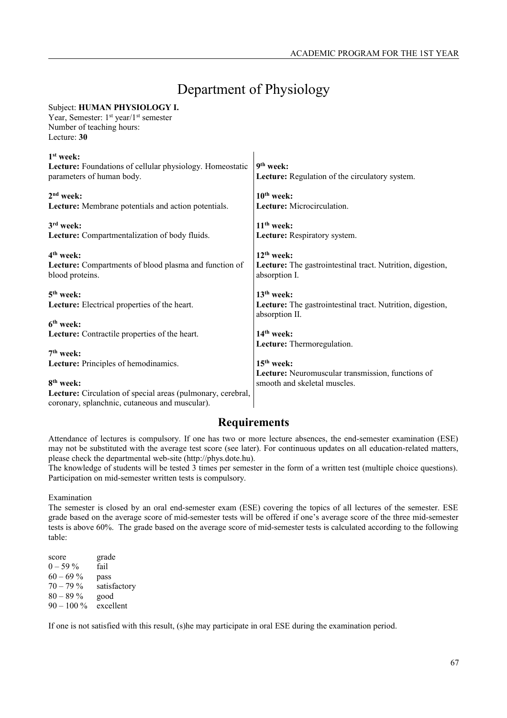# Department of Physiology

| 9 <sup>th</sup> week:<br>Lecture: Regulation of the circulatory system.                      |
|----------------------------------------------------------------------------------------------|
| $10th$ week:<br>Lecture: Microcirculation.                                                   |
| $11th$ week:<br>Lecture: Respiratory system.                                                 |
| $12th$ week:<br>Lecture: The gastrointestinal tract. Nutrition, digestion,<br>absorption I.  |
| $13th$ week:<br>Lecture: The gastrointestinal tract. Nutrition, digestion,<br>absorption II. |
| $14th$ week:<br>Lecture: Thermoregulation.                                                   |
| $15th$ week:<br>Lecture: Neuromuscular transmission, functions of                            |
| smooth and skeletal muscles.                                                                 |
|                                                                                              |

## **Requirements**

Attendance of lectures is compulsory. If one has two or more lecture absences, the end-semester examination (ESE) may not be substituted with the average test score (see later). For continuous updates on all education-related matters, please check the departmental web-site (http://phys.dote.hu).

The knowledge of students will be tested 3 times per semester in the form of a written test (multiple choice questions). Participation on mid-semester written tests is compulsory.

Examination

The semester is closed by an oral end-semester exam (ESE) covering the topics of all lectures of the semester. ESE grade based on the average score of mid-semester tests will be offered if one's average score of the three mid-semester tests is above 60%. The grade based on the average score of mid-semester tests is calculated according to the following table:

score grade  $0 - 59\%$  fail  $60 - 69\%$  pass  $70 - 79\%$  satisfactory 80 – 89 % good  $90 - 100\%$  excellent

Subject: **HUMAN PHYSIOLOGY I.** 

If one is not satisfied with this result, (s)he may participate in oral ESE during the examination period.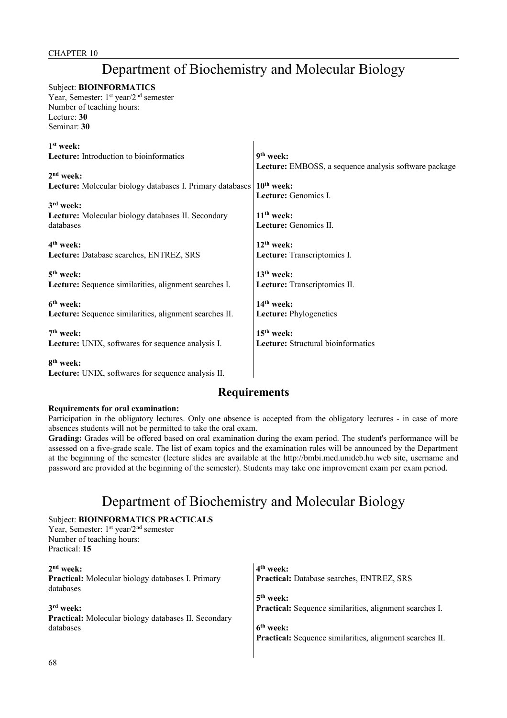# Department of Biochemistry and Molecular Biology

## Subject: **BIOINFORMATICS**

Year, Semester: 1<sup>st</sup> year/2<sup>nd</sup> semester Number of teaching hours: Lecture: **30** Seminar: **30**

| $1st$ week:                                                       |                                                       |
|-------------------------------------------------------------------|-------------------------------------------------------|
| Lecture: Introduction to bioinformatics                           | $9th$ week:                                           |
|                                                                   | Lecture: EMBOSS, a sequence analysis software package |
| $2nd$ week:                                                       |                                                       |
| Lecture: Molecular biology databases I. Primary databases         | $10th$ week:                                          |
|                                                                   | Lecture: Genomics I.                                  |
| $3rd$ week:<br>Lecture: Molecular biology databases II. Secondary | $11th$ week:                                          |
| databases                                                         | <b>Lecture:</b> Genomics II.                          |
|                                                                   |                                                       |
| 4 <sup>th</sup> week:                                             | $12th$ week:                                          |
| Lecture: Database searches, ENTREZ, SRS                           | Lecture: Transcriptomics I.                           |
|                                                                   |                                                       |
| $5th$ week:                                                       | $13th$ week:                                          |
| Lecture: Sequence similarities, alignment searches I.             | Lecture: Transcriptomics II.                          |
| 6 <sup>th</sup> week:                                             | $14th$ week:                                          |
| Lecture: Sequence similarities, alignment searches II.            | <b>Lecture:</b> Phylogenetics                         |
|                                                                   |                                                       |
| $7th$ week:                                                       | $15th$ week:                                          |
| Lecture: UNIX, softwares for sequence analysis I.                 | Lecture: Structural bioinformatics                    |
| 8 <sup>th</sup> week:                                             |                                                       |
| <b>Lecture:</b> UNIX, softwares for sequence analysis II.         |                                                       |

## **Requirements**

### **Requirements for oral examination:**

Participation in the obligatory lectures. Only one absence is accepted from the obligatory lectures - in case of more absences students will not be permitted to take the oral exam.

**Grading:** Grades will be offered based on oral examination during the exam period. The student's performance will be assessed on a five-grade scale. The list of exam topics and the examination rules will be announced by the Department at the beginning of the semester (lecture slides are available at the http://bmbi.med.unideb.hu web site, username and password are provided at the beginning of the semester). Students may take one improvement exam per exam period.

# Department of Biochemistry and Molecular Biology

## Subject: **BIOINFORMATICS PRACTICALS**

Year, Semester: 1<sup>st</sup> year/2<sup>nd</sup> semester Number of teaching hours: Practical: **15**

**2 nd week: Practical:** Molecular biology databases I. Primary databases **3 rd week: Practical:** Molecular biology databases II. Secondary databases **4 th week: Practical:** Database searches, ENTREZ, SRS **5 th week: Practical:** Sequence similarities, alignment searches I. **6 th week: Practical:** Sequence similarities, alignment searches II.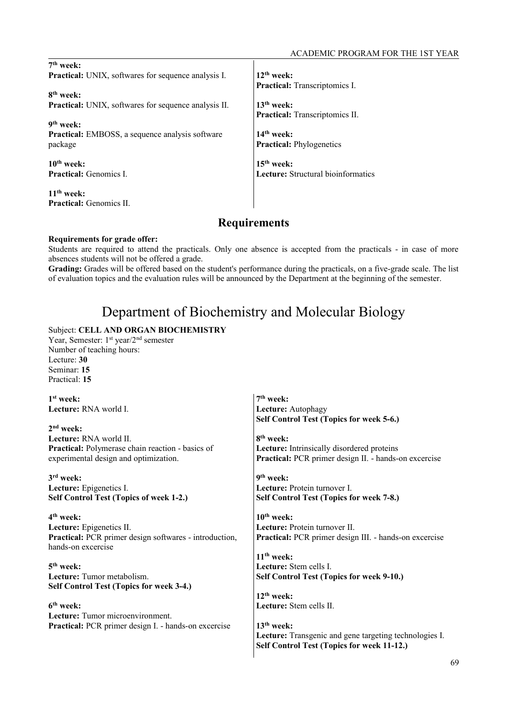| $7th$ week:                                                 |                                    |
|-------------------------------------------------------------|------------------------------------|
| <b>Practical:</b> UNIX, softwares for sequence analysis I.  | $12th$ week:                       |
|                                                             | Practical: Transcriptomics I.      |
| 8 <sup>th</sup> week:                                       |                                    |
| <b>Practical:</b> UNIX, softwares for sequence analysis II. | $13th$ week:                       |
|                                                             | Practical: Transcriptomics II.     |
| 9 <sup>th</sup> week:                                       |                                    |
| <b>Practical:</b> EMBOSS, a sequence analysis software      | $14th$ week:                       |
| package                                                     | <b>Practical:</b> Phylogenetics    |
| $10th$ week:                                                | $15th$ week:                       |
| <b>Practical:</b> Genomics L                                | Lecture: Structural bioinformatics |
| $11th$ week:                                                |                                    |
| <b>Practical:</b> Genomics II.                              |                                    |

## **Requirements**

### **Requirements for grade offer:**

Students are required to attend the practicals. Only one absence is accepted from the practicals - in case of more absences students will not be offered a grade.

**Grading:** Grades will be offered based on the student's performance during the practicals, on a five-grade scale. The list of evaluation topics and the evaluation rules will be announced by the Department at the beginning of the semester.

# Department of Biochemistry and Molecular Biology

## Subject: **CELL AND ORGAN BIOCHEMISTRY**

Year, Semester: 1<sup>st</sup> year/2<sup>nd</sup> semester Number of teaching hours: Lecture: **30** Seminar: **15** Practical: **15**

| $1st$ week:                                                 | $7th$ week:                                            |
|-------------------------------------------------------------|--------------------------------------------------------|
| <b>Lecture:</b> RNA world I.                                | Lecture: Autophagy                                     |
|                                                             | Self Control Test (Topics for week 5-6.)               |
| $2nd$ week:                                                 |                                                        |
| Lecture: RNA world II.                                      | 8 <sup>th</sup> week:                                  |
| Practical: Polymerase chain reaction - basics of            | Lecture: Intrinsically disordered proteins             |
| experimental design and optimization.                       | Practical: PCR primer design II. - hands-on excercise  |
| 3rd week:                                                   | 9 <sup>th</sup> week:                                  |
| Lecture: Epigenetics I.                                     | Lecture: Protein turnover I.                           |
| Self Control Test (Topics of week 1-2.)                     | Self Control Test (Topics for week 7-8.)               |
| $4th$ week:                                                 | $10th$ week:                                           |
| Lecture: Epigenetics II.                                    | Lecture: Protein turnover II.                          |
| Practical: PCR primer design softwares - introduction,      | Practical: PCR primer design III. - hands-on excercise |
| hands-on excercise                                          |                                                        |
|                                                             | $11th$ week:                                           |
| $5th$ week:                                                 | Lecture: Stem cells I.                                 |
| <b>Lecture:</b> Tumor metabolism.                           | Self Control Test (Topics for week 9-10.)              |
| Self Control Test (Topics for week 3-4.)                    |                                                        |
|                                                             | $12th$ week:                                           |
| 6 <sup>th</sup> week:                                       | Lecture: Stem cells II.                                |
| <b>Lecture:</b> Tumor microenvironment.                     |                                                        |
| <b>Practical:</b> PCR primer design I. - hands-on excercise | $13th$ week:                                           |
|                                                             | Lecture: Transgenic and gene targeting technologies I. |
|                                                             | Self Control Test (Topics for week 11-12.)             |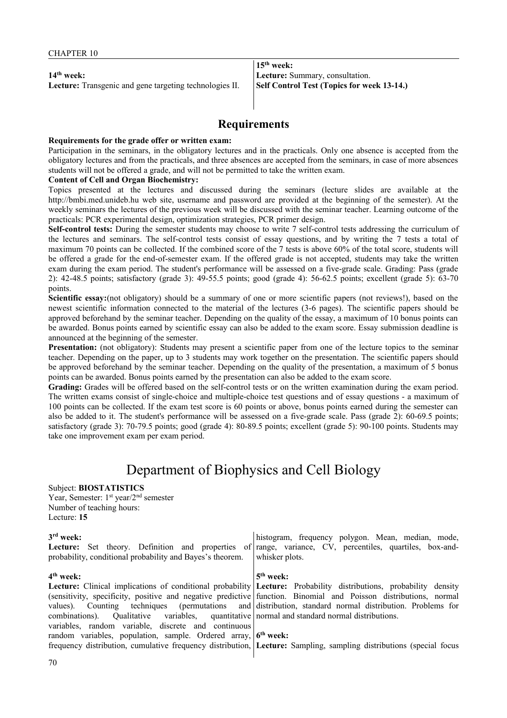**14th week: Lecture:** Transgenic and gene targeting technologies II.

**15th week: Lecture:** Summary, consultation. **Self Control Test (Topics for week 13-14.)**

## **Requirements**

#### **Requirements for the grade offer or written exam:**

Participation in the seminars, in the obligatory lectures and in the practicals. Only one absence is accepted from the obligatory lectures and from the practicals, and three absences are accepted from the seminars, in case of more absences students will not be offered a grade, and will not be permitted to take the written exam.

#### **Content of Cell and Organ Biochemistry:**

Topics presented at the lectures and discussed during the seminars (lecture slides are available at the http://bmbi.med.unideb.hu web site, username and password are provided at the beginning of the semester). At the weekly seminars the lectures of the previous week will be discussed with the seminar teacher. Learning outcome of the practicals: PCR experimental design, optimization strategies, PCR primer design.

**Self-control tests:** During the semester students may choose to write 7 self-control tests addressing the curriculum of the lectures and seminars. The self-control tests consist of essay questions, and by writing the 7 tests a total of maximum 70 points can be collected. If the combined score of the 7 tests is above 60% of the total score, students will be offered a grade for the end-of-semester exam. If the offered grade is not accepted, students may take the written exam during the exam period. The student's performance will be assessed on a five-grade scale. Grading: Pass (grade 2): 42-48.5 points; satisfactory (grade 3): 49-55.5 points; good (grade 4): 56-62.5 points; excellent (grade 5): 63-70 points.

**Scientific essay:**(not obligatory) should be a summary of one or more scientific papers (not reviews!), based on the newest scientific information connected to the material of the lectures (3-6 pages). The scientific papers should be approved beforehand by the seminar teacher. Depending on the quality of the essay, a maximum of 10 bonus points can be awarded. Bonus points earned by scientific essay can also be added to the exam score. Essay submission deadline is announced at the beginning of the semester.

Presentation: (not obligatory): Students may present a scientific paper from one of the lecture topics to the seminar teacher. Depending on the paper, up to 3 students may work together on the presentation. The scientific papers should be approved beforehand by the seminar teacher. Depending on the quality of the presentation, a maximum of 5 bonus points can be awarded. Bonus points earned by the presentation can also be added to the exam score.

**Grading:** Grades will be offered based on the self-control tests or on the written examination during the exam period. The written exams consist of single-choice and multiple-choice test questions and of essay questions - a maximum of 100 points can be collected. If the exam test score is 60 points or above, bonus points earned during the semester can also be added to it. The student's performance will be assessed on a five-grade scale. Pass (grade 2): 60-69.5 points; satisfactory (grade 3): 70-79.5 points; good (grade 4): 80-89.5 points; excellent (grade 5): 90-100 points. Students may take one improvement exam per exam period.

## Department of Biophysics and Cell Biology

#### Subject: **BIOSTATISTICS**

Year, Semester: 1<sup>st</sup> year/2<sup>nd</sup> semester Number of teaching hours: Lecture: **15**

#### **3 rd week:**

**Lecture:** Set theory. Definition and properties of probability, conditional probability and Bayes's theorem.

#### **4 th week:**

**Lecture:** Clinical implications of conditional probability (sensitivity, specificity, positive and negative predictive values). Counting techniques (permutations and combinations). Qualitative variables, quantitative variables, random variable, discrete and continuous random variables, population, sample. Ordered array, frequency distribution, cumulative frequency distribution,

histogram, frequency polygon. Mean, median, mode, range, variance, CV, percentiles, quartiles, box-andwhisker plots.

#### **5 th week:**

**Lecture:** Probability distributions, probability density function. Binomial and Poisson distributions, normal distribution, standard normal distribution. Problems for normal and standard normal distributions.

**6 th week:** 

**Lecture:** Sampling, sampling distributions (special focus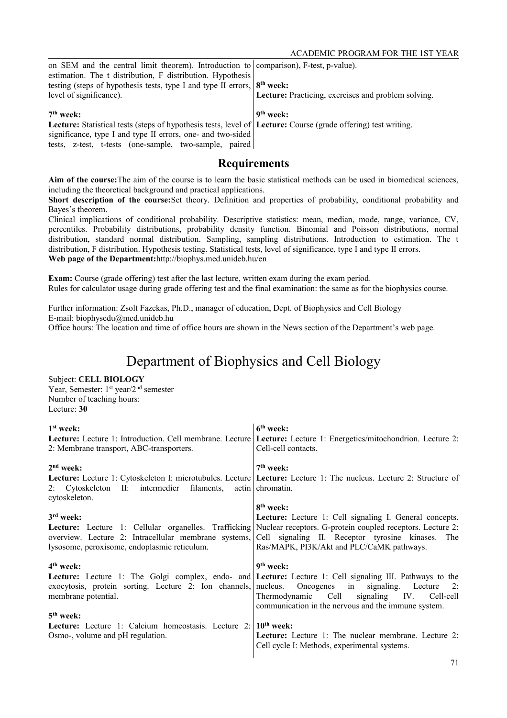| on SEM and the central limit theorem). Introduction to comparison), F-test, p-value).                          |                                                     |
|----------------------------------------------------------------------------------------------------------------|-----------------------------------------------------|
| estimation. The t distribution, F distribution. Hypothesis                                                     |                                                     |
| testing (steps of hypothesis tests, type I and type II errors, $ 8^{th}$ week:                                 |                                                     |
| level of significance).                                                                                        | Lecture: Practicing, exercises and problem solving. |
|                                                                                                                |                                                     |
|                                                                                                                |                                                     |
| $7th$ week:                                                                                                    | 9 <sup>th</sup> week:                               |
| Lecture: Statistical tests (steps of hypothesis tests, level of Lecture: Course (grade offering) test writing. |                                                     |
| significance, type I and type II errors, one- and two-sided                                                    |                                                     |

**Aim of the course:**The aim of the course is to learn the basic statistical methods can be used in biomedical sciences, including the theoretical background and practical applications.

**Short description of the course:**Set theory. Definition and properties of probability, conditional probability and Bayes's theorem.

Clinical implications of conditional probability. Descriptive statistics: mean, median, mode, range, variance, CV, percentiles. Probability distributions, probability density function. Binomial and Poisson distributions, normal distribution, standard normal distribution. Sampling, sampling distributions. Introduction to estimation. The t distribution, F distribution. Hypothesis testing. Statistical tests, level of significance, type I and type II errors. **Web page of the Department:**http://biophys.med.unideb.hu/en

**Exam:** Course (grade offering) test after the last lecture, written exam during the exam period. Rules for calculator usage during grade offering test and the final examination: the same as for the biophysics course.

Further information: Zsolt Fazekas, Ph.D., manager of education, Dept. of Biophysics and Cell Biology E-mail: biophysedu@med.unideb.hu

## Office hours: The location and time of office hours are shown in the News section of the Department's web page.

# Department of Biophysics and Cell Biology

### Subject: **CELL BIOLOGY**

Year, Semester: 1<sup>st</sup> year/2<sup>nd</sup> semester Number of teaching hours: Lecture: **30**

| $1st$ week:                                                     | $6th$ week:                                                                                                               |
|-----------------------------------------------------------------|---------------------------------------------------------------------------------------------------------------------------|
| <b>Lecture:</b> Lecture 1: Introduction. Cell membrane. Lecture | Lecture: Lecture 1: Energetics/mitochondrion. Lecture 2:                                                                  |
| 2: Membrane transport, ABC-transporters.                        | Cell-cell contacts.                                                                                                       |
| $2nd$ week:                                                     | $7th$ week:                                                                                                               |
|                                                                 | <b>Lecture:</b> Lecture 1: Cytoskeleton I: microtubules. Lecture Lecture: Lecture 1: The nucleus. Lecture 2: Structure of |
| 2: Cytoskeleton II: intermedier filaments,<br>cytoskeleton.     | actin chromatin.                                                                                                          |
|                                                                 | 8 <sup>th</sup> week:                                                                                                     |
| $3rd$ week:                                                     | Lecture: Lecture 1: Cell signaling I. General concepts.                                                                   |
| Lecture: Lecture 1: Cellular organelles. Trafficking            | Nuclear receptors. G-protein coupled receptors. Lecture 2:                                                                |
| overview. Lecture 2: Intracellular membrane systems,            | Cell signaling II. Receptor tyrosine kinases. The                                                                         |
| lysosome, peroxisome, endoplasmic reticulum.                    | Ras/MAPK, PI3K/Akt and PLC/CaMK pathways.                                                                                 |
|                                                                 |                                                                                                                           |
| $4th$ week:                                                     | 9 <sup>th</sup> week:                                                                                                     |
|                                                                 | <b>Lecture:</b> Lecture 1: The Golgi complex, endo- and <b>Lecture:</b> Lecture 1: Cell signaling III. Pathways to the    |
| exocytosis, protein sorting. Lecture 2: Ion channels,           | nucleus. Oncogenes in signaling. Lecture<br>2:                                                                            |
| membrane potential.                                             | Thermodynamic Cell signaling IV. Cell-cell                                                                                |
|                                                                 | communication in the nervous and the immune system.                                                                       |
| $5th$ week:                                                     |                                                                                                                           |
| <b>Lecture:</b> Lecture 1: Calcium homeostasis. Lecture 2:      | $10th$ week:                                                                                                              |
| Osmo-, volume and pH regulation.                                | Lecture: Lecture 1: The nuclear membrane. Lecture 2:                                                                      |
|                                                                 | Cell cycle I: Methods, experimental systems.                                                                              |
|                                                                 |                                                                                                                           |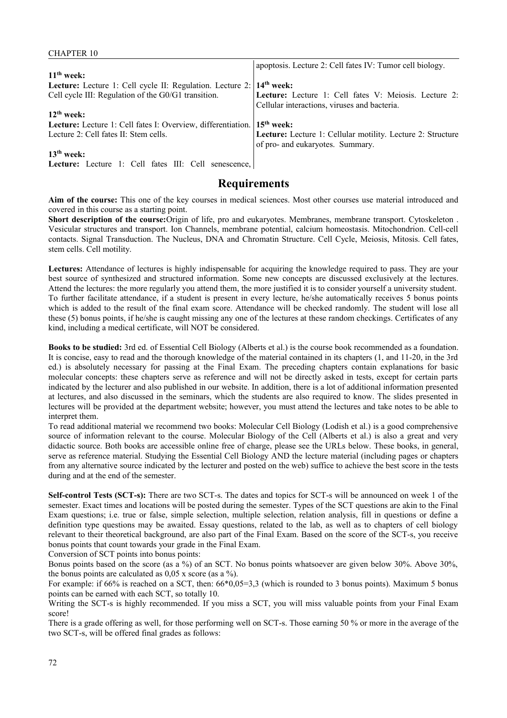| <b>CHAPTER 10</b>                                                                |                                                             |
|----------------------------------------------------------------------------------|-------------------------------------------------------------|
|                                                                                  | apoptosis. Lecture 2: Cell fates IV: Tumor cell biology.    |
| $11th$ week:                                                                     |                                                             |
| Lecture: Lecture 1: Cell cycle II: Regulation. Lecture 2: 14 <sup>th</sup> week: |                                                             |
| Cell cycle III: Regulation of the G0/G1 transition.                              | Lecture: Lecture 1: Cell fates V: Meiosis. Lecture 2:       |
|                                                                                  | Cellular interactions, viruses and bacteria.                |
| $12th$ week:                                                                     |                                                             |
| Lecture: Lecture 1: Cell fates I: Overview, differentiation.                     | $15th$ week:                                                |
| Lecture 2: Cell fates II: Stem cells.                                            | Lecture: Lecture 1: Cellular motility. Lecture 2: Structure |
|                                                                                  | of pro- and eukaryotes. Summary.                            |
| $13th$ week:                                                                     |                                                             |
|                                                                                  |                                                             |

Lecture: Lecture 1: Cell fates III: Cell senescence,

## **Requirements**

**Aim of the course:** This one of the key courses in medical sciences. Most other courses use material introduced and covered in this course as a starting point.

**Short description of the course:**Origin of life, pro and eukaryotes. Membranes, membrane transport. Cytoskeleton . Vesicular structures and transport. Ion Channels, membrane potential, calcium homeostasis. Mitochondrion. Cell-cell contacts. Signal Transduction. The Nucleus, DNA and Chromatin Structure. Cell Cycle, Meiosis, Mitosis. Cell fates, stem cells. Cell motility.

**Lectures:** Attendance of lectures is highly indispensable for acquiring the knowledge required to pass. They are your best source of synthesized and structured information. Some new concepts are discussed exclusively at the lectures. Attend the lectures: the more regularly you attend them, the more justified it is to consider yourself a university student. To further facilitate attendance, if a student is present in every lecture, he/she automatically receives 5 bonus points which is added to the result of the final exam score. Attendance will be checked randomly. The student will lose all these (5) bonus points, if he/she is caught missing any one of the lectures at these random checkings. Certificates of any kind, including a medical certificate, will NOT be considered.

**Books to be studied:** 3rd ed. of Essential Cell Biology (Alberts et al.) is the course book recommended as a foundation. It is concise, easy to read and the thorough knowledge of the material contained in its chapters (1, and 11-20, in the 3rd ed.) is absolutely necessary for passing at the Final Exam. The preceding chapters contain explanations for basic molecular concepts: these chapters serve as reference and will not be directly asked in tests, except for certain parts indicated by the lecturer and also published in our website. In addition, there is a lot of additional information presented at lectures, and also discussed in the seminars, which the students are also required to know. The slides presented in lectures will be provided at the department website; however, you must attend the lectures and take notes to be able to interpret them.

To read additional material we recommend two books: Molecular Cell Biology (Lodish et al.) is a good comprehensive source of information relevant to the course. Molecular Biology of the Cell (Alberts et al.) is also a great and very didactic source. Both books are accessible online free of charge, please see the URLs below. These books, in general, serve as reference material. Studying the Essential Cell Biology AND the lecture material (including pages or chapters from any alternative source indicated by the lecturer and posted on the web) suffice to achieve the best score in the tests during and at the end of the semester.

**Self-control Tests (SCT-s):** There are two SCT-s. The dates and topics for SCT-s will be announced on week 1 of the semester. Exact times and locations will be posted during the semester. Types of the SCT questions are akin to the Final Exam questions; i.e. true or false, simple selection, multiple selection, relation analysis, fill in questions or define a definition type questions may be awaited. Essay questions, related to the lab, as well as to chapters of cell biology relevant to their theoretical background, are also part of the Final Exam. Based on the score of the SCT-s, you receive bonus points that count towards your grade in the Final Exam.

Conversion of SCT points into bonus points:

Bonus points based on the score (as a %) of an SCT. No bonus points whatsoever are given below 30%. Above 30%, the bonus points are calculated as  $0.05$  x score (as a %).

For example: if 66% is reached on a SCT, then: 66\*0,05=3,3 (which is rounded to 3 bonus points). Maximum 5 bonus points can be earned with each SCT, so totally 10.

Writing the SCT-s is highly recommended. If you miss a SCT, you will miss valuable points from your Final Exam score!

There is a grade offering as well, for those performing well on SCT-s. Those earning 50 % or more in the average of the two SCT-s, will be offered final grades as follows: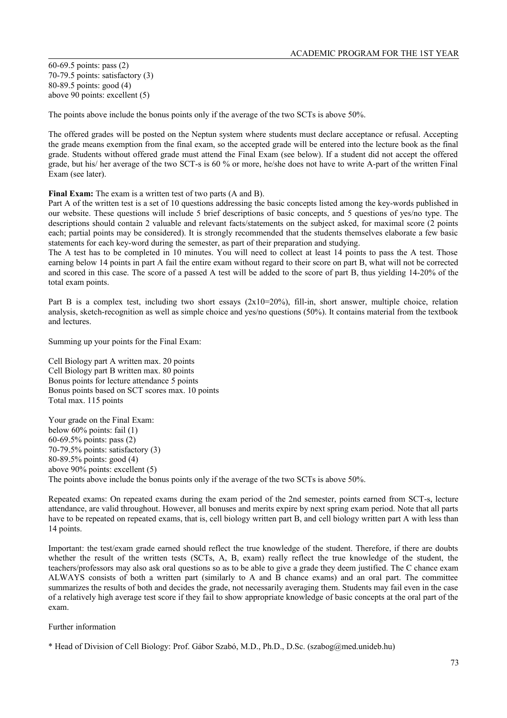60-69.5 points: pass (2) 70-79.5 points: satisfactory (3) 80-89.5 points: good (4) above 90 points: excellent (5)

The points above include the bonus points only if the average of the two SCTs is above 50%.

The offered grades will be posted on the Neptun system where students must declare acceptance or refusal. Accepting the grade means exemption from the final exam, so the accepted grade will be entered into the lecture book as the final grade. Students without offered grade must attend the Final Exam (see below). If a student did not accept the offered grade, but his/ her average of the two SCT-s is 60 % or more, he/she does not have to write A-part of the written Final Exam (see later).

**Final Exam:** The exam is a written test of two parts (A and B).

Part A of the written test is a set of 10 questions addressing the basic concepts listed among the key-words published in our website. These questions will include 5 brief descriptions of basic concepts, and 5 questions of yes/no type. The descriptions should contain 2 valuable and relevant facts/statements on the subject asked, for maximal score (2 points each; partial points may be considered). It is strongly recommended that the students themselves elaborate a few basic statements for each key-word during the semester, as part of their preparation and studying.

The A test has to be completed in 10 minutes. You will need to collect at least 14 points to pass the A test. Those earning below 14 points in part A fail the entire exam without regard to their score on part B, what will not be corrected and scored in this case. The score of a passed A test will be added to the score of part B, thus yielding 14-20% of the total exam points.

Part B is a complex test, including two short essays  $(2x10=20\%)$ , fill-in, short answer, multiple choice, relation analysis, sketch-recognition as well as simple choice and yes/no questions (50%). It contains material from the textbook and lectures.

Summing up your points for the Final Exam:

Cell Biology part A written max. 20 points Cell Biology part B written max. 80 points Bonus points for lecture attendance 5 points Bonus points based on SCT scores max. 10 points Total max. 115 points

Your grade on the Final Exam: below 60% points: fail (1) 60-69.5% points: pass (2) 70-79.5% points: satisfactory (3) 80-89.5% points: good (4) above 90% points: excellent (5) The points above include the bonus points only if the average of the two SCTs is above 50%.

Repeated exams: On repeated exams during the exam period of the 2nd semester, points earned from SCT-s, lecture attendance, are valid throughout. However, all bonuses and merits expire by next spring exam period. Note that all parts have to be repeated on repeated exams, that is, cell biology written part B, and cell biology written part A with less than 14 points.

Important: the test/exam grade earned should reflect the true knowledge of the student. Therefore, if there are doubts whether the result of the written tests (SCTs, A, B, exam) really reflect the true knowledge of the student, the teachers/professors may also ask oral questions so as to be able to give a grade they deem justified. The C chance exam ALWAYS consists of both a written part (similarly to A and B chance exams) and an oral part. The committee summarizes the results of both and decides the grade, not necessarily averaging them. Students may fail even in the case of a relatively high average test score if they fail to show appropriate knowledge of basic concepts at the oral part of the exam.

Further information

<sup>\*</sup> Head of Division of Cell Biology: Prof. Gábor Szabó, M.D., Ph.D., D.Sc. (szabog@med.unideb.hu)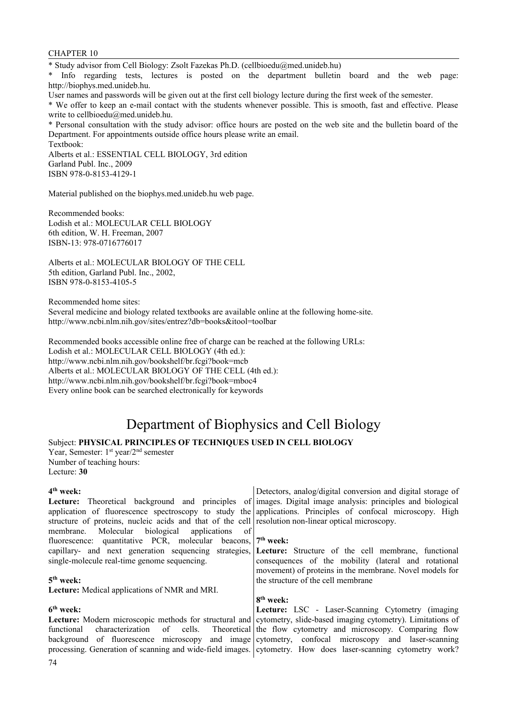CHAPTER 10

\* Study advisor from Cell Biology: Zsolt Fazekas Ph.D. (cellbioedu@med.unideb.hu)

\* Info regarding tests, lectures is posted on the department bulletin board and the web page: http://biophys.med.unideb.hu.

User names and passwords will be given out at the first cell biology lecture during the first week of the semester.

\* We offer to keep an e-mail contact with the students whenever possible. This is smooth, fast and effective. Please write to cellbioedu@med.unideb.hu.

\* Personal consultation with the study advisor: office hours are posted on the web site and the bulletin board of the Department. For appointments outside office hours please write an email. Textbook:

Alberts et al.: ESSENTIAL CELL BIOLOGY, 3rd edition Garland Publ. Inc., 2009 ISBN 978-0-8153-4129-1

Material published on the biophys.med.unideb.hu web page.

Recommended books: Lodish et al.: MOLECULAR CELL BIOLOGY 6th edition, W. H. Freeman, 2007 ISBN-13: 978-0716776017

Alberts et al.: MOLECULAR BIOLOGY OF THE CELL 5th edition, Garland Publ. Inc., 2002, ISBN 978-0-8153-4105-5

Recommended home sites: Several medicine and biology related textbooks are available online at the following home-site. http://www.ncbi.nlm.nih.gov/sites/entrez?db=books&itool=toolbar

Recommended books accessible online free of charge can be reached at the following URLs: Lodish et al.: MOLECULAR CELL BIOLOGY (4th ed.): http://www.ncbi.nlm.nih.gov/bookshelf/br.fcgi?book=mcb Alberts et al.: MOLECULAR BIOLOGY OF THE CELL (4th ed.): http://www.ncbi.nlm.nih.gov/bookshelf/br.fcgi?book=mboc4 Every online book can be searched electronically for keywords

# Department of Biophysics and Cell Biology

### Subject: **PHYSICAL PRINCIPLES OF TECHNIQUES USED IN CELL BIOLOGY**

Year, Semester: 1<sup>st</sup> year/2<sup>nd</sup> semester Number of teaching hours: Lecture: **30**

#### **4 th week:**

| $4th$ week:                                                                                         | Detectors, analog/digital conversion and digital storage of                                                             |
|-----------------------------------------------------------------------------------------------------|-------------------------------------------------------------------------------------------------------------------------|
|                                                                                                     | Lecture: Theoretical background and principles of images. Digital image analysis: principles and biological             |
|                                                                                                     | application of fluorescence spectroscopy to study the applications. Principles of confocal microscopy. High             |
| structure of proteins, nucleic acids and that of the cell resolution non-linear optical microscopy. |                                                                                                                         |
| membrane. Molecular biological applications of                                                      |                                                                                                                         |
| fluorescence: quantitative PCR, molecular beacons, $7th$ week:                                      |                                                                                                                         |
|                                                                                                     | capillary- and next generation sequencing strategies, Lecture: Structure of the cell membrane, functional               |
| single-molecule real-time genome sequencing.                                                        | consequences of the mobility (lateral and rotational                                                                    |
|                                                                                                     | movement) of proteins in the membrane. Novel models for                                                                 |
| $5th$ week:                                                                                         | the structure of the cell membrane                                                                                      |
| Lecture: Medical applications of NMR and MRI.                                                       |                                                                                                                         |
|                                                                                                     | 8 <sup>th</sup> week:                                                                                                   |
| 6 <sup>th</sup> week:                                                                               | Lecture: LSC - Laser-Scanning Cytometry (imaging                                                                        |
|                                                                                                     | <b>Lecture:</b> Modern microscopic methods for structural and eytometry, slide-based imaging cytometry). Limitations of |
| functional                                                                                          | characterization of cells. Theoretical the flow cytometry and microscopy. Comparing flow                                |
|                                                                                                     | background of fluorescence microscopy and image cytometry, confocal microscopy and laser-scanning                       |
|                                                                                                     | processing. Generation of scanning and wide-field images. evtometry. How does laser-scanning cytometry work?            |
|                                                                                                     |                                                                                                                         |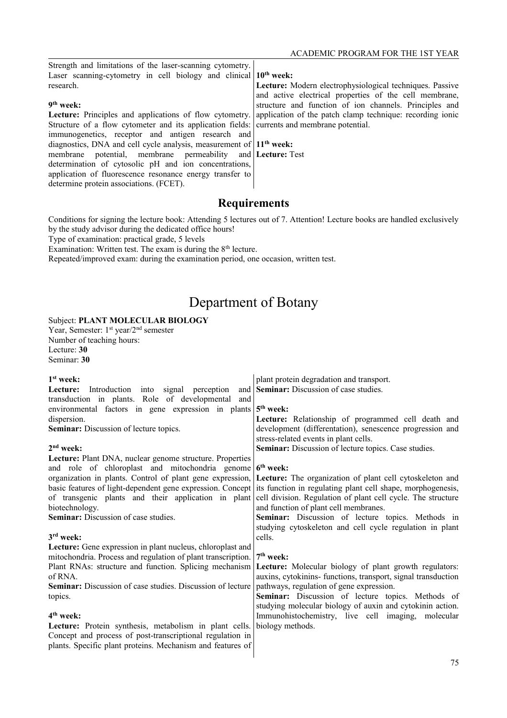| Strength and limitations of the laser-scanning cytometry.                                  |                                                                                                                   |
|--------------------------------------------------------------------------------------------|-------------------------------------------------------------------------------------------------------------------|
| Laser scanning-cytometry in cell biology and clinical $10th$ week:                         |                                                                                                                   |
| research.                                                                                  | Lecture: Modern electrophysiological techniques. Passive                                                          |
|                                                                                            | and active electrical properties of the cell membrane,                                                            |
| 9 <sup>th</sup> week:                                                                      | structure and function of ion channels. Principles and                                                            |
|                                                                                            | Lecture: Principles and applications of flow cytometry. application of the patch clamp technique: recording ionic |
| Structure of a flow cytometer and its application fields: currents and membrane potential. |                                                                                                                   |
| immunogenetics, receptor and antigen research and                                          |                                                                                                                   |
| diagnostics, DNA and cell cycle analysis, measurement of $11th$ week:                      |                                                                                                                   |
| membrane potential, membrane permeability and <b>Lecture</b> : Test                        |                                                                                                                   |
| determination of cytosolic pH and ion concentrations,                                      |                                                                                                                   |
| application of fluorescence resonance energy transfer to                                   |                                                                                                                   |
| determine protein associations. (FCET).                                                    |                                                                                                                   |
|                                                                                            |                                                                                                                   |

Conditions for signing the lecture book: Attending 5 lectures out of 7. Attention! Lecture books are handled exclusively by the study advisor during the dedicated office hours!

Type of examination: practical grade, 5 levels

Examination: Written test. The exam is during the  $8<sup>th</sup>$  lecture.

Repeated/improved exam: during the examination period, one occasion, written test.

# Department of Botany

### Subject: **PLANT MOLECULAR BIOLOGY**

Year, Semester: 1<sup>st</sup> year/2<sup>nd</sup> semester Number of teaching hours: Lecture: **30** Seminar: **30**

| 1 <sup>st</sup> week:                                          | plant protein degradation and transport.                      |
|----------------------------------------------------------------|---------------------------------------------------------------|
| Introduction into signal perception<br>Lecture:                | and   Seminar: Discussion of case studies.                    |
| transduction in plants. Role of developmental<br>and           |                                                               |
| environmental factors in gene expression in plants $5th$ week: |                                                               |
| dispersion.                                                    | Lecture: Relationship of programmed cell death and            |
| Seminar: Discussion of lecture topics.                         | development (differentation), senescence progression and      |
|                                                                | stress-related events in plant cells.                         |
| $2nd$ week:                                                    | Seminar: Discussion of lecture topics. Case studies.          |
| Lecture: Plant DNA, nuclear genome structure. Properties       |                                                               |
| and role of chloroplast and mitochondria genome                | 6 <sup>th</sup> week:                                         |
| organization in plants. Control of plant gene expression,      | Lecture: The organization of plant cell cytoskeleton and      |
| basic features of light-dependent gene expression. Concept     | its function in regulating plant cell shape, morphogenesis,   |
| of transgenic plants and their application in plant            | cell division. Regulation of plant cell cycle. The structure  |
| biotechnology.                                                 | and function of plant cell membranes.                         |
| <b>Seminar:</b> Discussion of case studies.                    | Seminar: Discussion of lecture topics. Methods in             |
|                                                                | studying cytoskeleton and cell cycle regulation in plant      |
| $3rd$ week:                                                    | cells.                                                        |
| Lecture: Gene expression in plant nucleus, chloroplast and     |                                                               |
| mitochondria. Process and regulation of plant transcription.   | $7th$ week:                                                   |
| Plant RNAs: structure and function. Splicing mechanism         | Lecture: Molecular biology of plant growth regulators:        |
| of RNA.                                                        | auxins, cytokinins- functions, transport, signal transduction |
| Seminar: Discussion of case studies. Discussion of lecture     | pathways, regulation of gene expression.                      |
| topics.                                                        | Seminar: Discussion of lecture topics. Methods of             |
|                                                                | studying molecular biology of auxin and cytokinin action.     |
| $4th$ week:                                                    | Immunohistochemistry, live cell imaging, molecular            |
| Lecture: Protein synthesis, metabolism in plant cells.         | biology methods.                                              |
| Concept and process of post-transcriptional regulation in      |                                                               |
| plants. Specific plant proteins. Mechanism and features of     |                                                               |
|                                                                |                                                               |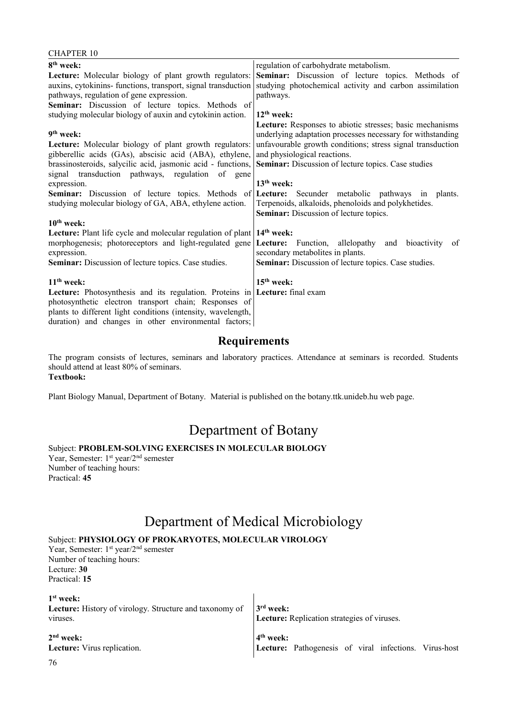| UTAL LEN 10                                                                 |                                                             |
|-----------------------------------------------------------------------------|-------------------------------------------------------------|
| 8 <sup>th</sup> week:                                                       | regulation of carbohydrate metabolism.                      |
| Lecture: Molecular biology of plant growth regulators:                      | Seminar: Discussion of lecture topics. Methods of           |
| auxins, cytokinins- functions, transport, signal transduction               | studying photochemical activity and carbon assimilation     |
| pathways, regulation of gene expression.                                    | pathways.                                                   |
| Seminar: Discussion of lecture topics. Methods of                           |                                                             |
| studying molecular biology of auxin and cytokinin action.                   | $12th$ week:                                                |
|                                                                             | Lecture: Responses to abiotic stresses; basic mechanisms    |
| 9 <sup>th</sup> week:                                                       | underlying adaptation processes necessary for withstanding  |
| Lecture: Molecular biology of plant growth regulators:                      | unfavourable growth conditions; stress signal transduction  |
| gibberellic acids (GAs), abscisic acid (ABA), ethylene,                     | and physiological reactions.                                |
| brassinosteroids, salycilic acid, jasmonic acid - functions,                | <b>Seminar:</b> Discussion of lecture topics. Case studies  |
| signal transduction pathways, regulation of gene                            |                                                             |
| expression.                                                                 | $13th$ week:                                                |
| Seminar: Discussion of lecture topics. Methods of                           | Lecture: Secunder metabolic pathways in plants.             |
| studying molecular biology of GA, ABA, ethylene action.                     | Terpenoids, alkaloids, phenoloids and polykhetides.         |
|                                                                             | <b>Seminar:</b> Discussion of lecture topics.               |
| $10th$ week:                                                                |                                                             |
| <b>Lecture:</b> Plant life cycle and molecular regulation of plant          | $14th$ week:                                                |
| morphogenesis; photoreceptors and light-regulated gene                      | <b>Lecture:</b> Function, allelopathy and bioactivity<br>of |
| expression.                                                                 | secondary metabolites in plants.                            |
| <b>Seminar:</b> Discussion of lecture topics. Case studies.                 | <b>Seminar:</b> Discussion of lecture topics. Case studies. |
|                                                                             |                                                             |
| $11th$ week:                                                                | $15th$ week:                                                |
| Lecture: Photosynthesis and its regulation. Proteins in Lecture: final exam |                                                             |
| photosynthetic electron transport chain; Responses of                       |                                                             |
| plants to different light conditions (intensity, wavelength,                |                                                             |
| duration) and changes in other environmental factors;                       |                                                             |

The program consists of lectures, seminars and laboratory practices. Attendance at seminars is recorded. Students should attend at least 80% of seminars. **Textbook:**

Plant Biology Manual, Department of Botany. Material is published on the botany.ttk.unideb.hu web page.

# Department of Botany

Subject: **PROBLEM-SOLVING EXERCISES IN MOLECULAR BIOLOGY**

Year, Semester: 1<sup>st</sup> year/2<sup>nd</sup> semester Number of teaching hours: Practical: **45**

 $CII$ APTER 10

# Department of Medical Microbiology

### Subject: **PHYSIOLOGY OF PROKARYOTES, MOLECULAR VIROLOGY**

Year, Semester: 1<sup>st</sup> year/2<sup>nd</sup> semester Number of teaching hours: Lecture: **30** Practical: **15**

**1 st week: Lecture:** History of virology. Structure and taxonomy of viruses. **2 nd week: Lecture:** Virus replication. **3 rd week: Lecture:** Replication strategies of viruses. **4 th week: Lecture:** Pathogenesis of viral infections. Virus-host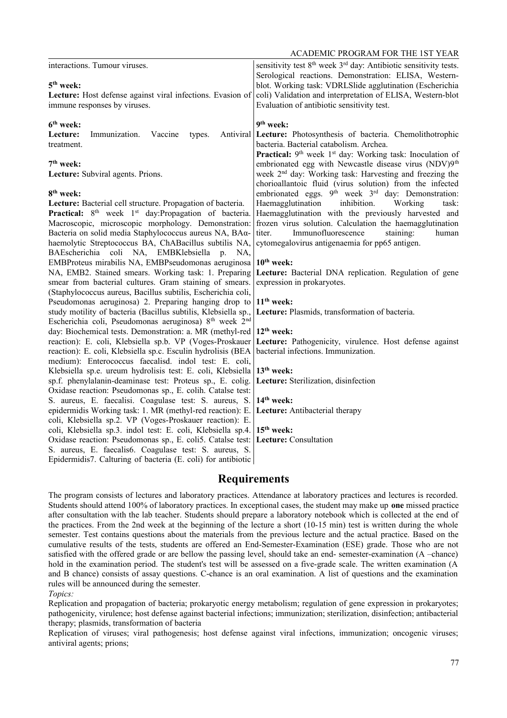ACADEMIC PROGRAM FOR THE 1ST YEAR

|                                                                                                                      | ACADEMIC FROURAIN FOR THE 13T TEAR                                                                                                 |
|----------------------------------------------------------------------------------------------------------------------|------------------------------------------------------------------------------------------------------------------------------------|
| interactions. Tumour viruses.                                                                                        | sensitivity test 8 <sup>th</sup> week 3 <sup>rd</sup> day: Antibiotic sensitivity tests.                                           |
|                                                                                                                      | Serological reactions. Demonstration: ELISA, Western-                                                                              |
| $5th$ week:                                                                                                          | blot. Working task: VDRLSlide agglutination (Escherichia                                                                           |
| Lecture: Host defense against viral infections. Evasion of                                                           | coli) Validation and interpretation of ELISA, Western-blot                                                                         |
| immune responses by viruses.                                                                                         | Evaluation of antibiotic sensitivity test.                                                                                         |
| 6 <sup>th</sup> week:                                                                                                | 9 <sup>th</sup> week:                                                                                                              |
| Immunization.<br>Lecture:<br>Vaccine<br>Antiviral<br>types.                                                          | Lecture: Photosynthesis of bacteria. Chemolithotrophic                                                                             |
| treatment.                                                                                                           | bacteria. Bacterial catabolism. Archea.                                                                                            |
|                                                                                                                      | Practical: 9 <sup>th</sup> week 1 <sup>st</sup> day: Working task: Inoculation of                                                  |
| 7 <sup>th</sup> week:                                                                                                | embrionated egg with Newcastle disease virus (NDV)9 <sup>th</sup>                                                                  |
| Lecture: Subviral agents. Prions.                                                                                    | week 2 <sup>nd</sup> day: Working task: Harvesting and freezing the                                                                |
| 8 <sup>th</sup> week:                                                                                                | chorioallantoic fluid (virus solution) from the infected                                                                           |
| Lecture: Bacterial cell structure. Propagation of bacteria.                                                          | embrionated eggs. 9 <sup>th</sup> week 3 <sup>rd</sup> day: Demonstration:<br>inhibition.<br>Haemagglutination<br>Working<br>task: |
| <b>Practical:</b> $8th$ week $1st$ day: Propagation of bacteria.                                                     | Haemagglutination with the previously harvested and                                                                                |
| Macroscopic, microscopic morphology. Demonstration:                                                                  | frozen virus solution. Calculation the haemagglutination                                                                           |
| Bacteria on solid media Staphylococcus aureus NA, BAa-                                                               | Immunofluorescence<br>titer.<br>staining:<br>human                                                                                 |
| haemolytic Streptococcus BA, ChABacillus subtilis NA,                                                                | cytomegalovirus antigenaemia for pp65 antigen.                                                                                     |
| BAEscherichia coli NA, EMBKlebsiella p. NA,                                                                          |                                                                                                                                    |
| EMBProteus mirabilis NA, EMBPseudomonas aeruginosa                                                                   | $10th$ week:                                                                                                                       |
| NA, EMB2. Stained smears. Working task: 1. Preparing                                                                 | Lecture: Bacterial DNA replication. Regulation of gene                                                                             |
| smear from bacterial cultures. Gram staining of smears.                                                              | expression in prokaryotes.                                                                                                         |
| (Staphylococcus aureus, Bacillus subtilis, Escherichia coli,<br>Pseudomonas aeruginosa) 2. Preparing hanging drop to | $11th$ week:                                                                                                                       |
| study motility of bacteria (Bacillus subtilis, Klebsiella sp.,                                                       | Lecture: Plasmids, transformation of bacteria.                                                                                     |
| Escherichia coli, Pseudomonas aeruginosa) 8 <sup>th</sup> week 2 <sup>nd</sup>                                       |                                                                                                                                    |
| day: Biochemical tests. Demonstration: a. MR (methyl-red                                                             | 12 <sup>th</sup> week:                                                                                                             |
| reaction): E. coli, Klebsiella sp.b. VP (Voges-Proskauer                                                             | Lecture: Pathogenicity, virulence. Host defense against                                                                            |
| reaction): E. coli, Klebsiella sp.c. Esculin hydrolisis (BEA                                                         | bacterial infections. Immunization.                                                                                                |
| medium): Enterococcus faecalisd. indol test: E. coli,                                                                |                                                                                                                                    |
| Klebsiella sp.e. ureum hydrolisis test: E. coli, Klebsiella                                                          | $13th$ week:                                                                                                                       |
| sp.f. phenylalanin-deaminase test: Proteus sp., E. colig.                                                            | Lecture: Sterilization, disinfection                                                                                               |
| Oxidase reaction: Pseudomonas sp., E. colih. Catalse test:<br>S. aureus, E. faecalisi. Coagulase test: S. aureus, S. | $14th$ week:                                                                                                                       |
| epidermidis Working task: 1. MR (methyl-red reaction): E.                                                            | Lecture: Antibacterial therapy                                                                                                     |
| coli, Klebsiella sp.2. VP (Voges-Proskauer reaction): E.                                                             |                                                                                                                                    |
| coli, Klebsiella sp.3. indol test: E. coli, Klebsiella sp.4.                                                         | 15 <sup>th</sup> week:                                                                                                             |
| Oxidase reaction: Pseudomonas sp., E. coli5. Catalse test:                                                           | Lecture: Consultation                                                                                                              |
| S. aureus, E. faecalis6. Coagulase test: S. aureus, S.                                                               |                                                                                                                                    |
| Epidermidis7. Calturing of bacteria (E. coli) for antibiotic                                                         |                                                                                                                                    |
|                                                                                                                      |                                                                                                                                    |

## **Requirements**

The program consists of lectures and laboratory practices. Attendance at laboratory practices and lectures is recorded. Students should attend 100% of laboratory practices. In exceptional cases, the student may make up **one** missed practice after consultation with the lab teacher. Students should prepare a laboratory notebook which is collected at the end of the practices. From the 2nd week at the beginning of the lecture a short (10-15 min) test is written during the whole semester. Test contains questions about the materials from the previous lecture and the actual practice. Based on the cumulative results of the tests, students are offered an End-Semester-Examination (ESE) grade. Those who are not satisfied with the offered grade or are bellow the passing level, should take an end- semester-examination (A –chance) hold in the examination period. The student's test will be assessed on a five-grade scale. The written examination (A and B chance) consists of assay questions. C-chance is an oral examination. A list of questions and the examination rules will be announced during the semester.

*Topics:*

Replication and propagation of bacteria; prokaryotic energy metabolism; regulation of gene expression in prokaryotes; pathogenicity, virulence; host defense against bacterial infections; immunization; sterilization, disinfection; antibacterial therapy; plasmids, transformation of bacteria

Replication of viruses; viral pathogenesis; host defense against viral infections, immunization; oncogenic viruses; antiviral agents; prions;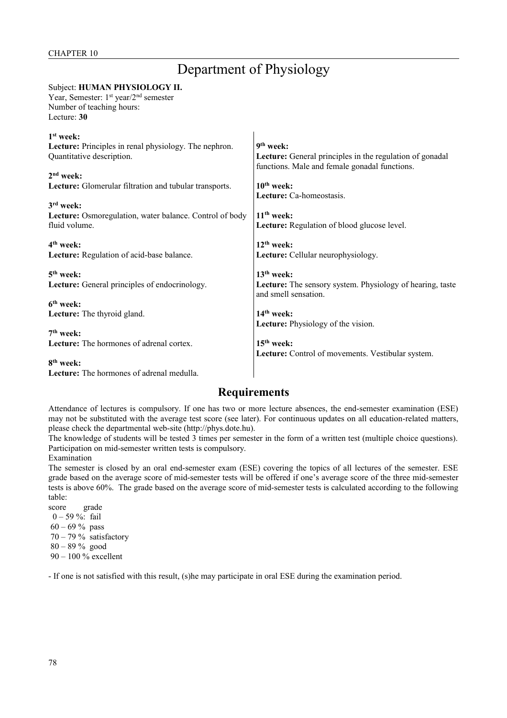# Department of Physiology

## Subject: **HUMAN PHYSIOLOGY II.**

Year, Semester: 1<sup>st</sup> year/2<sup>nd</sup> semester Number of teaching hours:

Lecture: **30**

| 1 <sup>st</sup> week:                                   |                                                                  |
|---------------------------------------------------------|------------------------------------------------------------------|
| Lecture: Principles in renal physiology. The nephron.   | $9th$ week:                                                      |
| Quantitative description.                               | Lecture: General principles in the regulation of gonadal         |
|                                                         | functions. Male and female gonadal functions.                    |
| $2nd$ week:                                             |                                                                  |
| Lecture: Glomerular filtration and tubular transports.  | $10th$ week:                                                     |
|                                                         | Lecture: Ca-homeostasis.                                         |
| $3rd$ week:                                             |                                                                  |
| Lecture: Osmoregulation, water balance. Control of body | $11th$ week:                                                     |
| fluid volume.                                           | Lecture: Regulation of blood glucose level.                      |
|                                                         |                                                                  |
| $4th$ week:                                             | $12th$ week:                                                     |
| Lecture: Regulation of acid-base balance.               | Lecture: Cellular neurophysiology.                               |
|                                                         |                                                                  |
| $5th$ week:                                             | $13th$ week:                                                     |
| <b>Lecture:</b> General principles of endocrinology.    | <b>Lecture:</b> The sensory system. Physiology of hearing, taste |
|                                                         | and smell sensation.                                             |
| $6th$ week:                                             |                                                                  |
| Lecture: The thyroid gland.                             | $14th$ week:                                                     |
|                                                         | <b>Lecture:</b> Physiology of the vision.                        |
| $7th$ week:                                             |                                                                  |
| <b>Lecture:</b> The hormones of adrenal cortex.         | $15th$ week:                                                     |
|                                                         | Lecture: Control of movements. Vestibular system.                |
| 8 <sup>th</sup> week:                                   |                                                                  |
| <b>Lecture:</b> The hormones of adrenal medulla.        |                                                                  |

## **Requirements**

Attendance of lectures is compulsory. If one has two or more lecture absences, the end-semester examination (ESE) may not be substituted with the average test score (see later). For continuous updates on all education-related matters, please check the departmental web-site (http://phys.dote.hu).

The knowledge of students will be tested 3 times per semester in the form of a written test (multiple choice questions). Participation on mid-semester written tests is compulsory.

Examination

The semester is closed by an oral end-semester exam (ESE) covering the topics of all lectures of the semester. ESE grade based on the average score of mid-semester tests will be offered if one's average score of the three mid-semester tests is above 60%. The grade based on the average score of mid-semester tests is calculated according to the following table:

score grade 0 – 59 %: fail  $60 - 69 \%$  pass  $70 - 79\%$  satisfactory 80 – 89 % good

90 – 100 % excellent

- If one is not satisfied with this result, (s)he may participate in oral ESE during the examination period.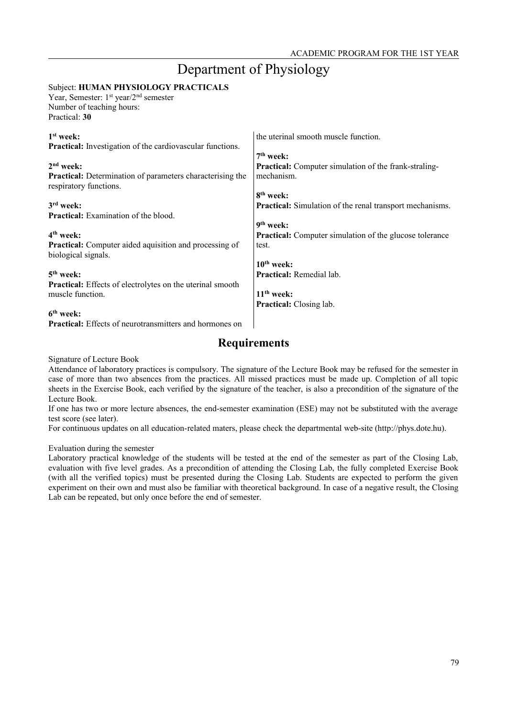# Department of Physiology

### Subject: **HUMAN PHYSIOLOGY PRACTICALS**

Year, Semester: 1<sup>st</sup> year/2<sup>nd</sup> semester Number of teaching hours: Practical: **30**

| $1st$ week:<br><b>Practical:</b> Investigation of the cardiovascular functions.            | the uterinal smooth muscle function.                           |
|--------------------------------------------------------------------------------------------|----------------------------------------------------------------|
|                                                                                            | 7 <sup>th</sup> week:                                          |
| $2nd$ week:                                                                                | <b>Practical:</b> Computer simulation of the frank-straling-   |
| <b>Practical:</b> Determination of parameters characterising the<br>respiratory functions. | mechanism.                                                     |
|                                                                                            | 8 <sup>th</sup> week:                                          |
| $3rd$ week:                                                                                | Practical: Simulation of the renal transport mechanisms.       |
| <b>Practical:</b> Examination of the blood.                                                |                                                                |
|                                                                                            | $9th$ week:                                                    |
| 4 <sup>th</sup> week:                                                                      | <b>Practical:</b> Computer simulation of the glucose tolerance |
| <b>Practical:</b> Computer aided aquisition and processing of<br>biological signals.       | test.                                                          |
|                                                                                            | $10th$ week:                                                   |
| $5th$ week:                                                                                | <b>Practical:</b> Remedial lab.                                |
| <b>Practical:</b> Effects of electrolytes on the uterinal smooth                           |                                                                |
| muscle function.                                                                           | $11th$ week:                                                   |
|                                                                                            | <b>Practical:</b> Closing lab.                                 |
| $6th$ week:                                                                                |                                                                |

**Practical:** Effects of neurotransmitters and hormones on

## **Requirements**

Signature of Lecture Book

Attendance of laboratory practices is compulsory. The signature of the Lecture Book may be refused for the semester in case of more than two absences from the practices. All missed practices must be made up. Completion of all topic sheets in the Exercise Book, each verified by the signature of the teacher, is also a precondition of the signature of the Lecture Book.

If one has two or more lecture absences, the end-semester examination (ESE) may not be substituted with the average test score (see later).

For continuous updates on all education-related maters, please check the departmental web-site (http://phys.dote.hu).

#### Evaluation during the semester

Laboratory practical knowledge of the students will be tested at the end of the semester as part of the Closing Lab, evaluation with five level grades. As a precondition of attending the Closing Lab, the fully completed Exercise Book (with all the verified topics) must be presented during the Closing Lab. Students are expected to perform the given experiment on their own and must also be familiar with theoretical background. In case of a negative result, the Closing Lab can be repeated, but only once before the end of semester.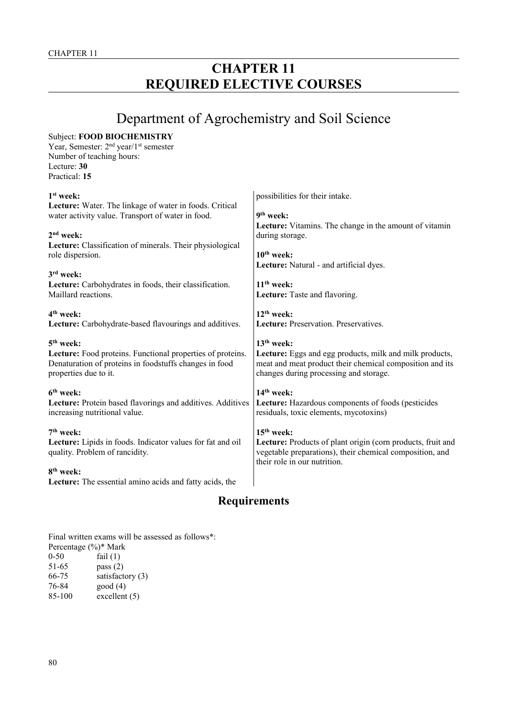# **CHAPTER 11 REQUIRED ELECTIVE COURSES**

# Department of Agrochemistry and Soil Science

| <b>Subject: FOOD BIOCHEMISTRY</b><br>Year, Semester: 2 <sup>nd</sup> year/1 <sup>st</sup> semester<br>Number of teaching hours:<br>Lecture: 30<br>Practical: 15                                                                                   |                                                                                                                                                                                                  |
|---------------------------------------------------------------------------------------------------------------------------------------------------------------------------------------------------------------------------------------------------|--------------------------------------------------------------------------------------------------------------------------------------------------------------------------------------------------|
| $1st$ week:<br>Lecture: Water. The linkage of water in foods. Critical<br>water activity value. Transport of water in food.<br>2 <sup>nd</sup> week:<br>Lecture: Classification of minerals. Their physiological<br>role dispersion.<br>3rd week: | possibilities for their intake.<br>9 <sup>th</sup> week:<br>Lecture: Vitamins. The change in the amount of vitamin<br>during storage.<br>$10th$ week:<br>Lecture: Natural - and artificial dyes. |
| Lecture: Carbohydrates in foods, their classification.                                                                                                                                                                                            | $11th$ week:                                                                                                                                                                                     |
| Maillard reactions.                                                                                                                                                                                                                               | Lecture: Taste and flavoring.                                                                                                                                                                    |
| 4 <sup>th</sup> week:                                                                                                                                                                                                                             | $12^{th}$ week:                                                                                                                                                                                  |
| Lecture: Carbohydrate-based flavourings and additives.                                                                                                                                                                                            | Lecture: Preservation. Preservatives.                                                                                                                                                            |
| 5 <sup>th</sup> week:                                                                                                                                                                                                                             | $13th$ week:                                                                                                                                                                                     |
| Lecture: Food proteins. Functional properties of proteins.                                                                                                                                                                                        | Lecture: Eggs and egg products, milk and milk products,                                                                                                                                          |
| Denaturation of proteins in foodstuffs changes in food                                                                                                                                                                                            | meat and meat product their chemical composition and its                                                                                                                                         |
| properties due to it.                                                                                                                                                                                                                             | changes during processing and storage.                                                                                                                                                           |
| 6 <sup>th</sup> week:                                                                                                                                                                                                                             | 14 <sup>th</sup> week:                                                                                                                                                                           |
| Lecture: Protein based flavorings and additives. Additives                                                                                                                                                                                        | Lecture: Hazardous components of foods (pesticides                                                                                                                                               |
| increasing nutritional value.                                                                                                                                                                                                                     | residuals, toxic elements, mycotoxins)                                                                                                                                                           |
| $7th$ week:<br>Lecture: Lipids in foods. Indicator values for fat and oil<br>quality. Problem of rancidity.                                                                                                                                       | $15th$ week:<br>Lecture: Products of plant origin (corn products, fruit and<br>vegetable preparations), their chemical composition, and<br>their role in our nutrition.                          |
| 8 <sup>th</sup> week:<br>Lecture: The essential amino acids and fatty acids, the                                                                                                                                                                  |                                                                                                                                                                                                  |

## **Requirements**

Final written exams will be assessed as follows\*:

|          | Percentage (%)* Mark |
|----------|----------------------|
| $0 - 50$ | fail $(1)$           |
| 51-65    | pass $(2)$           |
| 66-75    | satisfactory $(3)$   |
| 76-84    | good(4)              |
| 85-100   | excellent (5)        |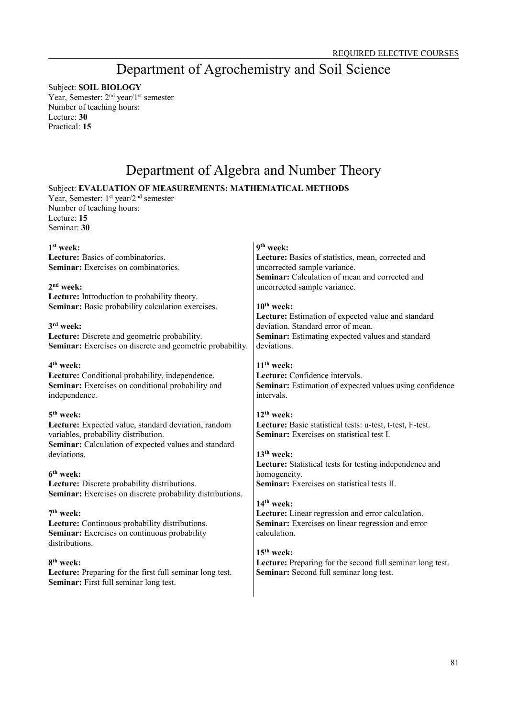# Department of Agrochemistry and Soil Science

Subject: **SOIL BIOLOGY** Year, Semester: 2<sup>nd</sup> year/1<sup>st</sup> semester Number of teaching hours: Lecture: **30** Practical: **15**

# Department of Algebra and Number Theory

## Subject: **EVALUATION OF MEASUREMENTS: MATHEMATICAL METHODS**

Year, Semester: 1<sup>st</sup> year/2<sup>nd</sup> semester Number of teaching hours: Lecture: **15** Seminar: **30**

| $1st$ week:<br>Lecture: Basics of combinatorics.<br><b>Seminar:</b> Exercises on combinatorics.<br>$2nd$ week:<br>Lecture: Introduction to probability theory.<br>Seminar: Basic probability calculation exercises.<br>$3rd$ week:<br>Lecture: Discrete and geometric probability. | 9 <sup>th</sup> week:<br>Lecture: Basics of statistics, mean, corrected and<br>uncorrected sample variance.<br>Seminar: Calculation of mean and corrected and<br>uncorrected sample variance.<br>$10th$ week:<br>Lecture: Estimation of expected value and standard<br>deviation. Standard error of mean.<br>Seminar: Estimating expected values and standard |
|------------------------------------------------------------------------------------------------------------------------------------------------------------------------------------------------------------------------------------------------------------------------------------|---------------------------------------------------------------------------------------------------------------------------------------------------------------------------------------------------------------------------------------------------------------------------------------------------------------------------------------------------------------|
| Seminar: Exercises on discrete and geometric probability.                                                                                                                                                                                                                          | deviations.                                                                                                                                                                                                                                                                                                                                                   |
| 4 <sup>th</sup> week:<br>Lecture: Conditional probability, independence.<br>Seminar: Exercises on conditional probability and<br>independence.                                                                                                                                     | $11th$ week:<br>Lecture: Confidence intervals.<br><b>Seminar:</b> Estimation of expected values using confidence<br>intervals.                                                                                                                                                                                                                                |
| 5 <sup>th</sup> week:<br>Lecture: Expected value, standard deviation, random<br>variables, probability distribution.<br>Seminar: Calculation of expected values and standard<br>deviations.                                                                                        | $12th$ week:<br>Lecture: Basic statistical tests: u-test, t-test, F-test.<br><b>Seminar:</b> Exercises on statistical test I.<br>$13th$ week:<br>Lecture: Statistical tests for testing independence and                                                                                                                                                      |
| 6 <sup>th</sup> week:<br>Lecture: Discrete probability distributions.<br>Seminar: Exercises on discrete probability distributions.                                                                                                                                                 | homogeneity.<br><b>Seminar:</b> Exercises on statistical tests II.                                                                                                                                                                                                                                                                                            |
| $7th$ week:<br>Lecture: Continuous probability distributions.<br>Seminar: Exercises on continuous probability<br>distributions.                                                                                                                                                    | $14th$ week:<br>Lecture: Linear regression and error calculation.<br>Seminar: Exercises on linear regression and error<br>calculation.<br>$15th$ week:                                                                                                                                                                                                        |
| 8 <sup>th</sup> week:<br>Lecture: Preparing for the first full seminar long test.<br>Seminar: First full seminar long test.                                                                                                                                                        | Lecture: Preparing for the second full seminar long test.<br>Seminar: Second full seminar long test.                                                                                                                                                                                                                                                          |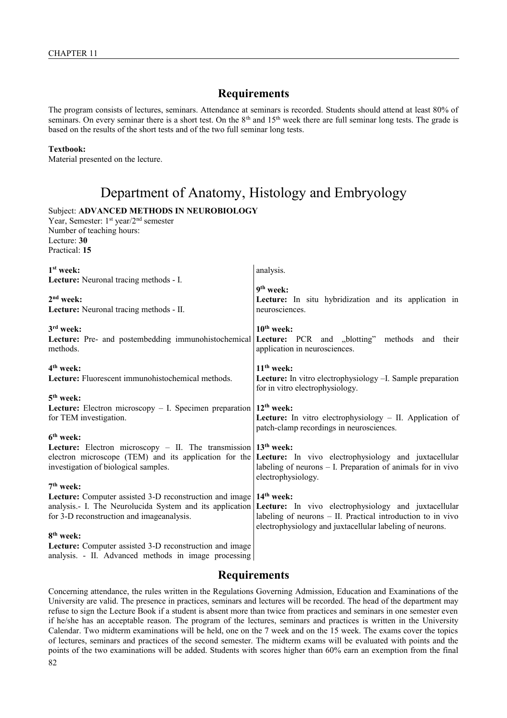The program consists of lectures, seminars. Attendance at seminars is recorded. Students should attend at least 80% of seminars. On every seminar there is a short test. On the 8<sup>th</sup> and 15<sup>th</sup> week there are full seminar long tests. The grade is based on the results of the short tests and of the two full seminar long tests.

#### **Textbook:**

Material presented on the lecture.

## Department of Anatomy, Histology and Embryology

Subject: **ADVANCED METHODS IN NEUROBIOLOGY**

Year, Semester: 1<sup>st</sup> year/2<sup>nd</sup> semester Number of teaching hours: Lecture: **30** Practical: **15**

| $1st$ week:<br>Lecture: Neuronal tracing methods - I.                                                           | analysis.                                                                                                                                                                                                |
|-----------------------------------------------------------------------------------------------------------------|----------------------------------------------------------------------------------------------------------------------------------------------------------------------------------------------------------|
| 2 <sup>nd</sup> week:<br>Lecture: Neuronal tracing methods - II.                                                | 9 <sup>th</sup> week:<br>Lecture: In situ hybridization and its application in<br>neurosciences.                                                                                                         |
| 3 <sup>rd</sup> week:                                                                                           | $10th$ week:                                                                                                                                                                                             |
| methods.                                                                                                        | Lecture: Pre- and postembedding immunohistochemical Lecture: PCR and "blotting" methods and their<br>application in neurosciences.                                                                       |
| 4 <sup>th</sup> week:<br>Lecture: Fluorescent immunohistochemical methods.                                      | $11th$ week:<br>Lecture: In vitro electrophysiology -I. Sample preparation<br>for in vitro electrophysiology.                                                                                            |
| $5th$ week:                                                                                                     |                                                                                                                                                                                                          |
| Lecture: Electron microscopy - I. Specimen preparation $12th$ week:<br>for TEM investigation.                   | <b>Lecture:</b> In vitro electrophysiology $-$ II. Application of<br>patch-clamp recordings in neurosciences.                                                                                            |
| $6th$ week:                                                                                                     |                                                                                                                                                                                                          |
| <b>Lecture:</b> Electron microscopy – II. The transmission $13th$ week:<br>investigation of biological samples. | electron microscope (TEM) and its application for the <b>Lecture:</b> In vivo electrophysiology and juxtacellular<br>labeling of neurons $-$ I. Preparation of animals for in vivo<br>electrophysiology. |
| $7th$ week:                                                                                                     |                                                                                                                                                                                                          |
| <b>Lecture:</b> Computer assisted 3-D reconstruction and image                                                  | 14 <sup>th</sup> week:                                                                                                                                                                                   |
| analysis.- I. The Neurolucida System and its application<br>for 3-D reconstruction and image analysis.          | Lecture: In vivo electrophysiology and juxtacellular<br>labeling of neurons – II. Practical introduction to in vivo<br>electrophysiology and juxtacellular labeling of neurons.                          |
| 8 <sup>th</sup> week:                                                                                           |                                                                                                                                                                                                          |
| Lecture: Computer assisted 3-D reconstruction and image<br>analysis. - II. Advanced methods in image processing |                                                                                                                                                                                                          |

## **Requirements**

Concerning attendance, the rules written in the Regulations Governing Admission, Education and Examinations of the University are valid. The presence in practices, seminars and lectures will be recorded. The head of the department may refuse to sign the Lecture Book if a student is absent more than twice from practices and seminars in one semester even if he/she has an acceptable reason. The program of the lectures, seminars and practices is written in the University Calendar. Two midterm examinations will be held, one on the 7 week and on the 15 week. The exams cover the topics of lectures, seminars and practices of the second semester. The midterm exams will be evaluated with points and the points of the two examinations will be added. Students with scores higher than 60% earn an exemption from the final 82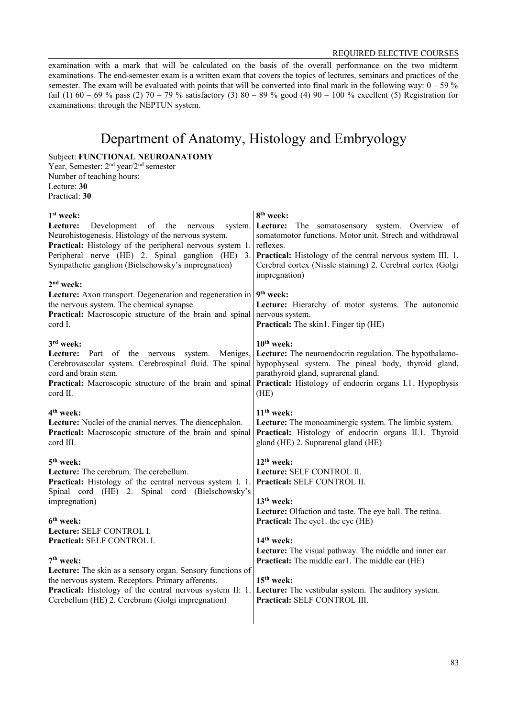examination with a mark that will be calculated on the basis of the overall performance on the two midterm examinations. The end-semester exam is a written exam that covers the topics of lectures, seminars and practices of the semester. The exam will be evaluated with points that will be converted into final mark in the following way:  $0 - 59\%$ fail (1) 60 – 69 % pass (2) 70 – 79 % satisfactory (3) 80 – 89 % good (4) 90 – 100 % excellent (5) Registration for examinations: through the NEPTUN system.

# Department of Anatomy, Histology and Embryology

Subject: **FUNCTIONAL NEUROANATOMY**

Year, Semester: 2nd year/2nd semester Number of teaching hours: Lecture: **30** Practical: **30**

| 1 <sup>st</sup> week:                                                                                                                                                                              | 8 <sup>th</sup> week:                                                                                                                                                                                             |
|----------------------------------------------------------------------------------------------------------------------------------------------------------------------------------------------------|-------------------------------------------------------------------------------------------------------------------------------------------------------------------------------------------------------------------|
| Development of the<br>Lecture:<br>nervous<br>system.<br>Neurohistogenesis. Histology of the nervous system.<br>Practical: Histology of the peripheral nervous system 1.                            | Lecture:<br>The somatosensory system. Overview of<br>somatomotor functions. Motor unit. Strech and withdrawal<br>reflexes.                                                                                        |
| Peripheral nerve (HE) 2. Spinal ganglion (HE)<br>3.<br>Sympathetic ganglion (Bielschowsky's impregnation)<br>$2nd$ week:                                                                           | <b>Practical:</b> Histology of the central nervous system III. 1.<br>Cerebral cortex (Nissle staining) 2. Cerebral cortex (Golgi<br>impregnation)                                                                 |
| Lecture: Axon transport. Degeneration and regeneration in                                                                                                                                          | 9 <sup>th</sup> week:                                                                                                                                                                                             |
| the nervous system. The chemical synapse.<br>Practical: Macroscopic structure of the brain and spinal<br>cord I.                                                                                   | Lecture: Hierarchy of motor systems. The autonomic<br>nervous system.<br><b>Practical:</b> The skin1. Finger tip (HE)                                                                                             |
| 3 <sup>rd</sup> week:                                                                                                                                                                              | $10th$ week:                                                                                                                                                                                                      |
| Part of the nervous<br>Lecture:<br>system. Meniges,<br>Cerebrovascular system. Cerebrospinal fluid. The spinal<br>cord and brain stem.<br>Practical: Macroscopic structure of the brain and spinal | Lecture: The neuroendocrin regulation. The hypothalamo-<br>hypophyseal system. The pineal body, thyroid gland,<br>parathyroid gland, suprarenal gland.<br>Practical: Histology of endocrin organs I.1. Hypophysis |
| cord II.                                                                                                                                                                                           | (HE)                                                                                                                                                                                                              |
| 4 <sup>th</sup> week:<br>Lecture: Nuclei of the cranial nerves. The diencephalon.<br>Practical: Macroscopic structure of the brain and spinal<br>cord III.                                         | $11th$ week:<br>Lecture: The monoaminergic system. The limbic system.<br>Practical: Histology of endocrin organs II.1. Thyroid<br>gland (HE) 2. Suprarenal gland (HE)                                             |
| 5 <sup>th</sup> week:                                                                                                                                                                              | $12^{th}$ week:                                                                                                                                                                                                   |
| Lecture: The cerebrum. The cerebellum.<br><b>Practical:</b> Histology of the central nervous system I. 1.<br>Spinal cord (HE) 2. Spinal cord (Bielschowsky's                                       | Lecture: SELF CONTROL II.<br>Practical: SELF CONTROL II.                                                                                                                                                          |
| impregnation)                                                                                                                                                                                      | 13 <sup>th</sup> week:                                                                                                                                                                                            |
| 6 <sup>th</sup> week:                                                                                                                                                                              | Lecture: Olfaction and taste. The eye ball. The retina.<br><b>Practical:</b> The eye1. the eye (HE)                                                                                                               |
| Lecture: SELF CONTROL I.<br>Practical: SELF CONTROL I.                                                                                                                                             | $14th$ week:                                                                                                                                                                                                      |
| 7 <sup>th</sup> week:                                                                                                                                                                              | Lecture: The visual pathway. The middle and inner ear.<br>Practical: The middle earl. The middle ear (HE)                                                                                                         |
| Lecture: The skin as a sensory organ. Sensory functions of<br>the nervous system. Receptors. Primary afferents.                                                                                    | 15 <sup>th</sup> week:                                                                                                                                                                                            |
| <b>Practical:</b> Histology of the central nervous system II: 1.<br>Cerebellum (HE) 2. Cerebrum (Golgi impregnation)                                                                               | Lecture: The vestibular system. The auditory system.<br>Practical: SELF CONTROL III.                                                                                                                              |
|                                                                                                                                                                                                    |                                                                                                                                                                                                                   |

 $\overline{\phantom{a}}$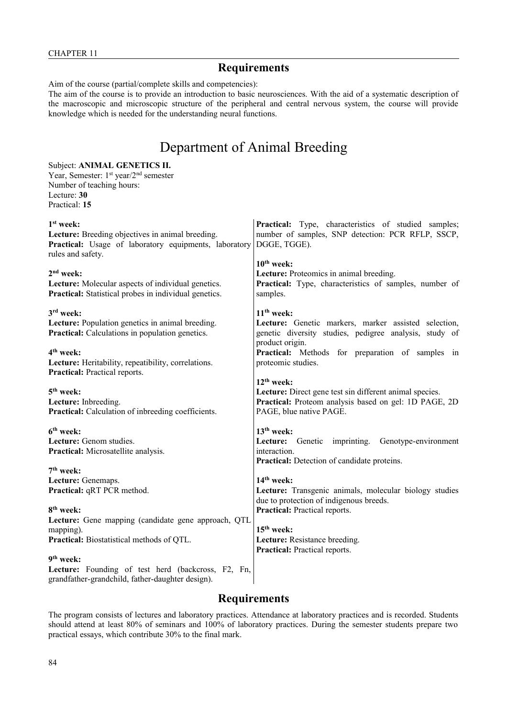Aim of the course (partial/complete skills and competencies):

The aim of the course is to provide an introduction to basic neurosciences. With the aid of a systematic description of the macroscopic and microscopic structure of the peripheral and central nervous system, the course will provide knowledge which is needed for the understanding neural functions.

# Department of Animal Breeding

### Subject: **ANIMAL GENETICS II.**

Year, Semester: 1<sup>st</sup> year/2<sup>nd</sup> semester Number of teaching hours: Lecture: **30** Practical: **15**

| $1st$ week:                                                   | Practical: Type, characteristics of studied samples;                |
|---------------------------------------------------------------|---------------------------------------------------------------------|
| Lecture: Breeding objectives in animal breeding.              | number of samples, SNP detection: PCR RFLP, SSCP,                   |
| Practical: Usage of laboratory equipments, laboratory         | DGGE, TGGE).                                                        |
| rules and safety.                                             |                                                                     |
|                                                               | $10th$ week:                                                        |
| $2nd$ week:                                                   | Lecture: Proteomics in animal breeding.                             |
| Lecture: Molecular aspects of individual genetics.            | Practical: Type, characteristics of samples, number of              |
| <b>Practical:</b> Statistical probes in individual genetics.  | samples.                                                            |
| 3rd week:                                                     | $11th$ week:                                                        |
| Lecture: Population genetics in animal breeding.              | Lecture: Genetic markers, marker assisted selection,                |
| Practical: Calculations in population genetics.               | genetic diversity studies, pedigree analysis, study of              |
| 4 <sup>th</sup> week:                                         | product origin.<br>Practical: Methods for preparation of samples in |
| Lecture: Heritability, repeatibility, correlations.           | proteomic studies.                                                  |
| Practical: Practical reports.                                 |                                                                     |
|                                                               | $12th$ week:                                                        |
| 5 <sup>th</sup> week:                                         | Lecture: Direct gene test sin different animal species.             |
| Lecture: Inbreeding.                                          | Practical: Proteom analysis based on gel: 1D PAGE, 2D               |
| Practical: Calculation of inbreeding coefficients.            | PAGE, blue native PAGE.                                             |
|                                                               |                                                                     |
| 6 <sup>th</sup> week:                                         | 13 <sup>th</sup> week:                                              |
| Lecture: Genom studies.                                       | Lecture: Genetic imprinting.<br>Genotype-environment                |
| Practical: Microsatellite analysis.                           | interaction.                                                        |
|                                                               | Practical: Detection of candidate proteins.                         |
| $7th$ week:                                                   |                                                                     |
| Lecture: Genemaps.                                            | 14 <sup>th</sup> week:                                              |
| Practical: qRT PCR method.                                    | Lecture: Transgenic animals, molecular biology studies              |
|                                                               | due to protection of indigenous breeds.                             |
| 8 <sup>th</sup> week:                                         | Practical: Practical reports.                                       |
| Lecture: Gene mapping (candidate gene approach, QTL           | $15th$ week:                                                        |
| mapping).<br><b>Practical:</b> Biostatistical methods of QTL. | Lecture: Resistance breeding.                                       |
|                                                               | Practical: Practical reports.                                       |
| 9 <sup>th</sup> week:                                         |                                                                     |
| Lecture: Founding of test herd (backcross, F2, Fn,            |                                                                     |
| grandfather-grandchild, father-daughter design).              |                                                                     |

## **Requirements**

The program consists of lectures and laboratory practices. Attendance at laboratory practices and is recorded. Students should attend at least 80% of seminars and 100% of laboratory practices. During the semester students prepare two practical essays, which contribute 30% to the final mark.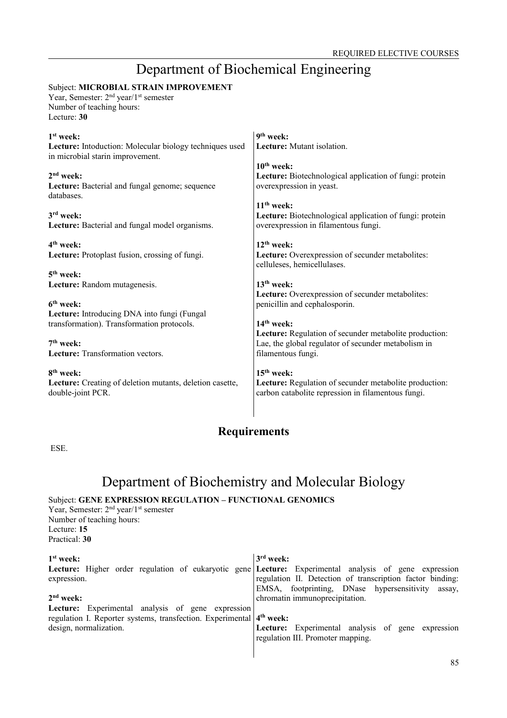# Department of Biochemical Engineering

### Subject: **MICROBIAL STRAIN IMPROVEMENT**

Year, Semester: 2<sup>nd</sup> year/1<sup>st</sup> semester Number of teaching hours: Lecture: **30**

| $1st$ week:                                                                                 | 9 <sup>th</sup> week:                                                                                        |
|---------------------------------------------------------------------------------------------|--------------------------------------------------------------------------------------------------------------|
| Lecture: Intoduction: Molecular biology techniques used<br>in microbial starin improvement. | Lecture: Mutant isolation.                                                                                   |
|                                                                                             | $10th$ week:                                                                                                 |
| $2nd$ week:<br>Lecture: Bacterial and fungal genome; sequence<br>databases.                 | Lecture: Biotechnological application of fungi: protein<br>overexpression in yeast.                          |
|                                                                                             | $11th$ week:                                                                                                 |
| 3rd week:<br>Lecture: Bacterial and fungal model organisms.                                 | Lecture: Biotechnological application of fungi: protein<br>overexpression in filamentous fungi.              |
| 4 <sup>th</sup> week:                                                                       | $12th$ week:                                                                                                 |
| Lecture: Protoplast fusion, crossing of fungi.                                              | Lecture: Overexpression of secunder metabolites:<br>celluleses, hemicellulases.                              |
| $5th$ week:                                                                                 |                                                                                                              |
| Lecture: Random mutagenesis.                                                                | $13th$ week:                                                                                                 |
|                                                                                             | Lecture: Overexpression of secunder metabolites:                                                             |
| 6 <sup>th</sup> week:                                                                       | penicillin and cephalosporin.                                                                                |
| Lecture: Introducing DNA into fungi (Fungal                                                 |                                                                                                              |
| transformation). Transformation protocols.                                                  | $14th$ week:                                                                                                 |
|                                                                                             | Lecture: Regulation of secunder metabolite production:                                                       |
| $7th$ week:<br><b>Lecture:</b> Transformation vectors.                                      | Lae, the global regulator of secunder metabolism in<br>filamentous fungi.                                    |
|                                                                                             |                                                                                                              |
| $8th$ week:                                                                                 | $15th$ week:                                                                                                 |
| Lecture: Creating of deletion mutants, deletion casette,<br>double-joint PCR.               | Lecture: Regulation of secunder metabolite production:<br>carbon catabolite repression in filamentous fungi. |
|                                                                                             |                                                                                                              |

## **Requirements**

ESE.

# Department of Biochemistry and Molecular Biology Subject: **GENE EXPRESSION REGULATION – FUNCTIONAL GENOMICS**

Year, Semester: 2<sup>nd</sup> year/1<sup>st</sup> semester Number of teaching hours: Lecture: **15** Practical: **30**

| $1st$ week:<br>Lecture: Higher order regulation of eukaryotic gene Lecture: Experimental analysis of gene expression<br>expression.<br>$2nd$ week:                     | $3rd$ week:<br>regulation II. Detection of transcription factor binding:<br>EMSA, footprinting, DNase hypersensitivity<br>assay.<br>chromatin immunoprecipitation. |
|------------------------------------------------------------------------------------------------------------------------------------------------------------------------|--------------------------------------------------------------------------------------------------------------------------------------------------------------------|
| <b>Lecture:</b> Experimental analysis of gene expression<br>regulation I. Reporter systems, transfection. Experimental 4 <sup>th</sup> week:<br>design, normalization. | Lecture: Experimental analysis of gene expression<br>regulation III. Promoter mapping.                                                                             |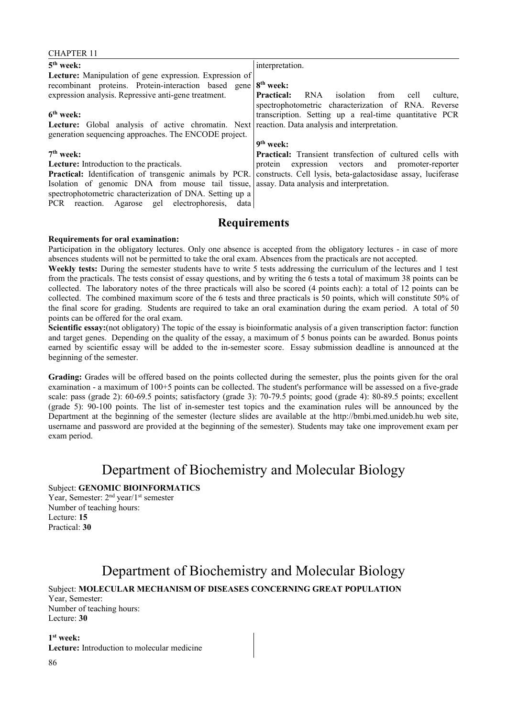| 5 <sup>th</sup> week:                                                                                 | interpretation.                                                   |
|-------------------------------------------------------------------------------------------------------|-------------------------------------------------------------------|
| Lecture: Manipulation of gene expression. Expression of                                               |                                                                   |
| recombinant proteins. Protein-interaction based gene                                                  | $8th$ week:                                                       |
| expression analysis. Repressive anti-gene treatment.                                                  | <b>Practical:</b><br>RNA<br>isolation<br>from<br>culture.<br>cell |
|                                                                                                       | spectrophotometric characterization of RNA. Reverse               |
| 6 <sup>th</sup> week:                                                                                 | transcription. Setting up a real-time quantitative PCR            |
| <b>Lecture:</b> Global analysis of active chromatin. Next reaction. Data analysis and interpretation. |                                                                   |
| generation sequencing approaches. The ENCODE project.                                                 |                                                                   |
|                                                                                                       | 9 <sup>th</sup> week:                                             |
| $7th$ week:                                                                                           | <b>Practical:</b> Transient transfection of cultured cells with   |
| <b>Lecture:</b> Introduction to the practicals.                                                       | protein expression vectors and promoter-reporter                  |
| Practical: Identification of transgenic animals by PCR.                                               | constructs. Cell lysis, beta-galactosidase assay, luciferase      |
| Isolation of genomic DNA from mouse tail tissue,                                                      | assay. Data analysis and interpretation.                          |
| spectrophotometric characterization of DNA. Setting up a                                              |                                                                   |
| PCR reaction. Agarose gel electrophoresis, data                                                       |                                                                   |
|                                                                                                       |                                                                   |

#### **Requirements for oral examination:**

CHAPTER 11

Participation in the obligatory lectures. Only one absence is accepted from the obligatory lectures - in case of more absences students will not be permitted to take the oral exam. Absences from the practicals are not accepted.

**Weekly tests:** During the semester students have to write 5 tests addressing the curriculum of the lectures and 1 test from the practicals. The tests consist of essay questions, and by writing the 6 tests a total of maximum 38 points can be collected. The laboratory notes of the three practicals will also be scored (4 points each): a total of 12 points can be collected. The combined maximum score of the 6 tests and three practicals is 50 points, which will constitute 50% of the final score for grading. Students are required to take an oral examination during the exam period. A total of 50 points can be offered for the oral exam.

**Scientific essay:**(not obligatory) The topic of the essay is bioinformatic analysis of a given transcription factor: function and target genes. Depending on the quality of the essay, a maximum of 5 bonus points can be awarded. Bonus points earned by scientific essay will be added to the in-semester score. Essay submission deadline is announced at the beginning of the semester.

**Grading:** Grades will be offered based on the points collected during the semester, plus the points given for the oral examination - a maximum of 100+5 points can be collected. The student's performance will be assessed on a five-grade scale: pass (grade 2): 60-69.5 points; satisfactory (grade 3): 70-79.5 points; good (grade 4): 80-89.5 points; excellent (grade 5): 90-100 points. The list of in-semester test topics and the examination rules will be announced by the Department at the beginning of the semester (lecture slides are available at the http://bmbi.med.unideb.hu web site, username and password are provided at the beginning of the semester). Students may take one improvement exam per exam period.

## Department of Biochemistry and Molecular Biology

Subject: **GENOMIC BIOINFORMATICS**

Year, Semester: 2<sup>nd</sup> year/1<sup>st</sup> semester Number of teaching hours: Lecture: **15** Practical: **30**

# Department of Biochemistry and Molecular Biology Subject: **MOLECULAR MECHANISM OF DISEASES CONCERNING GREAT POPULATION**

Year, Semester: Number of teaching hours: Lecture: **30**

**1 st week: Lecture:** Introduction to molecular medicine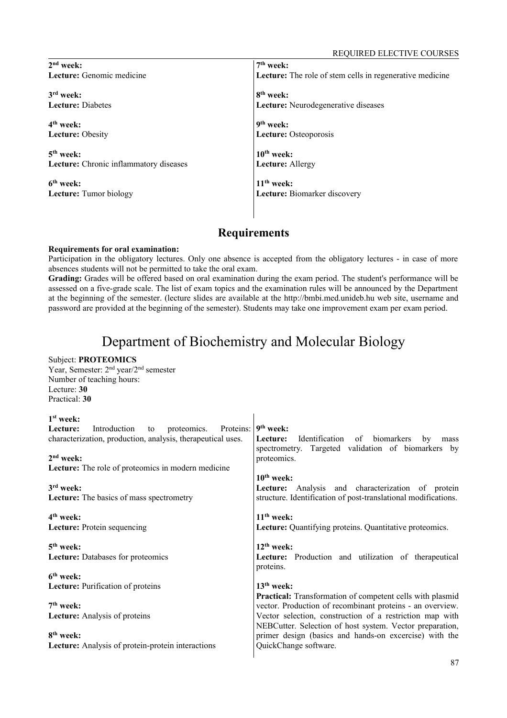| $2nd$ week:                            | 7 <sup>th</sup> week:                                           |
|----------------------------------------|-----------------------------------------------------------------|
| Lecture: Genomic medicine              | <b>Lecture:</b> The role of stem cells in regenerative medicine |
|                                        |                                                                 |
| 3 <sup>rd</sup> week:                  | 8 <sup>th</sup> week:                                           |
| <b>Lecture: Diabetes</b>               | Lecture: Neurodegenerative diseases                             |
|                                        |                                                                 |
| 4 <sup>th</sup> week:                  | $9th$ week:                                                     |
| <b>Lecture: Obesity</b>                | Lecture: Osteoporosis                                           |
| $5th$ week:                            | $10th$ week:                                                    |
|                                        |                                                                 |
| Lecture: Chronic inflammatory diseases | <b>Lecture:</b> Allergy                                         |
| 6 <sup>th</sup> week:                  | $11th$ week:                                                    |
|                                        |                                                                 |
| <b>Lecture:</b> Tumor biology          | <b>Lecture:</b> Biomarker discovery                             |
|                                        |                                                                 |
|                                        |                                                                 |

#### **Requirements for oral examination:**

Subject: **PROTEOMICS**

Participation in the obligatory lectures. Only one absence is accepted from the obligatory lectures - in case of more absences students will not be permitted to take the oral exam.

**Grading:** Grades will be offered based on oral examination during the exam period. The student's performance will be assessed on a five-grade scale. The list of exam topics and the examination rules will be announced by the Department at the beginning of the semester. (lecture slides are available at the http://bmbi.med.unideb.hu web site, username and password are provided at the beginning of the semester). Students may take one improvement exam per exam period.

## Department of Biochemistry and Molecular Biology

#### Year, Semester: 2nd year/2nd semester Number of teaching hours: Lecture: **30** Practical: **30 1 st week: Lecture:** Introduction to proteomics. Proteins: characterization, production, analysis, therapeutical uses. **2 nd week: Lecture:** The role of proteomics in modern medicine **3 rd week: Lecture:** The basics of mass spectrometry **4 th week: Lecture:** Protein sequencing **5 th week: Lecture:** Databases for proteomics **6 th week: Lecture:** Purification of proteins **7 th week: Lecture:** Analysis of proteins **8 th week: Lecture:** Analysis of protein-protein interactions **9 th week: Lecture:** Identification of biomarkers by mass spectrometry. Targeted validation of biomarkers by proteomics. **10th week: Lecture:** Analysis and characterization of protein structure. Identification of post-translational modifications. **11th week: Lecture:** Quantifying proteins. Quantitative proteomics. **12th week: Lecture:** Production and utilization of therapeutical proteins. **13th week: Practical:** Transformation of competent cells with plasmid vector. Production of recombinant proteins - an overview. Vector selection, construction of a restriction map with NEBCutter. Selection of host system. Vector preparation, primer design (basics and hands-on excercise) with the QuickChange software.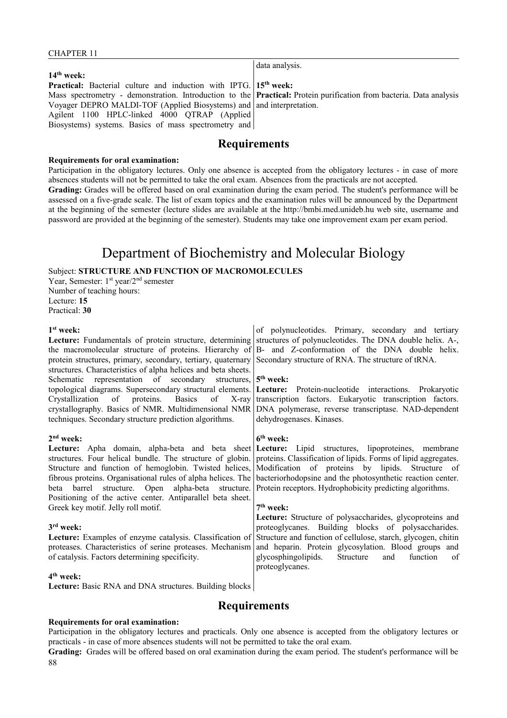#### CHAPTER 11

|                                                                                                                            | $a$ aca $a$ iiar $\overline{b}$ |
|----------------------------------------------------------------------------------------------------------------------------|---------------------------------|
| $14th$ week:                                                                                                               |                                 |
| <b>Practical:</b> Bacterial culture and induction with IPTG. 15 <sup>th</sup> week:                                        |                                 |
| Mass spectrometry - demonstration. Introduction to the <b>Practical:</b> Protein purification from bacteria. Data analysis |                                 |
| Voyager DEPRO MALDI-TOF (Applied Biosystems) and and interpretation.                                                       |                                 |
| Agilent 1100 HPLC-linked 4000 QTRAP (Applied)                                                                              |                                 |
| Biosystems) systems. Basics of mass spectrometry and                                                                       |                                 |
|                                                                                                                            |                                 |

data analysis.

## **Requirements**

#### **Requirements for oral examination:**

Participation in the obligatory lectures. Only one absence is accepted from the obligatory lectures - in case of more absences students will not be permitted to take the oral exam. Absences from the practicals are not accepted. **Grading:** Grades will be offered based on oral examination during the exam period. The student's performance will be assessed on a five-grade scale. The list of exam topics and the examination rules will be announced by the Department at the beginning of the semester (lecture slides are available at the http://bmbi.med.unideb.hu web site, username and password are provided at the beginning of the semester). Students may take one improvement exam per exam period.

## Department of Biochemistry and Molecular Biology

Subject: **STRUCTURE AND FUNCTION OF MACROMOLECULES**

Year, Semester: 1<sup>st</sup> year/2<sup>nd</sup> semester Number of teaching hours: Lecture: **15** Practical: **30**

#### **1 st week:**

**Lecture:** Fundamentals of protein structure, determining the macromolecular structure of proteins. Hierarchy of protein structures, primary, secondary, tertiary, quaternary structures. Characteristics of alpha helices and beta sheets. Schematic representation of secondary structures, topological diagrams. Supersecondary structural elements. Crystallization of proteins. Basics of X-ray crystallography. Basics of NMR. Multidimensional NMR techniques. Secondary structure prediction algorithms.

#### **2 nd week:**

**Lecture:** Apha domain, alpha-beta and beta sheet structures. Four helical bundle. The structure of globin. Structure and function of hemoglobin. Twisted helices, fibrous proteins. Organisational rules of alpha helices. The beta barrel structure. Open alpha-beta structure. Positioning of the active center. Antiparallel beta sheet. Greek key motif. Jelly roll motif.

#### **3 rd week:**

**Lecture:** Examples of enzyme catalysis. Classification of proteases. Characteristics of serine proteases. Mechanism of catalysis. Factors determining specificity.

#### **4 th week:**

**Lecture:** Basic RNA and DNA structures. Building blocks

of polynucleotides. Primary, secondary and tertiary structures of polynucleotides. The DNA double helix. A-, B- and Z-conformation of the DNA double helix. Secondary structure of RNA. The structure of tRNA.

#### **5 th week:**

**Lecture:** Protein-nucleotide interactions. Prokaryotic transcription factors. Eukaryotic transcription factors. DNA polymerase, reverse transcriptase. NAD-dependent dehydrogenases. Kinases.

#### **6 th week:**

Lecture: Lipid structures, lipoproteines, membrane proteins. Classification of lipids. Forms of lipid aggregates. Modification of proteins by lipids. Structure of bacteriorhodopsine and the photosynthetic reaction center. Protein receptors. Hydrophobicity predicting algorithms.

#### **7 th week:**

**Lecture:** Structure of polysaccharides, glycoproteins and proteoglycanes. Building blocks of polysaccharides. Structure and function of cellulose, starch, glycogen, chitin and heparin. Protein glycosylation. Blood groups and glycosphingolipids. Structure and function of proteoglycanes.

## **Requirements**

#### **Requirements for oral examination:**

Participation in the obligatory lectures and practicals. Only one absence is accepted from the obligatory lectures or practicals - in case of more absences students will not be permitted to take the oral exam.

**Grading:** Grades will be offered based on oral examination during the exam period. The student's performance will be 88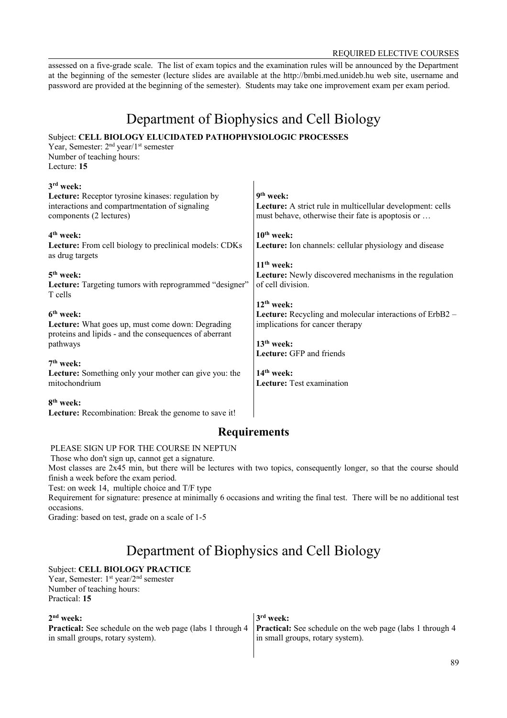#### REQUIRED ELECTIVE COURSES

assessed on a five-grade scale. The list of exam topics and the examination rules will be announced by the Department at the beginning of the semester (lecture slides are available at the http://bmbi.med.unideb.hu web site, username and password are provided at the beginning of the semester). Students may take one improvement exam per exam period.

# Department of Biophysics and Cell Biology

## Subject: **CELL BIOLOGY ELUCIDATED PATHOPHYSIOLOGIC PROCESSES**

Year, Semester: 2<sup>nd</sup> year/1<sup>st</sup> semester Number of teaching hours: Lecture: **15**

| $3rd$ week:<br><b>Lecture:</b> Receptor tyrosine kinases: regulation by<br>interactions and compartmentation of signaling<br>components (2 lectures) | $9th$ week:<br>Lecture: A strict rule in multicellular development: cells<br>must behave, otherwise their fate is apoptosis or |
|------------------------------------------------------------------------------------------------------------------------------------------------------|--------------------------------------------------------------------------------------------------------------------------------|
| $4th$ week:<br><b>Lecture:</b> From cell biology to preclinical models: CDKs<br>as drug targets                                                      | $10th$ week:<br>Lecture: Ion channels: cellular physiology and disease                                                         |
| $5th$ week:                                                                                                                                          | $11th$ week:                                                                                                                   |
| Lecture: Targeting tumors with reprogrammed "designer"                                                                                               | <b>Lecture:</b> Newly discovered mechanisms in the regulation                                                                  |
| T cells                                                                                                                                              | of cell division.                                                                                                              |
| 6 <sup>th</sup> week:                                                                                                                                | $12th$ week:                                                                                                                   |
| Lecture: What goes up, must come down: Degrading                                                                                                     | <b>Lecture:</b> Recycling and molecular interactions of ErbB2 –                                                                |
| proteins and lipids - and the consequences of aberrant                                                                                               | implications for cancer therapy                                                                                                |
| pathways                                                                                                                                             | $13th$ week:                                                                                                                   |
| $7th$ week:                                                                                                                                          | <b>Lecture:</b> GFP and friends                                                                                                |
| <b>Lecture:</b> Something only your mother can give you: the                                                                                         | $14th$ week:                                                                                                                   |
| mitochondrium                                                                                                                                        | Lecture: Test examination                                                                                                      |
| 8 <sup>th</sup> week:<br><b>Lecture:</b> Recombination: Break the genome to save it!                                                                 |                                                                                                                                |

## **Requirements**

### PLEASE SIGN UP FOR THE COURSE IN NEPTUN

Those who don't sign up, cannot get a signature.

Most classes are 2x45 min, but there will be lectures with two topics, consequently longer, so that the course should finish a week before the exam period.

Test: on week 14, multiple choice and T/F type

Requirement for signature: presence at minimally 6 occasions and writing the final test. There will be no additional test occasions.

Grading: based on test, grade on a scale of 1-5

# Department of Biophysics and Cell Biology

### Subject: **CELL BIOLOGY PRACTICE**

Year, Semester: 1<sup>st</sup> year/2<sup>nd</sup> semester Number of teaching hours: Practical: **15**

| $2nd$ week:                                                                                                                       | 3 <sup>rd</sup> week:            |
|-----------------------------------------------------------------------------------------------------------------------------------|----------------------------------|
| <b>Practical:</b> See schedule on the web page (labs 1 through 4 <b>Practical:</b> See schedule on the web page (labs 1 through 4 |                                  |
| in small groups, rotary system).                                                                                                  | in small groups, rotary system). |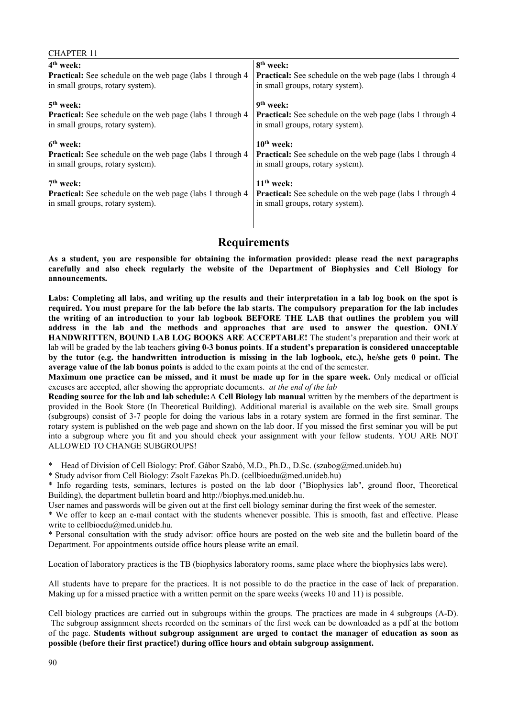| <b>CHAPTER 11</b>                                                 |                                                                   |
|-------------------------------------------------------------------|-------------------------------------------------------------------|
| 4 <sup>th</sup> week:                                             | 8 <sup>th</sup> week:                                             |
| <b>Practical:</b> See schedule on the web page (labs 1 through 4) | <b>Practical:</b> See schedule on the web page (labs 1 through 4) |
| in small groups, rotary system).                                  | in small groups, rotary system).                                  |
| $5th$ week:                                                       | 9 <sup>th</sup> week:                                             |
| <b>Practical:</b> See schedule on the web page (labs 1 through 4) | <b>Practical:</b> See schedule on the web page (labs 1 through 4) |
| in small groups, rotary system).                                  | in small groups, rotary system).                                  |
| 6 <sup>th</sup> week:                                             | $10th$ week:                                                      |
| Practical: See schedule on the web page (labs 1 through 4         | <b>Practical:</b> See schedule on the web page (labs 1 through 4  |
| in small groups, rotary system).                                  | in small groups, rotary system).                                  |
| $7th$ week:                                                       | $11th$ week:                                                      |
| <b>Practical:</b> See schedule on the web page (labs 1 through 4  | <b>Practical:</b> See schedule on the web page (labs 1 through 4  |
| in small groups, rotary system).                                  | in small groups, rotary system).                                  |

**As a student, you are responsible for obtaining the information provided: please read the next paragraphs carefully and also check regularly the website of the Department of Biophysics and Cell Biology for announcements.**

**Labs: Completing all labs, and writing up the results and their interpretation in a lab log book on the spot is required. You must prepare for the lab before the lab starts. The compulsory preparation for the lab includes the writing of an introduction to your lab logbook BEFORE THE LAB that outlines the problem you will address in the lab and the methods and approaches that are used to answer the question. ONLY HANDWRITTEN, BOUND LAB LOG BOOKS ARE ACCEPTABLE!** The student's preparation and their work at lab will be graded by the lab teachers **giving 0-3 bonus points**. **If a student's preparation is considered unacceptable by the tutor (e.g. the handwritten introduction is missing in the lab logbook, etc.), he/she gets 0 point. The average value of the lab bonus points** is added to the exam points at the end of the semester.

**Maximum one practice can be missed, and it must be made up for in the spare week.** Only medical or official excuses are accepted, after showing the appropriate documents. *at the end of the lab*

**Reading source for the lab and lab schedule:**A **Cell Biology lab manual** written by the members of the department is provided in the Book Store (In Theoretical Building). Additional material is available on the web site. Small groups (subgroups) consist of 3-7 people for doing the various labs in a rotary system are formed in the first seminar. The rotary system is published on the web page and shown on the lab door. If you missed the first seminar you will be put into a subgroup where you fit and you should check your assignment with your fellow students. YOU ARE NOT ALLOWED TO CHANGE SUBGROUPS!

\* Head of Division of Cell Biology: Prof. Gábor Szabó, M.D., Ph.D., D.Sc. (szabog@med.unideb.hu)

\* Study advisor from Cell Biology: Zsolt Fazekas Ph.D. (cellbioedu@med.unideb.hu)

\* Info regarding tests, seminars, lectures is posted on the lab door ("Biophysics lab", ground floor, Theoretical Building), the department bulletin board and http://biophys.med.unideb.hu.

User names and passwords will be given out at the first cell biology seminar during the first week of the semester.

\* We offer to keep an e-mail contact with the students whenever possible. This is smooth, fast and effective. Please write to cellbioedu@med.unideb.hu.

\* Personal consultation with the study advisor: office hours are posted on the web site and the bulletin board of the Department. For appointments outside office hours please write an email.

Location of laboratory practices is the TB (biophysics laboratory rooms, same place where the biophysics labs were).

All students have to prepare for the practices. It is not possible to do the practice in the case of lack of preparation. Making up for a missed practice with a written permit on the spare weeks (weeks 10 and 11) is possible.

Cell biology practices are carried out in subgroups within the groups. The practices are made in 4 subgroups (A-D). The subgroup assignment sheets recorded on the seminars of the first week can be downloaded as a pdf at the bottom of the page. **Students without subgroup assignment are urged to contact the manager of education as soon as possible (before their first practice!) during office hours and obtain subgroup assignment.**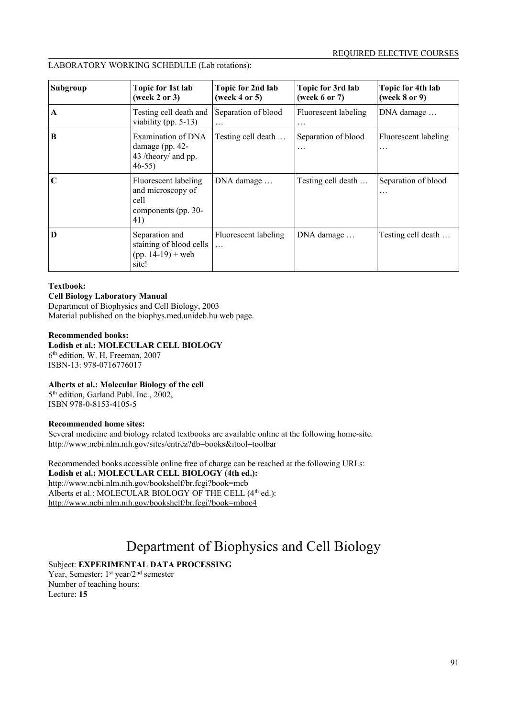### LABORATORY WORKING SCHEDULE (Lab rotations):

| Subgroup    | Topic for 1st lab<br>(week 2 or 3)                                              | Topic for 2nd lab<br>(week 4 or 5) | Topic for 3rd lab<br>(week $6$ or $7$ ) | Topic for 4th lab<br>(week $8$ or $9$ ) |
|-------------|---------------------------------------------------------------------------------|------------------------------------|-----------------------------------------|-----------------------------------------|
| A           | Testing cell death and<br>viability (pp. $5-13$ )                               | Separation of blood<br>.           | Fluorescent labeling<br>$\cdots$        | DNA damage                              |
| $\bf{B}$    | Examination of DNA<br>damage (pp. $42-$<br>43 /theory/ and pp.<br>$46-55$       | Testing cell death                 | Separation of blood<br>$\cdots$         | Fluorescent labeling<br>.               |
| $\mathbf C$ | Fluorescent labeling<br>and microscopy of<br>cell<br>components (pp. 30-<br>41) | DNA damage                         | Testing cell death                      | Separation of blood<br>.                |
| D           | Separation and<br>staining of blood cells<br>$(pp. 14-19) + web$<br>site!       | Fluorescent labeling<br>$\ddotsc$  | DNA damage                              | Testing cell death                      |

#### **Textbook:**

#### **Cell Biology Laboratory Manual**

Department of Biophysics and Cell Biology, 2003 Material published on the biophys.med.unideb.hu web page.

#### **Recommended books:**

**Lodish et al.: MOLECULAR CELL BIOLOGY** 6 th edition, W. H. Freeman, 2007 ISBN-13: 978-0716776017

#### **Alberts et al.: Molecular Biology of the cell**

5<sup>th</sup> edition, Garland Publ. Inc., 2002, ISBN 978-0-8153-4105-5

#### **Recommended home sites:**

Several medicine and biology related textbooks are available online at the following home-site. http://www.ncbi.nlm.nih.gov/sites/entrez?db=books&itool=toolbar

Recommended books accessible online free of charge can be reached at the following URLs: **Lodish et al.: MOLECULAR CELL BIOLOGY (4th ed.):** http://www.ncbi.nlm.nih.gov/bookshelf/br.fcgi?book=mcb Alberts et al.: MOLECULAR BIOLOGY OF THE CELL (4<sup>th</sup> ed.): http://www.ncbi.nlm.nih.gov/bookshelf/br.fcgi?book=mboc4

# Department of Biophysics and Cell Biology

### Subject: **EXPERIMENTAL DATA PROCESSING**

Year, Semester: 1<sup>st</sup> year/2<sup>nd</sup> semester Number of teaching hours: Lecture: **15**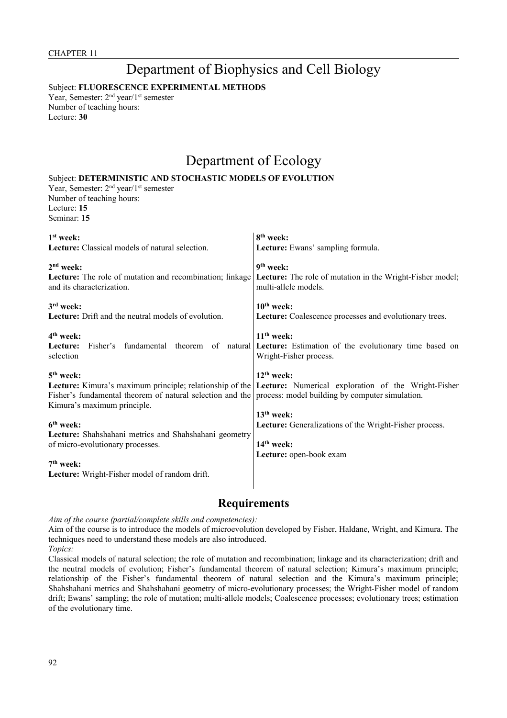# Department of Biophysics and Cell Biology

Subject: **FLUORESCENCE EXPERIMENTAL METHODS**

Year, Semester: 2<sup>nd</sup> year/1<sup>st</sup> semester Number of teaching hours: Lecture: **30**

# Department of Ecology

### Subject: **DETERMINISTIC AND STOCHASTIC MODELS OF EVOLUTION**

Year, Semester: 2<sup>nd</sup> year/1<sup>st</sup> semester Number of teaching hours: Lecture: **15** Seminar: **15**

| $1st$ week:                                                                                                                              | 8 <sup>th</sup> week:                                                                                                          |
|------------------------------------------------------------------------------------------------------------------------------------------|--------------------------------------------------------------------------------------------------------------------------------|
| Lecture: Classical models of natural selection.                                                                                          | Lecture: Ewans' sampling formula.                                                                                              |
| $2nd$ week:                                                                                                                              | $9th$ week:                                                                                                                    |
| <b>Lecture:</b> The role of mutation and recombination; linkage<br>and its characterization.                                             | <b>Lecture:</b> The role of mutation in the Wright-Fisher model;<br>multi-allele models.                                       |
| $3rd$ week:                                                                                                                              | $10th$ week:                                                                                                                   |
| Lecture: Drift and the neutral models of evolution.                                                                                      | Lecture: Coalescence processes and evolutionary trees.                                                                         |
| 4 <sup>th</sup> week:                                                                                                                    | $11th$ week:                                                                                                                   |
| Lecture:<br>selection                                                                                                                    | Fisher's fundamental theorem of natural <b>Lecture:</b> Estimation of the evolutionary time based on<br>Wright-Fisher process. |
| $5th$ week:                                                                                                                              | $12^{th}$ week:                                                                                                                |
| Fisher's fundamental theorem of natural selection and the process: model building by computer simulation.<br>Kimura's maximum principle. | <b>Lecture:</b> Kimura's maximum principle; relationship of the Lecture: Numerical exploration of the Wright-Fisher            |
|                                                                                                                                          | 13 <sup>th</sup> week:                                                                                                         |
| 6 <sup>th</sup> week:                                                                                                                    | <b>Lecture:</b> Generalizations of the Wright-Fisher process.                                                                  |
| Lecture: Shahshahani metrics and Shahshahani geometry<br>of micro-evolutionary processes.                                                | $14th$ week:                                                                                                                   |
|                                                                                                                                          | Lecture: open-book exam                                                                                                        |
| $7th$ week:                                                                                                                              |                                                                                                                                |
| Lecture: Wright-Fisher model of random drift.                                                                                            |                                                                                                                                |

## **Requirements**

*Aim of the course (partial/complete skills and competencies):*

Aim of the course is to introduce the models of microevolution developed by Fisher, Haldane, Wright, and Kimura. The techniques need to understand these models are also introduced.

*Topics:*

Classical models of natural selection; the role of mutation and recombination; linkage and its characterization; drift and the neutral models of evolution; Fisher's fundamental theorem of natural selection; Kimura's maximum principle; relationship of the Fisher's fundamental theorem of natural selection and the Kimura's maximum principle; Shahshahani metrics and Shahshahani geometry of micro-evolutionary processes; the Wright-Fisher model of random drift; Ewans' sampling; the role of mutation; multi-allele models; Coalescence processes; evolutionary trees; estimation of the evolutionary time.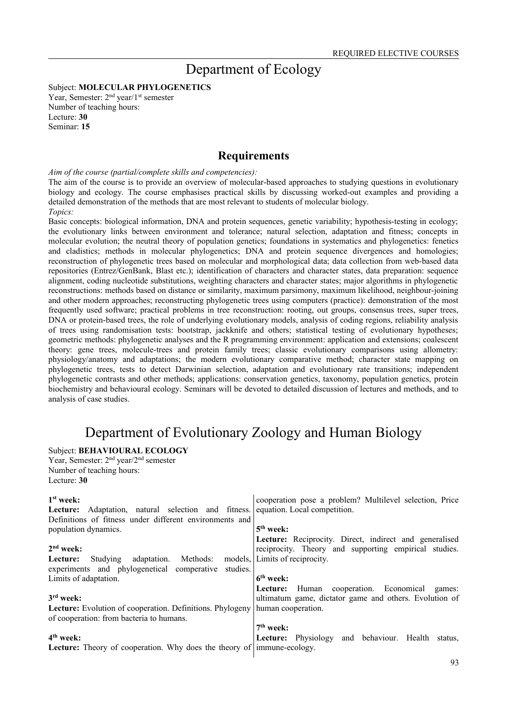## Department of Ecology

Subject: **MOLECULAR PHYLOGENETICS**

Year, Semester: 2<sup>nd</sup> year/1<sup>st</sup> semester Number of teaching hours: Lecture: **30** Seminar: **15**

## **Requirements**

*Aim of the course (partial/complete skills and competencies):*

The aim of the course is to provide an overview of molecular-based approaches to studying questions in evolutionary biology and ecology. The course emphasises practical skills by discussing worked-out examples and providing a detailed demonstration of the methods that are most relevant to students of molecular biology.

*Topics:*

Basic concepts: biological information, DNA and protein sequences, genetic variability; hypothesis-testing in ecology; the evolutionary links between environment and tolerance; natural selection, adaptation and fitness; concepts in molecular evolution; the neutral theory of population genetics; foundations in systematics and phylogenetics: fenetics and cladistics; methods in molecular phylogenetics; DNA and protein sequence divergences and homologies; reconstruction of phylogenetic trees based on molecular and morphological data; data collection from web-based data repositories (Entrez/GenBank, Blast etc.); identification of characters and character states, data preparation: sequence alignment, coding nucleotide substitutions, weighting characters and character states; major algorithms in phylogenetic reconstructions: methods based on distance or similarity, maximum parsimony, maximum likelihood, neighbour-joining and other modern approaches; reconstructing phylogenetic trees using computers (practice): demonstration of the most frequently used software; practical problems in tree reconstruction: rooting, out groups, consensus trees, super trees, DNA or protein-based trees, the role of underlying evolutionary models, analysis of coding regions, reliability analysis of trees using randomisation tests: bootstrap, jackknife and others; statistical testing of evolutionary hypotheses; geometric methods: phylogenetic analyses and the R programming environment: application and extensions; coalescent theory: gene trees, molecule-trees and protein family trees; classic evolutionary comparisons using allometry: physiology/anatomy and adaptations; the modern evolutionary comparative method; character state mapping on phylogenetic trees, tests to detect Darwinian selection, adaptation and evolutionary rate transitions; independent phylogenetic contrasts and other methods; applications: conservation genetics, taxonomy, population genetics, protein biochemistry and behavioural ecology. Seminars will be devoted to detailed discussion of lectures and methods, and to analysis of case studies.

## Department of Evolutionary Zoology and Human Biology

### Subject: **BEHAVIOURAL ECOLOGY**

Year, Semester: 2nd year/2nd semester Number of teaching hours: Lecture: **30**

| $1st$ week:<br><b>Lecture:</b> Adaptation, natural selection and fitness.<br>Definitions of fitness under different environments and | cooperation pose a problem? Multilevel selection, Price<br>equation. Local competition.                           |
|--------------------------------------------------------------------------------------------------------------------------------------|-------------------------------------------------------------------------------------------------------------------|
| population dynamics.                                                                                                                 | $5th$ week:                                                                                                       |
| $2nd$ week:                                                                                                                          | Lecture: Reciprocity. Direct, indirect and generalised<br>reciprocity. Theory and supporting empirical studies.   |
| Methods:<br>Studying adaptation.<br>Lecture:<br>experiments and phylogenetical comperative<br>studies.                               | models, Limits of reciprocity.                                                                                    |
| Limits of adaptation.                                                                                                                | $6th$ week:                                                                                                       |
| $3rd$ week:                                                                                                                          | <b>Lecture:</b> Human cooperation. Economical<br>games:<br>ultimatum game, dictator game and others. Evolution of |
| <b>Lecture:</b> Evolution of cooperation. Definitions. Phylogeny<br>of cooperation: from bacteria to humans.                         | human cooperation.                                                                                                |
|                                                                                                                                      | $7th$ week:                                                                                                       |
| $4th$ week:                                                                                                                          | Lecture: Physiology and behaviour. Health status,                                                                 |
| <b>Lecture:</b> Theory of cooperation. Why does the theory of                                                                        | immune-ecology.                                                                                                   |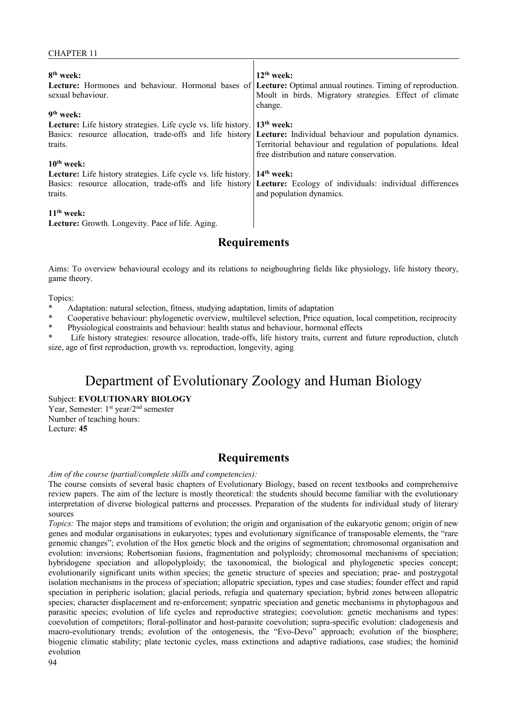| 8 <sup>th</sup> week:<br>sexual behaviour.                                              | $12th$ week:<br>Lecture: Hormones and behaviour. Hormonal bases of Lecture: Optimal annual routines. Timing of reproduction.<br>Moult in birds. Migratory strategies. Effect of climate<br>change. |
|-----------------------------------------------------------------------------------------|----------------------------------------------------------------------------------------------------------------------------------------------------------------------------------------------------|
| $9th$ week:                                                                             |                                                                                                                                                                                                    |
| <b>Lecture:</b> Life history strategies. Life cycle vs. life history.                   | $\vert$ 13 <sup>th</sup> week:                                                                                                                                                                     |
|                                                                                         | Basics: resource allocation, trade-offs and life history <b>Lecture:</b> Individual behaviour and population dynamics.                                                                             |
| traits.                                                                                 | Territorial behaviour and regulation of populations. Ideal<br>free distribution and nature conservation.                                                                                           |
| $10th$ week:                                                                            |                                                                                                                                                                                                    |
| <b>Lecture:</b> Life history strategies. Life cycle vs. life history. <b>14th week:</b> |                                                                                                                                                                                                    |
|                                                                                         | Basics: resource allocation, trade-offs and life history Lecture: Ecology of individuals: individual differences                                                                                   |
| traits.                                                                                 | and population dynamics.                                                                                                                                                                           |
| $11th$ week:                                                                            |                                                                                                                                                                                                    |

**Lecture:** Growth. Longevity. Pace of life. Aging.

## **Requirements**

Aims: To overview behavioural ecology and its relations to neigboughring fields like physiology, life history theory, game theory.

#### Topics:

- Adaptation: natural selection, fitness, studying adaptation, limits of adaptation
- \* Cooperative behaviour: phylogenetic overview, multilevel selection, Price equation, local competition, reciprocity
- \* Physiological constraints and behaviour: health status and behaviour, hormonal effects

Life history strategies: resource allocation, trade-offs, life history traits, current and future reproduction, clutch size, age of first reproduction, growth vs. reproduction, longevity, aging

# Department of Evolutionary Zoology and Human Biology

Subject: **EVOLUTIONARY BIOLOGY**

Year, Semester: 1<sup>st</sup> year/2<sup>nd</sup> semester Number of teaching hours: Lecture: **45**

### **Requirements**

#### *Aim of the course (partial/complete skills and competencies):*

The course consists of several basic chapters of Evolutionary Biology, based on recent textbooks and comprehensive review papers. The aim of the lecture is mostly theoretical: the students should become familiar with the evolutionary interpretation of diverse biological patterns and processes. Preparation of the students for individual study of literary sources

*Topics:* The major steps and transitions of evolution; the origin and organisation of the eukaryotic genom; origin of new genes and modular organisations in eukaryotes; types and evolutionary significance of transposable elements, the "rare genomic changes"; evolution of the Hox genetic block and the origins of segmentation; chromosomal organisation and evolution: inversions; Robertsonian fusions, fragmentation and polyploidy; chromosomal mechanisms of speciation; hybridogene speciation and allopolyploidy; the taxonomical, the biological and phylogenetic species concept; evolutionarily significant units within species; the genetic structure of species and speciation; prae- and postzygotal isolation mechanisms in the process of speciation; allopatric speciation, types and case studies; founder effect and rapid speciation in peripheric isolation; glacial periods, refugia and quaternary speciation; hybrid zones between allopatric species; character displacement and re-enforcement; synpatric speciation and genetic mechanisms in phytophagous and parasitic species; evolution of life cycles and reproductive strategies; coevolution: genetic mechanisms and types: coevolution of competitors; floral-pollinator and host-parasite coevolution; supra-specific evolution: cladogenesis and macro-evolutionary trends; evolution of the ontogenesis, the "Evo-Devo" approach; evolution of the biosphere; biogenic climatic stability; plate tectonic cycles, mass extinctions and adaptive radiations, case studies; the hominid evolution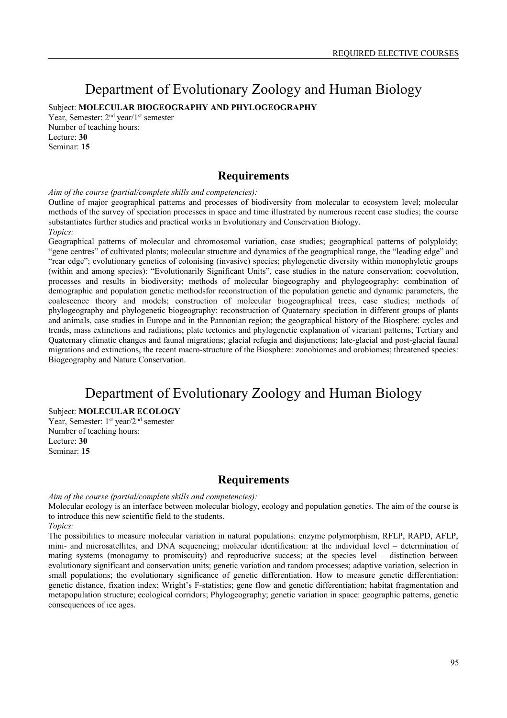# Department of Evolutionary Zoology and Human Biology

Subject: **MOLECULAR BIOGEOGRAPHY AND PHYLOGEOGRAPHY**

Year, Semester: 2<sup>nd</sup> year/1<sup>st</sup> semester Number of teaching hours: Lecture: **30** Seminar: **15**

## **Requirements**

*Aim of the course (partial/complete skills and competencies):*

Outline of major geographical patterns and processes of biodiversity from molecular to ecosystem level; molecular methods of the survey of speciation processes in space and time illustrated by numerous recent case studies; the course substantiates further studies and practical works in Evolutionary and Conservation Biology. *Topics:*

Geographical patterns of molecular and chromosomal variation, case studies; geographical patterns of polyploidy; "gene centres" of cultivated plants; molecular structure and dynamics of the geographical range, the "leading edge" and "rear edge"; evolutionary genetics of colonising (invasive) species; phylogenetic diversity within monophyletic groups (within and among species): "Evolutionarily Significant Units", case studies in the nature conservation; coevolution, processes and results in biodiversity; methods of molecular biogeography and phylogeography: combination of demographic and population genetic methodsfor reconstruction of the population genetic and dynamic parameters, the coalescence theory and models; construction of molecular biogeographical trees, case studies; methods of phylogeography and phylogenetic biogeography: reconstruction of Quaternary speciation in different groups of plants and animals, case studies in Europe and in the Pannonian region; the geographical history of the Biosphere: cycles and trends, mass extinctions and radiations; plate tectonics and phylogenetic explanation of vicariant patterns; Tertiary and Quaternary climatic changes and faunal migrations; glacial refugia and disjunctions; late-glacial and post-glacial faunal migrations and extinctions, the recent macro-structure of the Biosphere: zonobiomes and orobiomes; threatened species: Biogeography and Nature Conservation.

## Department of Evolutionary Zoology and Human Biology

### Subject: **MOLECULAR ECOLOGY**

Year, Semester: 1<sup>st</sup> year/2<sup>nd</sup> semester Number of teaching hours: Lecture: **30** Seminar: **15**

### **Requirements**

*Aim of the course (partial/complete skills and competencies):*

Molecular ecology is an interface between molecular biology, ecology and population genetics. The aim of the course is to introduce this new scientific field to the students.

*Topics:*

The possibilities to measure molecular variation in natural populations: enzyme polymorphism, RFLP, RAPD, AFLP, mini- and microsatellites, and DNA sequencing; molecular identification: at the individual level – determination of mating systems (monogamy to promiscuity) and reproductive success; at the species level – distinction between evolutionary significant and conservation units; genetic variation and random processes; adaptive variation, selection in small populations; the evolutionary significance of genetic differentiation. How to measure genetic differentiation: genetic distance, fixation index; Wright's F-statistics; gene flow and genetic differentiation; habitat fragmentation and metapopulation structure; ecological corridors; Phylogeography; genetic variation in space: geographic patterns, genetic consequences of ice ages.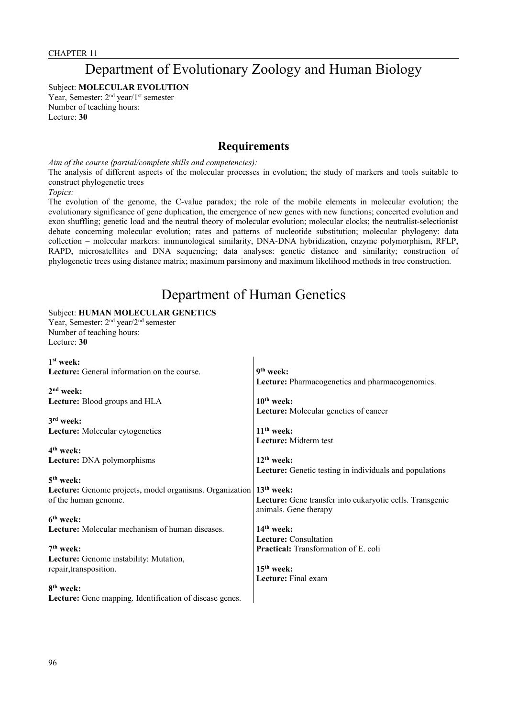## Department of Evolutionary Zoology and Human Biology

Subject: **MOLECULAR EVOLUTION**

Year, Semester: 2<sup>nd</sup> year/1<sup>st</sup> semester Number of teaching hours: Lecture: **30**

## **Requirements**

*Aim of the course (partial/complete skills and competencies):*

The analysis of different aspects of the molecular processes in evolution; the study of markers and tools suitable to construct phylogenetic trees

*Topics:*

The evolution of the genome, the C-value paradox; the role of the mobile elements in molecular evolution; the evolutionary significance of gene duplication, the emergence of new genes with new functions; concerted evolution and exon shuffling; genetic load and the neutral theory of molecular evolution; molecular clocks; the neutralist-selectionist debate concerning molecular evolution; rates and patterns of nucleotide substitution; molecular phylogeny: data collection – molecular markers: immunological similarity, DNA-DNA hybridization, enzyme polymorphism, RFLP, RAPD, microsatellites and DNA sequencing; data analyses: genetic distance and similarity; construction of phylogenetic trees using distance matrix; maximum parsimony and maximum likelihood methods in tree construction.

## Department of Human Genetics

### Subject: **HUMAN MOLECULAR GENETICS**

Year, Semester: 2nd year/2nd semester Number of teaching hours: Lecture: **30**

| $1st$ week:                                             |                                                          |
|---------------------------------------------------------|----------------------------------------------------------|
| <b>Lecture:</b> General information on the course.      | 9 <sup>th</sup> week:                                    |
|                                                         | <b>Lecture:</b> Pharmacogenetics and pharmacogenomics.   |
| $2nd$ week:                                             |                                                          |
| <b>Lecture:</b> Blood groups and HLA                    | $10th$ week:                                             |
|                                                         | Lecture: Molecular genetics of cancer                    |
| $3rd$ week:                                             |                                                          |
| Lecture: Molecular cytogenetics                         | $11th$ week:                                             |
|                                                         | <b>Lecture:</b> Midterm test                             |
| 4 <sup>th</sup> week:                                   |                                                          |
| Lecture: DNA polymorphisms                              | $12th$ week:                                             |
|                                                         | Lecture: Genetic testing in individuals and populations  |
| $5th$ week:                                             |                                                          |
| Lecture: Genome projects, model organisms. Organization | $13th$ week:                                             |
| of the human genome.                                    | Lecture: Gene transfer into eukaryotic cells. Transgenic |
|                                                         | animals. Gene therapy                                    |
| 6 <sup>th</sup> week:                                   |                                                          |
| Lecture: Molecular mechanism of human diseases.         | $14th$ week:                                             |
|                                                         | <b>Lecture:</b> Consultation                             |
| $7th$ week:                                             | <b>Practical:</b> Transformation of E. coli              |
| Lecture: Genome instability: Mutation,                  |                                                          |
| repair, transposition.                                  | $15th$ week:                                             |
|                                                         | <b>Lecture:</b> Final exam                               |
| 8 <sup>th</sup> week:                                   |                                                          |
| Lecture: Gene mapping. Identification of disease genes. |                                                          |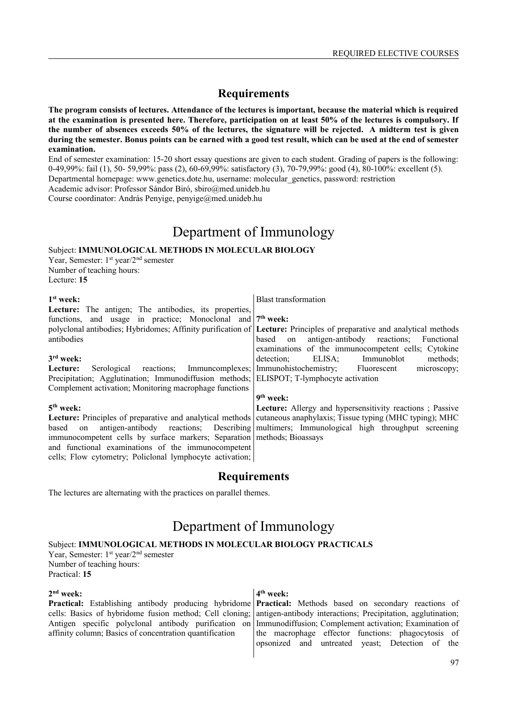**The program consists of lectures. Attendance of the lectures is important, because the material which is required at the examination is presented here. Therefore, participation on at least 50% of the lectures is compulsory. If the number of absences exceeds 50% of the lectures, the signature will be rejected. A midterm test is given during the semester. Bonus points can be earned with a good test result, which can be used at the end of semester examination.**

End of semester examination: 15-20 short essay questions are given to each student. Grading of papers is the following: 0-49,99%: fail (1), 50- 59,99%: pass (2), 60-69,99%: satisfactory (3), 70-79,99%: good (4), 80-100%: excellent (5).

Departmental homepage: www.genetics.dote.hu, username: molecular\_genetics, password: restriction

Academic advisor: Professor Sándor Biró, sbiro@med.unideb.hu

Course coordinator: András Penyige, penyige@med.unideb.hu

## Department of Immunology

Subject: **IMMUNOLOGICAL METHODS IN MOLECULAR BIOLOGY**

Year, Semester: 1<sup>st</sup> year/2<sup>nd</sup> semester Number of teaching hours: Lecture: **15**

| $1st$ week:                                                                             | <b>Blast transformation</b>                                                                                             |
|-----------------------------------------------------------------------------------------|-------------------------------------------------------------------------------------------------------------------------|
| <b>Lecture:</b> The antigen; The antibodies, its properties,                            |                                                                                                                         |
| functions, and usage in practice; Monoclonal and 7 <sup>th</sup> week:                  |                                                                                                                         |
|                                                                                         | polyclonal antibodies; Hybridomes; Affinity purification of Lecture: Principles of preparative and analytical methods   |
| antibodies                                                                              | based on antigen-antibody reactions;<br>Functional                                                                      |
|                                                                                         | examinations of the immunocompetent cells; Cytokine                                                                     |
| $3rd$ week:                                                                             | detection:<br>ELISA;<br>methods;<br>Immunoblot                                                                          |
| Serological reactions; Immuncomplexes;<br>Lecture:                                      | Immunohistochemistry;<br>Fluorescent<br>microscopy;                                                                     |
| Precipitation; Agglutination; Immunodiffusion methods; ELISPOT; T-lymphocyte activation |                                                                                                                         |
| Complement activation; Monitoring macrophage functions                                  |                                                                                                                         |
|                                                                                         | 9 <sup>th</sup> week:                                                                                                   |
| $5th$ week:                                                                             | <b>Lecture:</b> Allergy and hypersensitivity reactions; Passive                                                         |
|                                                                                         | <b>Lecture:</b> Principles of preparative and analytical methods cutaneous anaphylaxis; Tissue typing (MHC typing); MHC |
| based<br>on                                                                             | antigen-antibody reactions; Describing multimers; Immunological high throughput screening                               |
| immunocompetent cells by surface markers; Separation methods; Bioassays                 |                                                                                                                         |
| and functional examinations of the immunocompetent                                      |                                                                                                                         |

## **Requirements**

The lectures are alternating with the practices on parallel themes.

cells; Flow cytometry; Policlonal lymphocyte activation;

## Department of Immunology

#### Subject: **IMMUNOLOGICAL METHODS IN MOLECULAR BIOLOGY PRACTICALS**

Year, Semester: 1<sup>st</sup> year/2<sup>nd</sup> semester Number of teaching hours: Practical: **15**

#### **2 nd week:**

**Practical:** Establishing antibody producing hybridome cells: Basics of hybridome fusion method; Cell cloning; Antigen specific polyclonal antibody purification on affinity column; Basics of concentration quantification

#### **4 th week:**

**Practical:** Methods based on secondary reactions of antigen-antibody interactions; Precipitation, agglutination; Immunodiffusion; Complement activation; Examination of the macrophage effector functions: phagocytosis of opsonized and untreated yeast; Detection of the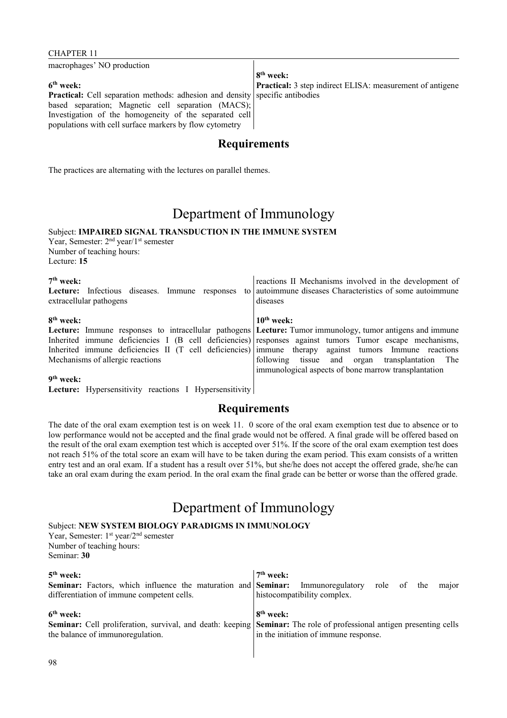### CHAPTER 11

macrophages' NO production

#### **6 th week:**

**Practical:** Cell separation methods: adhesion and density based separation; Magnetic cell separation (MACS); Investigation of the homogeneity of the separated cell populations with cell surface markers by flow cytometry

**8 th week: Practical:** 3 step indirect ELISA: measurement of antigene specific antibodies

## **Requirements**

The practices are alternating with the lectures on parallel themes.

## Department of Immunology

## Subject: **IMPAIRED SIGNAL TRANSDUCTION IN THE IMMUNE SYSTEM**

Year, Semester: 2<sup>nd</sup> year/1<sup>st</sup> semester Number of teaching hours: Lecture: **15**

| $7th$ week:<br>Lecture: Infectious diseases. Immune<br>responses<br>extracellular pathogens | reactions II Mechanisms involved in the development of<br>to autoimmune diseases Characteristics of some autoimmune<br>diseases |
|---------------------------------------------------------------------------------------------|---------------------------------------------------------------------------------------------------------------------------------|
| 8 <sup>th</sup> week:                                                                       | $10th$ week:                                                                                                                    |
|                                                                                             | Lecture: Immune responses to intracellular pathogens Lecture: Tumor immunology, tumor antigens and immune                       |
|                                                                                             | Inherited immune deficiencies I (B cell deficiencies) responses against tumors Tumor escape mechanisms,                         |
|                                                                                             | Inherited immune deficiencies II (T cell deficiencies) immune therapy against tumors Immune reactions                           |
| Mechanisms of allergic reactions                                                            | following tissue and organ transplantation The                                                                                  |
|                                                                                             | immunological aspects of bone marrow transplantation                                                                            |
| 9 <sup>th</sup> week:                                                                       |                                                                                                                                 |
|                                                                                             |                                                                                                                                 |

Lecture: Hypersensitivity reactions I Hypersensitivity

## **Requirements**

The date of the oral exam exemption test is on week 11. 0 score of the oral exam exemption test due to absence or to low performance would not be accepted and the final grade would not be offered. A final grade will be offered based on the result of the oral exam exemption test which is accepted over 51%. If the score of the oral exam exemption test does not reach 51% of the total score an exam will have to be taken during the exam period. This exam consists of a written entry test and an oral exam. If a student has a result over 51%, but she/he does not accept the offered grade, she/he can take an oral exam during the exam period. In the oral exam the final grade can be better or worse than the offered grade.

# Department of Immunology

Subject: **NEW SYSTEM BIOLOGY PARADIGMS IN IMMUNOLOGY**

Year, Semester: 1<sup>st</sup> year/2<sup>nd</sup> semester Number of teaching hours: Seminar: **30**

| $5th$ week:<br><b>Seminar:</b> Factors, which influence the maturation and <b>Seminar:</b><br>differentiation of immune competent cells. | $7th$ week:<br>role of the<br>Immunoregulatory<br>major<br>histocompatibility complex.                                                                                                 |
|------------------------------------------------------------------------------------------------------------------------------------------|----------------------------------------------------------------------------------------------------------------------------------------------------------------------------------------|
| $6th$ week:<br>the balance of immunoregulation.                                                                                          | 8 <sup>th</sup> week:<br>Seminar: Cell proliferation, survival, and death: keeping Seminar: The role of professional antigen presenting cells<br>in the initiation of immune response. |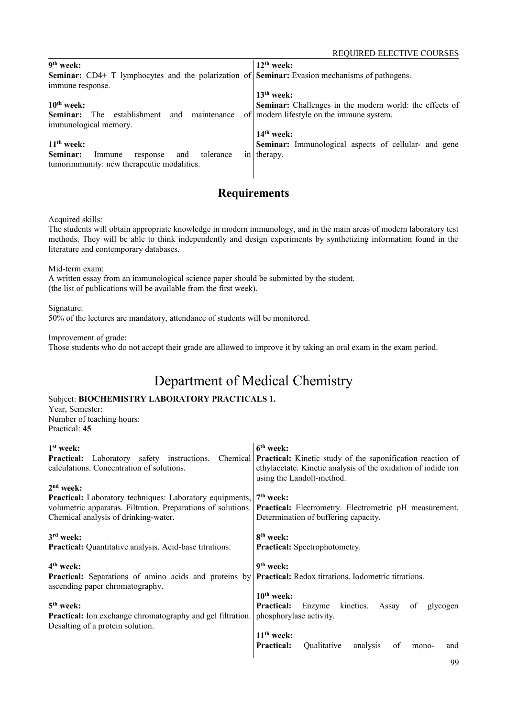| 9 <sup>th</sup> week:                                                                                       | $12th$ week:                                                   |
|-------------------------------------------------------------------------------------------------------------|----------------------------------------------------------------|
| <b>Seminar:</b> CD4+ T lymphocytes and the polarization of <b>Seminar:</b> Evasion mechanisms of pathogens. |                                                                |
| immune response.                                                                                            |                                                                |
|                                                                                                             | $13th$ week:                                                   |
| $10th$ week:                                                                                                | <b>Seminar:</b> Challenges in the modern world: the effects of |
| establishment<br>The<br>maintenance<br>and<br>of<br>Seminar:                                                | modern lifestyle on the immune system.                         |
| immunological memory.                                                                                       |                                                                |
|                                                                                                             | $14th$ week:                                                   |
| $11th$ week:                                                                                                | <b>Seminar:</b> Immunological aspects of cellular- and gene    |
| Seminar:<br>tolerance<br>and<br>Immune<br>response<br>1n                                                    | therapy.                                                       |
| tumorimmunity: new therapeutic modalities.                                                                  |                                                                |
|                                                                                                             |                                                                |

Acquired skills:

The students will obtain appropriate knowledge in modern immunology, and in the main areas of modern laboratory test methods. They will be able to think independently and design experiments by synthetizing information found in the literature and contemporary databases.

Mid-term exam:

A written essay from an immunological science paper should be submitted by the student. (the list of publications will be available from the first week).

Signature:

50% of the lectures are mandatory, attendance of students will be monitored.

Improvement of grade:

Those students who do not accept their grade are allowed to improve it by taking an oral exam in the exam period.

# Department of Medical Chemistry

## Subject: **BIOCHEMISTRY LABORATORY PRACTICALS 1.**

Year, Semester: Number of teaching hours: Practical: **45**

| $1st$ week:<br>Laboratory safety instructions. Chemical<br><b>Practical:</b><br>calculations. Concentration of solutions.                                                                                                          | 6 <sup>th</sup> week:<br><b>Practical:</b> Kinetic study of the saponification reaction of<br>ethylacetate. Kinetic analysis of the oxidation of iodide ion<br>using the Landolt-method.                                                                                                 |
|------------------------------------------------------------------------------------------------------------------------------------------------------------------------------------------------------------------------------------|------------------------------------------------------------------------------------------------------------------------------------------------------------------------------------------------------------------------------------------------------------------------------------------|
| $2nd$ week:<br><b>Practical:</b> Laboratory techniques: Laboratory equipments,<br>volumetric apparatus. Filtration. Preparations of solutions.<br>Chemical analysis of drinking-water.                                             | $7th$ week:<br><b>Practical:</b> Electrometry. Electrometric pH measurement.<br>Determination of buffering capacity.                                                                                                                                                                     |
| $3rd$ week:<br>Practical: Quantitative analysis. Acid-base titrations.                                                                                                                                                             | 8 <sup>th</sup> week:<br><b>Practical:</b> Spectrophotometry.                                                                                                                                                                                                                            |
| 4 <sup>th</sup> week:<br>Practical: Separations of amino acids and proteins by<br>ascending paper chromatography.<br>$5th$ week:<br>Practical: Ion exchange chromatography and gel filtration.<br>Desalting of a protein solution. | 9 <sup>th</sup> week:<br><b>Practical:</b> Redox titrations. Iodometric titrations.<br>$10th$ week:<br>Enzyme kinetics.<br><b>Practical:</b><br>Assay<br>of<br>glycogen<br>phosphorylase activity.<br>$11th$ week:<br><b>Practical:</b><br>Qualitative<br>analysis<br>of<br>and<br>mono- |
|                                                                                                                                                                                                                                    | $\Omega$                                                                                                                                                                                                                                                                                 |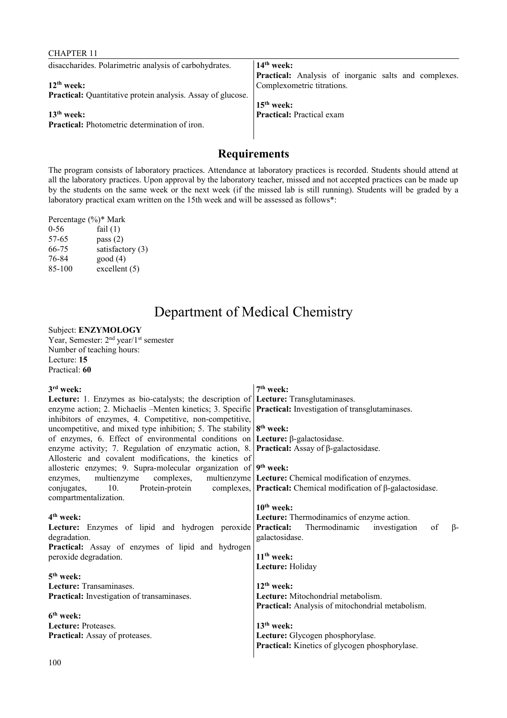| UHAI LEIVIL                                                 |                                                       |
|-------------------------------------------------------------|-------------------------------------------------------|
| disaccharides. Polarimetric analysis of carbohydrates.      | $14th$ week:                                          |
|                                                             | Practical: Analysis of inorganic salts and complexes. |
| $12th$ week:                                                | Complexometric titrations.                            |
| Practical: Quantitative protein analysis. Assay of glucose. |                                                       |
|                                                             | $15th$ week:                                          |
| $13th$ week:                                                | <b>Practical:</b> Practical exam                      |
| Practical: Photometric determination of iron.               |                                                       |
|                                                             |                                                       |
|                                                             |                                                       |

The program consists of laboratory practices. Attendance at laboratory practices is recorded. Students should attend at all the laboratory practices. Upon approval by the laboratory teacher, missed and not accepted practices can be made up by the students on the same week or the next week (if the missed lab is still running). Students will be graded by a laboratory practical exam written on the 15th week and will be assessed as follows\*:

|          | Percentage (%)* Mark |
|----------|----------------------|
| $0 - 56$ | fail $(1)$           |
| 57-65    | pass $(2)$           |
| 66-75    | satisfactory $(3)$   |
| 76-84    | good(4)              |
| 85-100   | excellent $(5)$      |

CHAPTER 11

# Department of Medical Chemistry

### Subject: **ENZYMOLOGY**

Year, Semester: 2<sup>nd</sup> year/1<sup>st</sup> semester Number of teaching hours: Lecture: **15** Practical: **60**

| 3 <sup>rd</sup> week:                                                                                           | 7 <sup>th</sup> week:                                             |
|-----------------------------------------------------------------------------------------------------------------|-------------------------------------------------------------------|
| <b>Lecture:</b> 1. Enzymes as bio-catalysts; the description of <b>Lecture:</b> Transglutaminases.              |                                                                   |
| enzyme action; 2. Michaelis -Menten kinetics; 3. Specific <b>Practical:</b> Investigation of transglutaminases. |                                                                   |
| inhibitors of enzymes, 4. Competitive, non-competitive,                                                         |                                                                   |
| uncompetitive, and mixed type inhibition; 5. The stability $8th$ week:                                          |                                                                   |
| of enzymes, 6. Effect of environmental conditions on <b>Lecture:</b> $\beta$ -galactosidase.                    |                                                                   |
| enzyme activity; 7. Regulation of enzymatic action, 8. <b>Practical:</b> Assay of $\beta$ -galactosidase.       |                                                                   |
| Allosteric and covalent modifications, the kinetics of                                                          |                                                                   |
| allosteric enzymes; 9. Supra-molecular organization of $9th$ week:                                              |                                                                   |
| multienzyme<br>enzymes,                                                                                         | complexes, multienzyme Lecture: Chemical modification of enzymes. |
| conjugates, 10. Protein-protein complexes, <b>Practical:</b> Chemical modification of $\beta$ -galactosidase.   |                                                                   |
| compartmentalization.                                                                                           |                                                                   |
|                                                                                                                 | $10th$ week:                                                      |
| 4 <sup>th</sup> week:                                                                                           | Lecture: Thermodinamics of enzyme action.                         |
| Lecture: Enzymes of lipid and hydrogen peroxide Practical: Thermodinamic investigation                          | $\beta$ -<br>of                                                   |
| degradation.                                                                                                    | galactosidase.                                                    |
| Practical: Assay of enzymes of lipid and hydrogen                                                               |                                                                   |
| peroxide degradation.                                                                                           | $11th$ week:                                                      |
|                                                                                                                 | Lecture: Holiday                                                  |
| 5 <sup>th</sup> week:                                                                                           |                                                                   |
| Lecture: Transaminases.                                                                                         | $12th$ week:                                                      |
| <b>Practical:</b> Investigation of transaminases.                                                               | Lecture: Mitochondrial metabolism.                                |
|                                                                                                                 | Practical: Analysis of mitochondrial metabolism.                  |
| 6 <sup>th</sup> week:                                                                                           |                                                                   |
| Lecture: Proteases.                                                                                             | $13th$ week:                                                      |
| <b>Practical:</b> Assay of proteases.                                                                           | Lecture: Glycogen phosphorylase.                                  |
|                                                                                                                 | <b>Practical:</b> Kinetics of glycogen phosphorylase.             |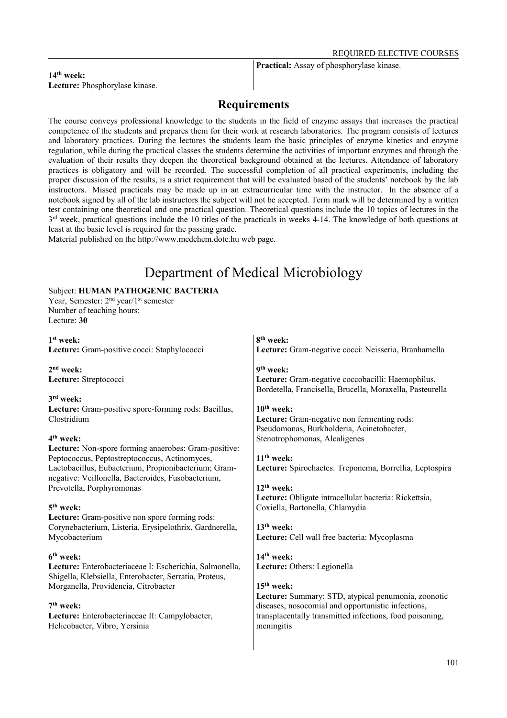**Practical:** Assay of phosphorylase kinase.

#### $14$ <sup>th</sup> week: **Lecture:** Phosphorylase kinase.

## **Requirements**

The course conveys professional knowledge to the students in the field of enzyme assays that increases the practical competence of the students and prepares them for their work at research laboratories. The program consists of lectures and laboratory practices. During the lectures the students learn the basic principles of enzyme kinetics and enzyme regulation, while during the practical classes the students determine the activities of important enzymes and through the evaluation of their results they deepen the theoretical background obtained at the lectures. Attendance of laboratory practices is obligatory and will be recorded. The successful completion of all practical experiments, including the proper discussion of the results, is a strict requirement that will be evaluated based of the students' notebook by the lab instructors. Missed practicals may be made up in an extracurricular time with the instructor. In the absence of a notebook signed by all of the lab instructors the subject will not be accepted. Term mark will be determined by a written test containing one theoretical and one practical question. Theoretical questions include the 10 topics of lectures in the  $3<sup>rd</sup>$  week, practical questions include the 10 titles of the practicals in weeks 4-14. The knowledge of both questions at least at the basic level is required for the passing grade.

Material published on the http://www.medchem.dote.hu web page.

# Department of Medical Microbiology

### Subject: **HUMAN PATHOGENIC BACTERIA**

Year, Semester: 2<sup>nd</sup> year/1<sup>st</sup> semester Number of teaching hours: Lecture: **30**

**1 st week: Lecture:** Gram-positive cocci: Staphylococci

**2 nd week: Lecture:** Streptococci

**3 rd week:** 

**Lecture:** Gram-positive spore-forming rods: Bacillus, Clostridium

#### **4 th week:**

**Lecture:** Non-spore forming anaerobes: Gram-positive: Peptococcus, Peptostreptococcus, Actinomyces, Lactobacillus, Eubacterium, Propionibacterium; Gramnegative: Veillonella, Bacteroides, Fusobacterium, Prevotella, Porphyromonas

#### **5 th week:**

**Lecture:** Gram-positive non spore forming rods: Corynebacterium, Listeria, Erysipelothrix, Gardnerella, Mycobacterium

#### **6 th week:**

**Lecture:** Enterobacteriaceae I: Escherichia, Salmonella, Shigella, Klebsiella, Enterobacter, Serratia, Proteus, Morganella, Providencia, Citrobacter

#### **7 th week:**

**Lecture:** Enterobacteriaceae II: Campylobacter, Helicobacter, Vibro, Yersinia

## **8 th week: Lecture:** Gram-negative cocci: Neisseria, Branhamella

**9 th week: Lecture:** Gram-negative coccobacilli: Haemophilus, Bordetella, Francisella, Brucella, Moraxella, Pasteurella

### **10th week: Lecture:** Gram-negative non fermenting rods: Pseudomonas, Burkholderia, Acinetobacter, Stenotrophomonas, Alcaligenes

**11th week: Lecture:** Spirochaetes: Treponema, Borrellia, Leptospira

**12th week: Lecture:** Obligate intracellular bacteria: Rickettsia, Coxiella, Bartonella, Chlamydia

**13th week: Lecture:** Cell wall free bacteria: Mycoplasma

**14th week: Lecture:** Others: Legionella

#### **15th week:**

**Lecture:** Summary: STD, atypical penumonia, zoonotic diseases, nosocomial and opportunistic infections, transplacentally transmitted infections, food poisoning, meningitis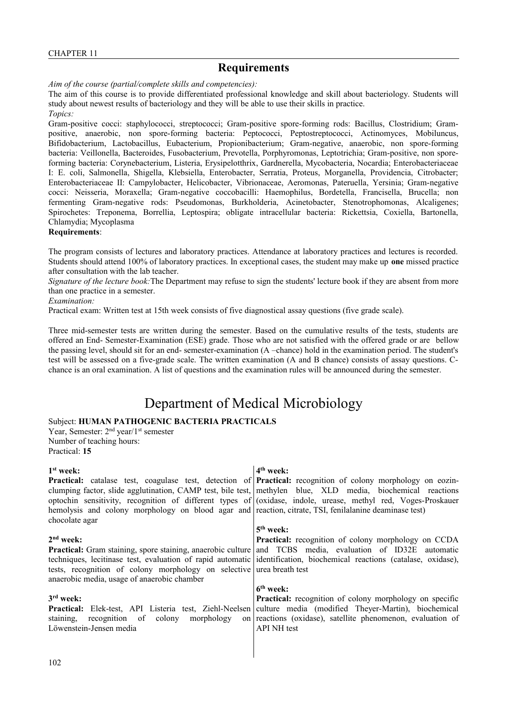*Aim of the course (partial/complete skills and competencies):*

The aim of this course is to provide differentiated professional knowledge and skill about bacteriology. Students will study about newest results of bacteriology and they will be able to use their skills in practice. *Topics:*

Gram-positive cocci: staphylococci, streptococci; Gram-positive spore-forming rods: Bacillus, Clostridium; Grampositive, anaerobic, non spore-forming bacteria: Peptococci, Peptostreptococci, Actinomyces, Mobiluncus, Bifidobacterium, Lactobacillus, Eubacterium, Propionibacterium; Gram-negative, anaerobic, non spore-forming bacteria: Veillonella, Bacteroides, Fusobacterium, Prevotella, Porphyromonas, Leptotrichia; Gram-positive, non sporeforming bacteria: Corynebacterium, Listeria, Erysipelotthrix, Gardnerella, Mycobacteria, Nocardia; Enterobacteriaceae I: E. coli, Salmonella, Shigella, Klebsiella, Enterobacter, Serratia, Proteus, Morganella, Providencia, Citrobacter; Enterobacteriaceae II: Campylobacter, Helicobacter, Vibrionaceae, Aeromonas, Pateruella, Yersinia; Gram-negative cocci: Neisseria, Moraxella; Gram-negative coccobacilli: Haemophilus, Bordetella, Francisella, Brucella; non fermenting Gram-negative rods: Pseudomonas, Burkholderia, Acinetobacter, Stenotrophomonas, Alcaligenes; Spirochetes: Treponema, Borrellia, Leptospira; obligate intracellular bacteria: Rickettsia, Coxiella, Bartonella, Chlamydia; Mycoplasma

#### **Requirements**:

The program consists of lectures and laboratory practices. Attendance at laboratory practices and lectures is recorded. Students should attend 100% of laboratory practices. In exceptional cases, the student may make up **one** missed practice after consultation with the lab teacher.

*Signature of the lecture book:*The Department may refuse to sign the students' lecture book if they are absent from more than one practice in a semester.

#### *Examination:*

Practical exam: Written test at 15th week consists of five diagnostical assay questions (five grade scale).

Three mid-semester tests are written during the semester. Based on the cumulative results of the tests, students are offered an End- Semester-Examination (ESE) grade. Those who are not satisfied with the offered grade or are bellow the passing level, should sit for an end- semester-examination (A –chance) hold in the examination period. The student's test will be assessed on a five-grade scale. The written examination (A and B chance) consists of assay questions. Cchance is an oral examination. A list of questions and the examination rules will be announced during the semester.

## Department of Medical Microbiology

### Subject: **HUMAN PATHOGENIC BACTERIA PRACTICALS**

Year, Semester: 2<sup>nd</sup> year/1<sup>st</sup> semester Number of teaching hours: Practical: **15**

| 1 <sup>st</sup> week:                                                                                                    | $4th$ week:                                                                                                                |
|--------------------------------------------------------------------------------------------------------------------------|----------------------------------------------------------------------------------------------------------------------------|
|                                                                                                                          | <b>Practical:</b> catalase test, coagulase test, detection of <b>Practical:</b> recognition of colony morphology on eozin- |
|                                                                                                                          | clumping factor, slide agglutination, CAMP test, bile test, methylen blue, XLD media, biochemical reactions                |
|                                                                                                                          | optochin sensitivity, recognition of different types of (oxidase, indole, urease, methyl red, Voges-Proskauer              |
| hemolysis and colony morphology on blood agar and reaction, citrate, TSI, fenilalanine deaminase test)<br>chocolate agar |                                                                                                                            |
|                                                                                                                          | $5th$ week:                                                                                                                |
| 2 <sup>nd</sup> week:                                                                                                    | <b>Practical:</b> recognition of colony morphology on CCDA                                                                 |
|                                                                                                                          | <b>Practical:</b> Gram staining, spore staining, anaerobic culture and TCBS media, evaluation of ID32E automatic           |
|                                                                                                                          | techniques, lecitinase test, evaluation of rapid automatic identification, biochemical reactions (catalase, oxidase),      |
| tests, recognition of colony morphology on selective urea breath test                                                    |                                                                                                                            |
| anaerobic media, usage of anaerobic chamber                                                                              |                                                                                                                            |
|                                                                                                                          | $6th$ week:                                                                                                                |
| 3 <sup>rd</sup> week:                                                                                                    | <b>Practical:</b> recognition of colony morphology on specific                                                             |
|                                                                                                                          | <b>Practical:</b> Elek-test, API Listeria test, Ziehl-Neelsen culture media (modified Theyer-Martin), biochemical          |
| staining, recognition of colony morphology                                                                               | on reactions (oxidase), satellite phenomenon, evaluation of                                                                |
| Löwenstein-Jensen media                                                                                                  | <b>API NH</b> test                                                                                                         |
|                                                                                                                          |                                                                                                                            |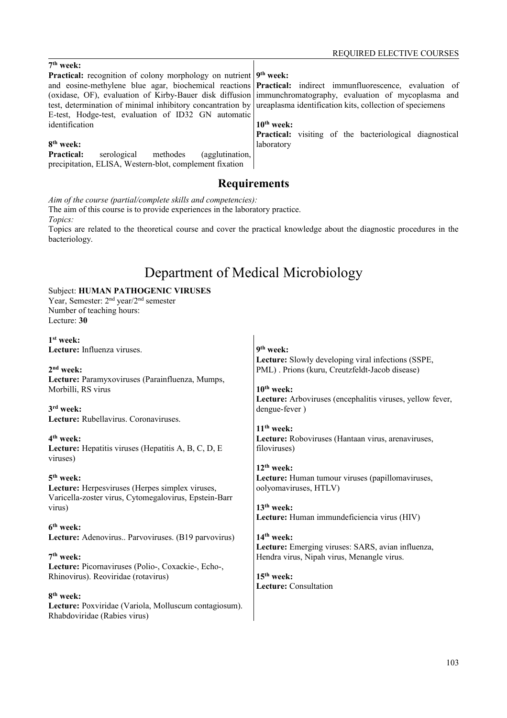### **7 th week:**

**Practical:** recognition of colony morphology on nutrient and eosine-methylene blue agar, biochemical reactions (oxidase, OF), evaluation of Kirby-Bauer disk diffusion test, determination of minimal inhibitory concantration by E-test, Hodge-test, evaluation of ID32 GN automatic identification

### **8 th week:**

**Practical:** serological methodes (agglutination, precipitation, ELISA, Western-blot, complement fixation

**9 th week:** 

Practical: indirect immunfluorescence, evaluation of immunchromatography, evaluation of mycoplasma and ureaplasma identification kits, collection of speciemens

#### **10th week:**

**Practical:** visiting of the bacteriological diagnostical laboratory

## **Requirements**

*Aim of the course (partial/complete skills and competencies):*

The aim of this course is to provide experiences in the laboratory practice. *Topics:*

Topics are related to the theoretical course and cover the practical knowledge about the diagnostic procedures in the bacteriology.

# Department of Medical Microbiology

#### Subject: **HUMAN PATHOGENIC VIRUSES** Year, Semester: 2nd year/2nd semester Number of teaching hours:

Lecture: **30**

#### **1 st week: Lecture:** Influenza viruses.

**2 nd week: Lecture:** Paramyxoviruses (Parainfluenza, Mumps, Morbilli, RS virus

**3 rd week: Lecture:** Rubellavirus. Coronaviruses.

### **4 th week:**

**Lecture:** Hepatitis viruses (Hepatitis A, B, C, D, E viruses)

### **5 th week:**

**Lecture:** Herpesviruses (Herpes simplex viruses, Varicella-zoster virus, Cytomegalovirus, Epstein-Barr virus)

#### **6 th week:**

**Lecture:** Adenovirus.. Parvoviruses. (B19 parvovirus)

#### **7 th week:**

**Lecture:** Picornaviruses (Polio-, Coxackie-, Echo-, Rhinovirus). Reoviridae (rotavirus)

**8 th week: Lecture:** Poxviridae (Variola, Molluscum contagiosum). Rhabdoviridae (Rabies virus)

**9 th week: Lecture:** Slowly developing viral infections (SSPE, PML) . Prions (kuru, Creutzfeldt-Jacob disease)

**10th week: Lecture:** Arboviruses (encephalitis viruses, yellow fever, dengue-fever )

**11th week: Lecture:** Roboviruses (Hantaan virus, arenaviruses, filoviruses)

**12th week: Lecture:** Human tumour viruses (papillomaviruses, oolyomaviruses, HTLV)

**13th week: Lecture:** Human immundeficiencia virus (HIV)

**14th week: Lecture:** Emerging viruses: SARS, avian influenza, Hendra virus, Nipah virus, Menangle virus.

**15th week: Lecture:** Consultation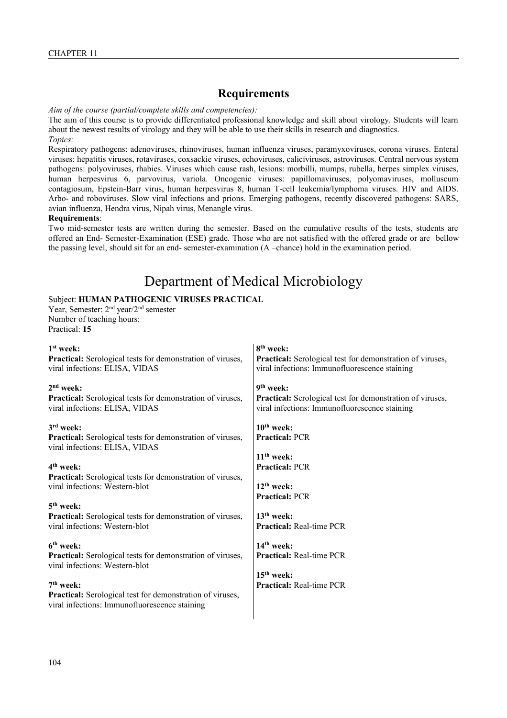*Aim of the course (partial/complete skills and competencies):*

The aim of this course is to provide differentiated professional knowledge and skill about virology. Students will learn about the newest results of virology and they will be able to use their skills in research and diagnostics. *Topics:*

Respiratory pathogens: adenoviruses, rhinoviruses, human influenza viruses, paramyxoviruses, corona viruses. Enteral viruses: hepatitis viruses, rotaviruses, coxsackie viruses, echoviruses, caliciviruses, astroviruses. Central nervous system pathogens: polyoviruses, rhabies. Viruses which cause rash, lesions: morbilli, mumps, rubella, herpes simplex viruses, human herpesvirus 6, parvovirus, variola. Oncogenic viruses: papillomaviruses, polyomaviruses, molluscum contagiosum, Epstein-Barr virus, human herpesvirus 8, human T-cell leukemia/lymphoma viruses. HIV and AIDS. Arbo- and roboviruses. Slow viral infections and prions. Emerging pathogens, recently discovered pathogens: SARS, avian influenza, Hendra virus, Nipah virus, Menangle virus.

#### **Requirements**:

Two mid-semester tests are written during the semester. Based on the cumulative results of the tests, students are offered an End- Semester-Examination (ESE) grade. Those who are not satisfied with the offered grade or are bellow the passing level, should sit for an end- semester-examination (A –chance) hold in the examination period.

# Department of Medical Microbiology

#### Subject: **HUMAN PATHOGENIC VIRUSES PRACTICAL**

Year, Semester: 2nd year/2nd semester Number of teaching hours: Practical: **15**

| $1st$ week:<br>Practical: Serological tests for demonstration of viruses,<br>viral infections: ELISA, VIDAS                                | 8 <sup>th</sup> week:<br><b>Practical:</b> Serological test for demonstration of viruses,<br>viral infections: Immunofluorescence staining |
|--------------------------------------------------------------------------------------------------------------------------------------------|--------------------------------------------------------------------------------------------------------------------------------------------|
| $2nd$ week:<br><b>Practical:</b> Serological tests for demonstration of viruses,<br>viral infections: ELISA, VIDAS                         | 9 <sup>th</sup> week:<br><b>Practical:</b> Serological test for demonstration of viruses,<br>viral infections: Immunofluorescence staining |
| $3rd$ week:<br><b>Practical:</b> Serological tests for demonstration of viruses,<br>viral infections: ELISA, VIDAS                         | $10th$ week:<br><b>Practical: PCR</b>                                                                                                      |
| 4 <sup>th</sup> week:<br><b>Practical:</b> Serological tests for demonstration of viruses,<br>viral infections: Western-blot               | $11th$ week:<br><b>Practical: PCR</b><br>$12th$ week:<br><b>Practical: PCR</b>                                                             |
| 5 <sup>th</sup> week:<br>Practical: Serological tests for demonstration of viruses,<br>viral infections: Western-blot                      | $13th$ week:<br><b>Practical:</b> Real-time PCR                                                                                            |
| $6th$ week:<br><b>Practical:</b> Serological tests for demonstration of viruses,<br>viral infections: Western-blot                         | $14th$ week:<br><b>Practical:</b> Real-time PCR<br>$15th$ week:                                                                            |
| 7 <sup>th</sup> week:<br><b>Practical:</b> Serological test for demonstration of viruses,<br>viral infections: Immunofluorescence staining | <b>Practical: Real-time PCR</b>                                                                                                            |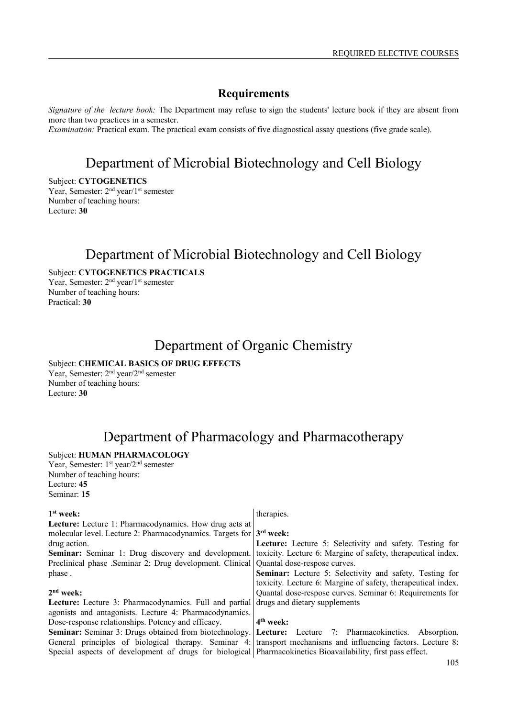*Signature of the lecture book:* The Department may refuse to sign the students' lecture book if they are absent from more than two practices in a semester.

*Examination:* Practical exam. The practical exam consists of five diagnostical assay questions (five grade scale).

## Department of Microbial Biotechnology and Cell Biology

Subject: **CYTOGENETICS** Year, Semester: 2<sup>nd</sup> year/1<sup>st</sup> semester Number of teaching hours:

Lecture: **30**

## Department of Microbial Biotechnology and Cell Biology

Subject: **CYTOGENETICS PRACTICALS** Year, Semester: 2<sup>nd</sup> year/1<sup>st</sup> semester Number of teaching hours: Practical: **30**

## Department of Organic Chemistry

## Subject: **CHEMICAL BASICS OF DRUG EFFECTS**

Year, Semester: 2nd year/2nd semester Number of teaching hours: Lecture: **30**

## Department of Pharmacology and Pharmacotherapy

## Subject: **HUMAN PHARMACOLOGY**

Year, Semester: 1<sup>st</sup> year/2<sup>nd</sup> semester Number of teaching hours: Lecture: **45** Seminar: **15**

#### **1 st week: Lecture:** Lecture 1: Pharmacodynamics. How drug acts at molecular level. Lecture 2: Pharmacodynamics. Targets for drug action. **Seminar:** Seminar 1: Drug discovery and development. Preclinical phase .Seminar 2: Drug development. Clinical phase . **2 nd week: Lecture:** Lecture 3: Pharmacodynamics. Full and partial agonists and antagonists. Lecture 4: Pharmacodynamics. Dose-response relationships. Potency and efficacy. **Seminar:** Seminar 3: Drugs obtained from biotechnology. General principles of biological therapy. Seminar 4: Special aspects of development of drugs for biological Pharmacokinetics Bioavailability, first pass effect. therapies. **3 rd week: Lecture:** Lecture 5: Selectivity and safety. Testing for toxicity. Lecture 6: Margine of safety, therapeutical index. Quantal dose-respose curves. **Seminar:** Lecture 5: Selectivity and safety. Testing for toxicity. Lecture 6: Margine of safety, therapeutical index. Quantal dose-respose curves. Seminar 6: Requirements for drugs and dietary supplements **4 th week:**  Lecture: Lecture 7: Pharmacokinetics. Absorption, transport mechanisms and influencing factors. Lecture 8: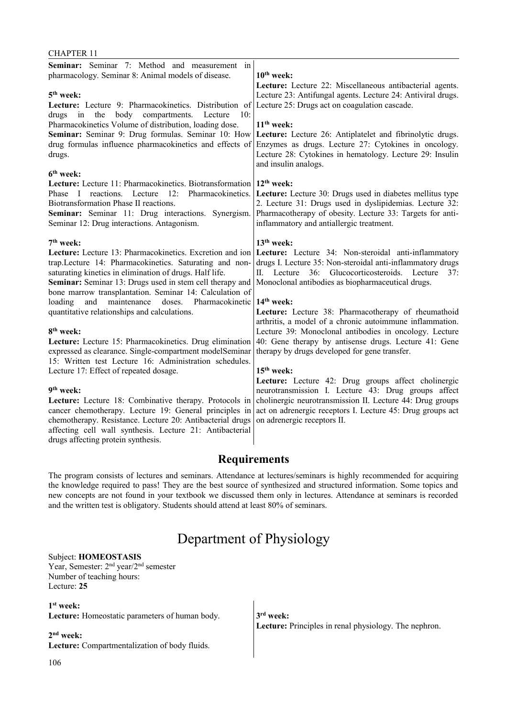#### CHAPTER 11

| Seminar: Seminar 7: Method and measurement in<br>pharmacology. Seminar 8: Animal models of disease.<br>5 <sup>th</sup> week:<br>Lecture: Lecture 9: Pharmacokinetics. Distribution of<br>body<br>the<br>compartments.<br>Lecture<br>10:<br>drugs<br>in                                                                                                                                                                                                                                                                                                                                                                                                                                                                                                                                                                                                                                                                                                                                                     | $10th$ week:<br>Lecture: Lecture 22: Miscellaneous antibacterial agents.<br>Lecture 23: Antifungal agents. Lecture 24: Antiviral drugs.<br>Lecture 25: Drugs act on coagulation cascade.                                                                                                                                                                                                                                                                                                                                                                                                                                                                                                                                                                                                                                                                                     |  |
|------------------------------------------------------------------------------------------------------------------------------------------------------------------------------------------------------------------------------------------------------------------------------------------------------------------------------------------------------------------------------------------------------------------------------------------------------------------------------------------------------------------------------------------------------------------------------------------------------------------------------------------------------------------------------------------------------------------------------------------------------------------------------------------------------------------------------------------------------------------------------------------------------------------------------------------------------------------------------------------------------------|------------------------------------------------------------------------------------------------------------------------------------------------------------------------------------------------------------------------------------------------------------------------------------------------------------------------------------------------------------------------------------------------------------------------------------------------------------------------------------------------------------------------------------------------------------------------------------------------------------------------------------------------------------------------------------------------------------------------------------------------------------------------------------------------------------------------------------------------------------------------------|--|
| Pharmacokinetics Volume of distribution, loading dose.<br>Seminar: Seminar 9: Drug formulas. Seminar 10: How<br>drug formulas influence pharmacokinetics and effects of<br>drugs.<br>6 <sup>th</sup> week:                                                                                                                                                                                                                                                                                                                                                                                                                                                                                                                                                                                                                                                                                                                                                                                                 | $11th$ week:<br>Lecture: Lecture 26: Antiplatelet and fibrinolytic drugs.<br>Enzymes as drugs. Lecture 27: Cytokines in oncology.<br>Lecture 28: Cytokines in hematology. Lecture 29: Insulin<br>and insulin analogs.                                                                                                                                                                                                                                                                                                                                                                                                                                                                                                                                                                                                                                                        |  |
| Lecture: Lecture 11: Pharmacokinetics. Biotransformation 12 <sup>th</sup> week:<br>reactions. Lecture 12:<br>Pharmacokinetics.<br>Phase I<br>Biotransformation Phase II reactions.<br>Seminar: Seminar 11: Drug interactions. Synergism.<br>Seminar 12: Drug interactions. Antagonism.                                                                                                                                                                                                                                                                                                                                                                                                                                                                                                                                                                                                                                                                                                                     | Lecture: Lecture 30: Drugs used in diabetes mellitus type<br>2. Lecture 31: Drugs used in dyslipidemias. Lecture 32:<br>Pharmacotherapy of obesity. Lecture 33: Targets for anti-<br>inflammatory and antiallergic treatment.                                                                                                                                                                                                                                                                                                                                                                                                                                                                                                                                                                                                                                                |  |
| 7 <sup>th</sup> week:<br>Lecture: Lecture 13: Pharmacokinetics. Excretion and ion<br>trap.Lecture 14: Pharmacokinetics. Saturating and non-<br>saturating kinetics in elimination of drugs. Half life.<br>Seminar: Seminar 13: Drugs used in stem cell therapy and<br>bone marrow transplantation. Seminar 14: Calculation of<br>maintenance<br>loading<br>and<br>doses.<br>Pharmacokinetic<br>quantitative relationships and calculations.<br>8 <sup>th</sup> week:<br>Lecture: Lecture 15: Pharmacokinetics. Drug elimination<br>expressed as clearance. Single-compartment modelSeminar<br>15: Written test Lecture 16: Administration schedules.<br>Lecture 17: Effect of repeated dosage.<br>9 <sup>th</sup> week:<br>Lecture: Lecture 18: Combinative therapy. Protocols in<br>cancer chemotherapy. Lecture 19: General principles in<br>chemotherapy. Resistance. Lecture 20: Antibacterial drugs<br>affecting cell wall synthesis. Lecture 21: Antibacterial<br>drugs affecting protein synthesis. | 13 <sup>th</sup> week:<br>Lecture: Lecture 34: Non-steroidal anti-inflammatory<br>drugs I. Lecture 35: Non-steroidal anti-inflammatory drugs<br>II. Lecture 36: Glucocorticosteroids. Lecture<br>37:<br>Monoclonal antibodies as biopharmaceutical drugs.<br>14 <sup>th</sup> week:<br>Lecture: Lecture 38: Pharmacotherapy of rheumathoid<br>arthritis, a model of a chronic autoimmune inflammation.<br>Lecture 39: Monoclonal antibodies in oncology. Lecture<br>40: Gene therapy by antisense drugs. Lecture 41: Gene<br>therapy by drugs developed for gene transfer.<br>15 <sup>th</sup> week:<br>Lecture: Lecture 42: Drug groups affect cholinergic<br>neurotransmission I. Lecture 43: Drug groups affect<br>cholinergic neurotransmission II. Lecture 44: Drug groups<br>act on adrenergic receptors I. Lecture 45: Drug groups act<br>on adrenergic receptors II. |  |
| <b>Requirements</b>                                                                                                                                                                                                                                                                                                                                                                                                                                                                                                                                                                                                                                                                                                                                                                                                                                                                                                                                                                                        |                                                                                                                                                                                                                                                                                                                                                                                                                                                                                                                                                                                                                                                                                                                                                                                                                                                                              |  |

The program consists of lectures and seminars. Attendance at lectures/seminars is highly recommended for acquiring the knowledge required to pass! They are the best source of synthesized and structured information. Some topics and new concepts are not found in your textbook we discussed them only in lectures. Attendance at seminars is recorded and the written test is obligatory. Students should attend at least 80% of seminars.

## Department of Physiology

### Subject: **HOMEOSTASIS**

Year, Semester: 2nd year/2nd semester Number of teaching hours: Lecture: **25**

#### **1 st week:**

**Lecture:** Homeostatic parameters of human body.

#### **2 nd week:**

**Lecture:** Compartmentalization of body fluids.

**3 rd week: Lecture:** Principles in renal physiology. The nephron.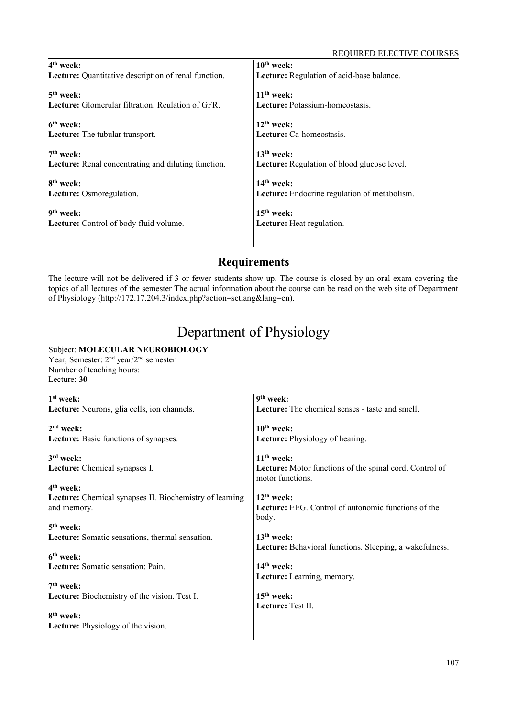| $4th$ week:                                                        | $10th$ week:                                                       |
|--------------------------------------------------------------------|--------------------------------------------------------------------|
| Lecture: Quantitative description of renal function.               | Lecture: Regulation of acid-base balance.                          |
| $5th$ week:                                                        | $11th$ week:                                                       |
| <b>Lecture:</b> Glomerular filtration. Reulation of GFR.           | Lecture: Potassium-homeostasis.                                    |
| 6 <sup>th</sup> week:<br>Lecture: The tubular transport.           | $12th$ week:<br>Lecture: Ca-homeostasis.                           |
| $7th$ week:<br>Lecture: Renal concentrating and diluting function. | $13th$ week:<br><b>Lecture:</b> Regulation of blood glucose level. |
| 8 <sup>th</sup> week:                                              | $14th$ week:                                                       |
| Lecture: Osmoregulation.                                           | Lecture: Endocrine regulation of metabolism.                       |
| 9 <sup>th</sup> week:<br>Lecture: Control of body fluid volume.    | $15th$ week:<br>Lecture: Heat regulation.                          |
|                                                                    |                                                                    |

# **Requirements**

The lecture will not be delivered if 3 or fewer students show up. The course is closed by an oral exam covering the topics of all lectures of the semester The actual information about the course can be read on the web site of Department of Physiology (http://172.17.204.3/index.php?action=setlang&lang=en).

# Department of Physiology

# Subject: **MOLECULAR NEUROBIOLOGY**

Year, Semester: 2nd year/2nd semester Number of teaching hours: Lecture: **30**

| $1st$ week:                                                                   | 9 <sup>th</sup> week:                                                               |
|-------------------------------------------------------------------------------|-------------------------------------------------------------------------------------|
| Lecture: Neurons, glia cells, ion channels.                                   | <b>Lecture:</b> The chemical senses - taste and smell.                              |
| $2nd$ week:                                                                   | $10th$ week:                                                                        |
| Lecture: Basic functions of synapses.                                         | <b>Lecture:</b> Physiology of hearing.                                              |
| $3rd$ week:                                                                   | $11th$ week:                                                                        |
| Lecture: Chemical synapses I.                                                 | Lecture: Motor functions of the spinal cord. Control of<br>motor functions.         |
| 4 <sup>th</sup> week:                                                         |                                                                                     |
| <b>Lecture:</b> Chemical synapses II. Biochemistry of learning<br>and memory. | $12th$ week:<br><b>Lecture:</b> EEG. Control of autonomic functions of the<br>body. |
| 5 <sup>th</sup> week:                                                         |                                                                                     |
| Lecture: Somatic sensations, thermal sensation.                               | $13th$ week:<br>Lecture: Behavioral functions. Sleeping, a wakefulness.             |
| 6 <sup>th</sup> week:                                                         |                                                                                     |
| Lecture: Somatic sensation: Pain.                                             | $14th$ week:<br>Lecture: Learning, memory.                                          |
| $7th$ week:                                                                   |                                                                                     |
| Lecture: Biochemistry of the vision. Test I.                                  | $15th$ week:<br>Lecture: Test II.                                                   |
| 8 <sup>th</sup> week:                                                         |                                                                                     |
| <b>Lecture:</b> Physiology of the vision.                                     |                                                                                     |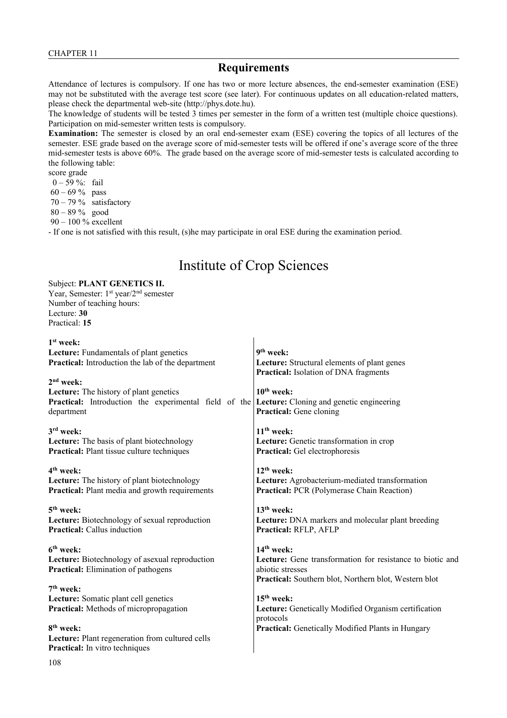#### **Requirements**

Attendance of lectures is compulsory. If one has two or more lecture absences, the end-semester examination (ESE) may not be substituted with the average test score (see later). For continuous updates on all education-related matters, please check the departmental web-site (http://phys.dote.hu).

The knowledge of students will be tested 3 times per semester in the form of a written test (multiple choice questions). Participation on mid-semester written tests is compulsory.

**Examination:** The semester is closed by an oral end-semester exam (ESE) covering the topics of all lectures of the semester. ESE grade based on the average score of mid-semester tests will be offered if one's average score of the three mid-semester tests is above 60%. The grade based on the average score of mid-semester tests is calculated according to the following table:

score grade

0 – 59 %: fail

60 – 69 % pass

 $70 - 79\%$  satisfactory

80 – 89 % good

90 – 100 % excellent

- If one is not satisfied with this result, (s)he may participate in oral ESE during the examination period.

# Institute of Crop Sciences

#### Subject: **PLANT GENETICS II.**

Year, Semester: 1<sup>st</sup> year/2<sup>nd</sup> semester Number of teaching hours: Lecture: **30** Practical: **15**

| $1st$ week:<br>Lecture: Fundamentals of plant genetics<br>Practical: Introduction the lab of the department<br>$2nd$ week:<br>Lecture: The history of plant genetics | 9 <sup>th</sup> week:<br>Lecture: Structural elements of plant genes<br>Practical: Isolation of DNA fragments<br>$10th$ week:                          |
|----------------------------------------------------------------------------------------------------------------------------------------------------------------------|--------------------------------------------------------------------------------------------------------------------------------------------------------|
| Practical: Introduction the experimental field of the                                                                                                                | Lecture: Cloning and genetic engineering                                                                                                               |
| department                                                                                                                                                           | <b>Practical:</b> Gene cloning                                                                                                                         |
| 3rd week:                                                                                                                                                            | $11th$ week:                                                                                                                                           |
| Lecture: The basis of plant biotechnology                                                                                                                            | Lecture: Genetic transformation in crop                                                                                                                |
| Practical: Plant tissue culture techniques                                                                                                                           | Practical: Gel electrophoresis                                                                                                                         |
| 4 <sup>th</sup> week:                                                                                                                                                | $12^{th}$ week:                                                                                                                                        |
| Lecture: The history of plant biotechnology                                                                                                                          | Lecture: Agrobacterium-mediated transformation                                                                                                         |
| Practical: Plant media and growth requirements                                                                                                                       | <b>Practical: PCR (Polymerase Chain Reaction)</b>                                                                                                      |
| 5 <sup>th</sup> week:                                                                                                                                                | $13th$ week:                                                                                                                                           |
| Lecture: Biotechnology of sexual reproduction                                                                                                                        | Lecture: DNA markers and molecular plant breeding                                                                                                      |
| <b>Practical:</b> Callus induction                                                                                                                                   | Practical: RFLP, AFLP                                                                                                                                  |
| $6th$ week:<br>Lecture: Biotechnology of asexual reproduction<br><b>Practical:</b> Elimination of pathogens                                                          | $14th$ week:<br>Lecture: Gene transformation for resistance to biotic and<br>abiotic stresses<br>Practical: Southern blot, Northern blot, Western blot |
| $7th$ week:                                                                                                                                                          | $15th$ week:                                                                                                                                           |
| Lecture: Somatic plant cell genetics                                                                                                                                 | Lecture: Genetically Modified Organism certification                                                                                                   |
| Practical: Methods of micropropagation                                                                                                                               | protocols                                                                                                                                              |
| 8 <sup>th</sup> week:<br>Lecture: Plant regeneration from cultured cells<br><b>Practical:</b> In vitro techniques                                                    | Practical: Genetically Modified Plants in Hungary                                                                                                      |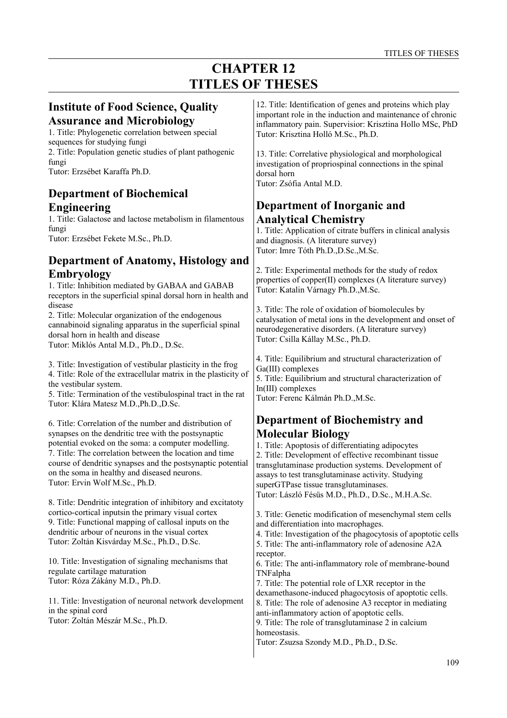# **CHAPTER 12 TITLES OF THESES**

| <b>Institute of Food Science, Quality</b>                       | 12. Title: Identification of genes and proteins which play     |
|-----------------------------------------------------------------|----------------------------------------------------------------|
| <b>Assurance and Microbiology</b>                               | important role in the induction and maintenance of chronic     |
| 1. Title: Phylogenetic correlation between special              | inflammatory pain. Supervisior: Krisztina Hollo MSc, PhD       |
| sequences for studying fungi                                    | Tutor: Krisztina Holló M.Sc., Ph.D.                            |
| 2. Title: Population genetic studies of plant pathogenic        | 13. Title: Correlative physiological and morphological         |
| fungi                                                           | investigation of propriospinal connections in the spinal       |
| Tutor: Erzsébet Karaffa Ph.D.                                   | dorsal horn                                                    |
|                                                                 | Tutor: Zsófia Antal M.D.                                       |
| <b>Department of Biochemical</b>                                |                                                                |
|                                                                 |                                                                |
| <b>Engineering</b>                                              | Department of Inorganic and                                    |
| 1. Title: Galactose and lactose metabolism in filamentous       | <b>Analytical Chemistry</b>                                    |
| fungi                                                           | 1. Title: Application of citrate buffers in clinical analysis  |
| Tutor: Erzsébet Fekete M.Sc., Ph.D.                             | and diagnosis. (A literature survey)                           |
|                                                                 | Tutor: Imre Tóth Ph.D., D.Sc., M.Sc.                           |
| Department of Anatomy, Histology and                            |                                                                |
| <b>Embryology</b>                                               | 2. Title: Experimental methods for the study of redox          |
| 1. Title: Inhibition mediated by GABAA and GABAB                | properties of copper(II) complexes (A literature survey)       |
| receptors in the superficial spinal dorsal horn in health and   | Tutor: Katalin Várnagy Ph.D., M.Sc.                            |
| disease                                                         |                                                                |
| 2. Title: Molecular organization of the endogenous              | 3. Title: The role of oxidation of biomolecules by             |
| cannabinoid signaling apparatus in the superficial spinal       | catalysation of metal ions in the development and onset of     |
| dorsal horn in health and disease                               | neurodegenerative disorders. (A literature survey)             |
| Tutor: Miklós Antal M.D., Ph.D., D.Sc.                          | Tutor: Csilla Kállay M.Sc., Ph.D.                              |
|                                                                 |                                                                |
| 3. Title: Investigation of vestibular plasticity in the frog    | 4. Title: Equilibrium and structural characterization of       |
| 4. Title: Role of the extracellular matrix in the plasticity of | Ga(III) complexes                                              |
| the vestibular system.                                          | 5. Title: Equilibrium and structural characterization of       |
| 5. Title: Termination of the vestibulospinal tract in the rat   | $In (III)$ complexes                                           |
| Tutor: Klára Matesz M.D., Ph.D., D.Sc.                          | Tutor: Ferenc Kálmán Ph.D., M.Sc.                              |
|                                                                 |                                                                |
| 6. Title: Correlation of the number and distribution of         | <b>Department of Biochemistry and</b>                          |
| synapses on the dendritic tree with the postsynaptic            | <b>Molecular Biology</b>                                       |
| potential evoked on the soma: a computer modelling.             | 1. Title: Apoptosis of differentiating adipocytes              |
| 7. Title: The correlation between the location and time         | 2. Title: Development of effective recombinant tissue          |
| course of dendritic synapses and the postsynaptic potential     | transglutaminase production systems. Development of            |
| on the soma in healthy and diseased neurons.                    | assays to test transglutaminase activity. Studying             |
| Tutor: Ervin Wolf M.Sc., Ph.D.                                  | superGTPase tissue transglutaminases.                          |
|                                                                 | Tutor: László Fésüs M.D., Ph.D., D.Sc., M.H.A.Sc.              |
| 8. Title: Dendritic integration of inhibitory and excitatoty    |                                                                |
| cortico-cortical inputsin the primary visual cortex             | 3. Title: Genetic modification of mesenchymal stem cells       |
| 9. Title: Functional mapping of callosal inputs on the          | and differentiation into macrophages.                          |
| dendritic arbour of neurons in the visual cortex                | 4. Title: Investigation of the phagocytosis of apoptotic cells |
| Tutor: Zoltán Kisvárday M.Sc., Ph.D., D.Sc.                     | 5. Title: The anti-inflammatory role of adenosine A2A          |
|                                                                 | receptor.                                                      |
| 10. Title: Investigation of signaling mechanisms that           | 6. Title: The anti-inflammatory role of membrane-bound         |
| regulate cartilage maturation                                   | TNFalpha                                                       |
| Tutor: Róza Zákány M.D., Ph.D.                                  | 7. Title: The potential role of LXR receptor in the            |
|                                                                 | dexamethasone-induced phagocytosis of apoptotic cells.         |
| 11. Title: Investigation of neuronal network development        | 8. Title: The role of adenosine A3 receptor in mediating       |
| in the spinal cord                                              | anti-inflammatory action of apoptotic cells.                   |
| Tutor: Zoltán Mészár M.Sc., Ph.D.                               | 9. Title: The role of transglutaminase 2 in calcium            |
|                                                                 | homeostasis.                                                   |
|                                                                 | Tutor: Zsuzsa Szondy M.D., Ph.D., D.Sc.                        |
|                                                                 |                                                                |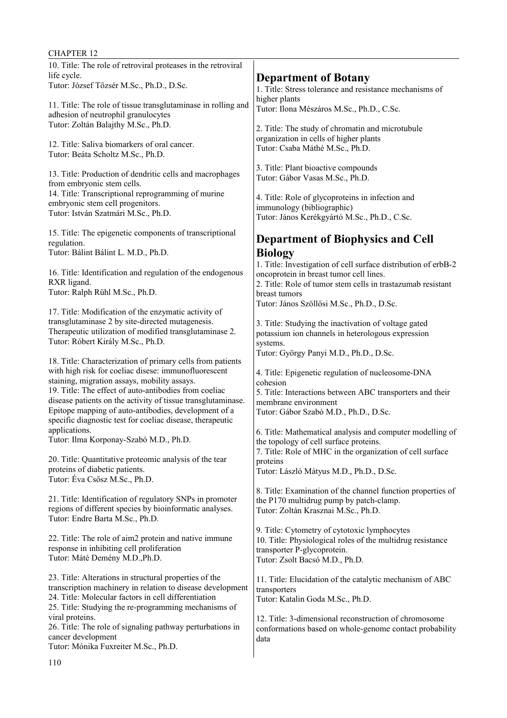| <b>CHAPTER 12</b>                                                                                     |                                                                                                     |
|-------------------------------------------------------------------------------------------------------|-----------------------------------------------------------------------------------------------------|
| 10. Title: The role of retroviral proteases in the retroviral                                         |                                                                                                     |
| life cycle.                                                                                           | <b>Department of Botany</b>                                                                         |
| Tutor: József Tőzsér M.Sc., Ph.D., D.Sc.                                                              | 1. Title: Stress tolerance and resistance mechanisms of                                             |
| 11. Title: The role of tissue transglutaminase in rolling and                                         | higher plants<br>Tutor: Ilona Mészáros M.Sc., Ph.D., C.Sc.                                          |
| adhesion of neutrophil granulocytes                                                                   |                                                                                                     |
| Tutor: Zoltán Balajthy M.Sc., Ph.D.                                                                   | 2. Title: The study of chromatin and microtubule                                                    |
| 12. Title: Saliva biomarkers of oral cancer.                                                          | organization in cells of higher plants<br>Tutor: Csaba Máthé M.Sc., Ph.D.                           |
| Tutor: Beáta Scholtz M.Sc., Ph.D.                                                                     |                                                                                                     |
| 13. Title: Production of dendritic cells and macrophages                                              | 3. Title: Plant bioactive compounds                                                                 |
| from embryonic stem cells.                                                                            | Tutor: Gábor Vasas M.Sc., Ph.D.                                                                     |
| 14. Title: Transcriptional reprogramming of murine                                                    | 4. Title: Role of glycoproteins in infection and                                                    |
| embryonic stem cell progenitors.                                                                      | immunology (bibliographic)                                                                          |
| Tutor: István Szatmári M.Sc., Ph.D.                                                                   | Tutor: János Kerékgyártó M.Sc., Ph.D., C.Sc.                                                        |
| 15. Title: The epigenetic components of transcriptional                                               |                                                                                                     |
| regulation.                                                                                           | <b>Department of Biophysics and Cell</b>                                                            |
| Tutor: Bálint Bálint L. M.D., Ph.D.                                                                   | <b>Biology</b><br>1. Title: Investigation of cell surface distribution of erbB-2                    |
| 16. Title: Identification and regulation of the endogenous                                            | oncoprotein in breast tumor cell lines.                                                             |
| RXR ligand.                                                                                           | 2. Title: Role of tumor stem cells in trastazumab resistant                                         |
| Tutor: Ralph Rühl M.Sc., Ph.D.                                                                        | breast tumors                                                                                       |
| 17. Title: Modification of the enzymatic activity of                                                  | Tutor: János Szöllősi M.Sc., Ph.D., D.Sc.                                                           |
| transglutaminase 2 by site-directed mutagenesis.                                                      | 3. Title: Studying the inactivation of voltage gated                                                |
| Therapeutic utilization of modified transglutaminase 2.                                               | potassium ion channels in heterologous expression                                                   |
| Tutor: Róbert Király M.Sc., Ph.D.                                                                     | systems.<br>Tutor: György Panyi M.D., Ph.D., D.Sc.                                                  |
| 18. Title: Characterization of primary cells from patients                                            |                                                                                                     |
| with high risk for coeliac disese: immunofluorescent                                                  | 4. Title: Epigenetic regulation of nucleosome-DNA                                                   |
| staining, migration assays, mobility assays.<br>19. Title: The effect of auto-antibodies from coeliac | cohesion                                                                                            |
| disease patients on the activity of tissue transglutaminase.                                          | 5. Title: Interactions between ABC transporters and their<br>membrane environment                   |
| Epitope mapping of auto-antibodies, development of a                                                  | Tutor: Gábor Szabó M.D., Ph.D., D.Sc.                                                               |
| specific diagnostic test for coeliac disease, therapeutic                                             |                                                                                                     |
| applications.<br>Tutor: Ilma Korponay-Szabó M.D., Ph.D.                                               | 6. Title: Mathematical analysis and computer modelling of<br>the topology of cell surface proteins. |
|                                                                                                       | 7. Title: Role of MHC in the organization of cell surface                                           |
| 20. Title: Quantitative proteomic analysis of the tear                                                | proteins                                                                                            |
| proteins of diabetic patients.<br>Tutor: Éva Csősz M.Sc., Ph.D.                                       | Tutor: László Mátyus M.D., Ph.D., D.Sc.                                                             |
|                                                                                                       | 8. Title: Examination of the channel function properties of                                         |
| 21. Title: Identification of regulatory SNPs in promoter                                              | the P170 multidrug pump by patch-clamp.                                                             |
| regions of different species by bioinformatic analyses.                                               | Tutor: Zoltán Krasznai M.Sc., Ph.D.                                                                 |
| Tutor: Endre Barta M.Sc., Ph.D.                                                                       | 9. Title: Cytometry of cytotoxic lymphocytes                                                        |
| 22. Title: The role of aim2 protein and native immune                                                 | 10. Title: Physiological roles of the multidrug resistance                                          |
| response in inhibiting cell proliferation                                                             | transporter P-glycoprotein.                                                                         |
| Tutor: Máté Demény M.D., Ph.D.                                                                        | Tutor: Zsolt Bacsó M.D., Ph.D.                                                                      |
| 23. Title: Alterations in structural properties of the                                                | 11. Title: Elucidation of the catalytic mechanism of ABC                                            |
| transcription machinery in relation to disease development                                            | transporters                                                                                        |
| 24. Title: Molecular factors in cell differentiation                                                  | Tutor: Katalin Goda M.Sc., Ph.D.                                                                    |
| 25. Title: Studying the re-programming mechanisms of<br>viral proteins.                               | 12. Title: 3-dimensional reconstruction of chromosome                                               |
| 26. Title: The role of signaling pathway perturbations in                                             | conformations based on whole-genome contact probability                                             |
| cancer development                                                                                    | data                                                                                                |
| Tutor: Mónika Fuxreiter M.Sc., Ph.D.                                                                  |                                                                                                     |
|                                                                                                       |                                                                                                     |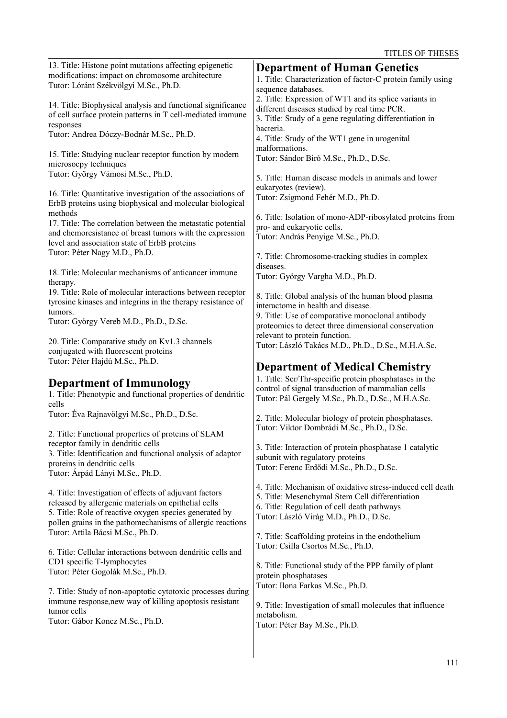| 13. Title: Histone point mutations affecting epigenetic<br>modifications: impact on chromosome architecture<br>Tutor: Lóránt Székvölgyi M.Sc., Ph.D.                                                                                                                      | <b>Department of Human Genetics</b><br>1. Title: Characterization of factor-C protein family using<br>sequence databases.                                                                              |
|---------------------------------------------------------------------------------------------------------------------------------------------------------------------------------------------------------------------------------------------------------------------------|--------------------------------------------------------------------------------------------------------------------------------------------------------------------------------------------------------|
| 14. Title: Biophysical analysis and functional significance<br>of cell surface protein patterns in T cell-mediated immune<br>responses                                                                                                                                    | 2. Title: Expression of WT1 and its splice variants in<br>different diseases studied by real time PCR.<br>3. Title: Study of a gene regulating differentiation in<br>bacteria.                         |
| Tutor: Andrea Dóczy-Bodnár M.Sc., Ph.D.                                                                                                                                                                                                                                   | 4. Title: Study of the WT1 gene in urogenital<br>malformations.                                                                                                                                        |
| 15. Title: Studying nuclear receptor function by modern<br>microsocpy techniques<br>Tutor: György Vámosi M.Sc., Ph.D.                                                                                                                                                     | Tutor: Sándor Biró M.Sc., Ph.D., D.Sc.                                                                                                                                                                 |
| 16. Title: Quantitative investigation of the associations of<br>ErbB proteins using biophysical and molecular biological                                                                                                                                                  | 5. Title: Human disease models in animals and lower<br>eukaryotes (review).<br>Tutor: Zsigmond Fehér M.D., Ph.D.                                                                                       |
| methods<br>17. Title: The correlation between the metastatic potential<br>and chemoresistance of breast tumors with the expression<br>level and association state of ErbB proteins                                                                                        | 6. Title: Isolation of mono-ADP-ribosylated proteins from<br>pro- and eukaryotic cells.<br>Tutor: András Penyige M.Sc., Ph.D.                                                                          |
| Tutor: Péter Nagy M.D., Ph.D.                                                                                                                                                                                                                                             | 7. Title: Chromosome-tracking studies in complex<br>diseases.                                                                                                                                          |
| 18. Title: Molecular mechanisms of anticancer immune<br>therapy.<br>19. Title: Role of molecular interactions between receptor                                                                                                                                            | Tutor: György Vargha M.D., Ph.D.                                                                                                                                                                       |
| tyrosine kinases and integrins in the therapy resistance of<br>tumors.<br>Tutor: György Vereb M.D., Ph.D., D.Sc.                                                                                                                                                          | 8. Title: Global analysis of the human blood plasma<br>interactome in health and disease.<br>9. Title: Use of comparative monoclonal antibody<br>proteomics to detect three dimensional conservation   |
| 20. Title: Comparative study on Kv1.3 channels<br>conjugated with fluorescent proteins                                                                                                                                                                                    | relevant to protein function.<br>Tutor: László Takács M.D., Ph.D., D.Sc., M.H.A.Sc.                                                                                                                    |
|                                                                                                                                                                                                                                                                           |                                                                                                                                                                                                        |
| Tutor: Péter Hajdú M.Sc., Ph.D.                                                                                                                                                                                                                                           | <b>Department of Medical Chemistry</b>                                                                                                                                                                 |
| <b>Department of Immunology</b><br>1. Title: Phenotypic and functional properties of dendritic<br>cells                                                                                                                                                                   | 1. Title: Ser/Thr-specific protein phosphatases in the<br>control of signal transduction of mammalian cells<br>Tutor: Pál Gergely M.Sc., Ph.D., D.Sc., M.H.A.Sc.                                       |
| Tutor: Éva Rajnavölgyi M.Sc., Ph.D., D.Sc.                                                                                                                                                                                                                                | 2. Title: Molecular biology of protein phosphatases.<br>Tutor: Viktor Dombrádi M.Sc., Ph.D., D.Sc.                                                                                                     |
| 2. Title: Functional properties of proteins of SLAM<br>receptor family in dendritic cells<br>3. Title: Identification and functional analysis of adaptor<br>proteins in dendritic cells                                                                                   | 3. Title: Interaction of protein phosphatase 1 catalytic<br>subunit with regulatory proteins<br>Tutor: Ferenc Erdődi M.Sc., Ph.D., D.Sc.                                                               |
| Tutor: Árpád Lányi M.Sc., Ph.D.<br>4. Title: Investigation of effects of adjuvant factors<br>released by allergenic materials on epithelial cells<br>5. Title: Role of reactive oxygen species generated by<br>pollen grains in the pathomechanisms of allergic reactions | 4. Title: Mechanism of oxidative stress-induced cell death<br>5. Title: Mesenchymal Stem Cell differentiation<br>6. Title: Regulation of cell death pathways<br>Tutor: László Virág M.D., Ph.D., D.Sc. |
| Tutor: Attila Bácsi M.Sc., Ph.D.                                                                                                                                                                                                                                          | 7. Title: Scaffolding proteins in the endothelium                                                                                                                                                      |
| 6. Title: Cellular interactions between dendritic cells and<br>CD1 specific T-lymphocytes<br>Tutor: Péter Gogolák M.Sc., Ph.D.                                                                                                                                            | Tutor: Csilla Csortos M.Sc., Ph.D.<br>8. Title: Functional study of the PPP family of plant<br>protein phosphatases                                                                                    |
| 7. Title: Study of non-apoptotic cytotoxic processes during                                                                                                                                                                                                               | Tutor: Ilona Farkas M.Sc., Ph.D.                                                                                                                                                                       |
| immune response, new way of killing apoptosis resistant<br>tumor cells<br>Tutor: Gábor Koncz M.Sc., Ph.D.                                                                                                                                                                 | 9. Title: Investigation of small molecules that influence<br>metabolism.<br>Tutor: Péter Bay M.Sc., Ph.D.                                                                                              |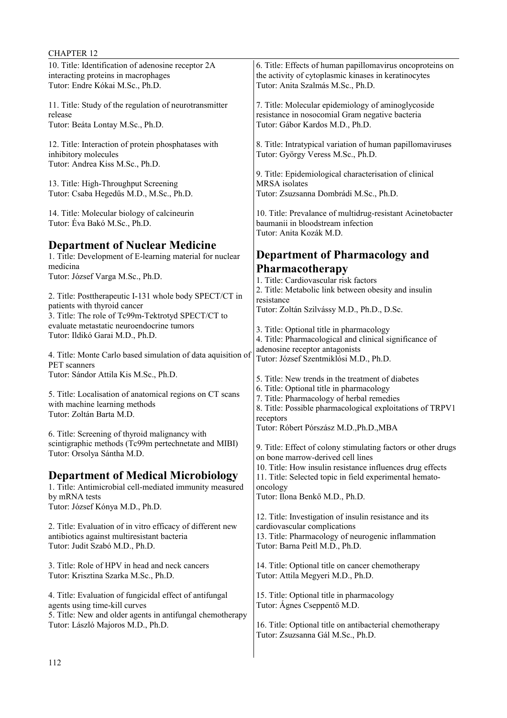| 10. Title: Identification of adenosine receptor 2A<br>interacting proteins in macrophages<br>Tutor: Endre Kókai M.Sc., Ph.D.                             | 6. Title: Effects of human papillomavirus oncoproteins on<br>the activity of cytoplasmic kinases in keratinocytes<br>Tutor: Anita Szalmás M.Sc., Ph.D.                         |
|----------------------------------------------------------------------------------------------------------------------------------------------------------|--------------------------------------------------------------------------------------------------------------------------------------------------------------------------------|
| 11. Title: Study of the regulation of neurotransmitter<br>release<br>Tutor: Beáta Lontay M.Sc., Ph.D.                                                    | 7. Title: Molecular epidemiology of aminoglycoside<br>resistance in nosocomial Gram negative bacteria<br>Tutor: Gábor Kardos M.D., Ph.D.                                       |
| 12. Title: Interaction of protein phosphatases with<br>inhibitory molecules<br>Tutor: Andrea Kiss M.Sc., Ph.D.                                           | 8. Title: Intratypical variation of human papillomaviruses<br>Tutor: György Veress M.Sc., Ph.D.                                                                                |
| 13. Title: High-Throughput Screening<br>Tutor: Csaba Hegedűs M.D., M.Sc., Ph.D.                                                                          | 9. Title: Epidemiological characterisation of clinical<br>MRSA isolates<br>Tutor: Zsuzsanna Dombrádi M.Sc., Ph.D.                                                              |
| 14. Title: Molecular biology of calcineurin<br>Tutor: Éva Bakó M.Sc., Ph.D.                                                                              | 10. Title: Prevalance of multidrug-resistant Acinetobacter<br>baumanii in bloodstream infection<br>Tutor: Anita Kozák M.D.                                                     |
| <b>Department of Nuclear Medicine</b>                                                                                                                    |                                                                                                                                                                                |
| 1. Title: Development of E-learning material for nuclear                                                                                                 | <b>Department of Pharmacology and</b>                                                                                                                                          |
| medicina<br>Tutor: József Varga M.Sc., Ph.D.                                                                                                             | Pharmacotherapy<br>1. Title: Cardiovascular risk factors<br>2. Title: Metabolic link between obesity and insulin                                                               |
| 2. Title: Posttherapeutic I-131 whole body SPECT/CT in<br>patients with thyroid cancer<br>3. Title: The role of Tc99m-Tektrotyd SPECT/CT to              | resistance<br>Tutor: Zoltán Szilvássy M.D., Ph.D., D.Sc.                                                                                                                       |
| evaluate metastatic neuroendocrine tumors                                                                                                                | 3. Title: Optional title in pharmacology                                                                                                                                       |
| Tutor: Ildikó Garai M.D., Ph.D.                                                                                                                          | 4. Title: Pharmacological and clinical significance of                                                                                                                         |
| 4. Title: Monte Carlo based simulation of data aquisition of<br>PET scanners                                                                             | adenosine receptor antagonists<br>Tutor: József Szentmiklósi M.D., Ph.D.                                                                                                       |
| Tutor: Sándor Attila Kis M.Sc., Ph.D.                                                                                                                    | 5. Title: New trends in the treatment of diabetes                                                                                                                              |
| 5. Title: Localisation of anatomical regions on CT scans<br>with machine learning methods<br>Tutor: Zoltán Barta M.D.                                    | 6. Title: Optional title in pharmacology<br>7. Title: Pharmacology of herbal remedies<br>8. Title: Possible pharmacological exploitations of TRPV1<br>receptors                |
| 6. Title: Screening of thyroid malignancy with<br>scintigraphic methods (Tc99m pertechnetate and MIBI)<br>Tutor: Orsolya Sántha M.D.                     | Tutor: Róbert Pórszász M.D., Ph.D., MBA<br>9. Title: Effect of colony stimulating factors or other drugs<br>on bone marrow-derived cell lines                                  |
| <b>Department of Medical Microbiology</b><br>1. Title: Antimicrobial cell-mediated immunity measured<br>by mRNA tests<br>Tutor: József Kónya M.D., Ph.D. | 10. Title: How insulin resistance influences drug effects<br>11. Title: Selected topic in field experimental hemato-<br>oncology<br>Tutor: Ilona Benkő M.D., Ph.D.             |
| 2. Title: Evaluation of in vitro efficacy of different new<br>antibiotics against multiresistant bacteria<br>Tutor: Judit Szabó M.D., Ph.D.              | 12. Title: Investigation of insulin resistance and its<br>cardiovascular complications<br>13. Title: Pharmacology of neurogenic inflammation<br>Tutor: Barna Peitl M.D., Ph.D. |
| 3. Title: Role of HPV in head and neck cancers<br>Tutor: Krisztina Szarka M.Sc., Ph.D.                                                                   | 14. Title: Optional title on cancer chemotherapy<br>Tutor: Attila Megyeri M.D., Ph.D.                                                                                          |
| 4. Title: Evaluation of fungicidal effect of antifungal<br>agents using time-kill curves<br>5. Title: New and older agents in antifungal chemotherapy    | 15. Title: Optional title in pharmacology<br>Tutor: Ágnes Cseppentő M.D.                                                                                                       |
| Tutor: László Majoros M.D., Ph.D.                                                                                                                        | 16. Title: Optional title on antibacterial chemotherapy<br>Tutor: Zsuzsanna Gál M.Sc., Ph.D.                                                                                   |

 $\begin{array}{c} \hline \end{array}$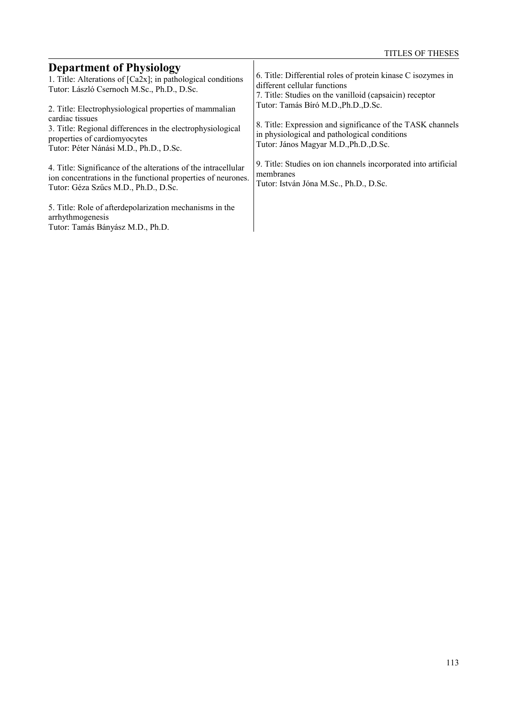| <b>Department of Physiology</b>                                                                                                                                                                                   | 6. Title: Differential roles of protein kinase C isozymes in                                                                                                                                 |
|-------------------------------------------------------------------------------------------------------------------------------------------------------------------------------------------------------------------|----------------------------------------------------------------------------------------------------------------------------------------------------------------------------------------------|
| 1. Title: Alterations of $[Ca2x]$ ; in pathological conditions                                                                                                                                                    | different cellular functions                                                                                                                                                                 |
| Tutor: László Csernoch M.Sc., Ph.D., D.Sc.                                                                                                                                                                        | 7. Title: Studies on the vanilloid (capsaicin) receptor                                                                                                                                      |
| 2. Title: Electrophysiological properties of mammalian<br>cardiac tissues<br>3. Title: Regional differences in the electrophysiological<br>properties of cardiomyocytes<br>Tutor: Péter Nánási M.D., Ph.D., D.Sc. | Tutor: Tamás Bíró M.D., Ph.D., D.Sc.<br>8. Title: Expression and significance of the TASK channels<br>in physiological and pathological conditions<br>Tutor: János Magyar M.D., Ph.D., D.Sc. |
| 4. Title: Significance of the alterations of the intracellular                                                                                                                                                    | 9. Title: Studies on ion channels incorporated into artificial                                                                                                                               |
| ion concentrations in the functional properties of neurones.                                                                                                                                                      | membranes                                                                                                                                                                                    |
| Tutor: Géza Szűcs M.D., Ph.D., D.Sc.                                                                                                                                                                              | Tutor: István Jóna M.Sc., Ph.D., D.Sc.                                                                                                                                                       |
| 5. Title: Role of afterdepolarization mechanisms in the<br>arrhythmogenesis<br>Tutor: Tamás Bányász M.D., Ph.D.                                                                                                   |                                                                                                                                                                                              |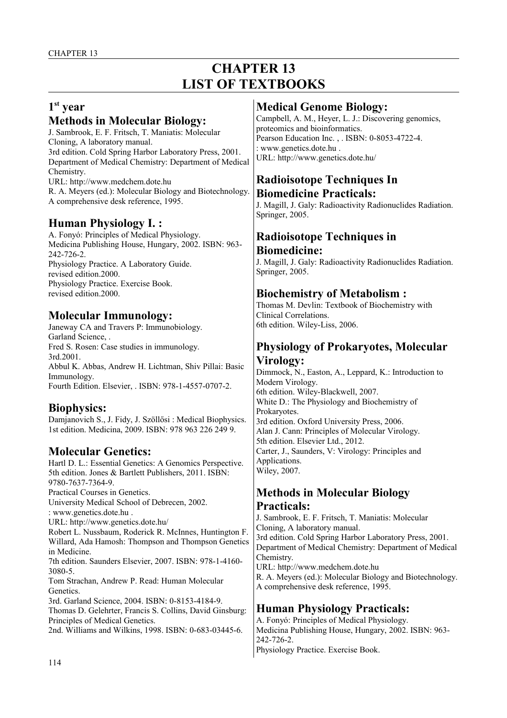# **CHAPTER 13 LIST OF TEXTBOOKS**

## **1 st year**

### **Methods in Molecular Biology:**

J. Sambrook, E. F. Fritsch, T. Maniatis: Molecular Cloning, A laboratory manual. 3rd edition. Cold Spring Harbor Laboratory Press, 2001. Department of Medical Chemistry: Department of Medical Chemistry. URL: http://www.medchem.dote.hu R. A. Meyers (ed.): Molecular Biology and Biotechnology. A comprehensive desk reference, 1995.

## **Human Physiology I. :**

A. Fonyó: Principles of Medical Physiology. Medicina Publishing House, Hungary, 2002. ISBN: 963- 242-726-2. Physiology Practice. A Laboratory Guide. revised edition.2000. Physiology Practice. Exercise Book. revised edition.2000.

## **Molecular Immunology:**

Janeway CA and Travers P: Immunobiology. Garland Science, . Fred S. Rosen: Case studies in immunology. 3rd.2001. Abbul K. Abbas, Andrew H. Lichtman, Shiv Pillai: Basic Immunology. Fourth Edition. Elsevier, . ISBN: 978-1-4557-0707-2.

# **Biophysics:**

Damjanovich S., J. Fidy, J. Szöllősi : Medical Biophysics. 1st edition. Medicina, 2009. ISBN: 978 963 226 249 9.

#### **Molecular Genetics:**

Hartl D. L.: Essential Genetics: A Genomics Perspective. 5th edition. Jones & Bartlett Publishers, 2011. ISBN: 9780-7637-7364-9.

Practical Courses in Genetics.

University Medical School of Debrecen, 2002.

: www.genetics.dote.hu . URL: http://www.genetics.dote.hu/

Robert L. Nussbaum, Roderick R. McInnes, Huntington F. Willard, Ada Hamosh: Thompson and Thompson Genetics in Medicine.

7th edition. Saunders Elsevier, 2007. ISBN: 978-1-4160- 3080-5.

Tom Strachan, Andrew P. Read: Human Molecular **Genetics** 

3rd. Garland Science, 2004. ISBN: 0-8153-4184-9.

Thomas D. Gelehrter, Francis S. Collins, David Ginsburg: Principles of Medical Genetics.

2nd. Williams and Wilkins, 1998. ISBN: 0-683-03445-6.

## **Medical Genome Biology:**

Campbell, A. M., Heyer, L. J.: Discovering genomics, proteomics and bioinformatics. Pearson Education Inc. , . ISBN: 0-8053-4722-4. : www.genetics.dote.hu . URL: http://www.genetics.dote.hu/

#### **Radioisotope Techniques In Biomedicine Practicals:**

J. Magill, J. Galy: Radioactivity Radionuclides Radiation. Springer, 2005.

## **Radioisotope Techniques in Biomedicine:**

J. Magill, J. Galy: Radioactivity Radionuclides Radiation. Springer, 2005.

# **Biochemistry of Metabolism :**

Thomas M. Devlin: Textbook of Biochemistry with Clinical Correlations. 6th edition. Wiley-Liss, 2006.

## **Physiology of Prokaryotes, Molecular Virology:**

Dimmock, N., Easton, A., Leppard, K.: Introduction to Modern Virology. 6th edition. Wiley-Blackwell, 2007. White D.: The Physiology and Biochemistry of Prokaryotes. 3rd edition. Oxford University Press, 2006. Alan J. Cann: Principles of Molecular Virology. 5th edition. Elsevier Ltd., 2012. Carter, J., Saunders, V: Virology: Principles and Applications. Wiley, 2007.

#### **Methods in Molecular Biology Practicals:**

J. Sambrook, E. F. Fritsch, T. Maniatis: Molecular Cloning, A laboratory manual. 3rd edition. Cold Spring Harbor Laboratory Press, 2001. Department of Medical Chemistry: Department of Medical Chemistry. URL: http://www.medchem.dote.hu

R. A. Meyers (ed.): Molecular Biology and Biotechnology. A comprehensive desk reference, 1995.

# **Human Physiology Practicals:**

A. Fonyó: Principles of Medical Physiology. Medicina Publishing House, Hungary, 2002. ISBN: 963- 242-726-2. Physiology Practice. Exercise Book.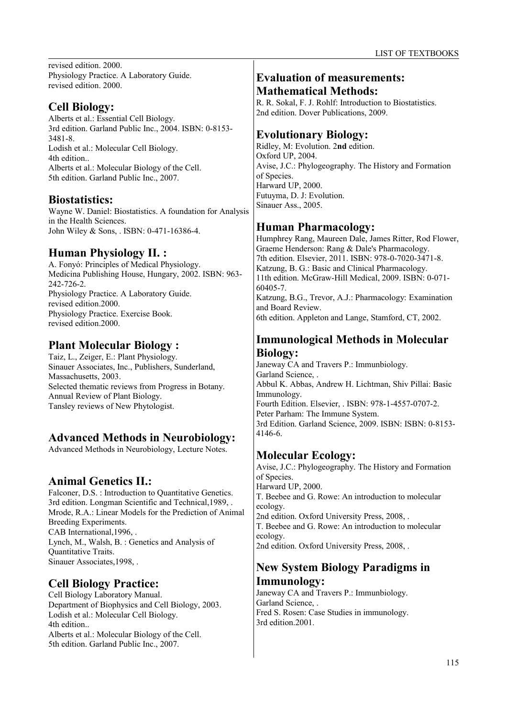revised edition. 2000. Physiology Practice. A Laboratory Guide. revised edition. 2000.

### **Cell Biology:**

Alberts et al.: Essential Cell Biology. 3rd edition. Garland Public Inc., 2004. ISBN: 0-8153- 3481-8. Lodish et al.: Molecular Cell Biology. 4th edition.. Alberts et al.: Molecular Biology of the Cell. 5th edition. Garland Public Inc., 2007.

# **Biostatistics:**

Wayne W. Daniel: Biostatistics. A foundation for Analysis in the Health Sciences. John Wiley & Sons, . ISBN: 0-471-16386-4.

# **Human Physiology II. :**

A. Fonyó: Principles of Medical Physiology. Medicina Publishing House, Hungary, 2002. ISBN: 963- 242-726-2. Physiology Practice. A Laboratory Guide. revised edition.2000. Physiology Practice. Exercise Book. revised edition.2000.

# **Plant Molecular Biology :**

Taiz, L., Zeiger, E.: Plant Physiology. Sinauer Associates, Inc., Publishers, Sunderland, Massachusetts, 2003. Selected thematic reviews from Progress in Botany. Annual Review of Plant Biology. Tansley reviews of New Phytologist.

# **Advanced Methods in Neurobiology:**

Advanced Methods in Neurobiology, Lecture Notes.

# **Animal Genetics II.:**

Falconer, D.S. : Introduction to Quantitative Genetics. 3rd edition. Longman Scientific and Technical,1989, . Mrode, R.A.: Linear Models for the Prediction of Animal Breeding Experiments. CAB International,1996, . Lynch, M., Walsh, B. : Genetics and Analysis of Quantitative Traits. Sinauer Associates,1998, .

# **Cell Biology Practice:**

Cell Biology Laboratory Manual. Department of Biophysics and Cell Biology, 2003. Lodish et al.: Molecular Cell Biology. 4th edition.. Alberts et al.: Molecular Biology of the Cell. 5th edition. Garland Public Inc., 2007.

# **Evaluation of measurements: Mathematical Methods:**

R. R. Sokal, F. J. Rohlf: Introduction to Biostatistics. 2nd edition. Dover Publications, 2009.

# **Evolutionary Biology:**

Ridley, M: Evolution. 2**nd** edition. Oxford UP, 2004. Avise, J.C.: Phylogeography. The History and Formation of Species. Harward UP, 2000. Futuyma, D. J: Evolution. Sinauer Ass., 2005.

# **Human Pharmacology:**

Humphrey Rang, Maureen Dale, James Ritter, Rod Flower, Graeme Henderson: Rang & Dale's Pharmacology. 7th edition. Elsevier, 2011. ISBN: 978-0-7020-3471-8. Katzung, B. G.: Basic and Clinical Pharmacology. 11th edition. McGraw-Hill Medical, 2009. ISBN: 0-071- 60405-7. Katzung, B.G., Trevor, A.J.: Pharmacology: Examination and Board Review. 6th edition. Appleton and Lange, Stamford, CT, 2002.

# **Immunological Methods in Molecular Biology:**

Janeway CA and Travers P.: Immunbiology. Garland Science, . Abbul K. Abbas, Andrew H. Lichtman, Shiv Pillai: Basic Immunology. Fourth Edition. Elsevier, . ISBN: 978-1-4557-0707-2. Peter Parham: The Immune System. 3rd Edition. Garland Science, 2009. ISBN: ISBN: 0-8153- 4146-6.

# **Molecular Ecology:**

Avise, J.C.: Phylogeography. The History and Formation of Species. Harward UP, 2000. T. Beebee and G. Rowe: An introduction to molecular ecology. 2nd edition. Oxford University Press, 2008, .

T. Beebee and G. Rowe: An introduction to molecular ecology.

2nd edition. Oxford University Press, 2008, .

# **New System Biology Paradigms in Immunology:**

Janeway CA and Travers P.: Immunbiology. Garland Science, . Fred S. Rosen: Case Studies in immunology. 3rd edition.2001.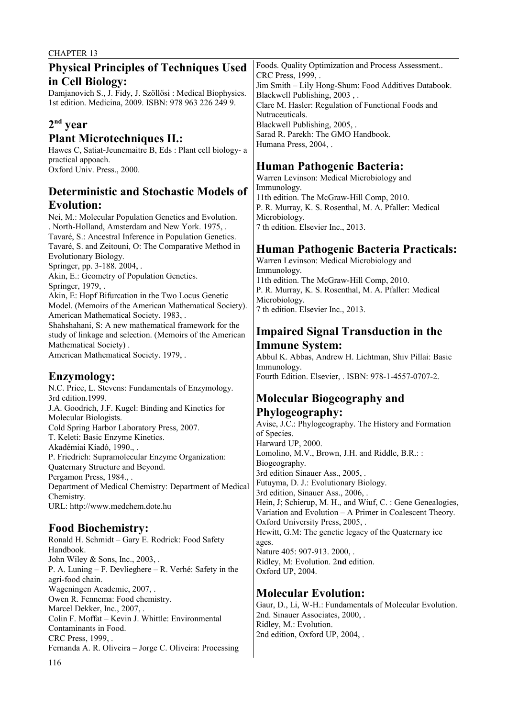| <b>Physical Principles of Techniques Used</b>              | Foods. Quality Optimization and Process Assessment         |
|------------------------------------------------------------|------------------------------------------------------------|
|                                                            | CRC Press, 1999, .                                         |
| in Cell Biology:                                           | Jim Smith - Lily Hong-Shum: Food Additives Databook.       |
| Damjanovich S., J. Fidy, J. Szöllősi : Medical Biophysics. |                                                            |
|                                                            | Blackwell Publishing, 2003,.                               |
| 1st edition. Medicina, 2009. ISBN: 978 963 226 249 9.      | Clare M. Hasler: Regulation of Functional Foods and        |
|                                                            | Nutraceuticals.                                            |
|                                                            |                                                            |
| $2nd$ year                                                 | Blackwell Publishing, 2005, .                              |
| <b>Plant Microtechniques II.:</b>                          | Sarad R. Parekh: The GMO Handbook.                         |
|                                                            | Humana Press, 2004, .                                      |
| Hawes C, Satiat-Jeunemaitre B, Eds : Plant cell biology- a |                                                            |
| practical appoach.                                         |                                                            |
| Oxford Univ. Press., 2000.                                 | <b>Human Pathogenic Bacteria:</b>                          |
|                                                            | Warren Levinson: Medical Microbiology and                  |
|                                                            |                                                            |
| <b>Deterministic and Stochastic Models of</b>              | Immunology.                                                |
|                                                            | 11th edition. The McGraw-Hill Comp, 2010.                  |
| <b>Evolution:</b>                                          | P. R. Murray, K. S. Rosenthal, M. A. Pfaller: Medical      |
| Nei, M.: Molecular Population Genetics and Evolution.      | Microbiology.                                              |
|                                                            |                                                            |
| . North-Holland, Amsterdam and New York. 1975, .           | 7 th edition. Elsevier Inc., 2013.                         |
| Tavaré, S.: Ancestral Inference in Population Genetics.    |                                                            |
| Tavaré, S. and Zeitouni, O: The Comparative Method in      |                                                            |
|                                                            | <b>Human Pathogenic Bacteria Practicals:</b>               |
| Evolutionary Biology.                                      | Warren Levinson: Medical Microbiology and                  |
| Springer, pp. 3-188. 2004, .                               | Immunology.                                                |
| Akin, E.: Geometry of Population Genetics.                 |                                                            |
| Springer, 1979, .                                          | 11th edition. The McGraw-Hill Comp, 2010.                  |
|                                                            | P. R. Murray, K. S. Rosenthal, M. A. Pfaller: Medical      |
| Akin, E: Hopf Bifurcation in the Two Locus Genetic         | Microbiology.                                              |
| Model. (Memoirs of the American Mathematical Society).     | 7 th edition. Elsevier Inc., 2013.                         |
| American Mathematical Society. 1983, .                     |                                                            |
| Shahshahani, S: A new mathematical framework for the       |                                                            |
|                                                            | <b>Impaired Signal Transduction in the</b>                 |
| study of linkage and selection. (Memoirs of the American   |                                                            |
| Mathematical Society).                                     | <b>Immune System:</b>                                      |
| American Mathematical Society. 1979, .                     | Abbul K. Abbas, Andrew H. Lichtman, Shiv Pillai: Basic     |
|                                                            |                                                            |
|                                                            | Immunology.                                                |
| Enzymology:                                                | Fourth Edition. Elsevier, . ISBN: 978-1-4557-0707-2.       |
| N.C. Price, L. Stevens: Fundamentals of Enzymology.        |                                                            |
|                                                            |                                                            |
| 3rd edition.1999.                                          | <b>Molecular Biogeography and</b>                          |
| J.A. Goodrich, J.F. Kugel: Binding and Kinetics for        |                                                            |
| Molecular Biologists.                                      | Phylogeography:                                            |
| Cold Spring Harbor Laboratory Press, 2007.                 | Avise, J.C.: Phylogeography. The History and Formation     |
|                                                            | of Species.                                                |
| T. Keleti: Basic Enzyme Kinetics.                          | Harward UP, 2000.                                          |
| Akadémiai Kiadó, 1990.,.                                   |                                                            |
| P. Friedrich: Supramolecular Enzyme Organization:          | Lomolino, M.V., Brown, J.H. and Riddle, B.R.::             |
| Quaternary Structure and Beyond.                           | Biogeography.                                              |
|                                                            | 3rd edition Sinauer Ass., 2005, .                          |
| Pergamon Press, 1984., .                                   | Futuyma, D. J.: Evolutionary Biology.                      |
| Department of Medical Chemistry: Department of Medical     |                                                            |
| Chemistry.                                                 | 3rd edition, Sinauer Ass., 2006, .                         |
|                                                            | Hein, J; Schierup, M. H., and Wiuf, C. : Gene Genealogies, |
| URL: http://www.medchem.dote.hu                            | Variation and Evolution – A Primer in Coalescent Theory.   |
|                                                            |                                                            |
| <b>Food Biochemistry:</b>                                  | Oxford University Press, 2005, .                           |
|                                                            | Hewitt, G.M: The genetic legacy of the Quaternary ice      |
| Ronald H. Schmidt - Gary E. Rodrick: Food Safety           | ages.                                                      |
| Handbook.                                                  | Nature 405: 907-913. 2000, .                               |
| John Wiley & Sons, Inc., 2003, .                           |                                                            |
|                                                            | Ridley, M: Evolution. 2nd edition.                         |
| P. A. Luning – F. Devlieghere – R. Verhé: Safety in the    | Oxford UP, 2004.                                           |
| agri-food chain.                                           |                                                            |
| Wageningen Academic, 2007, .                               |                                                            |
| Owen R. Fennema: Food chemistry.                           | <b>Molecular Evolution:</b>                                |
|                                                            | Gaur, D., Li, W-H.: Fundamentals of Molecular Evolution.   |
| Marcel Dekker, Inc., 2007, .                               | 2nd. Sinauer Associates, 2000, .                           |
| Colin F. Moffat - Kevin J. Whittle: Environmental          |                                                            |
| Contaminants in Food.                                      | Ridley, M.: Evolution.                                     |
| CRC Press, 1999, .                                         | 2nd edition, Oxford UP, 2004, .                            |
|                                                            |                                                            |
| Fernanda A. R. Oliveira - Jorge C. Oliveira: Processing    |                                                            |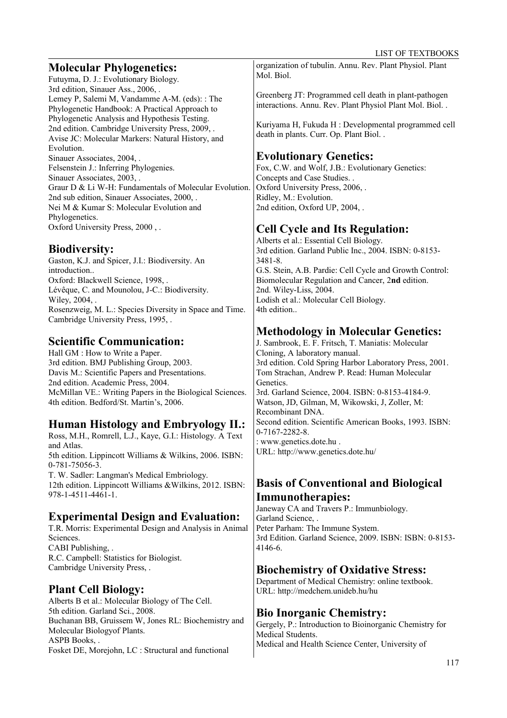# **Molecular Phylogenetics:**

Futuyma, D. J.: Evolutionary Biology. 3rd edition, Sinauer Ass., 2006, . Lemey P, Salemi M, Vandamme A-M. (eds): : The Phylogenetic Handbook: A Practical Approach to Phylogenetic Analysis and Hypothesis Testing. 2nd edition. Cambridge University Press, 2009, . Avise JC: Molecular Markers: Natural History, and Evolution. Sinauer Associates, 2004, . Felsenstein J.: Inferring Phylogenies. Sinauer Associates, 2003, . Graur D & Li W-H: Fundamentals of Molecular Evolution. 2nd sub edition, Sinauer Associates, 2000, . Nei M & Kumar S: Molecular Evolution and Phylogenetics. Oxford University Press, 2000 , .

# **Biodiversity:**

Gaston, K.J. and Spicer, J.I.: Biodiversity. An introduction.. Oxford: Blackwell Science, 1998, . Lévêque, C. and Mounolou, J-C.: Biodiversity. Wiley, 2004, . Rosenzweig, M. L.: Species Diversity in Space and Time. Cambridge University Press, 1995, .

# **Scientific Communication:**

Hall GM : How to Write a Paper. 3rd edition. BMJ Publishing Group, 2003. Davis M.: Scientific Papers and Presentations. 2nd edition. Academic Press, 2004. McMillan VE.: Writing Papers in the Biological Sciences. 4th edition. Bedford/St. Martin's, 2006.

# **Human Histology and Embryology II.:**

Ross, M.H., Romrell, L.J., Kaye, G.I.: Histology. A Text and Atlas. 5th edition. Lippincott Williams & Wilkins, 2006. ISBN: 0-781-75056-3. T. W. Sadler: Langman's Medical Embriology. 12th edition. Lippincott Williams &Wilkins, 2012. ISBN: 978-1-4511-4461-1.

# **Experimental Design and Evaluation:**

T.R. Morris: Experimental Design and Analysis in Animal Sciences. CABI Publishing, . R.C. Campbell: Statistics for Biologist. Cambridge University Press, .

# **Plant Cell Biology:**

Alberts B et al.: Molecular Biology of The Cell. 5th edition. Garland Sci., 2008. Buchanan BB, Gruissem W, Jones RL: Biochemistry and Molecular Biologyof Plants. ASPB Books, . Fosket DE, Morejohn, LC : Structural and functional

organization of tubulin. Annu. Rev. Plant Physiol. Plant Mol. Biol.

Greenberg JT: Programmed cell death in plant-pathogen interactions. Annu. Rev. Plant Physiol Plant Mol. Biol. .

Kuriyama H, Fukuda H : Developmental programmed cell death in plants. Curr. Op. Plant Biol. .

# **Evolutionary Genetics:**

Fox, C.W. and Wolf, J.B.: Evolutionary Genetics: Concepts and Case Studies. . Oxford University Press, 2006, . Ridley, M.: Evolution. 2nd edition, Oxford UP, 2004, .

# **Cell Cycle and Its Regulation:**

Alberts et al.: Essential Cell Biology. 3rd edition. Garland Public Inc., 2004. ISBN: 0-8153- 3481-8. G.S. Stein, A.B. Pardie: Cell Cycle and Growth Control: Biomolecular Regulation and Cancer, 2**nd** edition. 2nd. Wiley-Liss, 2004. Lodish et al.: Molecular Cell Biology. 4th edition..

# **Methodology in Molecular Genetics:**

J. Sambrook, E. F. Fritsch, T. Maniatis: Molecular Cloning, A laboratory manual. 3rd edition. Cold Spring Harbor Laboratory Press, 2001. Tom Strachan, Andrew P. Read: Human Molecular Genetics. 3rd. Garland Science, 2004. ISBN: 0-8153-4184-9. Watson, JD, Gilman, M, Wikowski, J, Zoller, M: Recombinant DNA. Second edition. Scientific American Books, 1993. ISBN: 0-7167-2282-8. : www.genetics.dote.hu . URL: http://www.genetics.dote.hu/

# **Basis of Conventional and Biological Immunotherapies:**

Janeway CA and Travers P.: Immunbiology. Garland Science, . Peter Parham: The Immune System. 3rd Edition. Garland Science, 2009. ISBN: ISBN: 0-8153- 4146-6.

# **Biochemistry of Oxidative Stress:**

Department of Medical Chemistry: online textbook. URL: http://medchem.unideb.hu/hu

# **Bio Inorganic Chemistry:**

Gergely, P.: Introduction to Bioinorganic Chemistry for Medical Students. Medical and Health Science Center, University of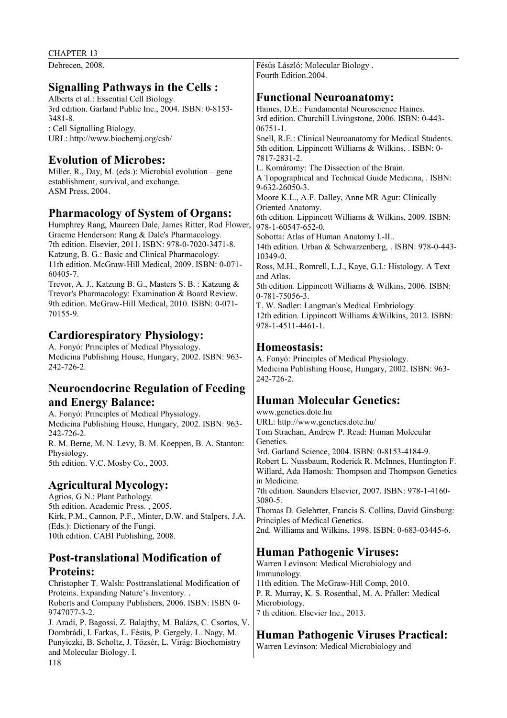Debrecen, 2008.

#### **Signalling Pathways in the Cells :**

Alberts et al.: Essential Cell Biology. 3rd edition. Garland Public Inc., 2004. ISBN: 0-8153- 3481-8. : Cell Signalling Biology. URL: http://www.biochemj.org/csb/

## **Evolution of Microbes:**

Miller, R., Day, M. (eds.): Microbial evolution – gene establishment, survival, and exchange. ASM Press, 2004.

#### **Pharmacology of System of Organs:**

Humphrey Rang, Maureen Dale, James Ritter, Rod Flower, Graeme Henderson: Rang & Dale's Pharmacology. 7th edition. Elsevier, 2011. ISBN: 978-0-7020-3471-8. Katzung, B. G.: Basic and Clinical Pharmacology. 11th edition. McGraw-Hill Medical, 2009. ISBN: 0-071- 60405-7.

Trevor, A. J., Katzung B. G., Masters S. B. : Katzung & Trevor's Pharmacology: Examination & Board Review. 9th edition. McGraw-Hill Medical, 2010. ISBN: 0-071- 70155-9.

#### **Cardiorespiratory Physiology:**

A. Fonyó: Principles of Medical Physiology. Medicina Publishing House, Hungary, 2002. ISBN: 963- 242-726-2.

#### **Neuroendocrine Regulation of Feeding and Energy Balance:**

A. Fonyó: Principles of Medical Physiology. Medicina Publishing House, Hungary, 2002. ISBN: 963- 242-726-2. R. M. Berne, M. N. Levy, B. M. Koeppen, B. A. Stanton: Physiology.

5th edition. V.C. Mosby Co., 2003.

#### **Agricultural Mycology:**

Agrios, G.N.: Plant Pathology. 5th edition. Academic Press. , 2005. Kirk, P.M., Cannon, P.F., Minter, D.W. and Stalpers, J.A. (Eds.): Dictionary of the Fungi. 10th edition. CABI Publishing, 2008.

#### **Post-translational Modification of Proteins:**

Christopher T. Walsh: Posttranslational Modification of Proteins. Expanding Nature's Inventory. . Roberts and Company Publishers, 2006. ISBN: ISBN 0- 9747077-3-2. J. Aradi, P. Bagossi, Z. Balajthy, M. Balázs, C. Csortos, V. Dombrádi, I. Farkas, L. Fésüs, P. Gergely, L. Nagy, M.

Punyiczki, B. Scholtz, J. Tőzsér, L. Virág: Biochemistry and Molecular Biology. I.

Fésüs László: Molecular Biology . Fourth Edition.2004.

#### **Functional Neuroanatomy:**

Haines, D.E.: Fundamental Neuroscience Haines. 3rd edition. Churchill Livingstone, 2006. ISBN: 0-443- 06751-1. Snell, R.E.: Clinical Neuroanatomy for Medical Students. 5th edition. Lippincott Williams & Wilkins, . ISBN: 0- 7817-2831-2. L. Komáromy: The Dissection of the Brain. A Topographical and Technical Guide Medicina, . ISBN: 9-632-26050-3. Moore K.L., A.F. Dalley, Anne MR Agur: Clinically Oriented Anatomy. 6th edition. Lippincott Williams & Wilkins, 2009. ISBN: 978-1-60547-652-0. Sobotta: Atlas of Human Anatomy I.-II.. 14th edition. Urban & Schwarzenberg, . ISBN: 978-0-443- 10349-0. Ross, M.H., Romrell, L.J., Kaye, G.I.: Histology. A Text and Atlas. 5th edition. Lippincott Williams & Wilkins, 2006. ISBN: 0-781-75056-3. T. W. Sadler: Langman's Medical Embriology. 12th edition. Lippincott Williams &Wilkins, 2012. ISBN: 978-1-4511-4461-1. **Homeostasis:** A. Fonyó: Principles of Medical Physiology. Medicina Publishing House, Hungary, 2002. ISBN: 963- 242-726-2. **Human Molecular Genetics:** www.genetics.dote.hu URL: http://www.genetics.dote.hu/ Tom Strachan, Andrew P. Read: Human Molecular Genetics. 3rd. Garland Science, 2004. ISBN: 0-8153-4184-9. Robert L. Nussbaum, Roderick R. McInnes, Huntington F. Willard, Ada Hamosh: Thompson and Thompson Genetics

in Medicine. 7th edition. Saunders Elsevier, 2007. ISBN: 978-1-4160- 3080-5.

Thomas D. Gelehrter, Francis S. Collins, David Ginsburg: Principles of Medical Genetics. 2nd. Williams and Wilkins, 1998. ISBN: 0-683-03445-6.

# **Human Pathogenic Viruses:**

Warren Levinson: Medical Microbiology and Immunology. 11th edition. The McGraw-Hill Comp, 2010. P. R. Murray, K. S. Rosenthal, M. A. Pfaller: Medical Microbiology. 7 th edition. Elsevier Inc., 2013.

#### **Human Pathogenic Viruses Practical:**

Warren Levinson: Medical Microbiology and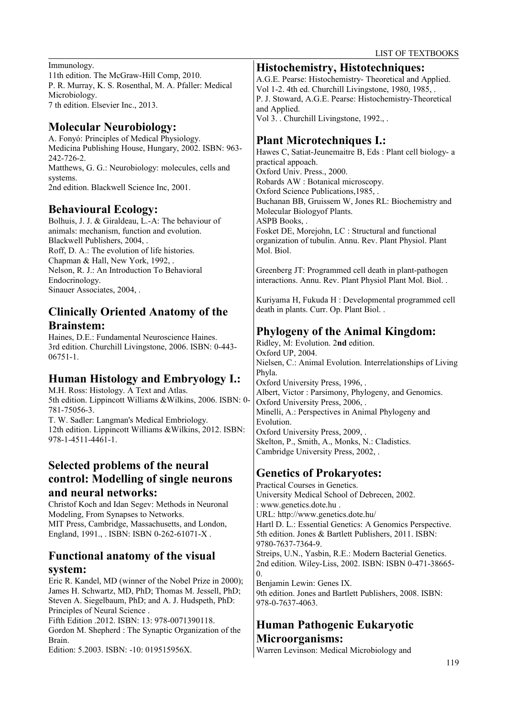#### Immunology.

11th edition. The McGraw-Hill Comp, 2010. P. R. Murray, K. S. Rosenthal, M. A. Pfaller: Medical Microbiology. 7 th edition. Elsevier Inc., 2013.

# **Molecular Neurobiology:**

A. Fonyó: Principles of Medical Physiology. Medicina Publishing House, Hungary, 2002. ISBN: 963- 242-726-2. Matthews, G. G.: Neurobiology: molecules, cells and systems. 2nd edition. Blackwell Science Inc, 2001.

#### **Behavioural Ecology:**

Bolhuis, J. J. & Giraldeau, L.-A: The behaviour of animals: mechanism, function and evolution. Blackwell Publishers, 2004, . Roff, D. A.: The evolution of life histories. Chapman & Hall, New York, 1992, . Nelson, R. J.: An Introduction To Behavioral Endocrinology. Sinauer Associates, 2004, .

## **Clinically Oriented Anatomy of the Brainstem:**

Haines, D.E.: Fundamental Neuroscience Haines. 3rd edition. Churchill Livingstone, 2006. ISBN: 0-443- 06751-1.

# **Human Histology and Embryology I.:**

M.H. Ross: Histology. A Text and Atlas. 5th edition. Lippincott Williams &Wilkins, 2006. ISBN: 0- 781-75056-3. T. W. Sadler: Langman's Medical Embriology. 12th edition. Lippincott Williams &Wilkins, 2012. ISBN: 978-1-4511-4461-1.

## **Selected problems of the neural control: Modelling of single neurons and neural networks:**

Christof Koch and Idan Segev: Methods in Neuronal Modeling, From Synapses to Networks. MIT Press, Cambridge, Massachusetts, and London, England, 1991., . ISBN: ISBN 0-262-61071-X .

## **Functional anatomy of the visual system:**

Eric R. Kandel, MD (winner of the Nobel Prize in 2000); James H. Schwartz, MD, PhD; Thomas M. Jessell, PhD; Steven A. Siegelbaum, PhD; and A. J. Hudspeth, PhD: Principles of Neural Science .

Fifth Edition .2012. ISBN: 13: 978-0071390118. Gordon M. Shepherd : The Synaptic Organization of the Brain.

Edition: 5.2003. ISBN: -10: 019515956X.

#### **Histochemistry, Histotechniques:**

A.G.E. Pearse: Histochemistry- Theoretical and Applied. Vol 1-2. 4th ed. Churchill Livingstone, 1980, 1985, . P. J. Stoward, A.G.E. Pearse: Histochemistry-Theoretical and Applied. Vol 3. . Churchill Livingstone, 1992., .

# **Plant Microtechniques I.:**

Hawes C, Satiat-Jeunemaitre B, Eds : Plant cell biology- a practical appoach. Oxford Univ. Press., 2000. Robards AW : Botanical microscopy. Oxford Science Publications,1985, . Buchanan BB, Gruissem W, Jones RL: Biochemistry and Molecular Biologyof Plants. ASPB Books, . Fosket DE, Morejohn, LC : Structural and functional organization of tubulin. Annu. Rev. Plant Physiol. Plant Mol. Biol.

Greenberg JT: Programmed cell death in plant-pathogen interactions. Annu. Rev. Plant Physiol Plant Mol. Biol. .

Kuriyama H, Fukuda H : Developmental programmed cell death in plants. Curr. Op. Plant Biol. .

# **Phylogeny of the Animal Kingdom:**

Ridley, M: Evolution. 2**nd** edition. Oxford UP, 2004. Nielsen, C.: Animal Evolution. Interrelationships of Living Phyla. Oxford University Press, 1996, . Albert, Victor : Parsimony, Phylogeny, and Genomics. Oxford University Press, 2006, . Minelli, A.: Perspectives in Animal Phylogeny and **Evolution** Oxford University Press, 2009, . Skelton, P., Smith, A., Monks, N.: Cladistics. Cambridge University Press, 2002, .

# **Genetics of Prokaryotes:**

Practical Courses in Genetics. University Medical School of Debrecen, 2002. : www.genetics.dote.hu . URL: http://www.genetics.dote.hu/ Hartl D. L.: Essential Genetics: A Genomics Perspective. 5th edition. Jones & Bartlett Publishers, 2011. ISBN: 9780-7637-7364-9. Streips, U.N., Yasbin, R.E.: Modern Bacterial Genetics. 2nd edition. Wiley-Liss, 2002. ISBN: ISBN 0-471-38665-  $\Omega$ Benjamin Lewin: Genes IX.

9th edition. Jones and Bartlett Publishers, 2008. ISBN: 978-0-7637-4063.

# **Human Pathogenic Eukaryotic Microorganisms:**

Warren Levinson: Medical Microbiology and